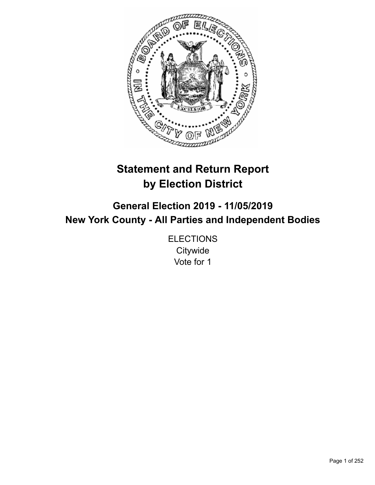

# **Statement and Return Report by Election District**

**General Election 2019 - 11/05/2019 New York County - All Parties and Independent Bodies**

> **ELECTIONS Citywide** Vote for 1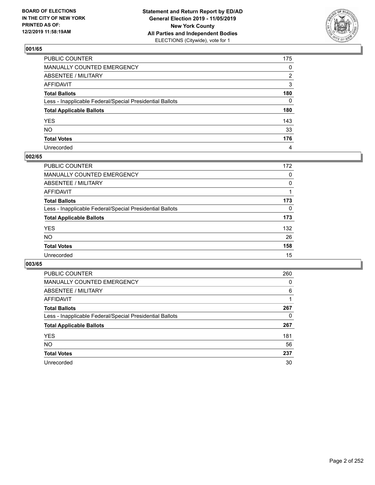

| PUBLIC COUNTER                                           | 175          |
|----------------------------------------------------------|--------------|
| MANUALLY COUNTED EMERGENCY                               | $\mathbf{0}$ |
| ABSENTEE / MILITARY                                      | 2            |
| AFFIDAVIT                                                | 3            |
| Total Ballots                                            | 180          |
| Less - Inapplicable Federal/Special Presidential Ballots | $\Omega$     |
| <b>Total Applicable Ballots</b>                          | 180          |
| YES                                                      | 143          |
| NO.                                                      | 33           |
| <b>Total Votes</b>                                       | 176          |
| Unrecorded                                               | 4            |

# **002/65**

| <b>PUBLIC COUNTER</b>                                    | 172      |
|----------------------------------------------------------|----------|
| <b>MANUALLY COUNTED EMERGENCY</b>                        | $\Omega$ |
| ABSENTEE / MILITARY                                      | 0        |
| AFFIDAVIT                                                |          |
| <b>Total Ballots</b>                                     | 173      |
| Less - Inapplicable Federal/Special Presidential Ballots | $\Omega$ |
| <b>Total Applicable Ballots</b>                          | 173      |
| <b>YES</b>                                               | 132      |
| <b>NO</b>                                                | 26       |
| <b>Total Votes</b>                                       | 158      |
| Unrecorded                                               | 15       |

| <b>PUBLIC COUNTER</b>                                    | 260 |
|----------------------------------------------------------|-----|
| MANUALLY COUNTED EMERGENCY                               | 0   |
| ABSENTEE / MILITARY                                      | 6   |
| AFFIDAVIT                                                |     |
| <b>Total Ballots</b>                                     | 267 |
| Less - Inapplicable Federal/Special Presidential Ballots | 0   |
| <b>Total Applicable Ballots</b>                          | 267 |
| <b>YES</b>                                               | 181 |
| <b>NO</b>                                                | 56  |
| <b>Total Votes</b>                                       | 237 |
| Unrecorded                                               | 30  |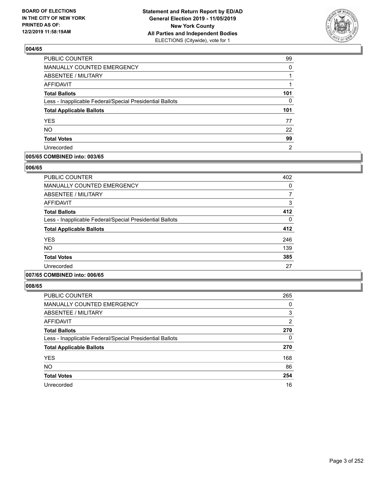

| PUBLIC COUNTER                                           | 99  |
|----------------------------------------------------------|-----|
| MANUALLY COUNTED EMERGENCY                               | 0   |
| ABSENTEE / MILITARY                                      |     |
| <b>AFFIDAVIT</b>                                         | 1   |
| <b>Total Ballots</b>                                     | 101 |
| Less - Inapplicable Federal/Special Presidential Ballots | 0   |
| <b>Total Applicable Ballots</b>                          | 101 |
| <b>YES</b>                                               | 77  |
| <b>NO</b>                                                | 22  |
| <b>Total Votes</b>                                       | 99  |
| Unrecorded                                               | 2   |

### **005/65 COMBINED into: 003/65**

### **006/65**

| <b>PUBLIC COUNTER</b>                                    | 402 |
|----------------------------------------------------------|-----|
| <b>MANUALLY COUNTED EMERGENCY</b>                        | 0   |
| <b>ABSENTEE / MILITARY</b>                               |     |
| <b>AFFIDAVIT</b>                                         | 3   |
| <b>Total Ballots</b>                                     | 412 |
| Less - Inapplicable Federal/Special Presidential Ballots | 0   |
| <b>Total Applicable Ballots</b>                          | 412 |
| <b>YES</b>                                               | 246 |
| <b>NO</b>                                                | 139 |
| <b>Total Votes</b>                                       | 385 |
| Unrecorded                                               | 27  |
|                                                          |     |

# **007/65 COMBINED into: 006/65**

| <b>PUBLIC COUNTER</b>                                    | 265 |
|----------------------------------------------------------|-----|
| <b>MANUALLY COUNTED EMERGENCY</b>                        | 0   |
| ABSENTEE / MILITARY                                      | 3   |
| AFFIDAVIT                                                | 2   |
| <b>Total Ballots</b>                                     | 270 |
| Less - Inapplicable Federal/Special Presidential Ballots | 0   |
| <b>Total Applicable Ballots</b>                          | 270 |
| <b>YES</b>                                               | 168 |
| <b>NO</b>                                                | 86  |
| <b>Total Votes</b>                                       | 254 |
| Unrecorded                                               | 16  |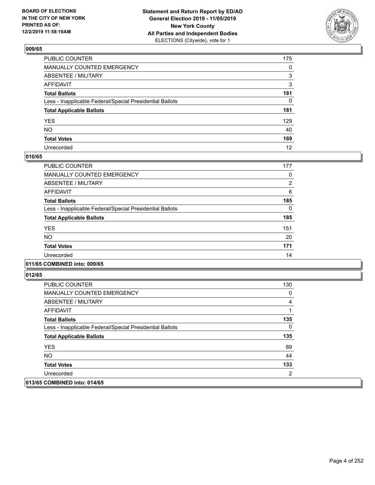

| PUBLIC COUNTER                                           | 175 |
|----------------------------------------------------------|-----|
| MANUALLY COUNTED EMERGENCY                               | 0   |
| ABSENTEE / MILITARY                                      | 3   |
| AFFIDAVIT                                                | 3   |
| Total Ballots                                            | 181 |
| Less - Inapplicable Federal/Special Presidential Ballots | 0   |
| <b>Total Applicable Ballots</b>                          | 181 |
| YES                                                      | 129 |
| NO.                                                      | 40  |
| <b>Total Votes</b>                                       | 169 |
| Unrecorded                                               | 12  |

# **010/65**

| <b>PUBLIC COUNTER</b>                                    | 177            |
|----------------------------------------------------------|----------------|
| MANUALLY COUNTED EMERGENCY                               | 0              |
| ABSENTEE / MILITARY                                      | $\overline{2}$ |
| AFFIDAVIT                                                | 6              |
| <b>Total Ballots</b>                                     | 185            |
| Less - Inapplicable Federal/Special Presidential Ballots | 0              |
| <b>Total Applicable Ballots</b>                          | 185            |
| <b>YES</b>                                               | 151            |
| <b>NO</b>                                                | 20             |
| <b>Total Votes</b>                                       | 171            |
| Unrecorded                                               | 14             |

### **011/65 COMBINED into: 009/65**

| <b>PUBLIC COUNTER</b>                                    | 130 |
|----------------------------------------------------------|-----|
| <b>MANUALLY COUNTED EMERGENCY</b>                        | 0   |
| ABSENTEE / MILITARY                                      | 4   |
| AFFIDAVIT                                                |     |
| <b>Total Ballots</b>                                     | 135 |
| Less - Inapplicable Federal/Special Presidential Ballots | 0   |
| <b>Total Applicable Ballots</b>                          | 135 |
| <b>YES</b>                                               | 89  |
| NO.                                                      | 44  |
| <b>Total Votes</b>                                       | 133 |
| Unrecorded                                               | 2   |
| 013/65 COMBINED into: 014/65                             |     |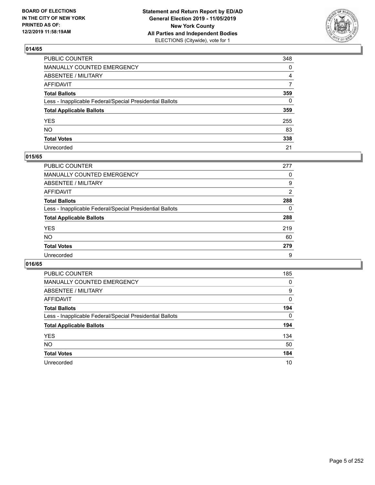

| PUBLIC COUNTER                                           | 348          |
|----------------------------------------------------------|--------------|
| MANUALLY COUNTED EMERGENCY                               | 0            |
| ABSENTEE / MILITARY                                      | 4            |
| AFFIDAVIT                                                | 7            |
| Total Ballots                                            | 359          |
| Less - Inapplicable Federal/Special Presidential Ballots | $\mathbf{0}$ |
| <b>Total Applicable Ballots</b>                          | 359          |
| YES                                                      | 255          |
| NO.                                                      | 83           |
| <b>Total Votes</b>                                       | 338          |
| Unrecorded                                               | 21           |

### **015/65**

| <b>PUBLIC COUNTER</b>                                    | 277 |
|----------------------------------------------------------|-----|
| MANUALLY COUNTED EMERGENCY                               | 0   |
| ABSENTEE / MILITARY                                      | 9   |
| AFFIDAVIT                                                | 2   |
| <b>Total Ballots</b>                                     | 288 |
| Less - Inapplicable Federal/Special Presidential Ballots | 0   |
| <b>Total Applicable Ballots</b>                          | 288 |
| <b>YES</b>                                               | 219 |
| <b>NO</b>                                                | 60  |
| <b>Total Votes</b>                                       | 279 |
| Unrecorded                                               | 9   |

| <b>PUBLIC COUNTER</b>                                    | 185      |
|----------------------------------------------------------|----------|
| MANUALLY COUNTED EMERGENCY                               | 0        |
| ABSENTEE / MILITARY                                      | 9        |
| AFFIDAVIT                                                | 0        |
| <b>Total Ballots</b>                                     | 194      |
| Less - Inapplicable Federal/Special Presidential Ballots | $\Omega$ |
| <b>Total Applicable Ballots</b>                          | 194      |
| <b>YES</b>                                               | 134      |
| <b>NO</b>                                                | 50       |
| <b>Total Votes</b>                                       | 184      |
| Unrecorded                                               | 10       |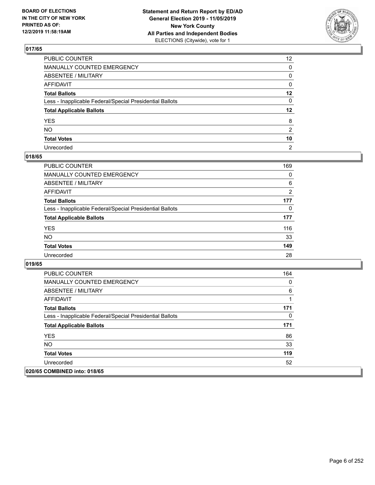

| PUBLIC COUNTER                                           | 12 <sup>2</sup> |
|----------------------------------------------------------|-----------------|
| MANUALLY COUNTED EMERGENCY                               | $\mathbf{0}$    |
| ABSENTEE / MILITARY                                      | 0               |
| AFFIDAVIT                                                | 0               |
| Total Ballots                                            | $12 \,$         |
| Less - Inapplicable Federal/Special Presidential Ballots | $\mathbf{0}$    |
| <b>Total Applicable Ballots</b>                          | $12 \,$         |
| YES                                                      | 8               |
| NO.                                                      | 2               |
| <b>Total Votes</b>                                       | 10              |
| Unrecorded                                               | $\overline{2}$  |

### **018/65**

| <b>PUBLIC COUNTER</b>                                    | 169      |
|----------------------------------------------------------|----------|
| <b>MANUALLY COUNTED EMERGENCY</b>                        | $\Omega$ |
| ABSENTEE / MILITARY                                      | 6        |
| AFFIDAVIT                                                | 2        |
| <b>Total Ballots</b>                                     | 177      |
| Less - Inapplicable Federal/Special Presidential Ballots | 0        |
| <b>Total Applicable Ballots</b>                          | 177      |
| <b>YES</b>                                               | 116      |
| <b>NO</b>                                                | 33       |
| <b>Total Votes</b>                                       | 149      |
| Unrecorded                                               | 28       |

| <b>PUBLIC COUNTER</b>                                    | 164 |
|----------------------------------------------------------|-----|
| <b>MANUALLY COUNTED EMERGENCY</b>                        | 0   |
| ABSENTEE / MILITARY                                      | 6   |
| AFFIDAVIT                                                | 1   |
| <b>Total Ballots</b>                                     | 171 |
| Less - Inapplicable Federal/Special Presidential Ballots | 0   |
| <b>Total Applicable Ballots</b>                          | 171 |
| <b>YES</b>                                               | 86  |
| <b>NO</b>                                                | 33  |
| <b>Total Votes</b>                                       | 119 |
| Unrecorded                                               | 52  |
| 020/65 COMBINED into: 018/65                             |     |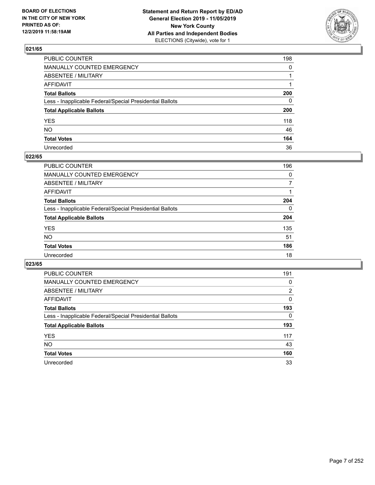

| PUBLIC COUNTER                                           | 198          |
|----------------------------------------------------------|--------------|
| MANUALLY COUNTED EMERGENCY                               | $\mathbf{0}$ |
| ABSENTEE / MILITARY                                      |              |
| AFFIDAVIT                                                |              |
| Total Ballots                                            | 200          |
| Less - Inapplicable Federal/Special Presidential Ballots | 0            |
| <b>Total Applicable Ballots</b>                          | 200          |
| YES                                                      | 118          |
| NΟ                                                       | 46           |
| <b>Total Votes</b>                                       | 164          |
| Unrecorded                                               | 36           |

### **022/65**

| <b>PUBLIC COUNTER</b>                                    | 196      |
|----------------------------------------------------------|----------|
| <b>MANUALLY COUNTED EMERGENCY</b>                        | $\Omega$ |
| ABSENTEE / MILITARY                                      |          |
| AFFIDAVIT                                                |          |
| <b>Total Ballots</b>                                     | 204      |
| Less - Inapplicable Federal/Special Presidential Ballots | $\Omega$ |
| <b>Total Applicable Ballots</b>                          | 204      |
| <b>YES</b>                                               | 135      |
| <b>NO</b>                                                | 51       |
| <b>Total Votes</b>                                       | 186      |
| Unrecorded                                               | 18       |

| <b>PUBLIC COUNTER</b>                                    | 191 |
|----------------------------------------------------------|-----|
| MANUALLY COUNTED EMERGENCY                               | 0   |
| ABSENTEE / MILITARY                                      | 2   |
| AFFIDAVIT                                                | 0   |
| <b>Total Ballots</b>                                     | 193 |
| Less - Inapplicable Federal/Special Presidential Ballots | 0   |
| <b>Total Applicable Ballots</b>                          | 193 |
| <b>YES</b>                                               | 117 |
| <b>NO</b>                                                | 43  |
| <b>Total Votes</b>                                       | 160 |
| Unrecorded                                               | 33  |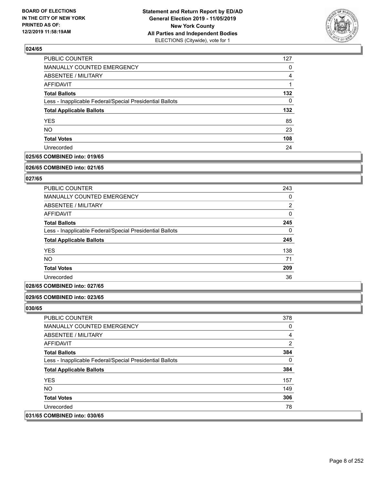

| <b>PUBLIC COUNTER</b>                                    | 127      |
|----------------------------------------------------------|----------|
| MANUALLY COUNTED EMERGENCY                               | 0        |
| ABSENTEE / MILITARY                                      | 4        |
| <b>AFFIDAVIT</b>                                         |          |
| <b>Total Ballots</b>                                     | 132      |
| Less - Inapplicable Federal/Special Presidential Ballots | $\Omega$ |
| <b>Total Applicable Ballots</b>                          | 132      |
| <b>YES</b>                                               | 85       |
| <b>NO</b>                                                | 23       |
| <b>Total Votes</b>                                       | 108      |
| Unrecorded                                               | 24       |

# **025/65 COMBINED into: 019/65**

#### **026/65 COMBINED into: 021/65**

# **027/65**

| PUBLIC COUNTER                                           | 243            |
|----------------------------------------------------------|----------------|
| <b>MANUALLY COUNTED EMERGENCY</b>                        | 0              |
| ABSENTEE / MILITARY                                      | $\overline{2}$ |
| AFFIDAVIT                                                | $\Omega$       |
| <b>Total Ballots</b>                                     | 245            |
| Less - Inapplicable Federal/Special Presidential Ballots | $\Omega$       |
| <b>Total Applicable Ballots</b>                          | 245            |
| <b>YES</b>                                               | 138            |
| <b>NO</b>                                                | 71             |
| <b>Total Votes</b>                                       | 209            |
| Unrecorded                                               | 36             |

### **028/65 COMBINED into: 027/65**

### **029/65 COMBINED into: 023/65**

| <b>PUBLIC COUNTER</b>                                    | 378      |
|----------------------------------------------------------|----------|
| <b>MANUALLY COUNTED EMERGENCY</b>                        | 0        |
| ABSENTEE / MILITARY                                      | 4        |
| AFFIDAVIT                                                | 2        |
| <b>Total Ballots</b>                                     | 384      |
| Less - Inapplicable Federal/Special Presidential Ballots | $\Omega$ |
| <b>Total Applicable Ballots</b>                          | 384      |
| <b>YES</b>                                               | 157      |
| NO.                                                      | 149      |
| <b>Total Votes</b>                                       | 306      |
| Unrecorded                                               | 78       |
| 031/65 COMBINED into: 030/65                             |          |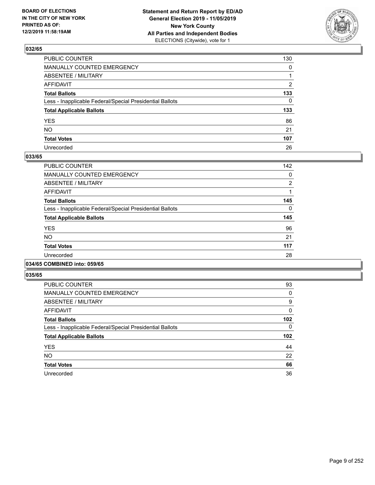

| PUBLIC COUNTER                                           | 130          |
|----------------------------------------------------------|--------------|
| MANUALLY COUNTED EMERGENCY                               | $\mathbf{0}$ |
| ABSENTEE / MILITARY                                      |              |
| AFFIDAVIT                                                | 2            |
| Total Ballots                                            | 133          |
| Less - Inapplicable Federal/Special Presidential Ballots | $\mathbf{0}$ |
| <b>Total Applicable Ballots</b>                          | 133          |
| YES                                                      | 86           |
| NO.                                                      | 21           |
| <b>Total Votes</b>                                       | 107          |
| Unrecorded                                               | 26           |

### **033/65**

| <b>PUBLIC COUNTER</b>                                    | 142      |
|----------------------------------------------------------|----------|
| MANUALLY COUNTED EMERGENCY                               | 0        |
| ABSENTEE / MILITARY                                      | 2        |
| AFFIDAVIT                                                |          |
| <b>Total Ballots</b>                                     | 145      |
| Less - Inapplicable Federal/Special Presidential Ballots | $\Omega$ |
| <b>Total Applicable Ballots</b>                          | 145      |
| <b>YES</b>                                               | 96       |
| <b>NO</b>                                                | 21       |
| <b>Total Votes</b>                                       | 117      |
| Unrecorded                                               | 28       |
|                                                          |          |

### **034/65 COMBINED into: 059/65**

| PUBLIC COUNTER                                           | 93  |
|----------------------------------------------------------|-----|
| MANUALLY COUNTED EMERGENCY                               | 0   |
| ABSENTEE / MILITARY                                      | 9   |
| AFFIDAVIT                                                | 0   |
| <b>Total Ballots</b>                                     | 102 |
| Less - Inapplicable Federal/Special Presidential Ballots | 0   |
| <b>Total Applicable Ballots</b>                          | 102 |
|                                                          |     |
| <b>YES</b>                                               | 44  |
| NO.                                                      | 22  |
| <b>Total Votes</b>                                       | 66  |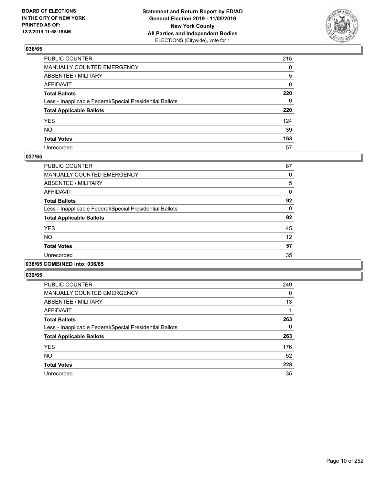

| PUBLIC COUNTER                                           | 215          |
|----------------------------------------------------------|--------------|
| MANUALLY COUNTED EMERGENCY                               | $\mathbf{0}$ |
| ABSENTEE / MILITARY                                      | 5            |
| AFFIDAVIT                                                | 0            |
| Total Ballots                                            | 220          |
| Less - Inapplicable Federal/Special Presidential Ballots | $\mathbf{0}$ |
| <b>Total Applicable Ballots</b>                          | 220          |
| YES                                                      | 124          |
| NO.                                                      | 39           |
| <b>Total Votes</b>                                       | 163          |
| Unrecorded                                               | 57           |

### **037/65**

| <b>PUBLIC COUNTER</b>                                    | 87       |
|----------------------------------------------------------|----------|
| MANUALLY COUNTED EMERGENCY                               | 0        |
| ABSENTEE / MILITARY                                      | 5        |
| AFFIDAVIT                                                | 0        |
| <b>Total Ballots</b>                                     | 92       |
| Less - Inapplicable Federal/Special Presidential Ballots | $\Omega$ |
| <b>Total Applicable Ballots</b>                          | 92       |
| <b>YES</b>                                               | 45       |
| <b>NO</b>                                                | 12       |
| <b>Total Votes</b>                                       | 57       |
| Unrecorded                                               | 35       |
|                                                          |          |

### **038/65 COMBINED into: 036/65**

| <b>PUBLIC COUNTER</b>                                    | 249 |
|----------------------------------------------------------|-----|
| <b>MANUALLY COUNTED EMERGENCY</b>                        | 0   |
| ABSENTEE / MILITARY                                      | 13  |
| <b>AFFIDAVIT</b>                                         |     |
| <b>Total Ballots</b>                                     | 263 |
| Less - Inapplicable Federal/Special Presidential Ballots | 0   |
| <b>Total Applicable Ballots</b>                          | 263 |
| <b>YES</b>                                               | 176 |
| <b>NO</b>                                                | 52  |
| <b>Total Votes</b>                                       | 228 |
| Unrecorded                                               | 35  |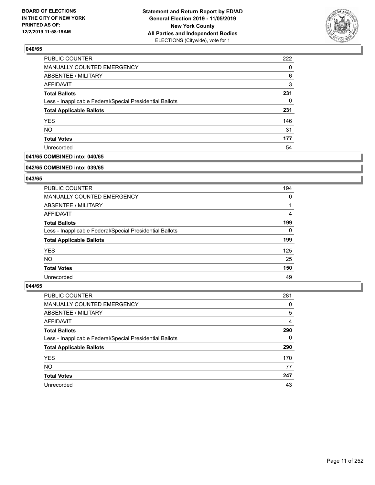

| PUBLIC COUNTER                                           | 222 |
|----------------------------------------------------------|-----|
| MANUALLY COUNTED EMERGENCY                               | 0   |
| <b>ABSENTEE / MILITARY</b>                               | 6   |
| AFFIDAVIT                                                | 3   |
| <b>Total Ballots</b>                                     | 231 |
| Less - Inapplicable Federal/Special Presidential Ballots | 0   |
| <b>Total Applicable Ballots</b>                          | 231 |
| <b>YES</b>                                               | 146 |
| <b>NO</b>                                                | 31  |
| <b>Total Votes</b>                                       | 177 |
| Unrecorded                                               | 54  |

# **041/65 COMBINED into: 040/65**

#### **042/65 COMBINED into: 039/65**

# **043/65**

| <b>PUBLIC COUNTER</b>                                    | 194      |
|----------------------------------------------------------|----------|
| <b>MANUALLY COUNTED EMERGENCY</b>                        | 0        |
| ABSENTEE / MILITARY                                      |          |
| AFFIDAVIT                                                | 4        |
| <b>Total Ballots</b>                                     | 199      |
| Less - Inapplicable Federal/Special Presidential Ballots | $\Omega$ |
| <b>Total Applicable Ballots</b>                          | 199      |
| <b>YES</b>                                               | 125      |
| NO.                                                      | 25       |
| <b>Total Votes</b>                                       | 150      |
| Unrecorded                                               | 49       |

| PUBLIC COUNTER                                           | 281      |
|----------------------------------------------------------|----------|
| <b>MANUALLY COUNTED EMERGENCY</b>                        | 0        |
| ABSENTEE / MILITARY                                      | 5        |
| AFFIDAVIT                                                | 4        |
| <b>Total Ballots</b>                                     | 290      |
| Less - Inapplicable Federal/Special Presidential Ballots | $\Omega$ |
| <b>Total Applicable Ballots</b>                          | 290      |
| <b>YES</b>                                               | 170      |
| <b>NO</b>                                                | 77       |
| <b>Total Votes</b>                                       | 247      |
| Unrecorded                                               | 43       |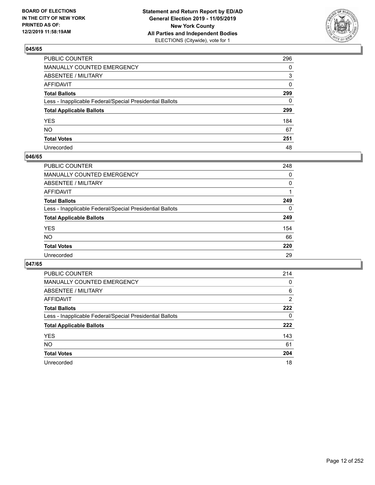

| PUBLIC COUNTER                                           | 296          |
|----------------------------------------------------------|--------------|
| MANUALLY COUNTED EMERGENCY                               | $\mathbf{0}$ |
| ABSENTEE / MILITARY                                      | 3            |
| AFFIDAVIT                                                | 0            |
| Total Ballots                                            | 299          |
| Less - Inapplicable Federal/Special Presidential Ballots | 0            |
| <b>Total Applicable Ballots</b>                          | 299          |
| YES                                                      | 184          |
| NO.                                                      | 67           |
| <b>Total Votes</b>                                       | 251          |
| Unrecorded                                               | 48           |

### **046/65**

| <b>PUBLIC COUNTER</b>                                    | 248      |
|----------------------------------------------------------|----------|
| <b>MANUALLY COUNTED EMERGENCY</b>                        | 0        |
| ABSENTEE / MILITARY                                      | 0        |
| AFFIDAVIT                                                |          |
| <b>Total Ballots</b>                                     | 249      |
| Less - Inapplicable Federal/Special Presidential Ballots | $\Omega$ |
| <b>Total Applicable Ballots</b>                          | 249      |
| <b>YES</b>                                               | 154      |
| <b>NO</b>                                                | 66       |
| <b>Total Votes</b>                                       | 220      |
| Unrecorded                                               | 29       |

| <b>PUBLIC COUNTER</b>                                    | 214 |
|----------------------------------------------------------|-----|
| <b>MANUALLY COUNTED EMERGENCY</b>                        | 0   |
| ABSENTEE / MILITARY                                      | 6   |
| AFFIDAVIT                                                | 2   |
| <b>Total Ballots</b>                                     | 222 |
| Less - Inapplicable Federal/Special Presidential Ballots | 0   |
| <b>Total Applicable Ballots</b>                          | 222 |
| <b>YES</b>                                               | 143 |
| <b>NO</b>                                                | 61  |
| <b>Total Votes</b>                                       | 204 |
| Unrecorded                                               | 18  |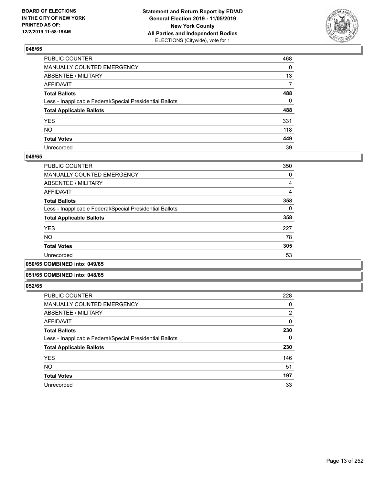

| PUBLIC COUNTER                                           | 468          |
|----------------------------------------------------------|--------------|
| MANUALLY COUNTED EMERGENCY                               | $\mathbf{0}$ |
| ABSENTEE / MILITARY                                      | 13           |
| AFFIDAVIT                                                | 7            |
| Total Ballots                                            | 488          |
| Less - Inapplicable Federal/Special Presidential Ballots | $\mathbf{0}$ |
| <b>Total Applicable Ballots</b>                          | 488          |
| YES                                                      | 331          |
| NO.                                                      | 118          |
| <b>Total Votes</b>                                       | 449          |
| Unrecorded                                               | 39           |

### **049/65**

| <b>PUBLIC COUNTER</b>                                    | 350      |
|----------------------------------------------------------|----------|
| <b>MANUALLY COUNTED EMERGENCY</b>                        | 0        |
| ABSENTEE / MILITARY                                      | 4        |
| AFFIDAVIT                                                | 4        |
| <b>Total Ballots</b>                                     | 358      |
| Less - Inapplicable Federal/Special Presidential Ballots | $\Omega$ |
| <b>Total Applicable Ballots</b>                          | 358      |
| <b>YES</b>                                               | 227      |
| <b>NO</b>                                                | 78       |
| <b>Total Votes</b>                                       | 305      |
| Unrecorded                                               | 53       |
|                                                          |          |

#### **050/65 COMBINED into: 049/65**

### **051/65 COMBINED into: 048/65**

| <b>PUBLIC COUNTER</b>                                    | 228            |
|----------------------------------------------------------|----------------|
| <b>MANUALLY COUNTED EMERGENCY</b>                        | 0              |
| ABSENTEE / MILITARY                                      | $\overline{2}$ |
| <b>AFFIDAVIT</b>                                         | 0              |
| <b>Total Ballots</b>                                     | 230            |
| Less - Inapplicable Federal/Special Presidential Ballots | 0              |
| <b>Total Applicable Ballots</b>                          | 230            |
| <b>YES</b>                                               | 146            |
| <b>NO</b>                                                | 51             |
| <b>Total Votes</b>                                       | 197            |
| Unrecorded                                               | 33             |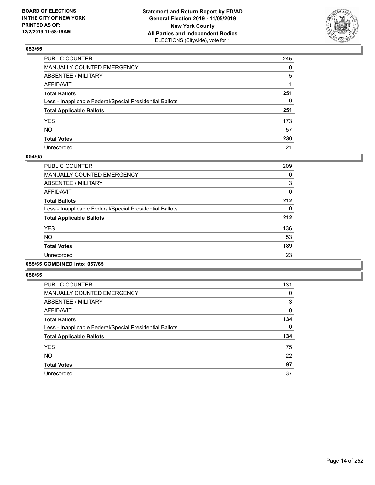

| PUBLIC COUNTER                                           | 245 |
|----------------------------------------------------------|-----|
| MANUALLY COUNTED EMERGENCY                               | 0   |
| ABSENTEE / MILITARY                                      | 5   |
| AFFIDAVIT                                                | 1   |
| Total Ballots                                            | 251 |
| Less - Inapplicable Federal/Special Presidential Ballots | 0   |
| <b>Total Applicable Ballots</b>                          | 251 |
| YES                                                      | 173 |
| NO.                                                      | 57  |
| <b>Total Votes</b>                                       | 230 |
| Unrecorded                                               | 21  |

### **054/65**

| PUBLIC COUNTER                                           | 209      |
|----------------------------------------------------------|----------|
| <b>MANUALLY COUNTED EMERGENCY</b>                        | 0        |
| ABSENTEE / MILITARY                                      | 3        |
| <b>AFFIDAVIT</b>                                         | 0        |
| <b>Total Ballots</b>                                     | 212      |
| Less - Inapplicable Federal/Special Presidential Ballots | $\Omega$ |
| <b>Total Applicable Ballots</b>                          | 212      |
| <b>YES</b>                                               | 136      |
| NO.                                                      | 53       |
| <b>Total Votes</b>                                       | 189      |
| Unrecorded                                               | 23       |
|                                                          |          |

### **055/65 COMBINED into: 057/65**

| <b>PUBLIC COUNTER</b>                                    | 131 |
|----------------------------------------------------------|-----|
| <b>MANUALLY COUNTED EMERGENCY</b>                        | 0   |
| <b>ABSENTEE / MILITARY</b>                               | 3   |
| AFFIDAVIT                                                | 0   |
| <b>Total Ballots</b>                                     | 134 |
| Less - Inapplicable Federal/Special Presidential Ballots | 0   |
| <b>Total Applicable Ballots</b>                          | 134 |
| <b>YES</b>                                               | 75  |
| <b>NO</b>                                                | 22  |
| <b>Total Votes</b>                                       | 97  |
| Unrecorded                                               | 37  |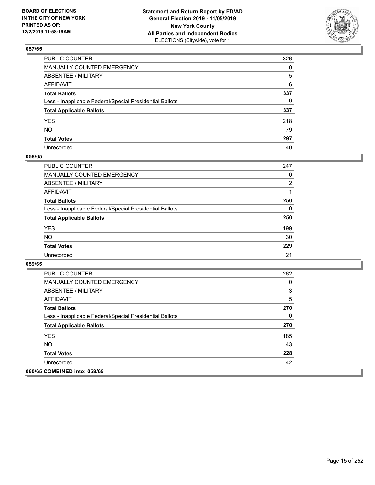

| PUBLIC COUNTER                                           | 326 |
|----------------------------------------------------------|-----|
| MANUALLY COUNTED EMERGENCY                               | 0   |
| ABSENTEE / MILITARY                                      | 5   |
| AFFIDAVIT                                                | 6   |
| Total Ballots                                            | 337 |
| Less - Inapplicable Federal/Special Presidential Ballots | 0   |
| <b>Total Applicable Ballots</b>                          | 337 |
| YES                                                      | 218 |
| NO.                                                      | 79  |
| <b>Total Votes</b>                                       | 297 |
| Unrecorded                                               | 40  |

# **058/65**

| PUBLIC COUNTER                                           | 247            |
|----------------------------------------------------------|----------------|
| <b>MANUALLY COUNTED EMERGENCY</b>                        | $\Omega$       |
| ABSENTEE / MILITARY                                      | $\overline{2}$ |
| AFFIDAVIT                                                |                |
| <b>Total Ballots</b>                                     | 250            |
| Less - Inapplicable Federal/Special Presidential Ballots | 0              |
| <b>Total Applicable Ballots</b>                          | 250            |
| <b>YES</b>                                               | 199            |
| <b>NO</b>                                                | 30             |
| <b>Total Votes</b>                                       | 229            |
| Unrecorded                                               | 21             |

| <b>PUBLIC COUNTER</b>                                    | 262 |
|----------------------------------------------------------|-----|
| <b>MANUALLY COUNTED EMERGENCY</b>                        | 0   |
| ABSENTEE / MILITARY                                      | 3   |
| AFFIDAVIT                                                | 5   |
| <b>Total Ballots</b>                                     | 270 |
| Less - Inapplicable Federal/Special Presidential Ballots | 0   |
| <b>Total Applicable Ballots</b>                          | 270 |
| <b>YES</b>                                               | 185 |
| <b>NO</b>                                                | 43  |
| <b>Total Votes</b>                                       | 228 |
| Unrecorded                                               | 42  |
| 060/65 COMBINED into: 058/65                             |     |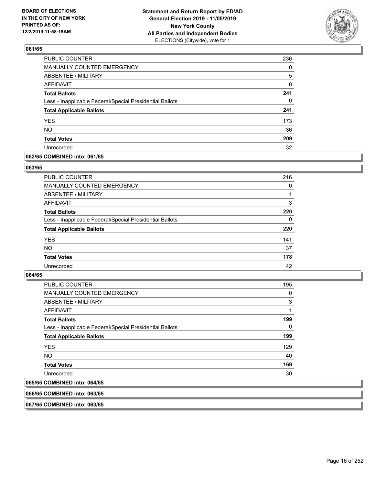

| <b>PUBLIC COUNTER</b>                                    | 236 |
|----------------------------------------------------------|-----|
| MANUALLY COUNTED EMERGENCY                               | 0   |
| ABSENTEE / MILITARY                                      | 5   |
| <b>AFFIDAVIT</b>                                         | 0   |
| <b>Total Ballots</b>                                     | 241 |
| Less - Inapplicable Federal/Special Presidential Ballots | 0   |
| <b>Total Applicable Ballots</b>                          | 241 |
| <b>YES</b>                                               | 173 |
| <b>NO</b>                                                | 36  |
| <b>Total Votes</b>                                       | 209 |
| Unrecorded                                               | 32  |

### **062/65 COMBINED into: 061/65**

### **063/65**

| PUBLIC COUNTER                                           | 216      |
|----------------------------------------------------------|----------|
| <b>MANUALLY COUNTED EMERGENCY</b>                        | 0        |
| ABSENTEE / MILITARY                                      |          |
| AFFIDAVIT                                                | 3        |
| <b>Total Ballots</b>                                     | 220      |
| Less - Inapplicable Federal/Special Presidential Ballots | $\Omega$ |
| <b>Total Applicable Ballots</b>                          | 220      |
| <b>YES</b>                                               | 141      |
| <b>NO</b>                                                | 37       |
| <b>Total Votes</b>                                       | 178      |
| Unrecorded                                               | 42       |

# **064/65**

| <b>PUBLIC COUNTER</b>                                    | 195 |
|----------------------------------------------------------|-----|
| <b>MANUALLY COUNTED EMERGENCY</b>                        | 0   |
| ABSENTEE / MILITARY                                      | 3   |
| AFFIDAVIT                                                | 1   |
| <b>Total Ballots</b>                                     | 199 |
| Less - Inapplicable Federal/Special Presidential Ballots | 0   |
| <b>Total Applicable Ballots</b>                          | 199 |
| <b>YES</b>                                               | 129 |
| NO.                                                      | 40  |
| <b>Total Votes</b>                                       | 169 |
| Unrecorded                                               | 30  |
| 065/65 COMBINED into: 064/65                             |     |

### **066/65 COMBINED into: 063/65**

**067/65 COMBINED into: 063/65**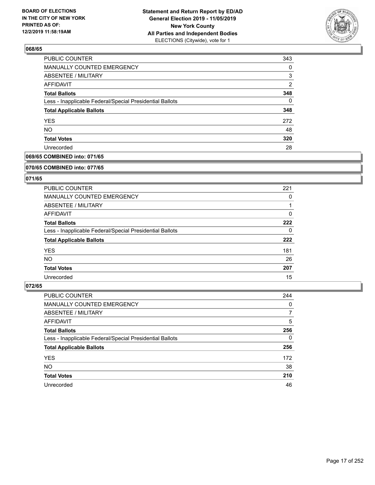

| PUBLIC COUNTER                                           | 343            |
|----------------------------------------------------------|----------------|
| MANUALLY COUNTED EMERGENCY                               | 0              |
| ABSENTEE / MILITARY                                      | 3              |
| AFFIDAVIT                                                | $\overline{2}$ |
| <b>Total Ballots</b>                                     | 348            |
| Less - Inapplicable Federal/Special Presidential Ballots | 0              |
| <b>Total Applicable Ballots</b>                          | 348            |
| <b>YES</b>                                               | 272            |
| <b>NO</b>                                                | 48             |
| <b>Total Votes</b>                                       | 320            |
| Unrecorded                                               | 28             |

# **069/65 COMBINED into: 071/65**

#### **070/65 COMBINED into: 077/65**

# **071/65**

| <b>PUBLIC COUNTER</b>                                    | 221 |
|----------------------------------------------------------|-----|
| MANUALLY COUNTED EMERGENCY                               | 0   |
| ABSENTEE / MILITARY                                      |     |
| AFFIDAVIT                                                | 0   |
| <b>Total Ballots</b>                                     | 222 |
| Less - Inapplicable Federal/Special Presidential Ballots | 0   |
| <b>Total Applicable Ballots</b>                          | 222 |
| <b>YES</b>                                               | 181 |
| NO.                                                      | 26  |
| <b>Total Votes</b>                                       | 207 |
| Unrecorded                                               | 15  |

| <b>PUBLIC COUNTER</b>                                    | 244      |
|----------------------------------------------------------|----------|
| <b>MANUALLY COUNTED EMERGENCY</b>                        | 0        |
| ABSENTEE / MILITARY                                      | 7        |
| AFFIDAVIT                                                | 5        |
| <b>Total Ballots</b>                                     | 256      |
| Less - Inapplicable Federal/Special Presidential Ballots | $\Omega$ |
| <b>Total Applicable Ballots</b>                          | 256      |
| <b>YES</b>                                               | 172      |
| <b>NO</b>                                                | 38       |
| <b>Total Votes</b>                                       | 210      |
| Unrecorded                                               | 46       |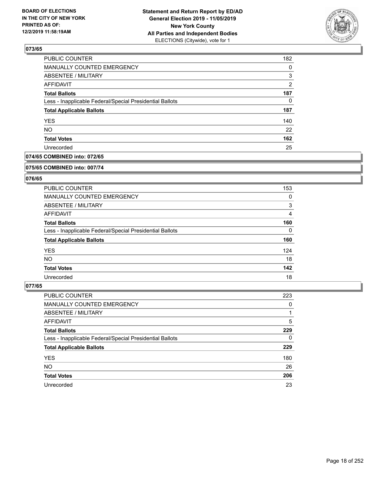

| <b>PUBLIC COUNTER</b>                                    | 182           |
|----------------------------------------------------------|---------------|
| <b>MANUALLY COUNTED EMERGENCY</b>                        | $\Omega$      |
| <b>ABSENTEE / MILITARY</b>                               | 3             |
| AFFIDAVIT                                                | $\mathcal{P}$ |
| <b>Total Ballots</b>                                     | 187           |
| Less - Inapplicable Federal/Special Presidential Ballots | 0             |
| <b>Total Applicable Ballots</b>                          | 187           |
| <b>YES</b>                                               | 140           |
| <b>NO</b>                                                | 22            |
| <b>Total Votes</b>                                       | 162           |
| Unrecorded                                               | 25            |

# **074/65 COMBINED into: 072/65**

#### **075/65 COMBINED into: 007/74**

# **076/65**

| <b>PUBLIC COUNTER</b>                                    | 153      |
|----------------------------------------------------------|----------|
| MANUALLY COUNTED EMERGENCY                               | 0        |
| ABSENTEE / MILITARY                                      | 3        |
| AFFIDAVIT                                                | 4        |
| <b>Total Ballots</b>                                     | 160      |
| Less - Inapplicable Federal/Special Presidential Ballots | $\Omega$ |
| <b>Total Applicable Ballots</b>                          | 160      |
| <b>YES</b>                                               | 124      |
| NO.                                                      | 18       |
| <b>Total Votes</b>                                       | 142      |
| Unrecorded                                               | 18       |

| PUBLIC COUNTER                                           | 223      |
|----------------------------------------------------------|----------|
| <b>MANUALLY COUNTED EMERGENCY</b>                        | 0        |
| ABSENTEE / MILITARY                                      |          |
| AFFIDAVIT                                                | 5        |
| <b>Total Ballots</b>                                     | 229      |
| Less - Inapplicable Federal/Special Presidential Ballots | $\Omega$ |
| <b>Total Applicable Ballots</b>                          | 229      |
| <b>YES</b>                                               | 180      |
| <b>NO</b>                                                | 26       |
| <b>Total Votes</b>                                       | 206      |
| Unrecorded                                               | 23       |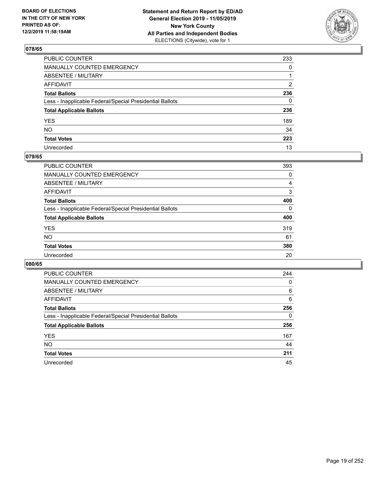

| PUBLIC COUNTER                                           | 233 |
|----------------------------------------------------------|-----|
| MANUALLY COUNTED EMERGENCY                               | 0   |
| ABSENTEE / MILITARY                                      | 1   |
| AFFIDAVIT                                                | 2   |
| Total Ballots                                            | 236 |
| Less - Inapplicable Federal/Special Presidential Ballots | 0   |
| <b>Total Applicable Ballots</b>                          | 236 |
| YES                                                      | 189 |
| NO.                                                      | 34  |
| <b>Total Votes</b>                                       | 223 |
| Unrecorded                                               | 13  |

# **079/65**

| PUBLIC COUNTER                                           | 393      |
|----------------------------------------------------------|----------|
| MANUALLY COUNTED EMERGENCY                               | 0        |
| ABSENTEE / MILITARY                                      | 4        |
| AFFIDAVIT                                                | 3        |
| <b>Total Ballots</b>                                     | 400      |
| Less - Inapplicable Federal/Special Presidential Ballots | $\Omega$ |
| <b>Total Applicable Ballots</b>                          | 400      |
| <b>YES</b>                                               | 319      |
| <b>NO</b>                                                | 61       |
| <b>Total Votes</b>                                       | 380      |
| Unrecorded                                               | 20       |

| <b>PUBLIC COUNTER</b>                                    | 244 |
|----------------------------------------------------------|-----|
| <b>MANUALLY COUNTED EMERGENCY</b>                        | 0   |
| ABSENTEE / MILITARY                                      | 6   |
| AFFIDAVIT                                                | 6   |
| <b>Total Ballots</b>                                     | 256 |
| Less - Inapplicable Federal/Special Presidential Ballots | 0   |
| <b>Total Applicable Ballots</b>                          | 256 |
| <b>YES</b>                                               | 167 |
| <b>NO</b>                                                | 44  |
| <b>Total Votes</b>                                       | 211 |
| Unrecorded                                               | 45  |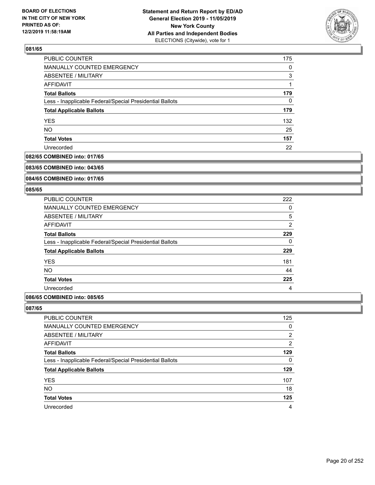

| PUBLIC COUNTER                                           | 175 |
|----------------------------------------------------------|-----|
| MANUALLY COUNTED EMERGENCY                               | 0   |
| ABSENTEE / MILITARY                                      | 3   |
| AFFIDAVIT                                                |     |
| <b>Total Ballots</b>                                     | 179 |
| Less - Inapplicable Federal/Special Presidential Ballots | 0   |
| <b>Total Applicable Ballots</b>                          | 179 |
| <b>YES</b>                                               | 132 |
| <b>NO</b>                                                | 25  |
| <b>Total Votes</b>                                       | 157 |
| Unrecorded                                               | 22  |

# **082/65 COMBINED into: 017/65**

#### **083/65 COMBINED into: 043/65**

# **084/65 COMBINED into: 017/65**

### **085/65**

| 222 |
|-----|
| 0   |
| 5   |
| 2   |
| 229 |
| 0   |
| 229 |
| 181 |
| 44  |
| 225 |
| 4   |
|     |

### **086/65 COMBINED into: 085/65**

| PUBLIC COUNTER                                           | 125            |
|----------------------------------------------------------|----------------|
| <b>MANUALLY COUNTED EMERGENCY</b>                        | 0              |
| ABSENTEE / MILITARY                                      | 2              |
| AFFIDAVIT                                                | $\overline{2}$ |
| <b>Total Ballots</b>                                     | 129            |
| Less - Inapplicable Federal/Special Presidential Ballots | 0              |
| <b>Total Applicable Ballots</b>                          | 129            |
| <b>YES</b>                                               | 107            |
| <b>NO</b>                                                | 18             |
| <b>Total Votes</b>                                       | 125            |
| Unrecorded                                               | 4              |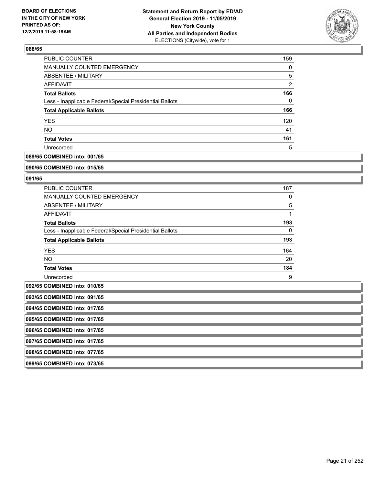

| PUBLIC COUNTER                                           | 159            |
|----------------------------------------------------------|----------------|
| <b>MANUALLY COUNTED EMERGENCY</b>                        | 0              |
| ABSENTEE / MILITARY                                      | 5              |
| AFFIDAVIT                                                | $\overline{2}$ |
| <b>Total Ballots</b>                                     | 166            |
| Less - Inapplicable Federal/Special Presidential Ballots | 0              |
| <b>Total Applicable Ballots</b>                          | 166            |
| <b>YES</b>                                               | 120            |
| <b>NO</b>                                                | 41             |
| <b>Total Votes</b>                                       | 161            |
| Unrecorded                                               | 5              |

# **089/65 COMBINED into: 001/65**

#### **090/65 COMBINED into: 015/65**

# **091/65**

| <b>PUBLIC COUNTER</b>                                    | 187      |
|----------------------------------------------------------|----------|
| <b>MANUALLY COUNTED EMERGENCY</b>                        | 0        |
| ABSENTEE / MILITARY                                      | 5        |
| AFFIDAVIT                                                |          |
| <b>Total Ballots</b>                                     | 193      |
| Less - Inapplicable Federal/Special Presidential Ballots | $\Omega$ |
| <b>Total Applicable Ballots</b>                          | 193      |
| <b>YES</b>                                               | 164      |
| NO.                                                      | 20       |
| <b>Total Votes</b>                                       | 184      |
| Unrecorded                                               | 9        |

# **092/65 COMBINED into: 010/65**

| 1092/63 COMBINED INTO: 010/65 |
|-------------------------------|
| 093/65 COMBINED into: 091/65  |
| 094/65 COMBINED into: 017/65  |
| 095/65 COMBINED into: 017/65  |
| 096/65 COMBINED into: 017/65  |
| 097/65 COMBINED into: 017/65  |
| 098/65 COMBINED into: 077/65  |
|                               |

**099/65 COMBINED into: 073/65**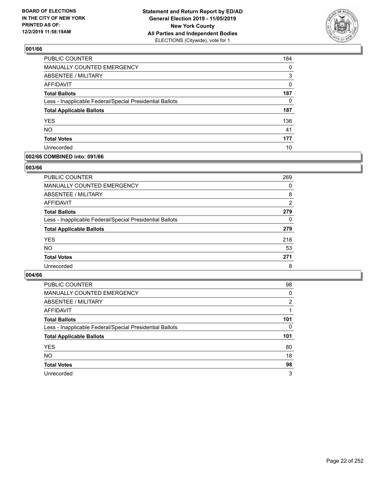

| <b>PUBLIC COUNTER</b>                                    | 184 |
|----------------------------------------------------------|-----|
| MANUALLY COUNTED EMERGENCY                               | 0   |
| <b>ABSENTEE / MILITARY</b>                               | 3   |
| <b>AFFIDAVIT</b>                                         | 0   |
| <b>Total Ballots</b>                                     | 187 |
| Less - Inapplicable Federal/Special Presidential Ballots | 0   |
| <b>Total Applicable Ballots</b>                          | 187 |
| <b>YES</b>                                               | 136 |
| <b>NO</b>                                                | 41  |
| <b>Total Votes</b>                                       | 177 |
| Unrecorded                                               | 10  |

### **002/66 COMBINED into: 091/66**

### **003/66**

| PUBLIC COUNTER                                           | 269      |
|----------------------------------------------------------|----------|
| MANUALLY COUNTED EMERGENCY                               | 0        |
| ABSENTEE / MILITARY                                      | 8        |
| AFFIDAVIT                                                | 2        |
| <b>Total Ballots</b>                                     | 279      |
| Less - Inapplicable Federal/Special Presidential Ballots | $\Omega$ |
| <b>Total Applicable Ballots</b>                          | 279      |
| <b>YES</b>                                               | 218      |
| <b>NO</b>                                                | 53       |
| <b>Total Votes</b>                                       | 271      |
| Unrecorded                                               | 8        |
|                                                          |          |

| <b>PUBLIC COUNTER</b>                                    | 98  |
|----------------------------------------------------------|-----|
| MANUALLY COUNTED EMERGENCY                               | 0   |
| ABSENTEE / MILITARY                                      | 2   |
| AFFIDAVIT                                                |     |
| <b>Total Ballots</b>                                     | 101 |
| Less - Inapplicable Federal/Special Presidential Ballots | 0   |
| <b>Total Applicable Ballots</b>                          | 101 |
| <b>YES</b>                                               | 80  |
| <b>NO</b>                                                | 18  |
| <b>Total Votes</b>                                       | 98  |
| Unrecorded                                               | 3   |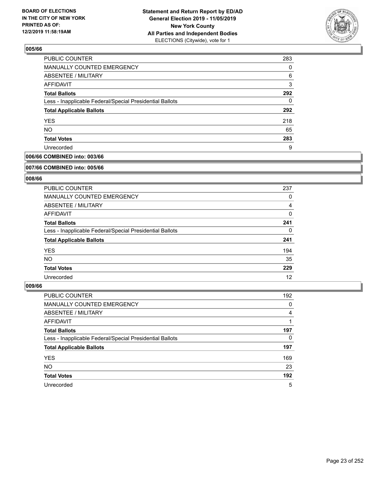

| PUBLIC COUNTER                                           | 283 |
|----------------------------------------------------------|-----|
| MANUALLY COUNTED EMERGENCY                               | 0   |
| ABSENTEE / MILITARY                                      | 6   |
| AFFIDAVIT                                                | 3   |
| <b>Total Ballots</b>                                     | 292 |
| Less - Inapplicable Federal/Special Presidential Ballots | 0   |
| <b>Total Applicable Ballots</b>                          | 292 |
| <b>YES</b>                                               | 218 |
| <b>NO</b>                                                | 65  |
| <b>Total Votes</b>                                       | 283 |
| Unrecorded                                               | 9   |

# **006/66 COMBINED into: 003/66**

#### **007/66 COMBINED into: 005/66**

# **008/66**

| <b>PUBLIC COUNTER</b>                                    | 237          |
|----------------------------------------------------------|--------------|
| <b>MANUALLY COUNTED EMERGENCY</b>                        | 0            |
| ABSENTEE / MILITARY                                      | 4            |
| AFFIDAVIT                                                | $\mathbf{0}$ |
| <b>Total Ballots</b>                                     | 241          |
| Less - Inapplicable Federal/Special Presidential Ballots | 0            |
| <b>Total Applicable Ballots</b>                          | 241          |
| <b>YES</b>                                               | 194          |
| NO.                                                      | 35           |
| <b>Total Votes</b>                                       | 229          |
| Unrecorded                                               | 12           |

| PUBLIC COUNTER                                           | 192 |
|----------------------------------------------------------|-----|
| <b>MANUALLY COUNTED EMERGENCY</b>                        | 0   |
| ABSENTEE / MILITARY                                      | 4   |
| AFFIDAVIT                                                |     |
| <b>Total Ballots</b>                                     | 197 |
| Less - Inapplicable Federal/Special Presidential Ballots | 0   |
| <b>Total Applicable Ballots</b>                          | 197 |
| <b>YES</b>                                               | 169 |
| <b>NO</b>                                                | 23  |
| <b>Total Votes</b>                                       | 192 |
| Unrecorded                                               | 5   |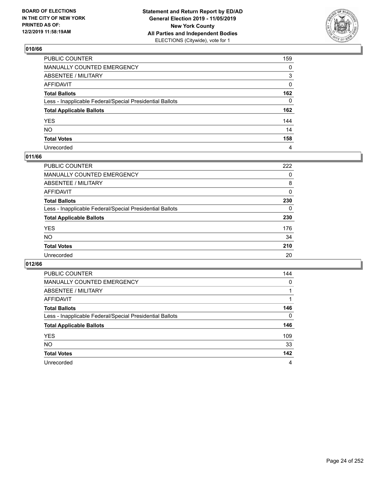

| PUBLIC COUNTER                                           | 159          |
|----------------------------------------------------------|--------------|
| MANUALLY COUNTED EMERGENCY                               | 0            |
| ABSENTEE / MILITARY                                      | 3            |
| AFFIDAVIT                                                | 0            |
| Total Ballots                                            | 162          |
| Less - Inapplicable Federal/Special Presidential Ballots | $\mathbf{0}$ |
| <b>Total Applicable Ballots</b>                          | 162          |
| YES                                                      | 144          |
| NO.                                                      | 14           |
| <b>Total Votes</b>                                       | 158          |
| Unrecorded                                               | 4            |

# **011/66**

| <b>PUBLIC COUNTER</b>                                    | 222      |
|----------------------------------------------------------|----------|
| MANUALLY COUNTED EMERGENCY                               | 0        |
| ABSENTEE / MILITARY                                      | 8        |
| AFFIDAVIT                                                | $\Omega$ |
| <b>Total Ballots</b>                                     | 230      |
| Less - Inapplicable Federal/Special Presidential Ballots | $\Omega$ |
| <b>Total Applicable Ballots</b>                          | 230      |
| <b>YES</b>                                               | 176      |
| <b>NO</b>                                                | 34       |
| <b>Total Votes</b>                                       | 210      |
| Unrecorded                                               | 20       |

| <b>PUBLIC COUNTER</b>                                    | 144      |
|----------------------------------------------------------|----------|
| <b>MANUALLY COUNTED EMERGENCY</b>                        | $\Omega$ |
| ABSENTEE / MILITARY                                      |          |
| AFFIDAVIT                                                |          |
| <b>Total Ballots</b>                                     | 146      |
| Less - Inapplicable Federal/Special Presidential Ballots | $\Omega$ |
| <b>Total Applicable Ballots</b>                          | 146      |
| <b>YES</b>                                               | 109      |
| <b>NO</b>                                                | 33       |
| <b>Total Votes</b>                                       | 142      |
| Unrecorded                                               | 4        |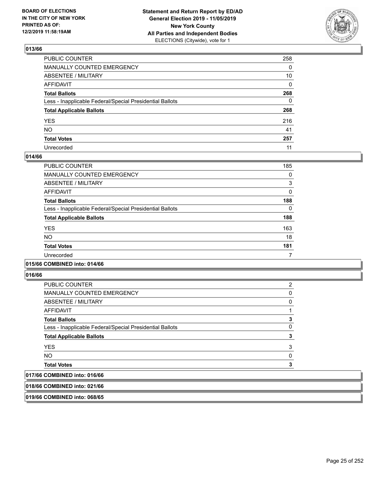

| PUBLIC COUNTER                                           | 258      |
|----------------------------------------------------------|----------|
| MANUALLY COUNTED EMERGENCY                               | 0        |
| ABSENTEE / MILITARY                                      | 10       |
| AFFIDAVIT                                                | $\Omega$ |
| Total Ballots                                            | 268      |
| Less - Inapplicable Federal/Special Presidential Ballots | 0        |
| <b>Total Applicable Ballots</b>                          | 268      |
| YES                                                      | 216      |
| NO.                                                      | 41       |
| <b>Total Votes</b>                                       | 257      |
| Unrecorded                                               | 11       |

### **014/66**

| PUBLIC COUNTER                                           | 185 |
|----------------------------------------------------------|-----|
| <b>MANUALLY COUNTED EMERGENCY</b>                        | 0   |
| ABSENTEE / MILITARY                                      | 3   |
| <b>AFFIDAVIT</b>                                         | 0   |
| <b>Total Ballots</b>                                     | 188 |
| Less - Inapplicable Federal/Special Presidential Ballots | 0   |
| <b>Total Applicable Ballots</b>                          | 188 |
| <b>YES</b>                                               | 163 |
| <b>NO</b>                                                | 18  |
| <b>Total Votes</b>                                       | 181 |
| Unrecorded                                               |     |

### **015/66 COMBINED into: 014/66**

**016/66** 

| PUBLIC COUNTER                                           | 2 |
|----------------------------------------------------------|---|
| <b>MANUALLY COUNTED EMERGENCY</b>                        | 0 |
| ABSENTEE / MILITARY                                      | 0 |
| <b>AFFIDAVIT</b>                                         |   |
| <b>Total Ballots</b>                                     | 3 |
| Less - Inapplicable Federal/Special Presidential Ballots | 0 |
| <b>Total Applicable Ballots</b>                          | 3 |
| <b>YES</b>                                               | 3 |
| <b>NO</b>                                                | 0 |
| <b>Total Votes</b>                                       |   |
| A                                                        |   |

# **017/66 COMBINED into: 016/66**

**018/66 COMBINED into: 021/66**

**019/66 COMBINED into: 068/65**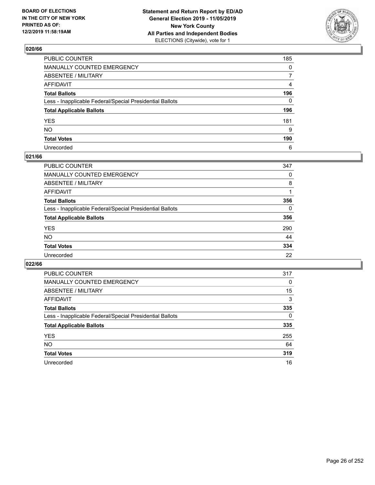

| PUBLIC COUNTER                                           | 185          |
|----------------------------------------------------------|--------------|
| MANUALLY COUNTED EMERGENCY                               | 0            |
| ABSENTEE / MILITARY                                      | 7            |
| AFFIDAVIT                                                | 4            |
| Total Ballots                                            | 196          |
| Less - Inapplicable Federal/Special Presidential Ballots | $\mathbf{0}$ |
| <b>Total Applicable Ballots</b>                          | 196          |
| YES                                                      | 181          |
| NO.                                                      | 9            |
| <b>Total Votes</b>                                       | 190          |
| Unrecorded                                               | 6            |

### **021/66**

| <b>PUBLIC COUNTER</b>                                    | 347      |
|----------------------------------------------------------|----------|
| MANUALLY COUNTED EMERGENCY                               | 0        |
| ABSENTEE / MILITARY                                      | 8        |
| AFFIDAVIT                                                |          |
| <b>Total Ballots</b>                                     | 356      |
| Less - Inapplicable Federal/Special Presidential Ballots | $\Omega$ |
| <b>Total Applicable Ballots</b>                          | 356      |
| <b>YES</b>                                               | 290      |
| <b>NO</b>                                                | 44       |
| <b>Total Votes</b>                                       | 334      |
| Unrecorded                                               | 22       |

| <b>PUBLIC COUNTER</b>                                    | 317      |
|----------------------------------------------------------|----------|
| <b>MANUALLY COUNTED EMERGENCY</b>                        | $\Omega$ |
| ABSENTEE / MILITARY                                      | 15       |
| AFFIDAVIT                                                | 3        |
| <b>Total Ballots</b>                                     | 335      |
| Less - Inapplicable Federal/Special Presidential Ballots | 0        |
| <b>Total Applicable Ballots</b>                          | 335      |
| <b>YES</b>                                               | 255      |
| NO.                                                      | 64       |
| <b>Total Votes</b>                                       | 319      |
| Unrecorded                                               | 16       |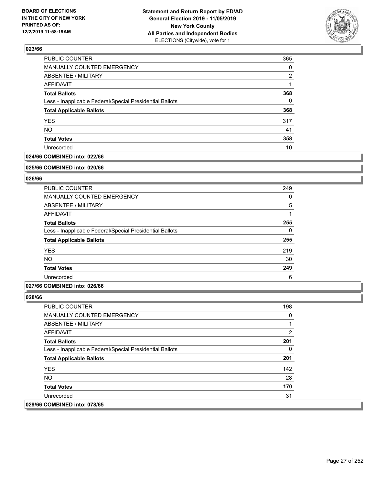

| PUBLIC COUNTER                                           | 365 |
|----------------------------------------------------------|-----|
| MANUALLY COUNTED EMERGENCY                               | 0   |
| <b>ABSENTEE / MILITARY</b>                               | 2   |
| <b>AFFIDAVIT</b>                                         |     |
| <b>Total Ballots</b>                                     | 368 |
| Less - Inapplicable Federal/Special Presidential Ballots | 0   |
| <b>Total Applicable Ballots</b>                          | 368 |
| <b>YES</b>                                               | 317 |
| <b>NO</b>                                                | 41  |
| <b>Total Votes</b>                                       | 358 |
| Unrecorded                                               | 10  |

# **024/66 COMBINED into: 022/66**

#### **025/66 COMBINED into: 020/66**

# **026/66**

| <b>PUBLIC COUNTER</b>                                    | 249      |
|----------------------------------------------------------|----------|
| <b>MANUALLY COUNTED EMERGENCY</b>                        | 0        |
| ABSENTEE / MILITARY                                      | 5        |
| AFFIDAVIT                                                |          |
| <b>Total Ballots</b>                                     | 255      |
| Less - Inapplicable Federal/Special Presidential Ballots | $\Omega$ |
| <b>Total Applicable Ballots</b>                          | 255      |
| <b>YES</b>                                               | 219      |
| NO.                                                      | 30       |
| <b>Total Votes</b>                                       | 249      |
| Unrecorded                                               | 6        |

### **027/66 COMBINED into: 026/66**

| <b>PUBLIC COUNTER</b>                                    | 198 |
|----------------------------------------------------------|-----|
| <b>MANUALLY COUNTED EMERGENCY</b>                        | 0   |
| ABSENTEE / MILITARY                                      |     |
| AFFIDAVIT                                                | 2   |
| <b>Total Ballots</b>                                     | 201 |
| Less - Inapplicable Federal/Special Presidential Ballots | 0   |
| <b>Total Applicable Ballots</b>                          | 201 |
| <b>YES</b>                                               | 142 |
| NO.                                                      | 28  |
| <b>Total Votes</b>                                       | 170 |
| Unrecorded                                               | 31  |
| 029/66 COMBINED into: 078/65                             |     |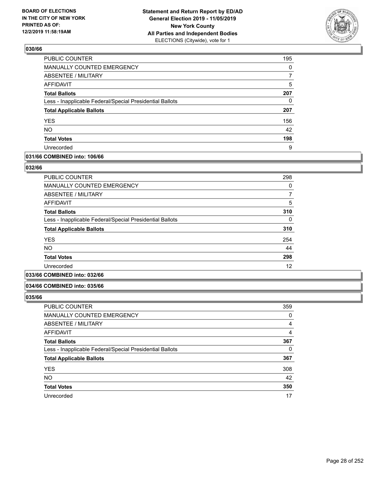

| <b>PUBLIC COUNTER</b>                                    | 195      |
|----------------------------------------------------------|----------|
| <b>MANUALLY COUNTED EMERGENCY</b>                        | $\Omega$ |
| <b>ABSENTEE / MILITARY</b>                               |          |
| <b>AFFIDAVIT</b>                                         | 5        |
| <b>Total Ballots</b>                                     | 207      |
| Less - Inapplicable Federal/Special Presidential Ballots | 0        |
| <b>Total Applicable Ballots</b>                          | 207      |
| <b>YES</b>                                               | 156      |
| <b>NO</b>                                                | 42       |
| <b>Total Votes</b>                                       | 198      |
| Unrecorded                                               | 9        |

### **031/66 COMBINED into: 106/66**

### **032/66**

| <b>PUBLIC COUNTER</b>                                    | 298 |
|----------------------------------------------------------|-----|
| <b>MANUALLY COUNTED EMERGENCY</b>                        | 0   |
| ABSENTEE / MILITARY                                      | 7   |
| <b>AFFIDAVIT</b>                                         | 5   |
| <b>Total Ballots</b>                                     | 310 |
| Less - Inapplicable Federal/Special Presidential Ballots | 0   |
| <b>Total Applicable Ballots</b>                          | 310 |
| <b>YES</b>                                               | 254 |
| N <sub>O</sub>                                           | 44  |
| <b>Total Votes</b>                                       | 298 |
| Unrecorded                                               | 12  |
|                                                          |     |

# **033/66 COMBINED into: 032/66**

#### **034/66 COMBINED into: 035/66**

| <b>PUBLIC COUNTER</b>                                    | 359 |
|----------------------------------------------------------|-----|
| MANUALLY COUNTED EMERGENCY                               | 0   |
| ABSENTEE / MILITARY                                      | 4   |
| AFFIDAVIT                                                | 4   |
| <b>Total Ballots</b>                                     | 367 |
| Less - Inapplicable Federal/Special Presidential Ballots | 0   |
| <b>Total Applicable Ballots</b>                          | 367 |
| <b>YES</b>                                               | 308 |
| <b>NO</b>                                                | 42  |
| <b>Total Votes</b>                                       | 350 |
| Unrecorded                                               | 17  |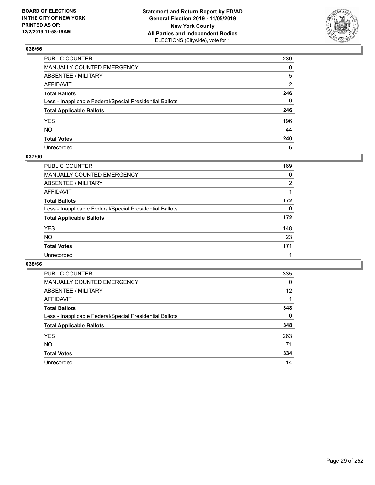

| PUBLIC COUNTER                                           | 239          |
|----------------------------------------------------------|--------------|
| MANUALLY COUNTED EMERGENCY                               | 0            |
| ABSENTEE / MILITARY                                      | 5            |
| AFFIDAVIT                                                | 2            |
| Total Ballots                                            | 246          |
| Less - Inapplicable Federal/Special Presidential Ballots | $\mathbf{0}$ |
| <b>Total Applicable Ballots</b>                          | 246          |
| YES                                                      | 196          |
| NO.                                                      | 44           |
| <b>Total Votes</b>                                       | 240          |
| Unrecorded                                               | 6            |

# **037/66**

| PUBLIC COUNTER                                           | 169      |
|----------------------------------------------------------|----------|
| MANUALLY COUNTED EMERGENCY                               | 0        |
| ABSENTEE / MILITARY                                      | 2        |
| AFFIDAVIT                                                |          |
| <b>Total Ballots</b>                                     | 172      |
| Less - Inapplicable Federal/Special Presidential Ballots | $\Omega$ |
| <b>Total Applicable Ballots</b>                          | 172      |
| <b>YES</b>                                               | 148      |
| <b>NO</b>                                                | 23       |
| <b>Total Votes</b>                                       | 171      |
| Unrecorded                                               |          |

| <b>PUBLIC COUNTER</b>                                    | 335      |
|----------------------------------------------------------|----------|
| MANUALLY COUNTED EMERGENCY                               | 0        |
| ABSENTEE / MILITARY                                      | 12       |
| AFFIDAVIT                                                |          |
| <b>Total Ballots</b>                                     | 348      |
| Less - Inapplicable Federal/Special Presidential Ballots | $\Omega$ |
| <b>Total Applicable Ballots</b>                          | 348      |
| <b>YES</b>                                               | 263      |
| <b>NO</b>                                                | 71       |
| <b>Total Votes</b>                                       | 334      |
| Unrecorded                                               | 14       |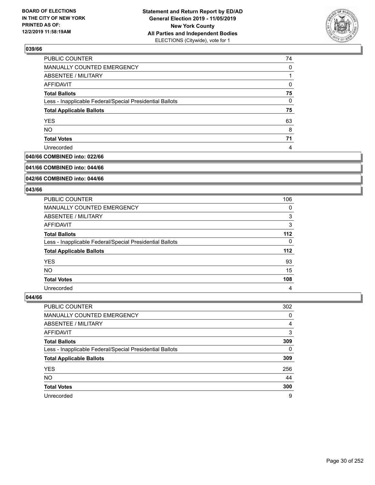

| 0  |
|----|
|    |
| 0  |
| 75 |
| 0  |
| 75 |
| 63 |
| 8  |
| 71 |
| 4  |
|    |

# **040/66 COMBINED into: 022/66**

#### **041/66 COMBINED into: 044/66**

# **042/66 COMBINED into: 044/66**

### **043/66**

| PUBLIC COUNTER                                           | 106   |
|----------------------------------------------------------|-------|
| MANUALLY COUNTED EMERGENCY                               | 0     |
| ABSENTEE / MILITARY                                      | 3     |
| AFFIDAVIT                                                | 3     |
| <b>Total Ballots</b>                                     | $112$ |
| Less - Inapplicable Federal/Special Presidential Ballots | 0     |
| <b>Total Applicable Ballots</b>                          | $112$ |
| <b>YES</b>                                               | 93    |
| <b>NO</b>                                                | 15    |
| <b>Total Votes</b>                                       | 108   |
| Unrecorded                                               | 4     |

| <b>PUBLIC COUNTER</b>                                    | 302      |
|----------------------------------------------------------|----------|
| MANUALLY COUNTED EMERGENCY                               | 0        |
| ABSENTEE / MILITARY                                      | 4        |
| AFFIDAVIT                                                | 3        |
| <b>Total Ballots</b>                                     | 309      |
| Less - Inapplicable Federal/Special Presidential Ballots | $\Omega$ |
| <b>Total Applicable Ballots</b>                          | 309      |
| <b>YES</b>                                               | 256      |
| <b>NO</b>                                                | 44       |
| <b>Total Votes</b>                                       | 300      |
| Unrecorded                                               | 9        |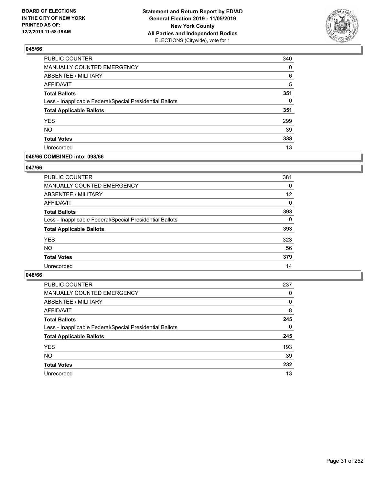

| <b>PUBLIC COUNTER</b>                                    | 340 |
|----------------------------------------------------------|-----|
| MANUALLY COUNTED EMERGENCY                               | 0   |
| <b>ABSENTEE / MILITARY</b>                               | 6   |
| <b>AFFIDAVIT</b>                                         | 5   |
| <b>Total Ballots</b>                                     | 351 |
| Less - Inapplicable Federal/Special Presidential Ballots | 0   |
| <b>Total Applicable Ballots</b>                          | 351 |
| <b>YES</b>                                               | 299 |
| <b>NO</b>                                                | 39  |
| <b>Total Votes</b>                                       | 338 |
| Unrecorded                                               | 13  |

### **046/66 COMBINED into: 098/66**

### **047/66**

| <b>PUBLIC COUNTER</b>                                    | 381      |
|----------------------------------------------------------|----------|
| <b>MANUALLY COUNTED EMERGENCY</b>                        | 0        |
| ABSENTEE / MILITARY                                      | 12       |
| AFFIDAVIT                                                | 0        |
| <b>Total Ballots</b>                                     | 393      |
| Less - Inapplicable Federal/Special Presidential Ballots | $\Omega$ |
| <b>Total Applicable Ballots</b>                          | 393      |
| <b>YES</b>                                               | 323      |
| <b>NO</b>                                                | 56       |
| <b>Total Votes</b>                                       | 379      |
| Unrecorded                                               | 14       |
|                                                          |          |

| <b>PUBLIC COUNTER</b>                                    | 237      |
|----------------------------------------------------------|----------|
| MANUALLY COUNTED EMERGENCY                               | 0        |
| ABSENTEE / MILITARY                                      | 0        |
| AFFIDAVIT                                                | 8        |
| <b>Total Ballots</b>                                     | 245      |
| Less - Inapplicable Federal/Special Presidential Ballots | $\Omega$ |
| <b>Total Applicable Ballots</b>                          | 245      |
| <b>YES</b>                                               | 193      |
| <b>NO</b>                                                | 39       |
| <b>Total Votes</b>                                       | 232      |
| Unrecorded                                               | 13       |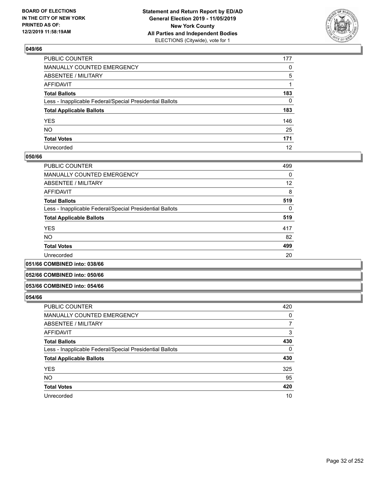

| PUBLIC COUNTER                                           | 177 |
|----------------------------------------------------------|-----|
| MANUALLY COUNTED EMERGENCY                               | 0   |
| ABSENTEE / MILITARY                                      | 5   |
| AFFIDAVIT                                                |     |
| Total Ballots                                            | 183 |
| Less - Inapplicable Federal/Special Presidential Ballots | 0   |
| <b>Total Applicable Ballots</b>                          | 183 |
| YES                                                      | 146 |
| NO.                                                      | 25  |
| <b>Total Votes</b>                                       | 171 |
| Unrecorded                                               | 12  |

### **050/66**

| <b>PUBLIC COUNTER</b>                                    | 499      |
|----------------------------------------------------------|----------|
| MANUALLY COUNTED EMERGENCY                               | $\Omega$ |
| ABSENTEE / MILITARY                                      | 12       |
| AFFIDAVIT                                                | 8        |
| <b>Total Ballots</b>                                     | 519      |
| Less - Inapplicable Federal/Special Presidential Ballots | $\Omega$ |
| <b>Total Applicable Ballots</b>                          | 519      |
| <b>YES</b>                                               | 417      |
| <b>NO</b>                                                | 82       |
| <b>Total Votes</b>                                       | 499      |
| Unrecorded                                               | 20       |
|                                                          |          |

**051/66 COMBINED into: 038/66**

### **052/66 COMBINED into: 050/66**

### **053/66 COMBINED into: 054/66**

| <b>PUBLIC COUNTER</b>                                    | 420      |
|----------------------------------------------------------|----------|
| <b>MANUALLY COUNTED EMERGENCY</b>                        | 0        |
| ABSENTEE / MILITARY                                      | 7        |
| AFFIDAVIT                                                | 3        |
| <b>Total Ballots</b>                                     | 430      |
| Less - Inapplicable Federal/Special Presidential Ballots | $\Omega$ |
| <b>Total Applicable Ballots</b>                          | 430      |
| <b>YES</b>                                               | 325      |
| <b>NO</b>                                                | 95       |
| <b>Total Votes</b>                                       | 420      |
| Unrecorded                                               | 10       |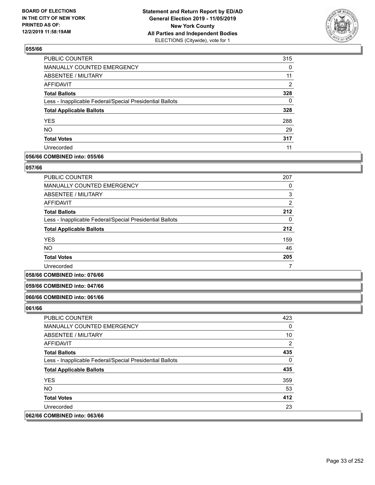

| <b>PUBLIC COUNTER</b>                                    | 315      |
|----------------------------------------------------------|----------|
| <b>MANUALLY COUNTED EMERGENCY</b>                        | 0        |
| <b>ABSENTEE / MILITARY</b>                               | 11       |
| <b>AFFIDAVIT</b>                                         | 2        |
| <b>Total Ballots</b>                                     | 328      |
| Less - Inapplicable Federal/Special Presidential Ballots | $\Omega$ |
| <b>Total Applicable Ballots</b>                          | 328      |
| <b>YES</b>                                               | 288      |
| <b>NO</b>                                                | 29       |
| <b>Total Votes</b>                                       | 317      |
| Unrecorded                                               | 11       |

### **056/66 COMBINED into: 055/66**

### **057/66**

| <b>PUBLIC COUNTER</b>                                    | 207            |
|----------------------------------------------------------|----------------|
| <b>MANUALLY COUNTED EMERGENCY</b>                        | 0              |
| ABSENTEE / MILITARY                                      | 3              |
| <b>AFFIDAVIT</b>                                         | $\overline{2}$ |
| <b>Total Ballots</b>                                     | 212            |
| Less - Inapplicable Federal/Special Presidential Ballots | 0              |
| <b>Total Applicable Ballots</b>                          | 212            |
| <b>YES</b>                                               | 159            |
| <b>NO</b>                                                | 46             |
| <b>Total Votes</b>                                       | 205            |
| Unrecorded                                               |                |

#### **058/66 COMBINED into: 076/66**

# **059/66 COMBINED into: 047/66**

#### **060/66 COMBINED into: 061/66**

| <b>PUBLIC COUNTER</b>                                    | 423 |
|----------------------------------------------------------|-----|
| MANUALLY COUNTED EMERGENCY                               | 0   |
| ABSENTEE / MILITARY                                      | 10  |
| AFFIDAVIT                                                | 2   |
| <b>Total Ballots</b>                                     | 435 |
| Less - Inapplicable Federal/Special Presidential Ballots | 0   |
| <b>Total Applicable Ballots</b>                          | 435 |
| <b>YES</b>                                               | 359 |
| NO.                                                      | 53  |
| <b>Total Votes</b>                                       | 412 |
| Unrecorded                                               | 23  |
| 062/66 COMBINED into: 063/66                             |     |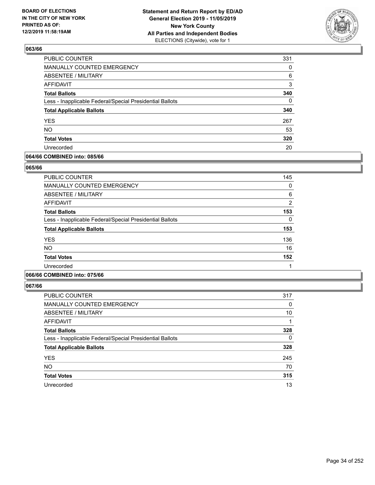

| PUBLIC COUNTER                                           | 331      |
|----------------------------------------------------------|----------|
| <b>MANUALLY COUNTED EMERGENCY</b>                        | $\Omega$ |
| ABSENTEE / MILITARY                                      | 6        |
| AFFIDAVIT                                                | 3        |
| <b>Total Ballots</b>                                     | 340      |
| Less - Inapplicable Federal/Special Presidential Ballots | $\Omega$ |
| <b>Total Applicable Ballots</b>                          | 340      |
| <b>YES</b>                                               | 267      |
| <b>NO</b>                                                | 53       |
| <b>Total Votes</b>                                       | 320      |
| Unrecorded                                               | 20       |

### **064/66 COMBINED into: 085/66**

### **065/66**

| <b>PUBLIC COUNTER</b>                                    | 145           |
|----------------------------------------------------------|---------------|
|                                                          |               |
| <b>MANUALLY COUNTED EMERGENCY</b>                        | 0             |
| ABSENTEE / MILITARY                                      | 6             |
| AFFIDAVIT                                                | $\mathcal{P}$ |
| <b>Total Ballots</b>                                     | 153           |
| Less - Inapplicable Federal/Special Presidential Ballots | 0             |
| <b>Total Applicable Ballots</b>                          | 153           |
| <b>YES</b>                                               | 136           |
| <b>NO</b>                                                | 16            |
| <b>Total Votes</b>                                       | 152           |
| Unrecorded                                               |               |

# **066/66 COMBINED into: 075/66**

| <b>PUBLIC COUNTER</b>                                    | 317      |
|----------------------------------------------------------|----------|
| <b>MANUALLY COUNTED EMERGENCY</b>                        | 0        |
| ABSENTEE / MILITARY                                      | 10       |
| AFFIDAVIT                                                |          |
| <b>Total Ballots</b>                                     | 328      |
| Less - Inapplicable Federal/Special Presidential Ballots | $\Omega$ |
| <b>Total Applicable Ballots</b>                          | 328      |
| <b>YES</b>                                               | 245      |
| <b>NO</b>                                                | 70       |
| <b>Total Votes</b>                                       | 315      |
| Unrecorded                                               | 13       |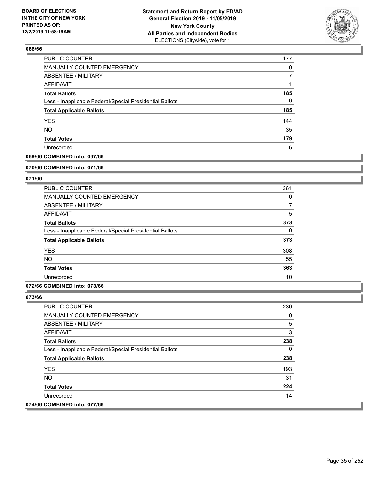

| <b>PUBLIC COUNTER</b>                                    | 177 |
|----------------------------------------------------------|-----|
| MANUALLY COUNTED EMERGENCY                               | 0   |
| ABSENTEE / MILITARY                                      |     |
| AFFIDAVIT                                                |     |
| <b>Total Ballots</b>                                     | 185 |
| Less - Inapplicable Federal/Special Presidential Ballots | 0   |
| <b>Total Applicable Ballots</b>                          | 185 |
| <b>YES</b>                                               | 144 |
| <b>NO</b>                                                | 35  |
| <b>Total Votes</b>                                       | 179 |
| Unrecorded                                               | 6   |

# **069/66 COMBINED into: 067/66**

#### **070/66 COMBINED into: 071/66**

# **071/66**

| <b>PUBLIC COUNTER</b>                                    | 361      |
|----------------------------------------------------------|----------|
| <b>MANUALLY COUNTED EMERGENCY</b>                        | 0        |
| ABSENTEE / MILITARY                                      | 7        |
| AFFIDAVIT                                                | 5        |
| <b>Total Ballots</b>                                     | 373      |
| Less - Inapplicable Federal/Special Presidential Ballots | $\Omega$ |
| <b>Total Applicable Ballots</b>                          | 373      |
| <b>YES</b>                                               | 308      |
| <b>NO</b>                                                | 55       |
| <b>Total Votes</b>                                       | 363      |
| Unrecorded                                               | 10       |

### **072/66 COMBINED into: 073/66**

| <b>PUBLIC COUNTER</b>                                    | 230 |
|----------------------------------------------------------|-----|
| <b>MANUALLY COUNTED EMERGENCY</b>                        | 0   |
| ABSENTEE / MILITARY                                      | 5   |
| AFFIDAVIT                                                | 3   |
| <b>Total Ballots</b>                                     | 238 |
| Less - Inapplicable Federal/Special Presidential Ballots | 0   |
| <b>Total Applicable Ballots</b>                          | 238 |
| <b>YES</b>                                               | 193 |
| NO.                                                      | 31  |
| <b>Total Votes</b>                                       | 224 |
| Unrecorded                                               | 14  |
| 074/66 COMBINED into: 077/66                             |     |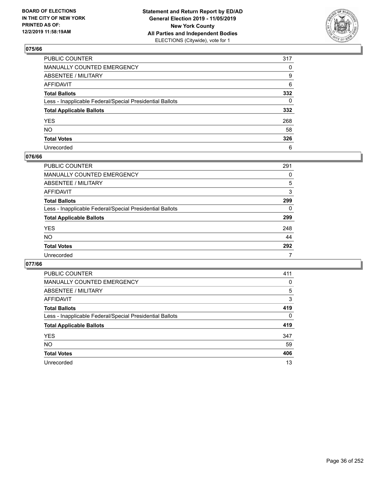

| PUBLIC COUNTER                                           | 317 |
|----------------------------------------------------------|-----|
| MANUALLY COUNTED EMERGENCY                               | 0   |
| ABSENTEE / MILITARY                                      | 9   |
| AFFIDAVIT                                                | 6   |
| Total Ballots                                            | 332 |
| Less - Inapplicable Federal/Special Presidential Ballots | 0   |
| <b>Total Applicable Ballots</b>                          | 332 |
| YES                                                      | 268 |
| NO.                                                      | 58  |
| <b>Total Votes</b>                                       | 326 |
| Unrecorded                                               | 6   |

### **076/66**

| <b>PUBLIC COUNTER</b>                                    | 291 |
|----------------------------------------------------------|-----|
| <b>MANUALLY COUNTED EMERGENCY</b>                        | 0   |
| ABSENTEE / MILITARY                                      | 5   |
| AFFIDAVIT                                                | 3   |
| <b>Total Ballots</b>                                     | 299 |
| Less - Inapplicable Federal/Special Presidential Ballots | 0   |
| <b>Total Applicable Ballots</b>                          | 299 |
| <b>YES</b>                                               | 248 |
| <b>NO</b>                                                | 44  |
| <b>Total Votes</b>                                       | 292 |
| Unrecorded                                               | 7   |

| <b>PUBLIC COUNTER</b>                                    | 411      |
|----------------------------------------------------------|----------|
| <b>MANUALLY COUNTED EMERGENCY</b>                        | 0        |
| ABSENTEE / MILITARY                                      | 5        |
| AFFIDAVIT                                                | 3        |
| <b>Total Ballots</b>                                     | 419      |
| Less - Inapplicable Federal/Special Presidential Ballots | $\Omega$ |
| <b>Total Applicable Ballots</b>                          | 419      |
| <b>YES</b>                                               | 347      |
| NO.                                                      | 59       |
| <b>Total Votes</b>                                       | 406      |
| Unrecorded                                               | 13       |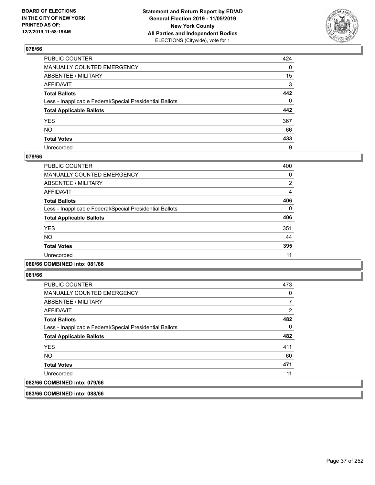

| PUBLIC COUNTER                                           | 424 |
|----------------------------------------------------------|-----|
| MANUALLY COUNTED EMERGENCY                               | 0   |
| ABSENTEE / MILITARY                                      | 15  |
| AFFIDAVIT                                                | 3   |
| Total Ballots                                            | 442 |
| Less - Inapplicable Federal/Special Presidential Ballots | 0   |
| <b>Total Applicable Ballots</b>                          | 442 |
| YES                                                      | 367 |
| NO.                                                      | 66  |
| <b>Total Votes</b>                                       | 433 |
| Unrecorded                                               | 9   |

#### **079/66**

| PUBLIC COUNTER                                           | 400      |
|----------------------------------------------------------|----------|
| <b>MANUALLY COUNTED EMERGENCY</b>                        | 0        |
| ABSENTEE / MILITARY                                      | 2        |
| <b>AFFIDAVIT</b>                                         | 4        |
| <b>Total Ballots</b>                                     | 406      |
| Less - Inapplicable Federal/Special Presidential Ballots | $\Omega$ |
| <b>Total Applicable Ballots</b>                          | 406      |
| <b>YES</b>                                               | 351      |
| <b>NO</b>                                                | 44       |
| <b>Total Votes</b>                                       | 395      |
| Unrecorded                                               | 11       |

## **080/66 COMBINED into: 081/66**

**081/66** 

| <b>PUBLIC COUNTER</b>                                    | 473            |
|----------------------------------------------------------|----------------|
| MANUALLY COUNTED EMERGENCY                               | 0              |
| ABSENTEE / MILITARY                                      |                |
| AFFIDAVIT                                                | $\overline{2}$ |
| <b>Total Ballots</b>                                     | 482            |
| Less - Inapplicable Federal/Special Presidential Ballots | 0              |
| <b>Total Applicable Ballots</b>                          | 482            |
| <b>YES</b>                                               | 411            |
| <b>NO</b>                                                | 60             |
| <b>Total Votes</b>                                       | 471            |
| Unrecorded                                               | 11             |
| 082/66 COMBINED into: 079/66                             |                |

**083/66 COMBINED into: 088/66**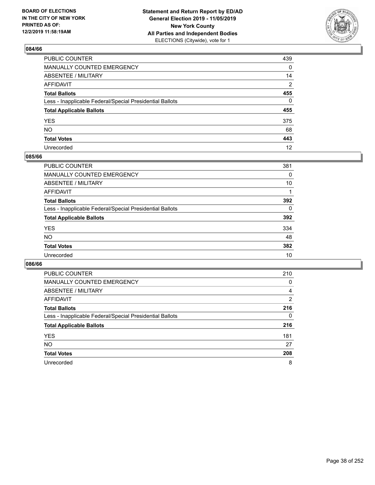

| PUBLIC COUNTER                                           | 439          |
|----------------------------------------------------------|--------------|
| MANUALLY COUNTED EMERGENCY                               | 0            |
| ABSENTEE / MILITARY                                      | 14           |
| AFFIDAVIT                                                | 2            |
| Total Ballots                                            | 455          |
| Less - Inapplicable Federal/Special Presidential Ballots | $\mathbf{0}$ |
| <b>Total Applicable Ballots</b>                          | 455          |
| YES                                                      | 375          |
| NO.                                                      | 68           |
| <b>Total Votes</b>                                       | 443          |
| Unrecorded                                               | 12           |

## **085/66**

| PUBLIC COUNTER                                           | 381      |
|----------------------------------------------------------|----------|
| <b>MANUALLY COUNTED EMERGENCY</b>                        | 0        |
| ABSENTEE / MILITARY                                      | 10       |
| AFFIDAVIT                                                |          |
| <b>Total Ballots</b>                                     | 392      |
| Less - Inapplicable Federal/Special Presidential Ballots | $\Omega$ |
| <b>Total Applicable Ballots</b>                          | 392      |
| <b>YES</b>                                               | 334      |
| <b>NO</b>                                                | 48       |
| <b>Total Votes</b>                                       | 382      |
| Unrecorded                                               | 10       |

| <b>PUBLIC COUNTER</b>                                    | 210      |
|----------------------------------------------------------|----------|
| <b>MANUALLY COUNTED EMERGENCY</b>                        | 0        |
| ABSENTEE / MILITARY                                      | 4        |
| AFFIDAVIT                                                | 2        |
| <b>Total Ballots</b>                                     | 216      |
| Less - Inapplicable Federal/Special Presidential Ballots | $\Omega$ |
| <b>Total Applicable Ballots</b>                          | 216      |
| <b>YES</b>                                               | 181      |
| <b>NO</b>                                                | 27       |
| <b>Total Votes</b>                                       | 208      |
| Unrecorded                                               | 8        |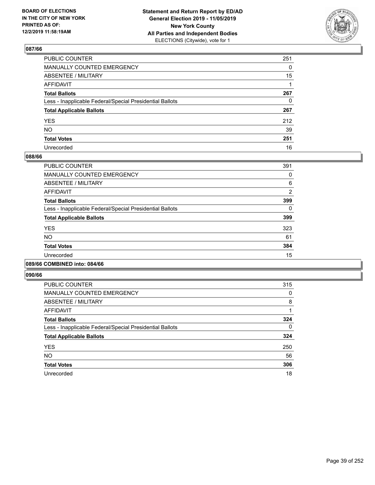

| PUBLIC COUNTER                                           | 251 |
|----------------------------------------------------------|-----|
| MANUALLY COUNTED EMERGENCY                               | 0   |
| ABSENTEE / MILITARY                                      | 15  |
| AFFIDAVIT                                                |     |
| Total Ballots                                            | 267 |
| Less - Inapplicable Federal/Special Presidential Ballots | 0   |
| <b>Total Applicable Ballots</b>                          | 267 |
| YES                                                      | 212 |
| NO.                                                      | 39  |
| <b>Total Votes</b>                                       | 251 |
| Unrecorded                                               | 16  |

#### **088/66**

| PUBLIC COUNTER                                           | 391 |
|----------------------------------------------------------|-----|
| <b>MANUALLY COUNTED EMERGENCY</b>                        | 0   |
| ABSENTEE / MILITARY                                      | 6   |
| <b>AFFIDAVIT</b>                                         | 2   |
| <b>Total Ballots</b>                                     | 399 |
| Less - Inapplicable Federal/Special Presidential Ballots | 0   |
| <b>Total Applicable Ballots</b>                          | 399 |
| <b>YES</b>                                               | 323 |
| NO.                                                      | 61  |
| <b>Total Votes</b>                                       | 384 |
| Unrecorded                                               | 15  |
|                                                          |     |

#### **089/66 COMBINED into: 084/66**

| <b>PUBLIC COUNTER</b>                                    | 315 |
|----------------------------------------------------------|-----|
| <b>MANUALLY COUNTED EMERGENCY</b>                        | 0   |
| ABSENTEE / MILITARY                                      | 8   |
| <b>AFFIDAVIT</b>                                         |     |
| <b>Total Ballots</b>                                     | 324 |
| Less - Inapplicable Federal/Special Presidential Ballots | 0   |
| <b>Total Applicable Ballots</b>                          | 324 |
| <b>YES</b>                                               | 250 |
| <b>NO</b>                                                | 56  |
| <b>Total Votes</b>                                       | 306 |
| Unrecorded                                               | 18  |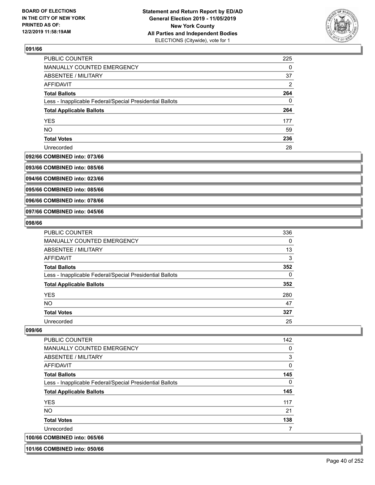

| PUBLIC COUNTER                                           | 225 |
|----------------------------------------------------------|-----|
| <b>MANUALLY COUNTED EMERGENCY</b>                        | 0   |
| ABSENTEE / MILITARY                                      | 37  |
| AFFIDAVIT                                                | 2   |
| <b>Total Ballots</b>                                     | 264 |
| Less - Inapplicable Federal/Special Presidential Ballots | 0   |
| <b>Total Applicable Ballots</b>                          | 264 |
| <b>YES</b>                                               | 177 |
| <b>NO</b>                                                | 59  |
| <b>Total Votes</b>                                       | 236 |
| Unrecorded                                               | 28  |

#### **092/66 COMBINED into: 073/66**

**093/66 COMBINED into: 085/66**

**094/66 COMBINED into: 023/66**

**095/66 COMBINED into: 085/66**

**096/66 COMBINED into: 078/66**

**097/66 COMBINED into: 045/66**

#### **098/66**

| <b>PUBLIC COUNTER</b>                                    | 336 |
|----------------------------------------------------------|-----|
| <b>MANUALLY COUNTED EMERGENCY</b>                        | 0   |
| ABSENTEE / MILITARY                                      | 13  |
| AFFIDAVIT                                                | 3   |
| <b>Total Ballots</b>                                     | 352 |
| Less - Inapplicable Federal/Special Presidential Ballots | 0   |
| <b>Total Applicable Ballots</b>                          | 352 |
| <b>YES</b>                                               | 280 |
| <b>NO</b>                                                | 47  |
| <b>Total Votes</b>                                       | 327 |
| Unrecorded                                               | 25  |

#### **099/66**

| <b>PUBLIC COUNTER</b>                                    | 142      |
|----------------------------------------------------------|----------|
| <b>MANUALLY COUNTED EMERGENCY</b>                        | 0        |
| ABSENTEE / MILITARY                                      | 3        |
| <b>AFFIDAVIT</b>                                         | 0        |
| <b>Total Ballots</b>                                     | 145      |
| Less - Inapplicable Federal/Special Presidential Ballots | $\Omega$ |
| <b>Total Applicable Ballots</b>                          | 145      |
| <b>YES</b>                                               | 117      |
| <b>NO</b>                                                | 21       |
| <b>Total Votes</b>                                       | 138      |
| Unrecorded                                               |          |
| 100/66 COMBINED into: 065/66                             |          |

#### **101/66 COMBINED into: 050/66**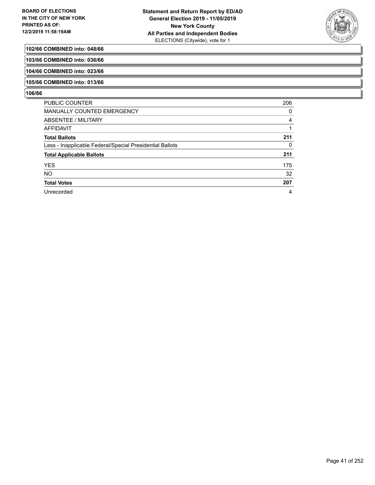

## **102/66 COMBINED into: 048/66**

**103/66 COMBINED into: 036/66**

**104/66 COMBINED into: 023/66**

## **105/66 COMBINED into: 013/66**

| <b>PUBLIC COUNTER</b>                                    | 206 |
|----------------------------------------------------------|-----|
| MANUALLY COUNTED EMERGENCY                               | 0   |
| ABSENTEE / MILITARY                                      | 4   |
| AFFIDAVIT                                                |     |
| <b>Total Ballots</b>                                     | 211 |
| Less - Inapplicable Federal/Special Presidential Ballots | 0   |
| <b>Total Applicable Ballots</b>                          | 211 |
| <b>YES</b>                                               | 175 |
| <b>NO</b>                                                | 32  |
| <b>Total Votes</b>                                       | 207 |
| Unrecorded                                               | 4   |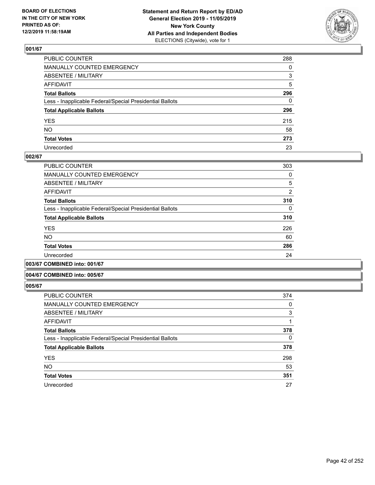

| PUBLIC COUNTER                                           | 288      |
|----------------------------------------------------------|----------|
| MANUALLY COUNTED EMERGENCY                               | $\Omega$ |
| ABSENTEE / MILITARY                                      | 3        |
| AFFIDAVIT                                                | 5        |
| Total Ballots                                            | 296      |
| Less - Inapplicable Federal/Special Presidential Ballots | 0        |
| <b>Total Applicable Ballots</b>                          | 296      |
| YES                                                      | 215      |
| NO.                                                      | 58       |
| <b>Total Votes</b>                                       | 273      |
| Unrecorded                                               | 23       |

#### **002/67**

| <b>PUBLIC COUNTER</b>                                    | 303            |
|----------------------------------------------------------|----------------|
| MANUALLY COUNTED EMERGENCY                               | 0              |
| ABSENTEE / MILITARY                                      | 5              |
| AFFIDAVIT                                                | $\overline{2}$ |
| <b>Total Ballots</b>                                     | 310            |
| Less - Inapplicable Federal/Special Presidential Ballots | $\Omega$       |
| <b>Total Applicable Ballots</b>                          | 310            |
| <b>YES</b>                                               | 226            |
| <b>NO</b>                                                | 60             |
| <b>Total Votes</b>                                       | 286            |
| Unrecorded                                               | 24             |
|                                                          |                |

**003/67 COMBINED into: 001/67**

#### **004/67 COMBINED into: 005/67**

| <b>PUBLIC COUNTER</b>                                    | 374 |
|----------------------------------------------------------|-----|
| <b>MANUALLY COUNTED EMERGENCY</b>                        | 0   |
| ABSENTEE / MILITARY                                      | 3   |
| <b>AFFIDAVIT</b>                                         |     |
| <b>Total Ballots</b>                                     | 378 |
| Less - Inapplicable Federal/Special Presidential Ballots | 0   |
| <b>Total Applicable Ballots</b>                          | 378 |
| <b>YES</b>                                               | 298 |
| <b>NO</b>                                                | 53  |
| <b>Total Votes</b>                                       | 351 |
| Unrecorded                                               | 27  |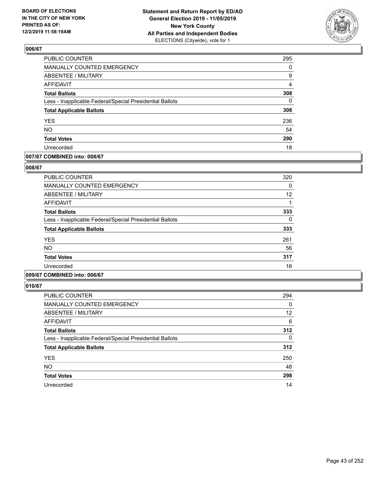

| <b>PUBLIC COUNTER</b>                                    | 295            |
|----------------------------------------------------------|----------------|
| MANUALLY COUNTED EMERGENCY                               | 0              |
| ABSENTEE / MILITARY                                      | 9              |
| <b>AFFIDAVIT</b>                                         | $\overline{4}$ |
| <b>Total Ballots</b>                                     | 308            |
| Less - Inapplicable Federal/Special Presidential Ballots | $\Omega$       |
| <b>Total Applicable Ballots</b>                          | 308            |
| <b>YES</b>                                               | 236            |
| <b>NO</b>                                                | 54             |
| <b>Total Votes</b>                                       | 290            |
| Unrecorded                                               | 18             |

## **007/67 COMBINED into: 008/67**

#### **008/67**

| PUBLIC COUNTER                                           | 320 |
|----------------------------------------------------------|-----|
| <b>MANUALLY COUNTED EMERGENCY</b>                        | 0   |
| ABSENTEE / MILITARY                                      | 12  |
| AFFIDAVIT                                                |     |
| <b>Total Ballots</b>                                     | 333 |
| Less - Inapplicable Federal/Special Presidential Ballots | 0   |
| <b>Total Applicable Ballots</b>                          | 333 |
| <b>YES</b>                                               | 261 |
| <b>NO</b>                                                | 56  |
| <b>Total Votes</b>                                       | 317 |
| Unrecorded                                               | 16  |
|                                                          |     |

# **009/67 COMBINED into: 006/67**

| <b>PUBLIC COUNTER</b>                                    | 294 |
|----------------------------------------------------------|-----|
| MANUALLY COUNTED EMERGENCY                               | 0   |
| ABSENTEE / MILITARY                                      | 12  |
| <b>AFFIDAVIT</b>                                         | 6   |
| <b>Total Ballots</b>                                     | 312 |
| Less - Inapplicable Federal/Special Presidential Ballots | 0   |
| <b>Total Applicable Ballots</b>                          | 312 |
| <b>YES</b>                                               | 250 |
| <b>NO</b>                                                | 48  |
| <b>Total Votes</b>                                       | 298 |
| Unrecorded                                               | 14  |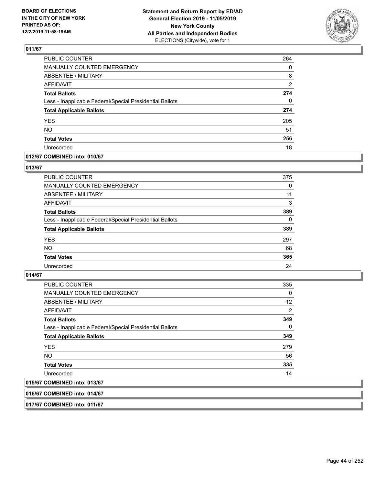

| <b>PUBLIC COUNTER</b>                                    | 264 |
|----------------------------------------------------------|-----|
| <b>MANUALLY COUNTED EMERGENCY</b>                        | 0   |
| ABSENTEE / MILITARY                                      | 8   |
| <b>AFFIDAVIT</b>                                         | 2   |
| <b>Total Ballots</b>                                     | 274 |
| Less - Inapplicable Federal/Special Presidential Ballots | 0   |
| <b>Total Applicable Ballots</b>                          | 274 |
| <b>YES</b>                                               | 205 |
| <b>NO</b>                                                | 51  |
| <b>Total Votes</b>                                       | 256 |
| Unrecorded                                               | 18  |

#### **012/67 COMBINED into: 010/67**

#### **013/67**

| <b>PUBLIC COUNTER</b>                                    | 375      |
|----------------------------------------------------------|----------|
| <b>MANUALLY COUNTED EMERGENCY</b>                        | $\Omega$ |
| ABSENTEE / MILITARY                                      | 11       |
| AFFIDAVIT                                                | 3        |
| <b>Total Ballots</b>                                     | 389      |
| Less - Inapplicable Federal/Special Presidential Ballots | 0        |
| <b>Total Applicable Ballots</b>                          | 389      |
| <b>YES</b>                                               | 297      |
| <b>NO</b>                                                | 68       |
| <b>Total Votes</b>                                       | 365      |
| Unrecorded                                               | 24       |
|                                                          |          |

## **014/67**

| <b>PUBLIC COUNTER</b>                                    | 335      |
|----------------------------------------------------------|----------|
| <b>MANUALLY COUNTED EMERGENCY</b>                        | $\Omega$ |
| ABSENTEE / MILITARY                                      | 12       |
| AFFIDAVIT                                                | 2        |
| <b>Total Ballots</b>                                     | 349      |
| Less - Inapplicable Federal/Special Presidential Ballots | $\Omega$ |
| <b>Total Applicable Ballots</b>                          | 349      |
| <b>YES</b>                                               | 279      |
| NO.                                                      | 56       |
| <b>Total Votes</b>                                       | 335      |
| Unrecorded                                               | 14       |
| 015/67 COMBINED into: 013/67                             |          |

#### **016/67 COMBINED into: 014/67**

**017/67 COMBINED into: 011/67**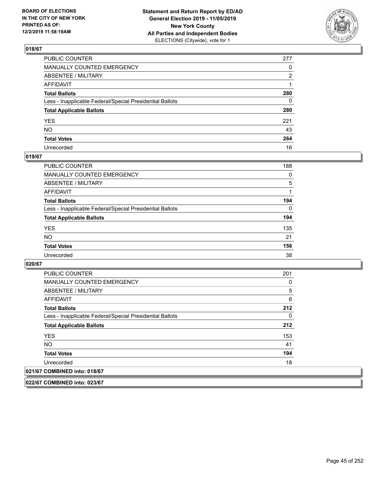

| PUBLIC COUNTER                                           | 277 |
|----------------------------------------------------------|-----|
| MANUALLY COUNTED EMERGENCY                               | 0   |
| ABSENTEE / MILITARY                                      | 2   |
| AFFIDAVIT                                                |     |
| Total Ballots                                            | 280 |
| Less - Inapplicable Federal/Special Presidential Ballots | 0   |
| <b>Total Applicable Ballots</b>                          | 280 |
| YES                                                      | 221 |
| NO.                                                      | 43  |
| <b>Total Votes</b>                                       | 264 |
| Unrecorded                                               | 16  |

#### **019/67**

| <b>PUBLIC COUNTER</b>                                    | 188      |
|----------------------------------------------------------|----------|
| MANUALLY COUNTED EMERGENCY                               | 0        |
| ABSENTEE / MILITARY                                      | 5        |
| AFFIDAVIT                                                |          |
| <b>Total Ballots</b>                                     | 194      |
| Less - Inapplicable Federal/Special Presidential Ballots | $\Omega$ |
| <b>Total Applicable Ballots</b>                          | 194      |
| <b>YES</b>                                               | 135      |
| <b>NO</b>                                                | 21       |
| <b>Total Votes</b>                                       | 156      |
| Unrecorded                                               | 38       |

**020/67** 

| <b>PUBLIC COUNTER</b>                                    | 201 |
|----------------------------------------------------------|-----|
| <b>MANUALLY COUNTED EMERGENCY</b>                        | 0   |
| ABSENTEE / MILITARY                                      | 5   |
| AFFIDAVIT                                                | 6   |
| <b>Total Ballots</b>                                     | 212 |
| Less - Inapplicable Federal/Special Presidential Ballots | 0   |
| <b>Total Applicable Ballots</b>                          | 212 |
| <b>YES</b>                                               | 153 |
| NO.                                                      | 41  |
| <b>Total Votes</b>                                       | 194 |
| Unrecorded                                               | 18  |
| 021/67 COMBINED into: 018/67                             |     |

**022/67 COMBINED into: 023/67**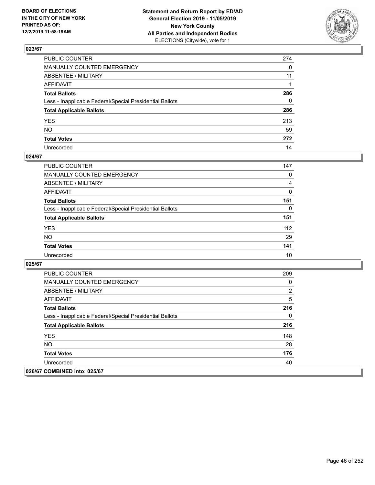

| PUBLIC COUNTER                                           | 274          |
|----------------------------------------------------------|--------------|
| MANUALLY COUNTED EMERGENCY                               | $\mathbf{0}$ |
| ABSENTEE / MILITARY                                      | 11           |
| AFFIDAVIT                                                |              |
| Total Ballots                                            | 286          |
| Less - Inapplicable Federal/Special Presidential Ballots | 0            |
| <b>Total Applicable Ballots</b>                          | 286          |
| YES                                                      | 213          |
| NO.                                                      | 59           |
| <b>Total Votes</b>                                       | 272          |
| Unrecorded                                               | 14           |

#### **024/67**

| <b>PUBLIC COUNTER</b>                                    | 147      |
|----------------------------------------------------------|----------|
| MANUALLY COUNTED EMERGENCY                               | 0        |
| ABSENTEE / MILITARY                                      | 4        |
| AFFIDAVIT                                                | $\Omega$ |
| <b>Total Ballots</b>                                     | 151      |
| Less - Inapplicable Federal/Special Presidential Ballots | 0        |
| <b>Total Applicable Ballots</b>                          | 151      |
| <b>YES</b>                                               | 112      |
| <b>NO</b>                                                | 29       |
| <b>Total Votes</b>                                       | 141      |
| Unrecorded                                               | 10       |

| <b>PUBLIC COUNTER</b>                                    | 209            |
|----------------------------------------------------------|----------------|
| <b>MANUALLY COUNTED EMERGENCY</b>                        | 0              |
| ABSENTEE / MILITARY                                      | $\overline{2}$ |
| <b>AFFIDAVIT</b>                                         | 5              |
| <b>Total Ballots</b>                                     | 216            |
| Less - Inapplicable Federal/Special Presidential Ballots | 0              |
| <b>Total Applicable Ballots</b>                          | 216            |
| <b>YES</b>                                               | 148            |
| NO.                                                      | 28             |
| <b>Total Votes</b>                                       | 176            |
| Unrecorded                                               | 40             |
| 026/67 COMBINED into: 025/67                             |                |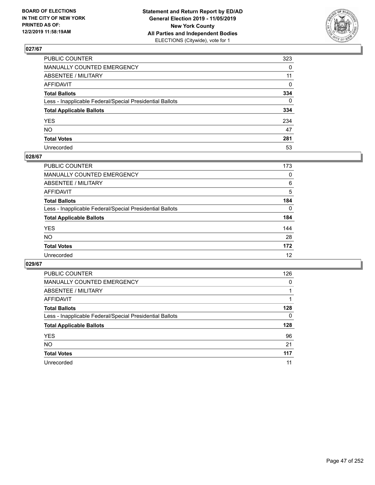

| PUBLIC COUNTER                                           | 323          |
|----------------------------------------------------------|--------------|
| MANUALLY COUNTED EMERGENCY                               | $\mathbf{0}$ |
| ABSENTEE / MILITARY                                      | 11           |
| AFFIDAVIT                                                | $\mathbf 0$  |
| Total Ballots                                            | 334          |
| Less - Inapplicable Federal/Special Presidential Ballots | $\Omega$     |
| <b>Total Applicable Ballots</b>                          | 334          |
| YES                                                      | 234          |
| NO.                                                      | 47           |
| <b>Total Votes</b>                                       | 281          |
| Unrecorded                                               | 53           |

#### **028/67**

| PUBLIC COUNTER                                           | 173      |
|----------------------------------------------------------|----------|
| MANUALLY COUNTED EMERGENCY                               | 0        |
| ABSENTEE / MILITARY                                      | 6        |
| AFFIDAVIT                                                | 5        |
| <b>Total Ballots</b>                                     | 184      |
| Less - Inapplicable Federal/Special Presidential Ballots | $\Omega$ |
| <b>Total Applicable Ballots</b>                          | 184      |
| <b>YES</b>                                               | 144      |
| <b>NO</b>                                                | 28       |
| <b>Total Votes</b>                                       | 172      |
| Unrecorded                                               | 12       |

| <b>PUBLIC COUNTER</b>                                    | 126 |
|----------------------------------------------------------|-----|
| <b>MANUALLY COUNTED EMERGENCY</b>                        | 0   |
| ABSENTEE / MILITARY                                      |     |
| AFFIDAVIT                                                |     |
| <b>Total Ballots</b>                                     | 128 |
| Less - Inapplicable Federal/Special Presidential Ballots | 0   |
| <b>Total Applicable Ballots</b>                          | 128 |
| <b>YES</b>                                               | 96  |
| <b>NO</b>                                                | 21  |
| <b>Total Votes</b>                                       | 117 |
| Unrecorded                                               | 11  |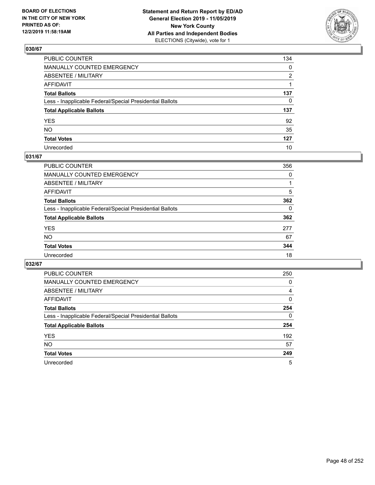

| PUBLIC COUNTER                                           | 134 |
|----------------------------------------------------------|-----|
| MANUALLY COUNTED EMERGENCY                               | 0   |
| ABSENTEE / MILITARY                                      | 2   |
| AFFIDAVIT                                                | 1   |
| Total Ballots                                            | 137 |
| Less - Inapplicable Federal/Special Presidential Ballots | 0   |
| <b>Total Applicable Ballots</b>                          | 137 |
| YES                                                      | 92  |
| NO.                                                      | 35  |
| <b>Total Votes</b>                                       | 127 |
| Unrecorded                                               | 10  |

## **031/67**

| <b>PUBLIC COUNTER</b>                                    | 356      |
|----------------------------------------------------------|----------|
| <b>MANUALLY COUNTED EMERGENCY</b>                        | 0        |
| ABSENTEE / MILITARY                                      |          |
| AFFIDAVIT                                                | 5        |
| <b>Total Ballots</b>                                     | 362      |
| Less - Inapplicable Federal/Special Presidential Ballots | $\Omega$ |
| <b>Total Applicable Ballots</b>                          | 362      |
| <b>YES</b>                                               | 277      |
| <b>NO</b>                                                | 67       |
| <b>Total Votes</b>                                       | 344      |
| Unrecorded                                               | 18       |

| PUBLIC COUNTER                                           | 250      |
|----------------------------------------------------------|----------|
| <b>MANUALLY COUNTED EMERGENCY</b>                        | $\Omega$ |
| ABSENTEE / MILITARY                                      | 4        |
| AFFIDAVIT                                                | 0        |
| <b>Total Ballots</b>                                     | 254      |
| Less - Inapplicable Federal/Special Presidential Ballots | $\Omega$ |
| <b>Total Applicable Ballots</b>                          | 254      |
| <b>YES</b>                                               | 192      |
| <b>NO</b>                                                | 57       |
| <b>Total Votes</b>                                       | 249      |
| Unrecorded                                               | 5        |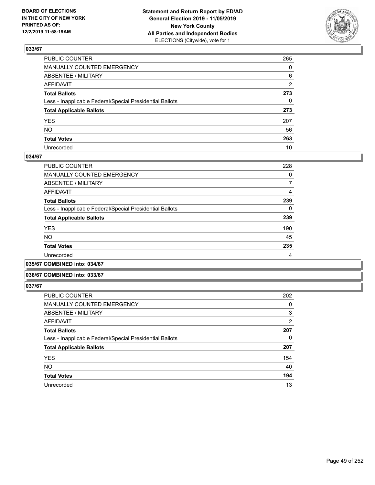

| PUBLIC COUNTER                                           | 265 |
|----------------------------------------------------------|-----|
| MANUALLY COUNTED EMERGENCY                               | 0   |
| ABSENTEE / MILITARY                                      | 6   |
| AFFIDAVIT                                                | 2   |
| Total Ballots                                            | 273 |
| Less - Inapplicable Federal/Special Presidential Ballots | 0   |
| <b>Total Applicable Ballots</b>                          | 273 |
| YES                                                      | 207 |
| NO.                                                      | 56  |
| <b>Total Votes</b>                                       | 263 |
| Unrecorded                                               | 10  |

#### **034/67**

| 228 |
|-----|
| 0   |
| 7   |
| 4   |
| 239 |
| 0   |
| 239 |
| 190 |
| 45  |
| 235 |
| 4   |
|     |

**035/67 COMBINED into: 034/67**

#### **036/67 COMBINED into: 033/67**

| PUBLIC COUNTER                                           | 202            |
|----------------------------------------------------------|----------------|
| <b>MANUALLY COUNTED EMERGENCY</b>                        | 0              |
| ABSENTEE / MILITARY                                      | 3              |
| <b>AFFIDAVIT</b>                                         | $\overline{2}$ |
| <b>Total Ballots</b>                                     | 207            |
| Less - Inapplicable Federal/Special Presidential Ballots | 0              |
| <b>Total Applicable Ballots</b>                          | 207            |
| <b>YES</b>                                               | 154            |
| <b>NO</b>                                                | 40             |
| <b>Total Votes</b>                                       | 194            |
| Unrecorded                                               | 13             |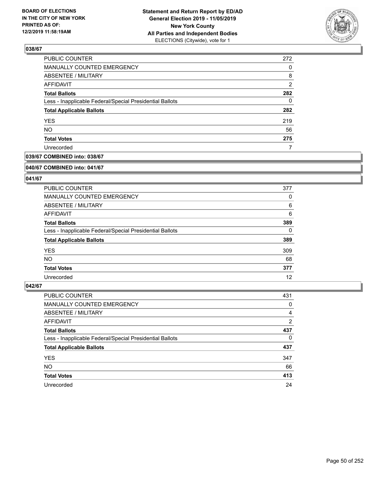

| PUBLIC COUNTER                                           | 272            |
|----------------------------------------------------------|----------------|
| MANUALLY COUNTED EMERGENCY                               | 0              |
| ABSENTEE / MILITARY                                      | 8              |
| AFFIDAVIT                                                | $\overline{2}$ |
| <b>Total Ballots</b>                                     | 282            |
| Less - Inapplicable Federal/Special Presidential Ballots | 0              |
| <b>Total Applicable Ballots</b>                          | 282            |
| <b>YES</b>                                               | 219            |
| <b>NO</b>                                                | 56             |
| <b>Total Votes</b>                                       | 275            |
| Unrecorded                                               |                |

## **039/67 COMBINED into: 038/67**

#### **040/67 COMBINED into: 041/67**

## **041/67**

| <b>PUBLIC COUNTER</b>                                    | 377      |
|----------------------------------------------------------|----------|
| <b>MANUALLY COUNTED EMERGENCY</b>                        | 0        |
| ABSENTEE / MILITARY                                      | 6        |
| AFFIDAVIT                                                | 6        |
| <b>Total Ballots</b>                                     | 389      |
| Less - Inapplicable Federal/Special Presidential Ballots | $\Omega$ |
| <b>Total Applicable Ballots</b>                          | 389      |
| <b>YES</b>                                               | 309      |
| NO.                                                      | 68       |
| <b>Total Votes</b>                                       | 377      |
| Unrecorded                                               | 12       |

| PUBLIC COUNTER                                           | 431 |
|----------------------------------------------------------|-----|
| <b>MANUALLY COUNTED EMERGENCY</b>                        | 0   |
| ABSENTEE / MILITARY                                      | 4   |
| AFFIDAVIT                                                | 2   |
| <b>Total Ballots</b>                                     | 437 |
| Less - Inapplicable Federal/Special Presidential Ballots | 0   |
| <b>Total Applicable Ballots</b>                          | 437 |
| <b>YES</b>                                               | 347 |
| <b>NO</b>                                                | 66  |
| <b>Total Votes</b>                                       | 413 |
| Unrecorded                                               | 24  |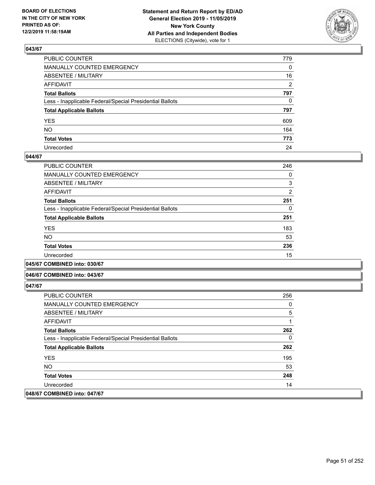

| PUBLIC COUNTER                                           | 779          |
|----------------------------------------------------------|--------------|
| MANUALLY COUNTED EMERGENCY                               | $\mathbf{0}$ |
| ABSENTEE / MILITARY                                      | 16           |
| AFFIDAVIT                                                | 2            |
| Total Ballots                                            | 797          |
| Less - Inapplicable Federal/Special Presidential Ballots | $\mathbf{0}$ |
| <b>Total Applicable Ballots</b>                          | 797          |
| YES                                                      | 609          |
| NO.                                                      | 164          |
| <b>Total Votes</b>                                       | 773          |
| Unrecorded                                               | 24           |

#### **044/67**

| PUBLIC COUNTER                                           | 246            |
|----------------------------------------------------------|----------------|
| <b>MANUALLY COUNTED EMERGENCY</b>                        | 0              |
| ABSENTEE / MILITARY                                      | 3              |
| <b>AFFIDAVIT</b>                                         | $\overline{2}$ |
| <b>Total Ballots</b>                                     | 251            |
| Less - Inapplicable Federal/Special Presidential Ballots | 0              |
| <b>Total Applicable Ballots</b>                          | 251            |
| <b>YES</b>                                               | 183            |
| <b>NO</b>                                                | 53             |
| <b>Total Votes</b>                                       | 236            |
|                                                          |                |
| Unrecorded                                               | 15             |

**045/67 COMBINED into: 030/67**

#### **046/67 COMBINED into: 043/67**

| <b>PUBLIC COUNTER</b>                                    | 256      |
|----------------------------------------------------------|----------|
| <b>MANUALLY COUNTED EMERGENCY</b>                        | 0        |
| ABSENTEE / MILITARY                                      | 5        |
| AFFIDAVIT                                                | 1        |
| <b>Total Ballots</b>                                     | 262      |
| Less - Inapplicable Federal/Special Presidential Ballots | $\Omega$ |
| <b>Total Applicable Ballots</b>                          | 262      |
| <b>YES</b>                                               | 195      |
| NO.                                                      | 53       |
| <b>Total Votes</b>                                       | 248      |
| Unrecorded                                               | 14       |
| 048/67 COMBINED into: 047/67                             |          |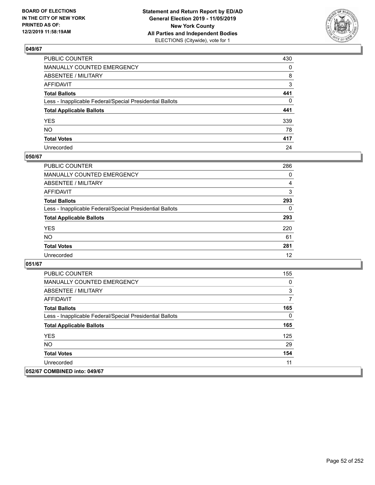

| PUBLIC COUNTER                                           | 430 |
|----------------------------------------------------------|-----|
| MANUALLY COUNTED EMERGENCY                               | 0   |
| ABSENTEE / MILITARY                                      | 8   |
| AFFIDAVIT                                                | 3   |
| Total Ballots                                            | 441 |
| Less - Inapplicable Federal/Special Presidential Ballots | 0   |
| <b>Total Applicable Ballots</b>                          | 441 |
| YES                                                      | 339 |
| NO.                                                      | 78  |
| <b>Total Votes</b>                                       | 417 |
| Unrecorded                                               | 24  |

## **050/67**

| <b>PUBLIC COUNTER</b>                                    | 286      |
|----------------------------------------------------------|----------|
| <b>MANUALLY COUNTED EMERGENCY</b>                        | $\Omega$ |
| ABSENTEE / MILITARY                                      | 4        |
| AFFIDAVIT                                                | 3        |
| <b>Total Ballots</b>                                     | 293      |
| Less - Inapplicable Federal/Special Presidential Ballots | 0        |
| <b>Total Applicable Ballots</b>                          | 293      |
| <b>YES</b>                                               | 220      |
| <b>NO</b>                                                | 61       |
| <b>Total Votes</b>                                       | 281      |
| Unrecorded                                               | 12       |

| <b>PUBLIC COUNTER</b>                                    | 155 |
|----------------------------------------------------------|-----|
| <b>MANUALLY COUNTED EMERGENCY</b>                        | 0   |
| ABSENTEE / MILITARY                                      | 3   |
| AFFIDAVIT                                                | 7   |
| <b>Total Ballots</b>                                     | 165 |
| Less - Inapplicable Federal/Special Presidential Ballots | 0   |
| <b>Total Applicable Ballots</b>                          | 165 |
| <b>YES</b>                                               | 125 |
| NO.                                                      | 29  |
| <b>Total Votes</b>                                       | 154 |
| Unrecorded                                               | 11  |
| 052/67 COMBINED into: 049/67                             |     |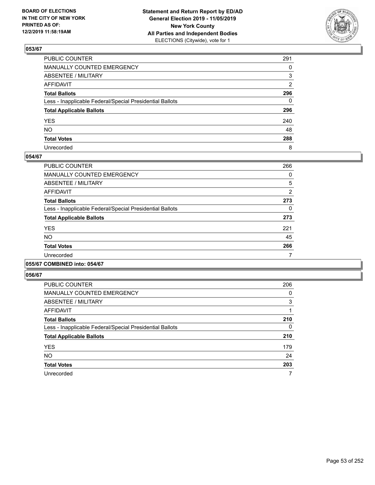

| PUBLIC COUNTER                                           | 291      |
|----------------------------------------------------------|----------|
| MANUALLY COUNTED EMERGENCY                               | $\Omega$ |
| ABSENTEE / MILITARY                                      | 3        |
| AFFIDAVIT                                                | 2        |
| Total Ballots                                            | 296      |
| Less - Inapplicable Federal/Special Presidential Ballots | 0        |
| <b>Total Applicable Ballots</b>                          | 296      |
| YES                                                      | 240      |
| NO.                                                      | 48       |
| <b>Total Votes</b>                                       | 288      |
| Unrecorded                                               | 8        |

#### **054/67**

| <b>PUBLIC COUNTER</b>                                    | 266      |
|----------------------------------------------------------|----------|
| <b>MANUALLY COUNTED EMERGENCY</b>                        | 0        |
| ABSENTEE / MILITARY                                      | 5        |
| <b>AFFIDAVIT</b>                                         | 2        |
| <b>Total Ballots</b>                                     | 273      |
| Less - Inapplicable Federal/Special Presidential Ballots | $\Omega$ |
| <b>Total Applicable Ballots</b>                          | 273      |
| <b>YES</b>                                               | 221      |
| <b>NO</b>                                                | 45       |
| <b>Total Votes</b>                                       | 266      |
| Unrecorded                                               | 7        |

## **055/67 COMBINED into: 054/67**

| <b>PUBLIC COUNTER</b>                                    | 206 |
|----------------------------------------------------------|-----|
| <b>MANUALLY COUNTED EMERGENCY</b>                        | 0   |
| ABSENTEE / MILITARY                                      | 3   |
| AFFIDAVIT                                                |     |
| <b>Total Ballots</b>                                     | 210 |
| Less - Inapplicable Federal/Special Presidential Ballots | 0   |
| <b>Total Applicable Ballots</b>                          | 210 |
| <b>YES</b>                                               | 179 |
| <b>NO</b>                                                | 24  |
| <b>Total Votes</b>                                       | 203 |
| Unrecorded                                               | 7   |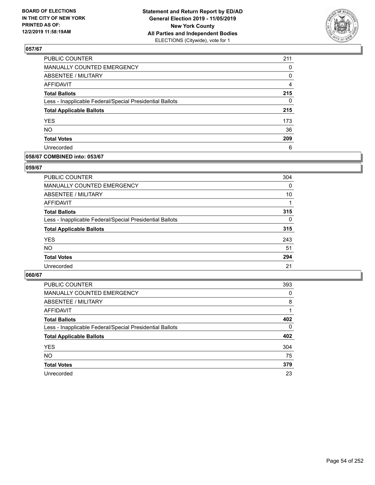

| <b>PUBLIC COUNTER</b>                                    | 211 |
|----------------------------------------------------------|-----|
| MANUALLY COUNTED EMERGENCY                               | 0   |
| ABSENTEE / MILITARY                                      | 0   |
| <b>AFFIDAVIT</b>                                         | 4   |
| <b>Total Ballots</b>                                     | 215 |
| Less - Inapplicable Federal/Special Presidential Ballots | 0   |
| <b>Total Applicable Ballots</b>                          | 215 |
| <b>YES</b>                                               | 173 |
| <b>NO</b>                                                | 36  |
| <b>Total Votes</b>                                       | 209 |
| Unrecorded                                               | 6   |

## **058/67 COMBINED into: 053/67**

#### **059/67**

| <b>PUBLIC COUNTER</b>                                    | 304      |
|----------------------------------------------------------|----------|
| <b>MANUALLY COUNTED EMERGENCY</b>                        | 0        |
| ABSENTEE / MILITARY                                      | 10       |
| AFFIDAVIT                                                |          |
| <b>Total Ballots</b>                                     | 315      |
| Less - Inapplicable Federal/Special Presidential Ballots | $\Omega$ |
| <b>Total Applicable Ballots</b>                          | 315      |
| <b>YES</b>                                               | 243      |
| <b>NO</b>                                                | 51       |
| <b>Total Votes</b>                                       | 294      |
| Unrecorded                                               | 21       |

| <b>PUBLIC COUNTER</b>                                    | 393      |
|----------------------------------------------------------|----------|
| MANUALLY COUNTED EMERGENCY                               | 0        |
| ABSENTEE / MILITARY                                      | 8        |
| AFFIDAVIT                                                |          |
| <b>Total Ballots</b>                                     | 402      |
| Less - Inapplicable Federal/Special Presidential Ballots | $\Omega$ |
| <b>Total Applicable Ballots</b>                          | 402      |
| <b>YES</b>                                               | 304      |
| <b>NO</b>                                                | 75       |
| <b>Total Votes</b>                                       | 379      |
| Unrecorded                                               | 23       |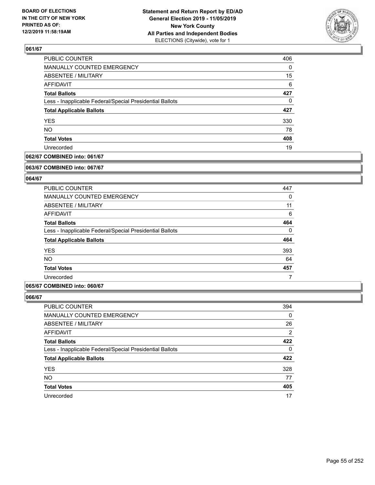

| PUBLIC COUNTER                                           | 406 |
|----------------------------------------------------------|-----|
| MANUALLY COUNTED EMERGENCY                               | 0   |
| <b>ABSENTEE / MILITARY</b>                               | 15  |
| AFFIDAVIT                                                | 6   |
| <b>Total Ballots</b>                                     | 427 |
| Less - Inapplicable Federal/Special Presidential Ballots | 0   |
| <b>Total Applicable Ballots</b>                          | 427 |
| <b>YES</b>                                               | 330 |
| <b>NO</b>                                                | 78  |
| <b>Total Votes</b>                                       | 408 |
| Unrecorded                                               | 19  |

## **062/67 COMBINED into: 061/67**

#### **063/67 COMBINED into: 067/67**

## **064/67**

| <b>PUBLIC COUNTER</b>                                    | 447      |
|----------------------------------------------------------|----------|
| <b>MANUALLY COUNTED EMERGENCY</b>                        | 0        |
| ABSENTEE / MILITARY                                      | 11       |
| AFFIDAVIT                                                | 6        |
| <b>Total Ballots</b>                                     | 464      |
| Less - Inapplicable Federal/Special Presidential Ballots | $\Omega$ |
| <b>Total Applicable Ballots</b>                          | 464      |
| <b>YES</b>                                               | 393      |
| <b>NO</b>                                                | 64       |
| <b>Total Votes</b>                                       | 457      |
| Unrecorded                                               |          |

#### **065/67 COMBINED into: 060/67**

| PUBLIC COUNTER                                           | 394 |
|----------------------------------------------------------|-----|
| MANUALLY COUNTED EMERGENCY                               | 0   |
| ABSENTEE / MILITARY                                      | 26  |
| AFFIDAVIT                                                | 2   |
| <b>Total Ballots</b>                                     | 422 |
| Less - Inapplicable Federal/Special Presidential Ballots | 0   |
| <b>Total Applicable Ballots</b>                          | 422 |
| <b>YES</b>                                               | 328 |
| <b>NO</b>                                                | 77  |
| <b>Total Votes</b>                                       | 405 |
| Unrecorded                                               | 17  |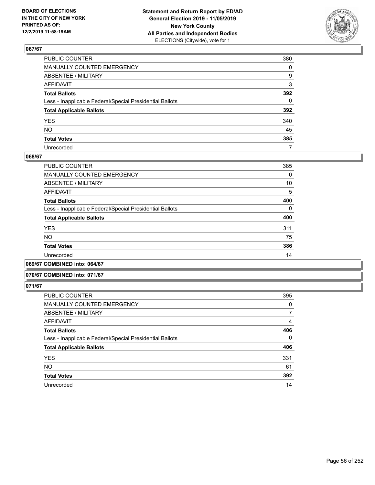

| PUBLIC COUNTER                                           | 380          |
|----------------------------------------------------------|--------------|
| MANUALLY COUNTED EMERGENCY                               | $\mathbf{0}$ |
| ABSENTEE / MILITARY                                      | 9            |
| AFFIDAVIT                                                | 3            |
| Total Ballots                                            | 392          |
| Less - Inapplicable Federal/Special Presidential Ballots | 0            |
| <b>Total Applicable Ballots</b>                          | 392          |
| YES                                                      | 340          |
| NO.                                                      | 45           |
| <b>Total Votes</b>                                       | 385          |
| Unrecorded                                               | 7            |

#### **068/67**

| <b>PUBLIC COUNTER</b>                                    | 385      |
|----------------------------------------------------------|----------|
| <b>MANUALLY COUNTED EMERGENCY</b>                        | $\Omega$ |
| ABSENTEE / MILITARY                                      | 10       |
| <b>AFFIDAVIT</b>                                         | 5        |
| <b>Total Ballots</b>                                     | 400      |
| Less - Inapplicable Federal/Special Presidential Ballots | $\Omega$ |
| <b>Total Applicable Ballots</b>                          | 400      |
| <b>YES</b>                                               | 311      |
| <b>NO</b>                                                | 75       |
| <b>Total Votes</b>                                       | 386      |
| Unrecorded                                               | 14       |
|                                                          |          |

**069/67 COMBINED into: 064/67**

#### **070/67 COMBINED into: 071/67**

| <b>PUBLIC COUNTER</b>                                    | 395      |
|----------------------------------------------------------|----------|
| <b>MANUALLY COUNTED EMERGENCY</b>                        | 0        |
| <b>ABSENTEE / MILITARY</b>                               | 7        |
| AFFIDAVIT                                                | 4        |
| <b>Total Ballots</b>                                     | 406      |
| Less - Inapplicable Federal/Special Presidential Ballots | $\Omega$ |
| <b>Total Applicable Ballots</b>                          | 406      |
| <b>YES</b>                                               | 331      |
| <b>NO</b>                                                | 61       |
| <b>Total Votes</b>                                       | 392      |
| Unrecorded                                               | 14       |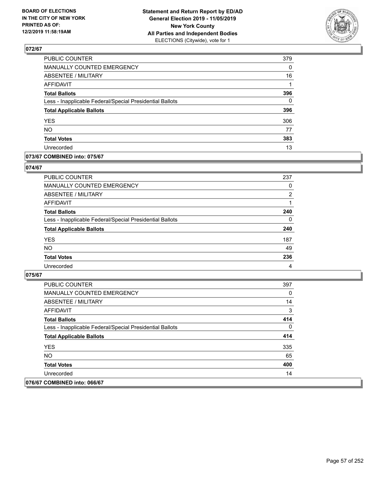

| <b>PUBLIC COUNTER</b>                                    | 379      |
|----------------------------------------------------------|----------|
| MANUALLY COUNTED EMERGENCY                               | 0        |
| ABSENTEE / MILITARY                                      | 16       |
| <b>AFFIDAVIT</b>                                         |          |
| <b>Total Ballots</b>                                     | 396      |
| Less - Inapplicable Federal/Special Presidential Ballots | $\Omega$ |
| <b>Total Applicable Ballots</b>                          | 396      |
| <b>YES</b>                                               | 306      |
| <b>NO</b>                                                | 77       |
| <b>Total Votes</b>                                       | 383      |
| Unrecorded                                               | 13       |

## **073/67 COMBINED into: 075/67**

#### **074/67**

| PUBLIC COUNTER                                           | 237            |
|----------------------------------------------------------|----------------|
| <b>MANUALLY COUNTED EMERGENCY</b>                        | $\Omega$       |
| ABSENTEE / MILITARY                                      | $\overline{2}$ |
| AFFIDAVIT                                                |                |
| <b>Total Ballots</b>                                     | 240            |
| Less - Inapplicable Federal/Special Presidential Ballots | $\Omega$       |
| <b>Total Applicable Ballots</b>                          | 240            |
| <b>YES</b>                                               | 187            |
| <b>NO</b>                                                | 49             |
| <b>Total Votes</b>                                       | 236            |
| Unrecorded                                               | $\overline{4}$ |

| <b>PUBLIC COUNTER</b>                                    | 397 |
|----------------------------------------------------------|-----|
| MANUALLY COUNTED EMERGENCY                               | 0   |
| ABSENTEE / MILITARY                                      | 14  |
| AFFIDAVIT                                                | 3   |
| <b>Total Ballots</b>                                     | 414 |
| Less - Inapplicable Federal/Special Presidential Ballots | 0   |
| <b>Total Applicable Ballots</b>                          | 414 |
| <b>YES</b>                                               | 335 |
| NO.                                                      | 65  |
| <b>Total Votes</b>                                       | 400 |
| Unrecorded                                               | 14  |
| 076/67 COMBINED into: 066/67                             |     |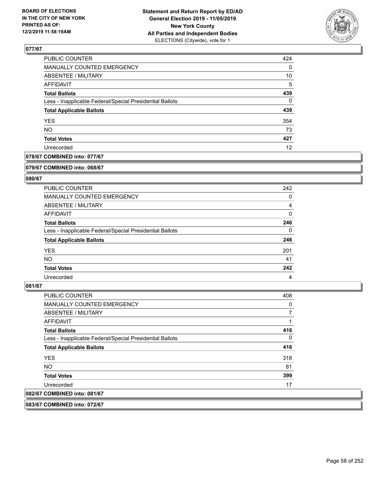

| <b>PUBLIC COUNTER</b>                                    | 424 |
|----------------------------------------------------------|-----|
| MANUALLY COUNTED EMERGENCY                               | 0   |
| <b>ABSENTEE / MILITARY</b>                               | 10  |
| AFFIDAVIT                                                | 5   |
| <b>Total Ballots</b>                                     | 439 |
| Less - Inapplicable Federal/Special Presidential Ballots | 0   |
| <b>Total Applicable Ballots</b>                          | 439 |
| <b>YES</b>                                               | 354 |
| <b>NO</b>                                                | 73  |
| <b>Total Votes</b>                                       | 427 |
| Unrecorded                                               | 12  |

## **078/67 COMBINED into: 077/67**

#### **079/67 COMBINED into: 068/67**

## **080/67**

| <b>PUBLIC COUNTER</b>                                    | 242      |
|----------------------------------------------------------|----------|
| MANUALLY COUNTED EMERGENCY                               | 0        |
| ABSENTEE / MILITARY                                      | 4        |
| AFFIDAVIT                                                | 0        |
| <b>Total Ballots</b>                                     | 246      |
| Less - Inapplicable Federal/Special Presidential Ballots | $\Omega$ |
| <b>Total Applicable Ballots</b>                          | 246      |
| <b>YES</b>                                               | 201      |
| <b>NO</b>                                                | 41       |
| <b>Total Votes</b>                                       | 242      |
| Unrecorded                                               | 4        |

#### **081/67**

| <b>MANUALLY COUNTED EMERGENCY</b><br>0<br>7<br>ABSENTEE / MILITARY<br>AFFIDAVIT<br>1<br>416<br><b>Total Ballots</b><br>0<br>Less - Inapplicable Federal/Special Presidential Ballots<br>416<br><b>Total Applicable Ballots</b><br><b>YES</b><br>318<br>NO.<br>81<br>399<br><b>Total Votes</b><br>Unrecorded<br>17 | <b>PUBLIC COUNTER</b> | 408 |
|-------------------------------------------------------------------------------------------------------------------------------------------------------------------------------------------------------------------------------------------------------------------------------------------------------------------|-----------------------|-----|
|                                                                                                                                                                                                                                                                                                                   |                       |     |
|                                                                                                                                                                                                                                                                                                                   |                       |     |
|                                                                                                                                                                                                                                                                                                                   |                       |     |
|                                                                                                                                                                                                                                                                                                                   |                       |     |
|                                                                                                                                                                                                                                                                                                                   |                       |     |
|                                                                                                                                                                                                                                                                                                                   |                       |     |
|                                                                                                                                                                                                                                                                                                                   |                       |     |
|                                                                                                                                                                                                                                                                                                                   |                       |     |
|                                                                                                                                                                                                                                                                                                                   |                       |     |
|                                                                                                                                                                                                                                                                                                                   |                       |     |
| 082/67 COMBINED into: 081/67                                                                                                                                                                                                                                                                                      |                       |     |

**083/67 COMBINED into: 072/67**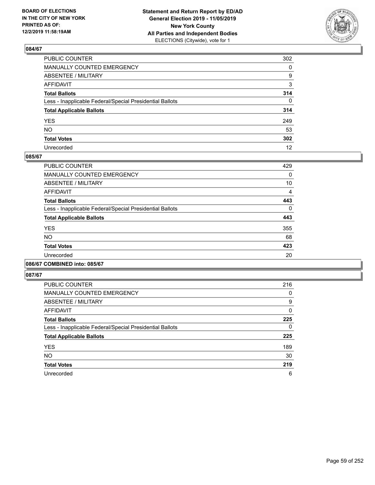

| PUBLIC COUNTER                                           | 302          |
|----------------------------------------------------------|--------------|
| MANUALLY COUNTED EMERGENCY                               | $\mathbf{0}$ |
| ABSENTEE / MILITARY                                      | 9            |
| AFFIDAVIT                                                | 3            |
| Total Ballots                                            | 314          |
| Less - Inapplicable Federal/Special Presidential Ballots | $\Omega$     |
| <b>Total Applicable Ballots</b>                          | 314          |
| YES                                                      | 249          |
| NO.                                                      | 53           |
| <b>Total Votes</b>                                       | 302          |
| Unrecorded                                               | 12           |

#### **085/67**

| <b>PUBLIC COUNTER</b>                                    | 429      |
|----------------------------------------------------------|----------|
| <b>MANUALLY COUNTED EMERGENCY</b>                        | 0        |
| ABSENTEE / MILITARY                                      | 10       |
| <b>AFFIDAVIT</b>                                         | 4        |
| <b>Total Ballots</b>                                     | 443      |
| Less - Inapplicable Federal/Special Presidential Ballots | $\Omega$ |
| <b>Total Applicable Ballots</b>                          | 443      |
| <b>YES</b>                                               | 355      |
| <b>NO</b>                                                | 68       |
| <b>Total Votes</b>                                       | 423      |
| Unrecorded                                               | 20       |
|                                                          |          |

#### **086/67 COMBINED into: 085/67**

| <b>PUBLIC COUNTER</b>                                    | 216 |
|----------------------------------------------------------|-----|
| <b>MANUALLY COUNTED EMERGENCY</b>                        | 0   |
| ABSENTEE / MILITARY                                      | 9   |
| AFFIDAVIT                                                | 0   |
| <b>Total Ballots</b>                                     | 225 |
| Less - Inapplicable Federal/Special Presidential Ballots | 0   |
| <b>Total Applicable Ballots</b>                          | 225 |
| <b>YES</b>                                               | 189 |
| <b>NO</b>                                                | 30  |
| <b>Total Votes</b>                                       | 219 |
| Unrecorded                                               | 6   |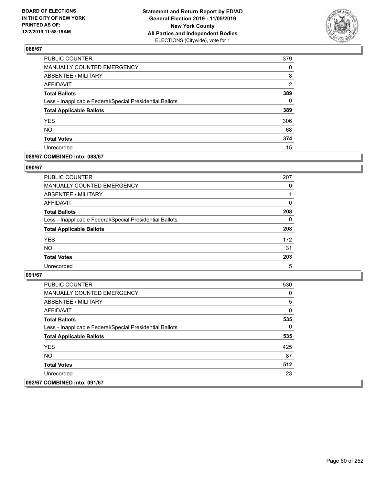

| PUBLIC COUNTER                                           | 379            |
|----------------------------------------------------------|----------------|
| MANUALLY COUNTED EMERGENCY                               | 0              |
| ABSENTEE / MILITARY                                      | 8              |
| AFFIDAVIT                                                | $\overline{2}$ |
| <b>Total Ballots</b>                                     | 389            |
| Less - Inapplicable Federal/Special Presidential Ballots | $\Omega$       |
| <b>Total Applicable Ballots</b>                          | 389            |
| <b>YES</b>                                               | 306            |
| <b>NO</b>                                                | 68             |
| <b>Total Votes</b>                                       | 374            |
| Unrecorded                                               | 15             |

## **089/67 COMBINED into: 088/67**

#### **090/67**

| PUBLIC COUNTER                                           | 207      |
|----------------------------------------------------------|----------|
| <b>MANUALLY COUNTED EMERGENCY</b>                        | 0        |
| ABSENTEE / MILITARY                                      | 1        |
| AFFIDAVIT                                                | 0        |
| <b>Total Ballots</b>                                     | 208      |
| Less - Inapplicable Federal/Special Presidential Ballots | $\Omega$ |
| <b>Total Applicable Ballots</b>                          | 208      |
| <b>YES</b>                                               | 172      |
| <b>NO</b>                                                | 31       |
| <b>Total Votes</b>                                       | 203      |
| Unrecorded                                               | 5        |

| <b>PUBLIC COUNTER</b>                                    | 530 |
|----------------------------------------------------------|-----|
| <b>MANUALLY COUNTED EMERGENCY</b>                        | 0   |
| ABSENTEE / MILITARY                                      | 5   |
| AFFIDAVIT                                                | 0   |
| <b>Total Ballots</b>                                     | 535 |
| Less - Inapplicable Federal/Special Presidential Ballots | 0   |
| <b>Total Applicable Ballots</b>                          | 535 |
| <b>YES</b>                                               | 425 |
| NO.                                                      | 87  |
| <b>Total Votes</b>                                       | 512 |
| Unrecorded                                               | 23  |
| 092/67 COMBINED into: 091/67                             |     |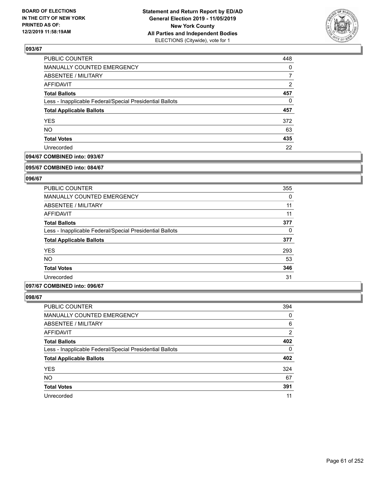

| PUBLIC COUNTER                                           | 448 |
|----------------------------------------------------------|-----|
| MANUALLY COUNTED EMERGENCY                               | 0   |
| ABSENTEE / MILITARY                                      |     |
| AFFIDAVIT                                                | 2   |
| <b>Total Ballots</b>                                     | 457 |
| Less - Inapplicable Federal/Special Presidential Ballots | 0   |
| <b>Total Applicable Ballots</b>                          | 457 |
| <b>YES</b>                                               | 372 |
| <b>NO</b>                                                | 63  |
| <b>Total Votes</b>                                       | 435 |
| Unrecorded                                               | 22  |

## **094/67 COMBINED into: 093/67**

#### **095/67 COMBINED into: 084/67**

## **096/67**

| <b>PUBLIC COUNTER</b>                                    | 355 |
|----------------------------------------------------------|-----|
| <b>MANUALLY COUNTED EMERGENCY</b>                        | 0   |
| ABSENTEE / MILITARY                                      | 11  |
| AFFIDAVIT                                                | 11  |
| <b>Total Ballots</b>                                     | 377 |
| Less - Inapplicable Federal/Special Presidential Ballots | 0   |
| <b>Total Applicable Ballots</b>                          | 377 |
| <b>YES</b>                                               | 293 |
| <b>NO</b>                                                | 53  |
| <b>Total Votes</b>                                       | 346 |
| Unrecorded                                               | 31  |

#### **097/67 COMBINED into: 096/67**

| <b>PUBLIC COUNTER</b>                                    | 394      |
|----------------------------------------------------------|----------|
| MANUALLY COUNTED EMERGENCY                               | 0        |
| ABSENTEE / MILITARY                                      | 6        |
| AFFIDAVIT                                                | 2        |
| <b>Total Ballots</b>                                     | 402      |
| Less - Inapplicable Federal/Special Presidential Ballots | $\Omega$ |
| <b>Total Applicable Ballots</b>                          | 402      |
| <b>YES</b>                                               | 324      |
| <b>NO</b>                                                | 67       |
| <b>Total Votes</b>                                       | 391      |
| Unrecorded                                               | 11       |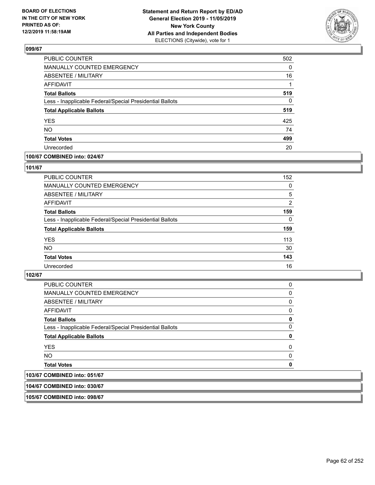

| <b>PUBLIC COUNTER</b>                                    | 502      |
|----------------------------------------------------------|----------|
| <b>MANUALLY COUNTED EMERGENCY</b>                        | $\Omega$ |
| <b>ABSENTEE / MILITARY</b>                               | 16       |
| <b>AFFIDAVIT</b>                                         |          |
| <b>Total Ballots</b>                                     | 519      |
| Less - Inapplicable Federal/Special Presidential Ballots | $\Omega$ |
| <b>Total Applicable Ballots</b>                          | 519      |
| <b>YES</b>                                               | 425      |
| <b>NO</b>                                                | 74       |
| <b>Total Votes</b>                                       | 499      |
| Unrecorded                                               | 20       |

## **100/67 COMBINED into: 024/67**

#### **101/67**

| <b>PUBLIC COUNTER</b>                                    | 152      |
|----------------------------------------------------------|----------|
| MANUALLY COUNTED EMERGENCY                               | 0        |
| ABSENTEE / MILITARY                                      | 5        |
| AFFIDAVIT                                                | 2        |
| <b>Total Ballots</b>                                     | 159      |
| Less - Inapplicable Federal/Special Presidential Ballots | $\Omega$ |
| <b>Total Applicable Ballots</b>                          | 159      |
| <b>YES</b>                                               | 113      |
| <b>NO</b>                                                | 30       |
| <b>Total Votes</b>                                       | 143      |
| Unrecorded                                               | 16       |
|                                                          |          |

## **102/67**

| <b>PUBLIC COUNTER</b>                                    | 0        |
|----------------------------------------------------------|----------|
| <b>MANUALLY COUNTED EMERGENCY</b>                        | $\Omega$ |
| ABSENTEE / MILITARY                                      | 0        |
| AFFIDAVIT                                                | 0        |
| <b>Total Ballots</b>                                     | 0        |
| Less - Inapplicable Federal/Special Presidential Ballots | $\Omega$ |
| <b>Total Applicable Ballots</b>                          | 0        |
| <b>YES</b>                                               | $\Omega$ |
| NO.                                                      | 0        |
| <b>Total Votes</b>                                       | 0        |
| 103/67 COMBINED into: 051/67                             |          |

**104/67 COMBINED into: 030/67**

**105/67 COMBINED into: 098/67**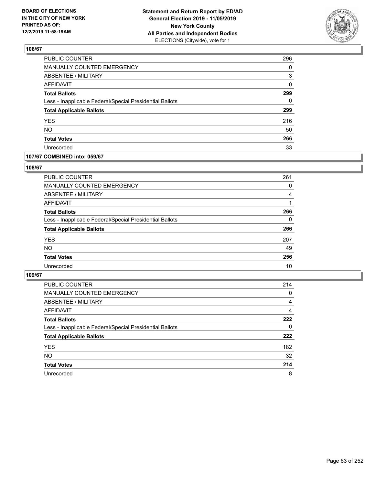

| PUBLIC COUNTER                                           | 296      |
|----------------------------------------------------------|----------|
| MANUALLY COUNTED EMERGENCY                               | 0        |
| ABSENTEE / MILITARY                                      | 3        |
| <b>AFFIDAVIT</b>                                         | 0        |
| <b>Total Ballots</b>                                     | 299      |
| Less - Inapplicable Federal/Special Presidential Ballots | $\Omega$ |
| <b>Total Applicable Ballots</b>                          | 299      |
| <b>YES</b>                                               | 216      |
| <b>NO</b>                                                | 50       |
| <b>Total Votes</b>                                       | 266      |
| Unrecorded                                               | 33       |

## **107/67 COMBINED into: 059/67**

#### **108/67**

| PUBLIC COUNTER                                           | 261      |
|----------------------------------------------------------|----------|
| MANUALLY COUNTED EMERGENCY                               | 0        |
| ABSENTEE / MILITARY                                      | 4        |
| AFFIDAVIT                                                |          |
| <b>Total Ballots</b>                                     | 266      |
| Less - Inapplicable Federal/Special Presidential Ballots | $\Omega$ |
| <b>Total Applicable Ballots</b>                          | 266      |
| <b>YES</b>                                               | 207      |
| <b>NO</b>                                                | 49       |
| <b>Total Votes</b>                                       | 256      |
| Unrecorded                                               | 10       |
|                                                          |          |

| <b>PUBLIC COUNTER</b>                                    | 214      |
|----------------------------------------------------------|----------|
| <b>MANUALLY COUNTED EMERGENCY</b>                        | 0        |
| ABSENTEE / MILITARY                                      | 4        |
| AFFIDAVIT                                                | 4        |
| <b>Total Ballots</b>                                     | 222      |
| Less - Inapplicable Federal/Special Presidential Ballots | $\Omega$ |
| <b>Total Applicable Ballots</b>                          | 222      |
| <b>YES</b>                                               | 182      |
| <b>NO</b>                                                | 32       |
| <b>Total Votes</b>                                       | 214      |
| Unrecorded                                               | 8        |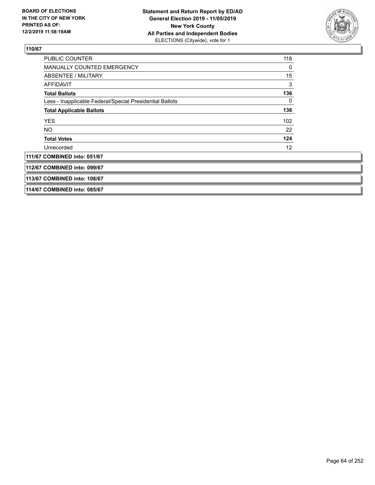

| <b>PUBLIC COUNTER</b>                                    | 118 |
|----------------------------------------------------------|-----|
| <b>MANUALLY COUNTED EMERGENCY</b>                        | 0   |
| ABSENTEE / MILITARY                                      | 15  |
| <b>AFFIDAVIT</b>                                         | 3   |
| <b>Total Ballots</b>                                     | 136 |
| Less - Inapplicable Federal/Special Presidential Ballots | 0   |
| <b>Total Applicable Ballots</b>                          | 136 |
| <b>YES</b>                                               | 102 |
| NO                                                       | 22  |
| <b>Total Votes</b>                                       | 124 |
| Unrecorded                                               | 12  |
| 111/67 COMBINED into: 051/67                             |     |
| 112/67 COMBINED into: 099/67                             |     |
| 113/67 COMBINED into: 108/67                             |     |
| 114/67 COMBINED into: 085/67                             |     |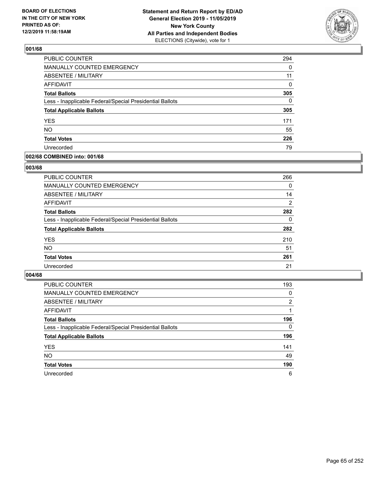

| PUBLIC COUNTER                                           | 294      |
|----------------------------------------------------------|----------|
| MANUALLY COUNTED EMERGENCY                               | 0        |
| ABSENTEE / MILITARY                                      | 11       |
| <b>AFFIDAVIT</b>                                         | 0        |
| <b>Total Ballots</b>                                     | 305      |
| Less - Inapplicable Federal/Special Presidential Ballots | $\Omega$ |
| <b>Total Applicable Ballots</b>                          | 305      |
| <b>YES</b>                                               | 171      |
| <b>NO</b>                                                | 55       |
| <b>Total Votes</b>                                       | 226      |
| Unrecorded                                               | 79       |

#### **002/68 COMBINED into: 001/68**

#### **003/68**

| <b>PUBLIC COUNTER</b>                                    | 266      |
|----------------------------------------------------------|----------|
| <b>MANUALLY COUNTED EMERGENCY</b>                        | 0        |
| ABSENTEE / MILITARY                                      | 14       |
| AFFIDAVIT                                                | 2        |
| <b>Total Ballots</b>                                     | 282      |
| Less - Inapplicable Federal/Special Presidential Ballots | $\Omega$ |
| <b>Total Applicable Ballots</b>                          | 282      |
| <b>YES</b>                                               | 210      |
| <b>NO</b>                                                | 51       |
| <b>Total Votes</b>                                       | 261      |
| Unrecorded                                               | 21       |

| <b>PUBLIC COUNTER</b>                                    | 193      |
|----------------------------------------------------------|----------|
| MANUALLY COUNTED EMERGENCY                               | 0        |
| ABSENTEE / MILITARY                                      | 2        |
| AFFIDAVIT                                                |          |
| <b>Total Ballots</b>                                     | 196      |
| Less - Inapplicable Federal/Special Presidential Ballots | $\Omega$ |
| <b>Total Applicable Ballots</b>                          | 196      |
| <b>YES</b>                                               | 141      |
| <b>NO</b>                                                | 49       |
| <b>Total Votes</b>                                       | 190      |
| Unrecorded                                               | 6        |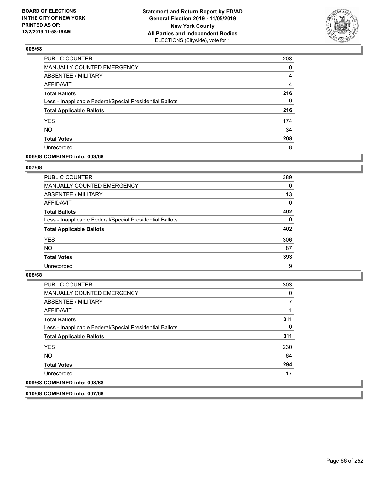

| <b>PUBLIC COUNTER</b>                                    | 208 |
|----------------------------------------------------------|-----|
| <b>MANUALLY COUNTED EMERGENCY</b>                        | 0   |
| <b>ABSENTEE / MILITARY</b>                               | 4   |
| AFFIDAVIT                                                | 4   |
| <b>Total Ballots</b>                                     | 216 |
| Less - Inapplicable Federal/Special Presidential Ballots | 0   |
| <b>Total Applicable Ballots</b>                          | 216 |
| <b>YES</b>                                               | 174 |
| <b>NO</b>                                                | 34  |
| <b>Total Votes</b>                                       | 208 |
| Unrecorded                                               | 8   |

## **006/68 COMBINED into: 003/68**

#### **007/68**

| PUBLIC COUNTER                                           | 389      |
|----------------------------------------------------------|----------|
| <b>MANUALLY COUNTED EMERGENCY</b>                        | $\Omega$ |
| ABSENTEE / MILITARY                                      | 13       |
| AFFIDAVIT                                                | 0        |
| <b>Total Ballots</b>                                     | 402      |
| Less - Inapplicable Federal/Special Presidential Ballots | $\Omega$ |
| <b>Total Applicable Ballots</b>                          | 402      |
| <b>YES</b>                                               | 306      |
| <b>NO</b>                                                | 87       |
| <b>Total Votes</b>                                       | 393      |
| Unrecorded                                               | 9        |

#### **008/68**

| PUBLIC COUNTER                                           | 303 |
|----------------------------------------------------------|-----|
| MANUALLY COUNTED EMERGENCY                               | 0   |
| ABSENTEE / MILITARY                                      |     |
| AFFIDAVIT                                                |     |
| <b>Total Ballots</b>                                     | 311 |
| Less - Inapplicable Federal/Special Presidential Ballots | 0   |
| <b>Total Applicable Ballots</b>                          | 311 |
| <b>YES</b>                                               | 230 |
| <b>NO</b>                                                | 64  |
| <b>Total Votes</b>                                       | 294 |
| Unrecorded                                               | 17  |
| 009/68 COMBINED into: 008/68                             |     |

**010/68 COMBINED into: 007/68**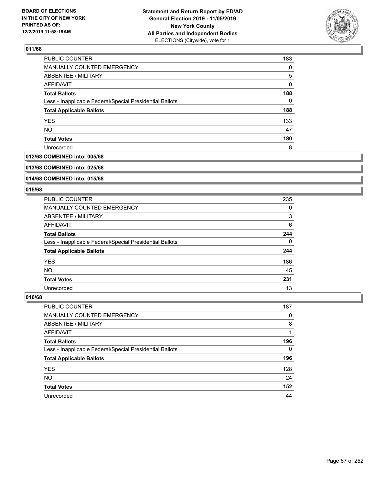

| PUBLIC COUNTER                                           | 183 |
|----------------------------------------------------------|-----|
| MANUALLY COUNTED EMERGENCY                               | 0   |
| ABSENTEE / MILITARY                                      | 5   |
| AFFIDAVIT                                                | 0   |
| <b>Total Ballots</b>                                     | 188 |
| Less - Inapplicable Federal/Special Presidential Ballots | 0   |
| <b>Total Applicable Ballots</b>                          | 188 |
| <b>YES</b>                                               | 133 |
| <b>NO</b>                                                | 47  |
| <b>Total Votes</b>                                       | 180 |
| Unrecorded                                               | 8   |

## **012/68 COMBINED into: 005/68**

#### **013/68 COMBINED into: 025/68**

## **014/68 COMBINED into: 015/68**

## **015/68**

| <b>PUBLIC COUNTER</b>                                    | 235 |
|----------------------------------------------------------|-----|
| <b>MANUALLY COUNTED EMERGENCY</b>                        | 0   |
| ABSENTEE / MILITARY                                      | 3   |
| AFFIDAVIT                                                | 6   |
| <b>Total Ballots</b>                                     | 244 |
| Less - Inapplicable Federal/Special Presidential Ballots | 0   |
| <b>Total Applicable Ballots</b>                          | 244 |
| <b>YES</b>                                               | 186 |
| NO.                                                      | 45  |
| <b>Total Votes</b>                                       | 231 |
| Unrecorded                                               | 13  |

| <b>PUBLIC COUNTER</b>                                    | 187      |
|----------------------------------------------------------|----------|
| MANUALLY COUNTED EMERGENCY                               | 0        |
| ABSENTEE / MILITARY                                      | 8        |
| AFFIDAVIT                                                |          |
| <b>Total Ballots</b>                                     | 196      |
| Less - Inapplicable Federal/Special Presidential Ballots | $\Omega$ |
| <b>Total Applicable Ballots</b>                          | 196      |
| <b>YES</b>                                               | 128      |
| <b>NO</b>                                                | 24       |
| <b>Total Votes</b>                                       | 152      |
| Unrecorded                                               | 44       |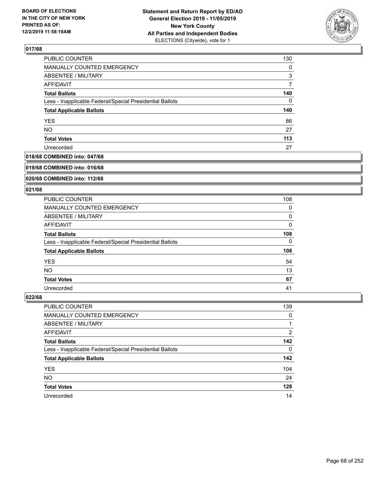

| PUBLIC COUNTER                                           | 130      |
|----------------------------------------------------------|----------|
| MANUALLY COUNTED EMERGENCY                               | $\Omega$ |
| ABSENTEE / MILITARY                                      | 3        |
| <b>AFFIDAVIT</b>                                         | 7        |
| <b>Total Ballots</b>                                     | 140      |
| Less - Inapplicable Federal/Special Presidential Ballots | 0        |
| <b>Total Applicable Ballots</b>                          | 140      |
| <b>YES</b>                                               | 86       |
| <b>NO</b>                                                | 27       |
| <b>Total Votes</b>                                       | 113      |
| Unrecorded                                               | 27       |

## **018/68 COMBINED into: 047/68**

#### **019/68 COMBINED into: 016/68**

## **020/68 COMBINED into: 112/68**

#### **021/68**

| PUBLIC COUNTER                                           | 108 |
|----------------------------------------------------------|-----|
| <b>MANUALLY COUNTED EMERGENCY</b>                        | 0   |
| ABSENTEE / MILITARY                                      | 0   |
| AFFIDAVIT                                                | 0   |
| <b>Total Ballots</b>                                     | 108 |
| Less - Inapplicable Federal/Special Presidential Ballots | 0   |
| <b>Total Applicable Ballots</b>                          | 108 |
| <b>YES</b>                                               | 54  |
| <b>NO</b>                                                | 13  |
| <b>Total Votes</b>                                       | 67  |
| Unrecorded                                               | 41  |

| <b>PUBLIC COUNTER</b>                                    | 139      |
|----------------------------------------------------------|----------|
| <b>MANUALLY COUNTED EMERGENCY</b>                        | 0        |
| ABSENTEE / MILITARY                                      |          |
| AFFIDAVIT                                                | 2        |
| <b>Total Ballots</b>                                     | 142      |
| Less - Inapplicable Federal/Special Presidential Ballots | $\Omega$ |
| <b>Total Applicable Ballots</b>                          | 142      |
| <b>YES</b>                                               | 104      |
| <b>NO</b>                                                | 24       |
| <b>Total Votes</b>                                       | 128      |
| Unrecorded                                               | 14       |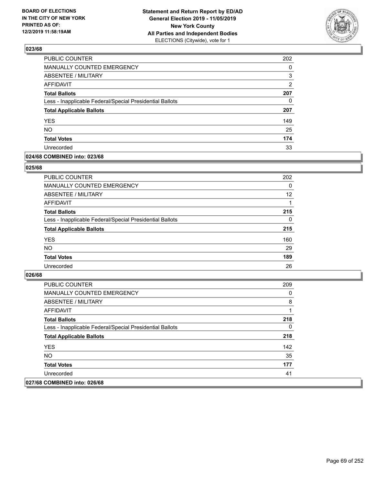

| PUBLIC COUNTER                                           | 202            |
|----------------------------------------------------------|----------------|
| <b>MANUALLY COUNTED EMERGENCY</b>                        | 0              |
| <b>ABSENTEE / MILITARY</b>                               | 3              |
| <b>AFFIDAVIT</b>                                         | $\overline{2}$ |
| <b>Total Ballots</b>                                     | 207            |
| Less - Inapplicable Federal/Special Presidential Ballots | 0              |
| <b>Total Applicable Ballots</b>                          | 207            |
| <b>YES</b>                                               | 149            |
| <b>NO</b>                                                | 25             |
| <b>Total Votes</b>                                       | 174            |
| Unrecorded                                               | 33             |

#### **024/68 COMBINED into: 023/68**

#### **025/68**

| PUBLIC COUNTER                                           | 202      |
|----------------------------------------------------------|----------|
| <b>MANUALLY COUNTED EMERGENCY</b>                        | $\Omega$ |
| ABSENTEE / MILITARY                                      | 12       |
| AFFIDAVIT                                                |          |
| <b>Total Ballots</b>                                     | 215      |
| Less - Inapplicable Federal/Special Presidential Ballots | $\Omega$ |
| <b>Total Applicable Ballots</b>                          | 215      |
| <b>YES</b>                                               | 160      |
| <b>NO</b>                                                | 29       |
| <b>Total Votes</b>                                       | 189      |
| Unrecorded                                               | 26       |
|                                                          |          |

| <b>PUBLIC COUNTER</b>                                    | 209 |
|----------------------------------------------------------|-----|
| <b>MANUALLY COUNTED EMERGENCY</b>                        | 0   |
| ABSENTEE / MILITARY                                      | 8   |
| AFFIDAVIT                                                |     |
| <b>Total Ballots</b>                                     | 218 |
| Less - Inapplicable Federal/Special Presidential Ballots | 0   |
| <b>Total Applicable Ballots</b>                          | 218 |
| <b>YES</b>                                               | 142 |
| NO.                                                      | 35  |
| <b>Total Votes</b>                                       | 177 |
| Unrecorded                                               | 41  |
| 027/68 COMBINED into: 026/68                             |     |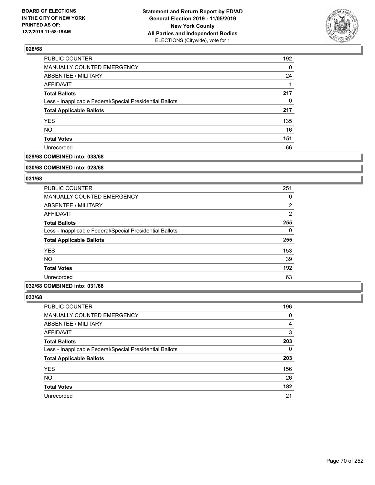

| PUBLIC COUNTER                                           | 192 |
|----------------------------------------------------------|-----|
| <b>MANUALLY COUNTED EMERGENCY</b>                        | 0   |
| <b>ABSENTEE / MILITARY</b>                               | 24  |
| <b>AFFIDAVIT</b>                                         |     |
| <b>Total Ballots</b>                                     | 217 |
| Less - Inapplicable Federal/Special Presidential Ballots | 0   |
| <b>Total Applicable Ballots</b>                          | 217 |
| <b>YES</b>                                               | 135 |
| <b>NO</b>                                                | 16  |
| <b>Total Votes</b>                                       | 151 |
| Unrecorded                                               | 66  |

## **029/68 COMBINED into: 038/68**

#### **030/68 COMBINED into: 028/68**

## **031/68**

| <b>PUBLIC COUNTER</b>                                    | 251            |
|----------------------------------------------------------|----------------|
| <b>MANUALLY COUNTED EMERGENCY</b>                        | 0              |
| ABSENTEE / MILITARY                                      | $\overline{2}$ |
| AFFIDAVIT                                                | $\overline{2}$ |
| <b>Total Ballots</b>                                     | 255            |
| Less - Inapplicable Federal/Special Presidential Ballots | $\Omega$       |
| <b>Total Applicable Ballots</b>                          | 255            |
| <b>YES</b>                                               | 153            |
| <b>NO</b>                                                | 39             |
| <b>Total Votes</b>                                       | 192            |
| Unrecorded                                               | 63             |

## **032/68 COMBINED into: 031/68**

| PUBLIC COUNTER                                           | 196      |
|----------------------------------------------------------|----------|
| MANUALLY COUNTED EMERGENCY                               | 0        |
| ABSENTEE / MILITARY                                      | 4        |
| AFFIDAVIT                                                | 3        |
| <b>Total Ballots</b>                                     | 203      |
| Less - Inapplicable Federal/Special Presidential Ballots | $\Omega$ |
| <b>Total Applicable Ballots</b>                          | 203      |
| <b>YES</b>                                               | 156      |
| <b>NO</b>                                                | 26       |
| <b>Total Votes</b>                                       | 182      |
| Unrecorded                                               | 21       |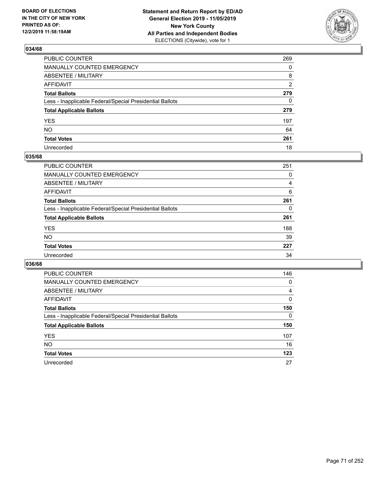

| PUBLIC COUNTER                                           | 269 |
|----------------------------------------------------------|-----|
| MANUALLY COUNTED EMERGENCY                               | 0   |
| ABSENTEE / MILITARY                                      | 8   |
| AFFIDAVIT                                                | 2   |
| Total Ballots                                            | 279 |
| Less - Inapplicable Federal/Special Presidential Ballots | 0   |
| <b>Total Applicable Ballots</b>                          | 279 |
| YES                                                      | 197 |
| NO.                                                      | 64  |
| <b>Total Votes</b>                                       | 261 |
| Unrecorded                                               | 18  |

## **035/68**

| <b>PUBLIC COUNTER</b>                                    | 251 |
|----------------------------------------------------------|-----|
| <b>MANUALLY COUNTED EMERGENCY</b>                        | 0   |
| ABSENTEE / MILITARY                                      | 4   |
| AFFIDAVIT                                                | 6   |
| <b>Total Ballots</b>                                     | 261 |
| Less - Inapplicable Federal/Special Presidential Ballots | 0   |
| <b>Total Applicable Ballots</b>                          | 261 |
| <b>YES</b>                                               | 188 |
| <b>NO</b>                                                | 39  |
| <b>Total Votes</b>                                       | 227 |
| Unrecorded                                               | 34  |

| <b>PUBLIC COUNTER</b>                                    | 146 |
|----------------------------------------------------------|-----|
| MANUALLY COUNTED EMERGENCY                               | 0   |
| ABSENTEE / MILITARY                                      | 4   |
| AFFIDAVIT                                                | 0   |
| <b>Total Ballots</b>                                     | 150 |
| Less - Inapplicable Federal/Special Presidential Ballots | 0   |
| <b>Total Applicable Ballots</b>                          | 150 |
| <b>YES</b>                                               | 107 |
| NO.                                                      | 16  |
| <b>Total Votes</b>                                       | 123 |
| Unrecorded                                               | 27  |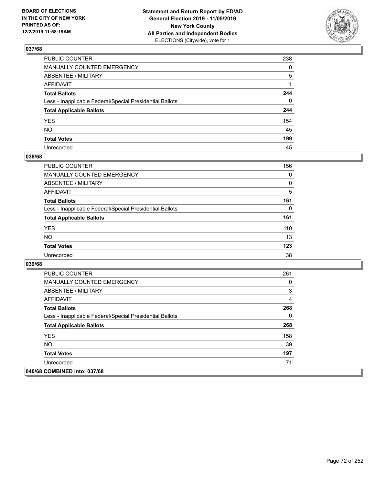

| PUBLIC COUNTER                                           | 238 |
|----------------------------------------------------------|-----|
| MANUALLY COUNTED EMERGENCY                               | 0   |
| ABSENTEE / MILITARY                                      | 5   |
| AFFIDAVIT                                                | 1   |
| Total Ballots                                            | 244 |
| Less - Inapplicable Federal/Special Presidential Ballots | 0   |
| <b>Total Applicable Ballots</b>                          | 244 |
| YES                                                      | 154 |
| NO.                                                      | 45  |
| <b>Total Votes</b>                                       | 199 |
| Unrecorded                                               | 45  |

## **038/68**

| <b>PUBLIC COUNTER</b>                                    | 156      |
|----------------------------------------------------------|----------|
| <b>MANUALLY COUNTED EMERGENCY</b>                        | $\Omega$ |
| ABSENTEE / MILITARY                                      | 0        |
| AFFIDAVIT                                                | 5        |
| <b>Total Ballots</b>                                     | 161      |
| Less - Inapplicable Federal/Special Presidential Ballots | 0        |
| <b>Total Applicable Ballots</b>                          | 161      |
| <b>YES</b>                                               | 110      |
| <b>NO</b>                                                | 13       |
| <b>Total Votes</b>                                       | 123      |
| Unrecorded                                               | 38       |

| <b>PUBLIC COUNTER</b>                                    | 261 |
|----------------------------------------------------------|-----|
| <b>MANUALLY COUNTED EMERGENCY</b>                        | 0   |
| ABSENTEE / MILITARY                                      | 3   |
| AFFIDAVIT                                                | 4   |
| <b>Total Ballots</b>                                     | 268 |
| Less - Inapplicable Federal/Special Presidential Ballots | 0   |
| <b>Total Applicable Ballots</b>                          | 268 |
| <b>YES</b>                                               | 158 |
| <b>NO</b>                                                | 39  |
| <b>Total Votes</b>                                       | 197 |
| Unrecorded                                               | 71  |
| 040/68 COMBINED into: 037/68                             |     |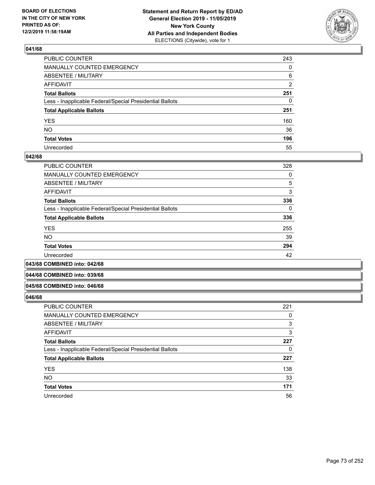

| PUBLIC COUNTER                                           | 243            |
|----------------------------------------------------------|----------------|
| MANUALLY COUNTED EMERGENCY                               | $\mathbf{0}$   |
| ABSENTEE / MILITARY                                      | 6              |
| AFFIDAVIT                                                | $\overline{2}$ |
| Total Ballots                                            | 251            |
| Less - Inapplicable Federal/Special Presidential Ballots | $\mathbf{0}$   |
| <b>Total Applicable Ballots</b>                          | 251            |
| YES                                                      | 160            |
| NO.                                                      | 36             |
| <b>Total Votes</b>                                       | 196            |
| Unrecorded                                               | 55             |

## **042/68**

| PUBLIC COUNTER                                           | 328 |
|----------------------------------------------------------|-----|
| <b>MANUALLY COUNTED EMERGENCY</b>                        | 0   |
| ABSENTEE / MILITARY                                      | 5   |
| <b>AFFIDAVIT</b>                                         | 3   |
| <b>Total Ballots</b>                                     | 336 |
| Less - Inapplicable Federal/Special Presidential Ballots | 0   |
| <b>Total Applicable Ballots</b>                          | 336 |
| <b>YES</b>                                               | 255 |
| <b>NO</b>                                                | 39  |
| <b>Total Votes</b>                                       | 294 |
| Unrecorded                                               | 42  |

**043/68 COMBINED into: 042/68**

#### **044/68 COMBINED into: 039/68**

#### **045/68 COMBINED into: 046/68**

| PUBLIC COUNTER                                           | 221 |
|----------------------------------------------------------|-----|
| MANUALLY COUNTED EMERGENCY                               | 0   |
| <b>ABSENTEE / MILITARY</b>                               | 3   |
| AFFIDAVIT                                                | 3   |
| <b>Total Ballots</b>                                     | 227 |
| Less - Inapplicable Federal/Special Presidential Ballots | 0   |
| <b>Total Applicable Ballots</b>                          | 227 |
| <b>YES</b>                                               | 138 |
| <b>NO</b>                                                | 33  |
| <b>Total Votes</b>                                       | 171 |
| Unrecorded                                               | 56  |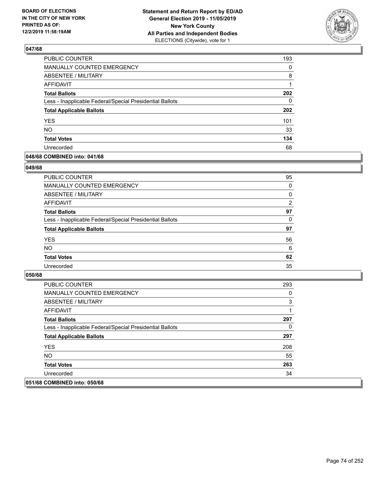

| PUBLIC COUNTER                                           | 193      |
|----------------------------------------------------------|----------|
| <b>MANUALLY COUNTED EMERGENCY</b>                        | $\Omega$ |
| <b>ABSENTEE / MILITARY</b>                               | 8        |
| <b>AFFIDAVIT</b>                                         | 1        |
| <b>Total Ballots</b>                                     | 202      |
| Less - Inapplicable Federal/Special Presidential Ballots | 0        |
| <b>Total Applicable Ballots</b>                          | 202      |
| <b>YES</b>                                               | 101      |
| <b>NO</b>                                                | 33       |
| <b>Total Votes</b>                                       | 134      |
| Unrecorded                                               | 68       |

## **048/68 COMBINED into: 041/68**

## **049/68**

| <b>PUBLIC COUNTER</b>                                    | 95       |
|----------------------------------------------------------|----------|
| <b>MANUALLY COUNTED EMERGENCY</b>                        | 0        |
| ABSENTEE / MILITARY                                      | 0        |
| AFFIDAVIT                                                | 2        |
| <b>Total Ballots</b>                                     | 97       |
| Less - Inapplicable Federal/Special Presidential Ballots | $\Omega$ |
| <b>Total Applicable Ballots</b>                          | 97       |
| <b>YES</b>                                               | 56       |
| <b>NO</b>                                                | 6        |
| <b>Total Votes</b>                                       | 62       |
| Unrecorded                                               | 35       |
|                                                          |          |

| <b>PUBLIC COUNTER</b>                                    | 293 |
|----------------------------------------------------------|-----|
| <b>MANUALLY COUNTED EMERGENCY</b>                        | 0   |
| ABSENTEE / MILITARY                                      | 3   |
| AFFIDAVIT                                                |     |
| <b>Total Ballots</b>                                     | 297 |
| Less - Inapplicable Federal/Special Presidential Ballots | 0   |
| <b>Total Applicable Ballots</b>                          | 297 |
| <b>YES</b>                                               | 208 |
| NO.                                                      | 55  |
| <b>Total Votes</b>                                       | 263 |
| Unrecorded                                               | 34  |
| 051/68 COMBINED into: 050/68                             |     |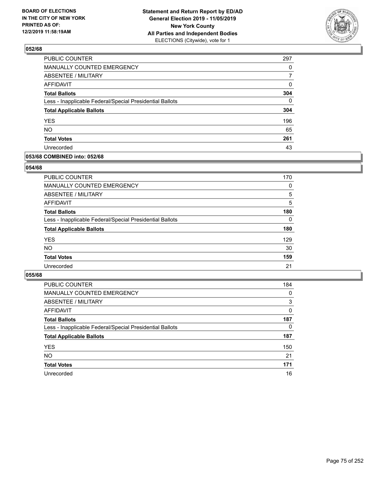

| <b>PUBLIC COUNTER</b>                                    | 297      |
|----------------------------------------------------------|----------|
| MANUALLY COUNTED EMERGENCY                               | 0        |
| ABSENTEE / MILITARY                                      | 7        |
| <b>AFFIDAVIT</b>                                         | 0        |
| <b>Total Ballots</b>                                     | 304      |
| Less - Inapplicable Federal/Special Presidential Ballots | $\Omega$ |
| <b>Total Applicable Ballots</b>                          | 304      |
| <b>YES</b>                                               | 196      |
| <b>NO</b>                                                | 65       |
| <b>Total Votes</b>                                       | 261      |
| Unrecorded                                               | 43       |

## **053/68 COMBINED into: 052/68**

## **054/68**

| PUBLIC COUNTER                                           | 170      |
|----------------------------------------------------------|----------|
| MANUALLY COUNTED EMERGENCY                               | 0        |
| ABSENTEE / MILITARY                                      | 5        |
| AFFIDAVIT                                                | 5        |
| <b>Total Ballots</b>                                     | 180      |
| Less - Inapplicable Federal/Special Presidential Ballots | $\Omega$ |
| <b>Total Applicable Ballots</b>                          | 180      |
| <b>YES</b>                                               | 129      |
| <b>NO</b>                                                | 30       |
| <b>Total Votes</b>                                       | 159      |
| Unrecorded                                               | 21       |
|                                                          |          |

| <b>PUBLIC COUNTER</b>                                    | 184      |
|----------------------------------------------------------|----------|
| <b>MANUALLY COUNTED EMERGENCY</b>                        | 0        |
| ABSENTEE / MILITARY                                      | 3        |
| AFFIDAVIT                                                | $\Omega$ |
| <b>Total Ballots</b>                                     | 187      |
| Less - Inapplicable Federal/Special Presidential Ballots | $\Omega$ |
| <b>Total Applicable Ballots</b>                          | 187      |
| <b>YES</b>                                               | 150      |
| <b>NO</b>                                                | 21       |
| <b>Total Votes</b>                                       | 171      |
| Unrecorded                                               | 16       |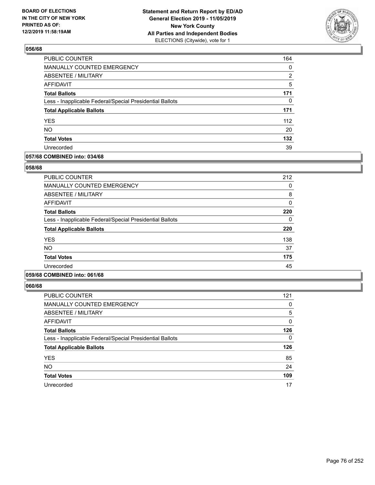

| PUBLIC COUNTER                                           | 164 |
|----------------------------------------------------------|-----|
| MANUALLY COUNTED EMERGENCY                               | 0   |
| ABSENTEE / MILITARY                                      | 2   |
| AFFIDAVIT                                                | 5   |
| <b>Total Ballots</b>                                     | 171 |
| Less - Inapplicable Federal/Special Presidential Ballots | 0   |
| <b>Total Applicable Ballots</b>                          | 171 |
| <b>YES</b>                                               | 112 |
| <b>NO</b>                                                | 20  |
| <b>Total Votes</b>                                       | 132 |
| Unrecorded                                               | 39  |

## **057/68 COMBINED into: 034/68**

## **058/68**

| <b>PUBLIC COUNTER</b>                                    | 212 |
|----------------------------------------------------------|-----|
| <b>MANUALLY COUNTED EMERGENCY</b>                        | 0   |
| ABSENTEE / MILITARY                                      | 8   |
| AFFIDAVIT                                                | 0   |
| <b>Total Ballots</b>                                     | 220 |
| Less - Inapplicable Federal/Special Presidential Ballots | 0   |
| <b>Total Applicable Ballots</b>                          | 220 |
| <b>YES</b>                                               | 138 |
| <b>NO</b>                                                | 37  |
| <b>Total Votes</b>                                       | 175 |
| Unrecorded                                               | 45  |
|                                                          |     |

# **059/68 COMBINED into: 061/68**

| <b>PUBLIC COUNTER</b>                                    | 121      |
|----------------------------------------------------------|----------|
| <b>MANUALLY COUNTED EMERGENCY</b>                        | 0        |
| <b>ABSENTEE / MILITARY</b>                               | 5        |
| AFFIDAVIT                                                | 0        |
| <b>Total Ballots</b>                                     | 126      |
| Less - Inapplicable Federal/Special Presidential Ballots | $\Omega$ |
| <b>Total Applicable Ballots</b>                          | 126      |
| <b>YES</b>                                               | 85       |
| <b>NO</b>                                                | 24       |
| <b>Total Votes</b>                                       | 109      |
| Unrecorded                                               | 17       |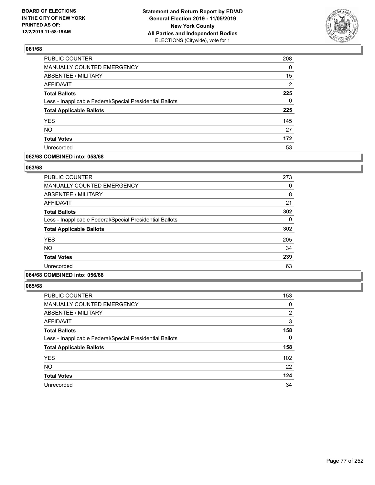

| PUBLIC COUNTER                                           | 208            |
|----------------------------------------------------------|----------------|
| MANUALLY COUNTED EMERGENCY                               | 0              |
| <b>ABSENTEE / MILITARY</b>                               | 15             |
| AFFIDAVIT                                                | $\overline{2}$ |
| <b>Total Ballots</b>                                     | 225            |
| Less - Inapplicable Federal/Special Presidential Ballots | 0              |
| <b>Total Applicable Ballots</b>                          | 225            |
| <b>YES</b>                                               | 145            |
| <b>NO</b>                                                | 27             |
| <b>Total Votes</b>                                       | 172            |
| Unrecorded                                               | 53             |

## **062/68 COMBINED into: 058/68**

## **063/68**

| <b>PUBLIC COUNTER</b>                                    | 273      |
|----------------------------------------------------------|----------|
| MANUALLY COUNTED EMERGENCY                               | 0        |
| ABSENTEE / MILITARY                                      | 8        |
| AFFIDAVIT                                                | 21       |
| <b>Total Ballots</b>                                     | 302      |
| Less - Inapplicable Federal/Special Presidential Ballots | $\Omega$ |
| <b>Total Applicable Ballots</b>                          | 302      |
| <b>YES</b>                                               | 205      |
| <b>NO</b>                                                | 34       |
| <b>Total Votes</b>                                       | 239      |
| Unrecorded                                               | 63       |
|                                                          |          |

# **064/68 COMBINED into: 056/68**

| <b>PUBLIC COUNTER</b>                                    | 153 |
|----------------------------------------------------------|-----|
| <b>MANUALLY COUNTED EMERGENCY</b>                        | 0   |
| ABSENTEE / MILITARY                                      | 2   |
| AFFIDAVIT                                                | 3   |
| <b>Total Ballots</b>                                     | 158 |
| Less - Inapplicable Federal/Special Presidential Ballots | 0   |
| <b>Total Applicable Ballots</b>                          | 158 |
| <b>YES</b>                                               | 102 |
| <b>NO</b>                                                | 22  |
| <b>Total Votes</b>                                       | 124 |
| Unrecorded                                               | 34  |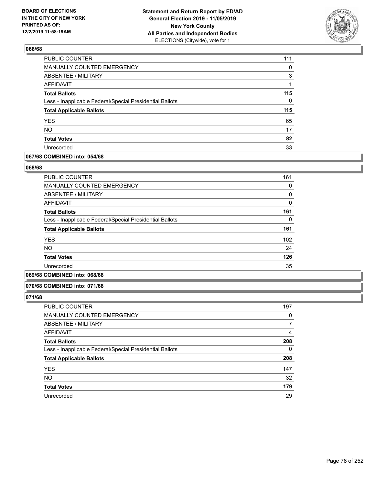

| 111 |
|-----|
| 0   |
| 3   |
|     |
| 115 |
| 0   |
| 115 |
| 65  |
| 17  |
| 82  |
| 33  |
|     |

## **067/68 COMBINED into: 054/68**

### **068/68**

| <b>PUBLIC COUNTER</b>                                    | 161          |
|----------------------------------------------------------|--------------|
| <b>MANUALLY COUNTED EMERGENCY</b>                        | 0            |
| ABSENTEE / MILITARY                                      | 0            |
| <b>AFFIDAVIT</b>                                         | $\mathbf{0}$ |
| <b>Total Ballots</b>                                     | 161          |
| Less - Inapplicable Federal/Special Presidential Ballots | 0            |
| <b>Total Applicable Ballots</b>                          | 161          |
| <b>YES</b>                                               | 102          |
| NO.                                                      | 24           |
| <b>Total Votes</b>                                       | 126          |
| Unrecorded                                               | 35           |
|                                                          |              |

# **069/68 COMBINED into: 068/68**

#### **070/68 COMBINED into: 071/68**

| <b>PUBLIC COUNTER</b>                                    | 197      |
|----------------------------------------------------------|----------|
| MANUALLY COUNTED EMERGENCY                               | 0        |
| <b>ABSENTEE / MILITARY</b>                               |          |
| AFFIDAVIT                                                | 4        |
| <b>Total Ballots</b>                                     | 208      |
| Less - Inapplicable Federal/Special Presidential Ballots | $\Omega$ |
| <b>Total Applicable Ballots</b>                          | 208      |
| <b>YES</b>                                               | 147      |
| <b>NO</b>                                                | 32       |
| <b>Total Votes</b>                                       | 179      |
| Unrecorded                                               | 29       |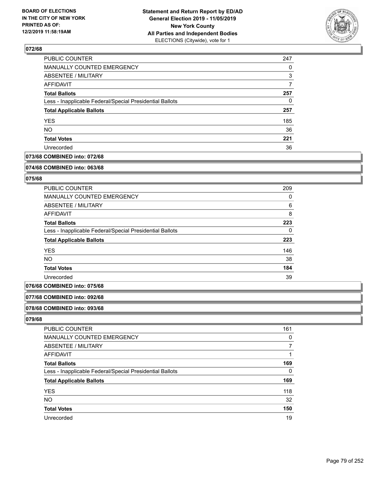

| PUBLIC COUNTER                                           | 247 |
|----------------------------------------------------------|-----|
| MANUALLY COUNTED EMERGENCY                               | 0   |
| ABSENTEE / MILITARY                                      | 3   |
| AFFIDAVIT                                                | 7   |
| <b>Total Ballots</b>                                     | 257 |
| Less - Inapplicable Federal/Special Presidential Ballots | 0   |
| <b>Total Applicable Ballots</b>                          | 257 |
| <b>YES</b>                                               | 185 |
| <b>NO</b>                                                | 36  |
| <b>Total Votes</b>                                       | 221 |
| Unrecorded                                               | 36  |

# **073/68 COMBINED into: 072/68**

#### **074/68 COMBINED into: 063/68**

# **075/68**

| PUBLIC COUNTER                                           | 209 |
|----------------------------------------------------------|-----|
| <b>MANUALLY COUNTED EMERGENCY</b>                        | 0   |
| ABSENTEE / MILITARY                                      | 6   |
| AFFIDAVIT                                                | 8   |
| <b>Total Ballots</b>                                     | 223 |
| Less - Inapplicable Federal/Special Presidential Ballots | 0   |
| <b>Total Applicable Ballots</b>                          | 223 |
| <b>YES</b>                                               | 146 |
| <b>NO</b>                                                | 38  |
| <b>Total Votes</b>                                       | 184 |
| Unrecorded                                               | 39  |

# **076/68 COMBINED into: 075/68**

### **077/68 COMBINED into: 092/68**

#### **078/68 COMBINED into: 093/68**

| <b>PUBLIC COUNTER</b>                                    | 161 |
|----------------------------------------------------------|-----|
| MANUALLY COUNTED EMERGENCY                               | 0   |
| <b>ABSENTEE / MILITARY</b>                               |     |
| AFFIDAVIT                                                |     |
| <b>Total Ballots</b>                                     | 169 |
| Less - Inapplicable Federal/Special Presidential Ballots | 0   |
| <b>Total Applicable Ballots</b>                          | 169 |
| <b>YES</b>                                               | 118 |
| <b>NO</b>                                                | 32  |
| <b>Total Votes</b>                                       | 150 |
| Unrecorded                                               | 19  |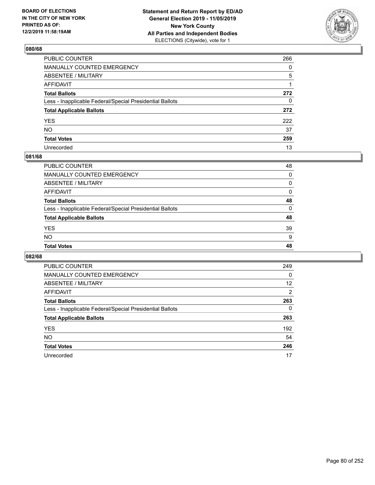

| PUBLIC COUNTER                                           | 266 |
|----------------------------------------------------------|-----|
| MANUALLY COUNTED EMERGENCY                               | 0   |
| ABSENTEE / MILITARY                                      | 5   |
| AFFIDAVIT                                                | 1   |
| Total Ballots                                            | 272 |
| Less - Inapplicable Federal/Special Presidential Ballots | 0   |
| <b>Total Applicable Ballots</b>                          | 272 |
| YES                                                      | 222 |
| NO.                                                      | 37  |
| <b>Total Votes</b>                                       | 259 |
| Unrecorded                                               | 13  |

# **081/68**

| 39<br>9<br>48 |
|---------------|
|               |
|               |
| 48            |
| 0             |
| 48            |
| 0             |
| $\Omega$      |
| 0             |
| 48            |
|               |

| <b>PUBLIC COUNTER</b>                                    | 249            |
|----------------------------------------------------------|----------------|
| <b>MANUALLY COUNTED EMERGENCY</b>                        | 0              |
| ABSENTEE / MILITARY                                      | 12             |
| AFFIDAVIT                                                | $\overline{2}$ |
| <b>Total Ballots</b>                                     | 263            |
| Less - Inapplicable Federal/Special Presidential Ballots | 0              |
| <b>Total Applicable Ballots</b>                          | 263            |
| <b>YES</b>                                               | 192            |
| <b>NO</b>                                                | 54             |
| <b>Total Votes</b>                                       | 246            |
| Unrecorded                                               | 17             |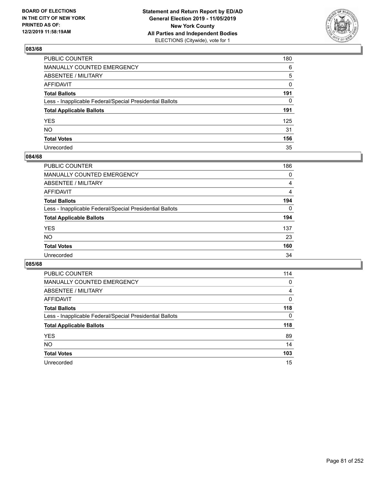

| PUBLIC COUNTER                                           | 180 |
|----------------------------------------------------------|-----|
| MANUALLY COUNTED EMERGENCY                               | 6   |
| ABSENTEE / MILITARY                                      | 5   |
| AFFIDAVIT                                                | 0   |
| Total Ballots                                            | 191 |
| Less - Inapplicable Federal/Special Presidential Ballots | 0   |
| <b>Total Applicable Ballots</b>                          | 191 |
| YES                                                      | 125 |
| NO.                                                      | 31  |
| <b>Total Votes</b>                                       | 156 |
| Unrecorded                                               | 35  |

## **084/68**

| <b>PUBLIC COUNTER</b>                                    | 186            |
|----------------------------------------------------------|----------------|
| MANUALLY COUNTED EMERGENCY                               | 0              |
| ABSENTEE / MILITARY                                      | 4              |
| AFFIDAVIT                                                | $\overline{4}$ |
| <b>Total Ballots</b>                                     | 194            |
| Less - Inapplicable Federal/Special Presidential Ballots | $\Omega$       |
| <b>Total Applicable Ballots</b>                          | 194            |
| <b>YES</b>                                               | 137            |
| <b>NO</b>                                                | 23             |
| <b>Total Votes</b>                                       | 160            |
| Unrecorded                                               | 34             |

| PUBLIC COUNTER                                           | 114      |
|----------------------------------------------------------|----------|
| <b>MANUALLY COUNTED EMERGENCY</b>                        | 0        |
| ABSENTEE / MILITARY                                      | 4        |
| AFFIDAVIT                                                | 0        |
| <b>Total Ballots</b>                                     | 118      |
| Less - Inapplicable Federal/Special Presidential Ballots | $\Omega$ |
| <b>Total Applicable Ballots</b>                          | 118      |
| <b>YES</b>                                               | 89       |
| <b>NO</b>                                                | 14       |
| <b>Total Votes</b>                                       | 103      |
| Unrecorded                                               | 15       |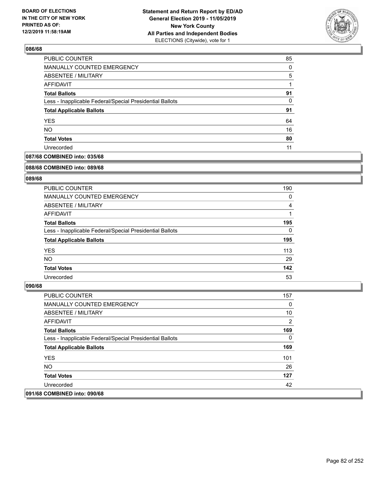

| PUBLIC COUNTER                                           | 85       |
|----------------------------------------------------------|----------|
| MANUALLY COUNTED EMERGENCY                               | $\Omega$ |
| ABSENTEE / MILITARY                                      | 5        |
| AFFIDAVIT                                                |          |
| <b>Total Ballots</b>                                     | 91       |
| Less - Inapplicable Federal/Special Presidential Ballots | 0        |
| <b>Total Applicable Ballots</b>                          | 91       |
| <b>YES</b>                                               | 64       |
| <b>NO</b>                                                | 16       |
| <b>Total Votes</b>                                       | 80       |
| Unrecorded                                               | 11       |

# **087/68 COMBINED into: 035/68**

#### **088/68 COMBINED into: 089/68**

# **089/68**

| <b>PUBLIC COUNTER</b>                                    | 190      |
|----------------------------------------------------------|----------|
| <b>MANUALLY COUNTED EMERGENCY</b>                        | 0        |
| ABSENTEE / MILITARY                                      | 4        |
| AFFIDAVIT                                                |          |
| <b>Total Ballots</b>                                     | 195      |
| Less - Inapplicable Federal/Special Presidential Ballots | $\Omega$ |
| <b>Total Applicable Ballots</b>                          | 195      |
| <b>YES</b>                                               | 113      |
| NO.                                                      | 29       |
| <b>Total Votes</b>                                       | 142      |
| Unrecorded                                               | 53       |

| <b>PUBLIC COUNTER</b>                                    | 157            |
|----------------------------------------------------------|----------------|
| <b>MANUALLY COUNTED EMERGENCY</b>                        | 0              |
| ABSENTEE / MILITARY                                      | 10             |
| AFFIDAVIT                                                | $\overline{2}$ |
| <b>Total Ballots</b>                                     | 169            |
| Less - Inapplicable Federal/Special Presidential Ballots | $\Omega$       |
| <b>Total Applicable Ballots</b>                          | 169            |
| <b>YES</b>                                               | 101            |
| NO.                                                      | 26             |
| <b>Total Votes</b>                                       | 127            |
| Unrecorded                                               | 42             |
| 091/68 COMBINED into: 090/68                             |                |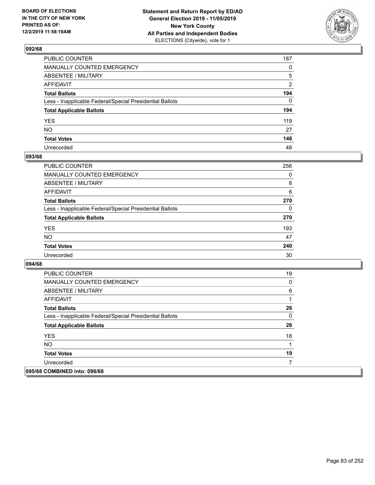

| PUBLIC COUNTER                                           | 187            |
|----------------------------------------------------------|----------------|
| MANUALLY COUNTED EMERGENCY                               | $\mathbf{0}$   |
| ABSENTEE / MILITARY                                      | 5              |
| AFFIDAVIT                                                | $\overline{2}$ |
| Total Ballots                                            | 194            |
| Less - Inapplicable Federal/Special Presidential Ballots | $\Omega$       |
| <b>Total Applicable Ballots</b>                          | 194            |
| YES                                                      | 119            |
| NΟ                                                       | 27             |
| <b>Total Votes</b>                                       | 146            |
| Unrecorded                                               | 48             |

## **093/68**

| <b>PUBLIC COUNTER</b>                                    | 256      |
|----------------------------------------------------------|----------|
| <b>MANUALLY COUNTED EMERGENCY</b>                        | 0        |
| ABSENTEE / MILITARY                                      | 8        |
| AFFIDAVIT                                                | 6        |
| <b>Total Ballots</b>                                     | 270      |
| Less - Inapplicable Federal/Special Presidential Ballots | $\Omega$ |
| <b>Total Applicable Ballots</b>                          | 270      |
| <b>YES</b>                                               | 193      |
| <b>NO</b>                                                | 47       |
| <b>Total Votes</b>                                       | 240      |
| Unrecorded                                               | 30       |

| <b>PUBLIC COUNTER</b>                                    | 19 |
|----------------------------------------------------------|----|
| <b>MANUALLY COUNTED EMERGENCY</b>                        | 0  |
| ABSENTEE / MILITARY                                      | 6  |
| AFFIDAVIT                                                | 1  |
| <b>Total Ballots</b>                                     | 26 |
| Less - Inapplicable Federal/Special Presidential Ballots | 0  |
| <b>Total Applicable Ballots</b>                          | 26 |
| <b>YES</b>                                               | 18 |
| <b>NO</b>                                                | 1  |
| <b>Total Votes</b>                                       | 19 |
| Unrecorded                                               |    |
| 095/68 COMBINED into: 098/68                             |    |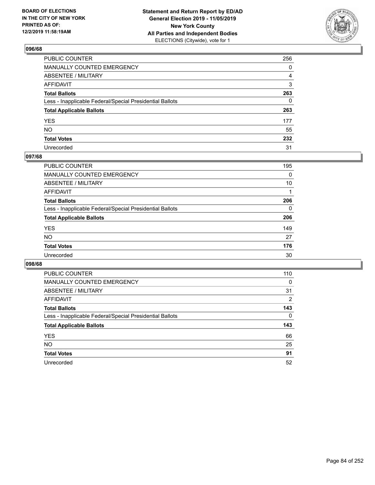

| PUBLIC COUNTER                                           | 256 |
|----------------------------------------------------------|-----|
| MANUALLY COUNTED EMERGENCY                               | 0   |
| ABSENTEE / MILITARY                                      | 4   |
| AFFIDAVIT                                                | 3   |
| Total Ballots                                            | 263 |
| Less - Inapplicable Federal/Special Presidential Ballots | 0   |
| <b>Total Applicable Ballots</b>                          | 263 |
| YES                                                      | 177 |
| NO.                                                      | 55  |
| <b>Total Votes</b>                                       | 232 |
| Unrecorded                                               | 31  |

## **097/68**

| 195      |
|----------|
| $\Omega$ |
| 10       |
|          |
| 206      |
| $\Omega$ |
| 206      |
| 149      |
| 27       |
| 176      |
| 30       |
|          |

| <b>PUBLIC COUNTER</b>                                    | 110      |
|----------------------------------------------------------|----------|
| <b>MANUALLY COUNTED EMERGENCY</b>                        | $\Omega$ |
| ABSENTEE / MILITARY                                      | 31       |
| AFFIDAVIT                                                | 2        |
| <b>Total Ballots</b>                                     | 143      |
| Less - Inapplicable Federal/Special Presidential Ballots | 0        |
| <b>Total Applicable Ballots</b>                          | 143      |
| <b>YES</b>                                               | 66       |
| NO.                                                      | 25       |
| <b>Total Votes</b>                                       | 91       |
|                                                          |          |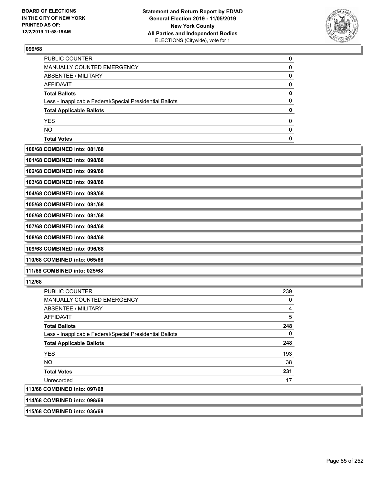

| <b>PUBLIC COUNTER</b>                                    |  |
|----------------------------------------------------------|--|
| MANUALLY COUNTED EMERGENCY                               |  |
| ABSENTEE / MILITARY                                      |  |
| AFFIDAVIT                                                |  |
| <b>Total Ballots</b>                                     |  |
| Less - Inapplicable Federal/Special Presidential Ballots |  |
| <b>Total Applicable Ballots</b>                          |  |
| <b>YES</b>                                               |  |
| <b>NO</b>                                                |  |
| <b>Total Votes</b>                                       |  |
|                                                          |  |

**100/68 COMBINED into: 081/68**

| 101/68 COMBINED into: 098/68 |  |
|------------------------------|--|
|                              |  |

**102/68 COMBINED into: 099/68**

**103/68 COMBINED into: 098/68**

**104/68 COMBINED into: 098/68**

**105/68 COMBINED into: 081/68**

**106/68 COMBINED into: 081/68 107/68 COMBINED into: 094/68**

**108/68 COMBINED into: 084/68**

**109/68 COMBINED into: 096/68**

**110/68 COMBINED into: 065/68**

**111/68 COMBINED into: 025/68**

# **112/68**

| <b>PUBLIC COUNTER</b>                                    | 239 |
|----------------------------------------------------------|-----|
| <b>MANUALLY COUNTED EMERGENCY</b>                        | 0   |
| ABSENTEE / MILITARY                                      | 4   |
| AFFIDAVIT                                                | 5   |
| <b>Total Ballots</b>                                     | 248 |
| Less - Inapplicable Federal/Special Presidential Ballots | 0   |
| <b>Total Applicable Ballots</b>                          | 248 |
| <b>YES</b>                                               | 193 |
| NO.                                                      | 38  |
| <b>Total Votes</b>                                       | 231 |
| Unrecorded                                               | 17  |
| 113/68 COMBINED into: 097/68                             |     |
| 114/68 COMBINED into: 098/68                             |     |

**115/68 COMBINED into: 036/68**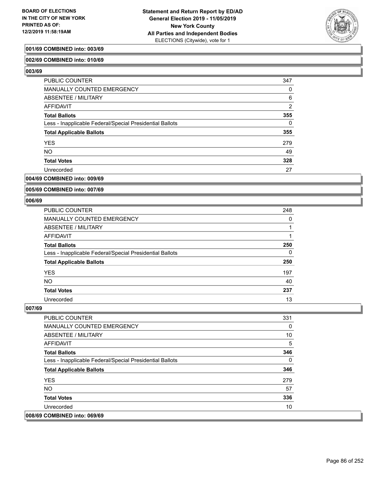

## **001/69 COMBINED into: 003/69**

## **002/69 COMBINED into: 010/69**

**003/69** 

| PUBLIC COUNTER                                           | 347      |
|----------------------------------------------------------|----------|
| <b>MANUALLY COUNTED EMERGENCY</b>                        | 0        |
| ABSENTEE / MILITARY                                      | 6        |
| AFFIDAVIT                                                | 2        |
| <b>Total Ballots</b>                                     | 355      |
| Less - Inapplicable Federal/Special Presidential Ballots | $\Omega$ |
| <b>Total Applicable Ballots</b>                          | 355      |
| <b>YES</b>                                               | 279      |
| <b>NO</b>                                                | 49       |
| <b>Total Votes</b>                                       | 328      |
| Unrecorded                                               | 27       |

# **004/69 COMBINED into: 009/69**

**005/69 COMBINED into: 007/69**

#### **006/69**

| <b>PUBLIC COUNTER</b>                                    | 248 |
|----------------------------------------------------------|-----|
| <b>MANUALLY COUNTED EMERGENCY</b>                        | 0   |
| ABSENTEE / MILITARY                                      |     |
| AFFIDAVIT                                                |     |
| <b>Total Ballots</b>                                     | 250 |
| Less - Inapplicable Federal/Special Presidential Ballots | 0   |
| <b>Total Applicable Ballots</b>                          | 250 |
| <b>YES</b>                                               | 197 |
| <b>NO</b>                                                | 40  |
| <b>Total Votes</b>                                       | 237 |
| Unrecorded                                               | 13  |

| <b>PUBLIC COUNTER</b>                                    | 331 |
|----------------------------------------------------------|-----|
| <b>MANUALLY COUNTED EMERGENCY</b>                        | 0   |
| ABSENTEE / MILITARY                                      | 10  |
| AFFIDAVIT                                                | 5   |
| <b>Total Ballots</b>                                     | 346 |
| Less - Inapplicable Federal/Special Presidential Ballots | 0   |
| <b>Total Applicable Ballots</b>                          | 346 |
| <b>YES</b>                                               | 279 |
| <b>NO</b>                                                | 57  |
| <b>Total Votes</b>                                       | 336 |
| Unrecorded                                               | 10  |
| 008/69 COMBINED into: 069/69                             |     |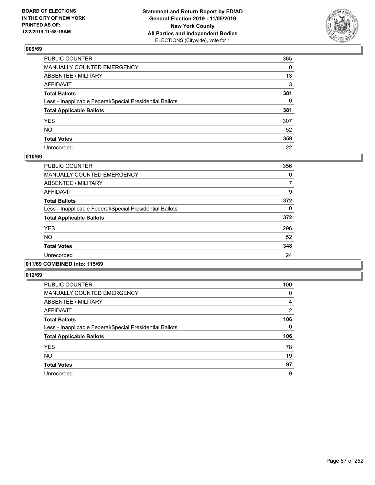

| PUBLIC COUNTER                                           | 365      |
|----------------------------------------------------------|----------|
| MANUALLY COUNTED EMERGENCY                               | $\Omega$ |
| ABSENTEE / MILITARY                                      | 13       |
| AFFIDAVIT                                                | 3        |
| Total Ballots                                            | 381      |
| Less - Inapplicable Federal/Special Presidential Ballots | 0        |
| <b>Total Applicable Ballots</b>                          | 381      |
| YES                                                      | 307      |
| NO.                                                      | 52       |
| <b>Total Votes</b>                                       | 359      |
| Unrecorded                                               | 22       |

# **010/69**

| <b>PUBLIC COUNTER</b>                                    | 356 |
|----------------------------------------------------------|-----|
| <b>MANUALLY COUNTED EMERGENCY</b>                        | 0   |
| ABSENTEE / MILITARY                                      | 7   |
| <b>AFFIDAVIT</b>                                         | 9   |
| <b>Total Ballots</b>                                     | 372 |
| Less - Inapplicable Federal/Special Presidential Ballots | 0   |
| <b>Total Applicable Ballots</b>                          | 372 |
| <b>YES</b>                                               | 296 |
| <b>NO</b>                                                | 52  |
| <b>Total Votes</b>                                       | 348 |
| Unrecorded                                               | 24  |
|                                                          |     |

## **011/69 COMBINED into: 115/69**

| PUBLIC COUNTER                                           | 100      |
|----------------------------------------------------------|----------|
| <b>MANUALLY COUNTED EMERGENCY</b>                        | 0        |
| ABSENTEE / MILITARY                                      | 4        |
| AFFIDAVIT                                                | 2        |
| <b>Total Ballots</b>                                     | 106      |
| Less - Inapplicable Federal/Special Presidential Ballots | $\Omega$ |
| <b>Total Applicable Ballots</b>                          | 106      |
| <b>YES</b>                                               | 78       |
| <b>NO</b>                                                | 19       |
| <b>Total Votes</b>                                       | 97       |
| Unrecorded                                               | 9        |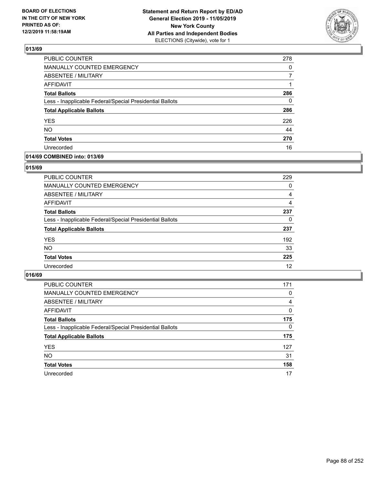

| <b>PUBLIC COUNTER</b>                                    | 278 |
|----------------------------------------------------------|-----|
| <b>MANUALLY COUNTED EMERGENCY</b>                        | 0   |
| <b>ABSENTEE / MILITARY</b>                               | 7   |
| <b>AFFIDAVIT</b>                                         | 1   |
| <b>Total Ballots</b>                                     | 286 |
| Less - Inapplicable Federal/Special Presidential Ballots | 0   |
| <b>Total Applicable Ballots</b>                          | 286 |
| <b>YES</b>                                               | 226 |
| <b>NO</b>                                                | 44  |
| <b>Total Votes</b>                                       | 270 |
| Unrecorded                                               | 16  |

## **014/69 COMBINED into: 013/69**

### **015/69**

| <b>PUBLIC COUNTER</b>                                    | 229 |
|----------------------------------------------------------|-----|
| <b>MANUALLY COUNTED EMERGENCY</b>                        | 0   |
| ABSENTEE / MILITARY                                      | 4   |
| AFFIDAVIT                                                | 4   |
| <b>Total Ballots</b>                                     | 237 |
| Less - Inapplicable Federal/Special Presidential Ballots | 0   |
| <b>Total Applicable Ballots</b>                          | 237 |
| <b>YES</b>                                               | 192 |
| <b>NO</b>                                                | 33  |
| <b>Total Votes</b>                                       | 225 |
| Unrecorded                                               | 12  |
|                                                          |     |

| <b>PUBLIC COUNTER</b>                                    | 171      |
|----------------------------------------------------------|----------|
| MANUALLY COUNTED EMERGENCY                               | 0        |
| ABSENTEE / MILITARY                                      | 4        |
| AFFIDAVIT                                                | $\Omega$ |
| <b>Total Ballots</b>                                     | 175      |
| Less - Inapplicable Federal/Special Presidential Ballots | $\Omega$ |
| <b>Total Applicable Ballots</b>                          | 175      |
| <b>YES</b>                                               | 127      |
| <b>NO</b>                                                | 31       |
| <b>Total Votes</b>                                       | 158      |
| Unrecorded                                               | 17       |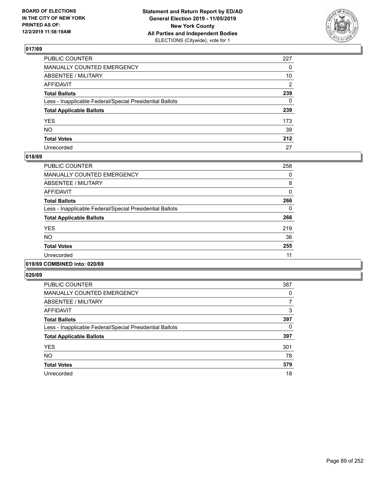

| PUBLIC COUNTER                                           | 227 |
|----------------------------------------------------------|-----|
| MANUALLY COUNTED EMERGENCY                               | 0   |
| ABSENTEE / MILITARY                                      | 10  |
| AFFIDAVIT                                                | 2   |
| Total Ballots                                            | 239 |
| Less - Inapplicable Federal/Special Presidential Ballots | 0   |
| <b>Total Applicable Ballots</b>                          | 239 |
| YES                                                      | 173 |
| NO.                                                      | 39  |
| <b>Total Votes</b>                                       | 212 |
| Unrecorded                                               | 27  |

## **018/69**

| <b>PUBLIC COUNTER</b>                                    | 258      |
|----------------------------------------------------------|----------|
| <b>MANUALLY COUNTED EMERGENCY</b>                        | 0        |
| ABSENTEE / MILITARY                                      | 8        |
| <b>AFFIDAVIT</b>                                         | $\Omega$ |
| <b>Total Ballots</b>                                     | 266      |
| Less - Inapplicable Federal/Special Presidential Ballots | 0        |
| <b>Total Applicable Ballots</b>                          | 266      |
| <b>YES</b>                                               | 219      |
| NO.                                                      | 36       |
| <b>Total Votes</b>                                       | 255      |
| Unrecorded                                               | 11       |
|                                                          |          |

# **019/69 COMBINED into: 020/69**

| <b>PUBLIC COUNTER</b>                                    | 387 |
|----------------------------------------------------------|-----|
| MANUALLY COUNTED EMERGENCY                               | 0   |
| ABSENTEE / MILITARY                                      | 7   |
| AFFIDAVIT                                                | 3   |
| <b>Total Ballots</b>                                     | 397 |
| Less - Inapplicable Federal/Special Presidential Ballots | 0   |
| <b>Total Applicable Ballots</b>                          | 397 |
| <b>YES</b>                                               | 301 |
| <b>NO</b>                                                | 78  |
| <b>Total Votes</b>                                       | 379 |
| Unrecorded                                               | 18  |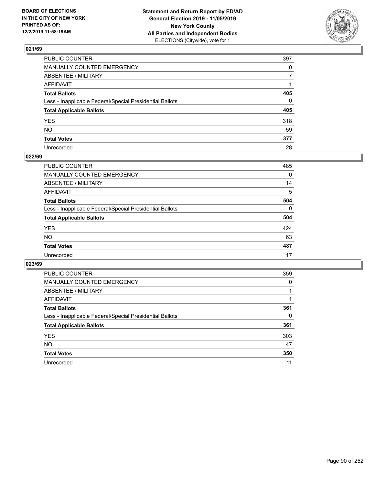

| PUBLIC COUNTER                                           | 397          |
|----------------------------------------------------------|--------------|
| MANUALLY COUNTED EMERGENCY                               | $\mathbf{0}$ |
| ABSENTEE / MILITARY                                      | 7            |
| AFFIDAVIT                                                |              |
| Total Ballots                                            | 405          |
| Less - Inapplicable Federal/Special Presidential Ballots | 0            |
| <b>Total Applicable Ballots</b>                          | 405          |
| YES                                                      | 318          |
| NO.                                                      | 59           |
| <b>Total Votes</b>                                       | 377          |
| Unrecorded                                               | 28           |

# **022/69**

| <b>PUBLIC COUNTER</b>                                    | 485      |
|----------------------------------------------------------|----------|
| <b>MANUALLY COUNTED EMERGENCY</b>                        | $\Omega$ |
| ABSENTEE / MILITARY                                      | 14       |
| AFFIDAVIT                                                | 5        |
| <b>Total Ballots</b>                                     | 504      |
| Less - Inapplicable Federal/Special Presidential Ballots | $\Omega$ |
| <b>Total Applicable Ballots</b>                          | 504      |
| <b>YES</b>                                               | 424      |
| <b>NO</b>                                                | 63       |
| <b>Total Votes</b>                                       | 487      |
| Unrecorded                                               | 17       |

| <b>PUBLIC COUNTER</b>                                    | 359      |
|----------------------------------------------------------|----------|
| <b>MANUALLY COUNTED EMERGENCY</b>                        | $\Omega$ |
| ABSENTEE / MILITARY                                      |          |
| AFFIDAVIT                                                |          |
| <b>Total Ballots</b>                                     | 361      |
| Less - Inapplicable Federal/Special Presidential Ballots | 0        |
| <b>Total Applicable Ballots</b>                          | 361      |
| <b>YES</b>                                               | 303      |
| <b>NO</b>                                                | 47       |
| <b>Total Votes</b>                                       | 350      |
| Unrecorded                                               | 11       |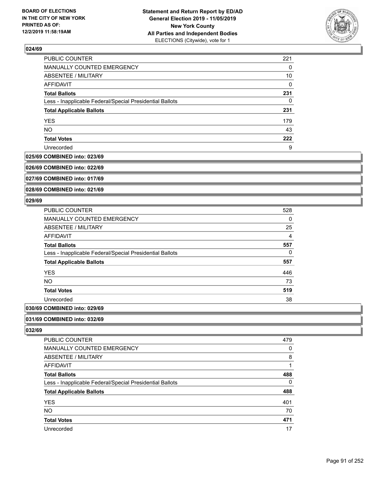

| <b>PUBLIC COUNTER</b>                                    | 221 |
|----------------------------------------------------------|-----|
| MANUALLY COUNTED EMERGENCY                               | 0   |
| <b>ABSENTEE / MILITARY</b>                               | 10  |
| <b>AFFIDAVIT</b>                                         | 0   |
| <b>Total Ballots</b>                                     | 231 |
| Less - Inapplicable Federal/Special Presidential Ballots | 0   |
| <b>Total Applicable Ballots</b>                          | 231 |
| <b>YES</b>                                               | 179 |
| <b>NO</b>                                                | 43  |
| <b>Total Votes</b>                                       | 222 |
| Unrecorded                                               | 9   |

#### **025/69 COMBINED into: 023/69**

**026/69 COMBINED into: 022/69**

**027/69 COMBINED into: 017/69**

**028/69 COMBINED into: 021/69**

## **029/69**

| PUBLIC COUNTER                                           | 528            |
|----------------------------------------------------------|----------------|
| MANUALLY COUNTED EMERGENCY                               | 0              |
| ABSENTEE / MILITARY                                      | 25             |
| <b>AFFIDAVIT</b>                                         | $\overline{4}$ |
| <b>Total Ballots</b>                                     | 557            |
| Less - Inapplicable Federal/Special Presidential Ballots | 0              |
| <b>Total Applicable Ballots</b>                          | 557            |
| <b>YES</b>                                               | 446            |
| NO.                                                      | 73             |
| <b>Total Votes</b>                                       | 519            |
| Unrecorded                                               | 38             |
|                                                          |                |

# **030/69 COMBINED into: 029/69**

**031/69 COMBINED into: 032/69**

| <b>PUBLIC COUNTER</b>                                    | 479 |
|----------------------------------------------------------|-----|
| MANUALLY COUNTED EMERGENCY                               | 0   |
| ABSENTEE / MILITARY                                      | 8   |
| AFFIDAVIT                                                |     |
| <b>Total Ballots</b>                                     | 488 |
| Less - Inapplicable Federal/Special Presidential Ballots | 0   |
| <b>Total Applicable Ballots</b>                          | 488 |
| <b>YES</b>                                               | 401 |
| <b>NO</b>                                                | 70  |
| <b>Total Votes</b>                                       | 471 |
| Unrecorded                                               | 17  |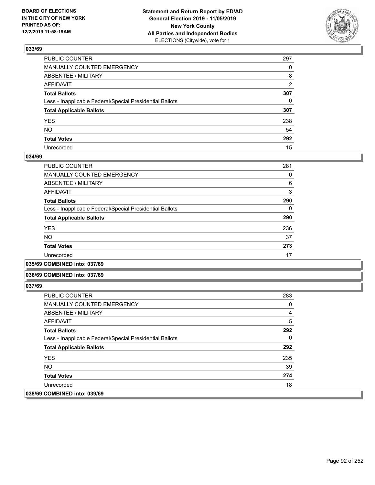

| PUBLIC COUNTER                                           | 297            |
|----------------------------------------------------------|----------------|
| MANUALLY COUNTED EMERGENCY                               | $\Omega$       |
| ABSENTEE / MILITARY                                      | 8              |
| AFFIDAVIT                                                | $\overline{2}$ |
| Total Ballots                                            | 307            |
| Less - Inapplicable Federal/Special Presidential Ballots | $\mathbf{0}$   |
| <b>Total Applicable Ballots</b>                          | 307            |
| YES                                                      | 238            |
| NO.                                                      | 54             |
| <b>Total Votes</b>                                       | 292            |
| Unrecorded                                               | 15             |

## **034/69**

| PUBLIC COUNTER                                           | 281 |
|----------------------------------------------------------|-----|
| <b>MANUALLY COUNTED EMERGENCY</b>                        | 0   |
| ABSENTEE / MILITARY                                      | 6   |
| <b>AFFIDAVIT</b>                                         | 3   |
| <b>Total Ballots</b>                                     | 290 |
| Less - Inapplicable Federal/Special Presidential Ballots | 0   |
| <b>Total Applicable Ballots</b>                          | 290 |
| <b>YES</b>                                               | 236 |
| <b>NO</b>                                                | 37  |
| <b>Total Votes</b>                                       | 273 |
| Unrecorded                                               | 17  |
|                                                          |     |

**035/69 COMBINED into: 037/69**

### **036/69 COMBINED into: 037/69**

| <b>PUBLIC COUNTER</b>                                    | 283 |
|----------------------------------------------------------|-----|
| <b>MANUALLY COUNTED EMERGENCY</b>                        | 0   |
| ABSENTEE / MILITARY                                      | 4   |
| AFFIDAVIT                                                | 5   |
| <b>Total Ballots</b>                                     | 292 |
| Less - Inapplicable Federal/Special Presidential Ballots | 0   |
| <b>Total Applicable Ballots</b>                          | 292 |
| <b>YES</b>                                               | 235 |
| NO.                                                      | 39  |
| <b>Total Votes</b>                                       | 274 |
| Unrecorded                                               | 18  |
| 038/69 COMBINED into: 039/69                             |     |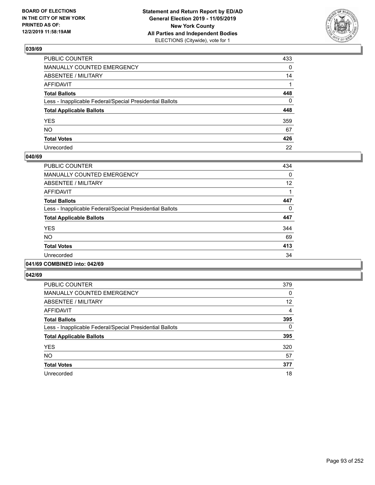

| PUBLIC COUNTER                                           | 433          |
|----------------------------------------------------------|--------------|
| MANUALLY COUNTED EMERGENCY                               | $\mathbf{0}$ |
| ABSENTEE / MILITARY                                      | 14           |
| AFFIDAVIT                                                |              |
| Total Ballots                                            | 448          |
| Less - Inapplicable Federal/Special Presidential Ballots | $\mathbf{0}$ |
| <b>Total Applicable Ballots</b>                          | 448          |
| YES                                                      | 359          |
| NO.                                                      | 67           |
| <b>Total Votes</b>                                       | 426          |
| Unrecorded                                               | 22           |

## **040/69**

| <b>PUBLIC COUNTER</b>                                    | 434 |
|----------------------------------------------------------|-----|
| <b>MANUALLY COUNTED EMERGENCY</b>                        | 0   |
| ABSENTEE / MILITARY                                      | 12  |
| <b>AFFIDAVIT</b>                                         |     |
| <b>Total Ballots</b>                                     | 447 |
| Less - Inapplicable Federal/Special Presidential Ballots | 0   |
| <b>Total Applicable Ballots</b>                          | 447 |
| <b>YES</b>                                               | 344 |
| <b>NO</b>                                                | 69  |
| <b>Total Votes</b>                                       | 413 |
| Unrecorded                                               | 34  |
|                                                          |     |

## **041/69 COMBINED into: 042/69**

| <b>PUBLIC COUNTER</b>                                    | 379      |
|----------------------------------------------------------|----------|
| <b>MANUALLY COUNTED EMERGENCY</b>                        | 0        |
| ABSENTEE / MILITARY                                      | 12       |
| <b>AFFIDAVIT</b>                                         | 4        |
| <b>Total Ballots</b>                                     | 395      |
| Less - Inapplicable Federal/Special Presidential Ballots | $\Omega$ |
| <b>Total Applicable Ballots</b>                          | 395      |
| <b>YES</b>                                               | 320      |
| <b>NO</b>                                                | 57       |
| <b>Total Votes</b>                                       | 377      |
| Unrecorded                                               | 18       |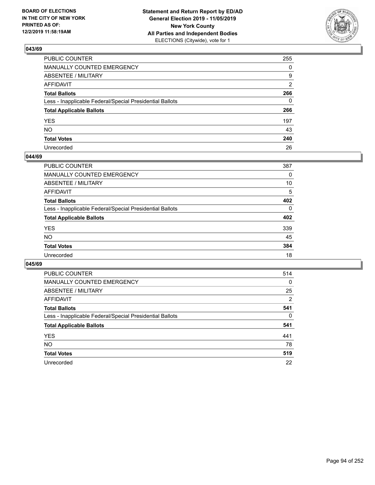

| PUBLIC COUNTER                                           | 255            |
|----------------------------------------------------------|----------------|
| MANUALLY COUNTED EMERGENCY                               | $\Omega$       |
| ABSENTEE / MILITARY                                      | 9              |
| AFFIDAVIT                                                | $\overline{2}$ |
| Total Ballots                                            | 266            |
| Less - Inapplicable Federal/Special Presidential Ballots | $\Omega$       |
| <b>Total Applicable Ballots</b>                          | 266            |
| YES                                                      | 197            |
| NO.                                                      | 43             |
| <b>Total Votes</b>                                       | 240            |
| Unrecorded                                               | 26             |

## **044/69**

| PUBLIC COUNTER                                           | 387      |
|----------------------------------------------------------|----------|
| MANUALLY COUNTED EMERGENCY                               | 0        |
| ABSENTEE / MILITARY                                      | 10       |
| AFFIDAVIT                                                | 5        |
| <b>Total Ballots</b>                                     | 402      |
| Less - Inapplicable Federal/Special Presidential Ballots | $\Omega$ |
| <b>Total Applicable Ballots</b>                          | 402      |
| <b>YES</b>                                               | 339      |
| <b>NO</b>                                                | 45       |
| <b>Total Votes</b>                                       | 384      |
| Unrecorded                                               | 18       |

| <b>PUBLIC COUNTER</b>                                    | 514            |
|----------------------------------------------------------|----------------|
| <b>MANUALLY COUNTED EMERGENCY</b>                        | 0              |
| ABSENTEE / MILITARY                                      | 25             |
| AFFIDAVIT                                                | $\overline{2}$ |
| <b>Total Ballots</b>                                     | 541            |
| Less - Inapplicable Federal/Special Presidential Ballots | $\Omega$       |
| <b>Total Applicable Ballots</b>                          | 541            |
| <b>YES</b>                                               | 441            |
| NO.                                                      | 78             |
| <b>Total Votes</b>                                       | 519            |
| Unrecorded                                               | 22             |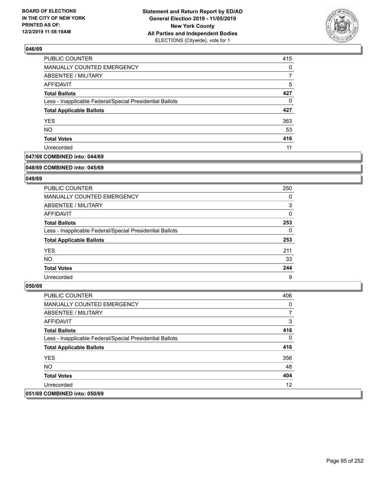

| PUBLIC COUNTER                                           | 415 |
|----------------------------------------------------------|-----|
| MANUALLY COUNTED EMERGENCY                               | 0   |
| <b>ABSENTEE / MILITARY</b>                               |     |
| AFFIDAVIT                                                | 5   |
| <b>Total Ballots</b>                                     | 427 |
| Less - Inapplicable Federal/Special Presidential Ballots | 0   |
| <b>Total Applicable Ballots</b>                          | 427 |
| <b>YES</b>                                               | 363 |
| <b>NO</b>                                                | 53  |
| <b>Total Votes</b>                                       | 416 |
| Unrecorded                                               | 11  |

# **047/69 COMBINED into: 044/69**

#### **048/69 COMBINED into: 045/69**

# **049/69**

| <b>PUBLIC COUNTER</b>                                    | 250      |
|----------------------------------------------------------|----------|
| <b>MANUALLY COUNTED EMERGENCY</b>                        | 0        |
| ABSENTEE / MILITARY                                      | 3        |
| AFFIDAVIT                                                | $\Omega$ |
| <b>Total Ballots</b>                                     | 253      |
| Less - Inapplicable Federal/Special Presidential Ballots | $\Omega$ |
| <b>Total Applicable Ballots</b>                          | 253      |
| <b>YES</b>                                               | 211      |
| <b>NO</b>                                                | 33       |
| <b>Total Votes</b>                                       | 244      |
| Unrecorded                                               | 9        |

| <b>PUBLIC COUNTER</b>                                    | 406      |
|----------------------------------------------------------|----------|
| <b>MANUALLY COUNTED EMERGENCY</b>                        | 0        |
| ABSENTEE / MILITARY                                      | 7        |
| AFFIDAVIT                                                | 3        |
| <b>Total Ballots</b>                                     | 416      |
| Less - Inapplicable Federal/Special Presidential Ballots | $\Omega$ |
| <b>Total Applicable Ballots</b>                          | 416      |
| <b>YES</b>                                               | 356      |
| NO.                                                      | 48       |
| <b>Total Votes</b>                                       | 404      |
| Unrecorded                                               | 12       |
| 051/69 COMBINED into: 050/69                             |          |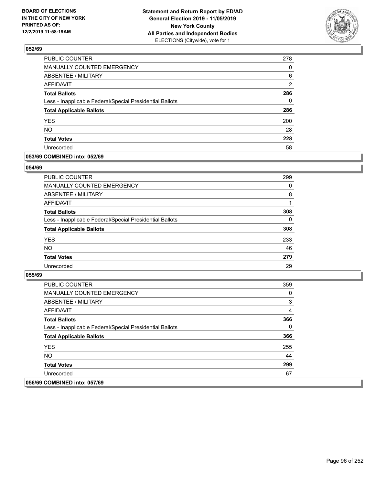

| PUBLIC COUNTER                                           | 278           |
|----------------------------------------------------------|---------------|
| MANUALLY COUNTED EMERGENCY                               | $\Omega$      |
| <b>ABSENTEE / MILITARY</b>                               | 6             |
| AFFIDAVIT                                                | $\mathcal{P}$ |
| <b>Total Ballots</b>                                     | 286           |
| Less - Inapplicable Federal/Special Presidential Ballots | 0             |
| <b>Total Applicable Ballots</b>                          | 286           |
| <b>YES</b>                                               | 200           |
| <b>NO</b>                                                | 28            |
| <b>Total Votes</b>                                       | 228           |
| Unrecorded                                               | 58            |

## **053/69 COMBINED into: 052/69**

## **054/69**

| PUBLIC COUNTER                                           | 299      |
|----------------------------------------------------------|----------|
| <b>MANUALLY COUNTED EMERGENCY</b>                        | 0        |
| ABSENTEE / MILITARY                                      | 8        |
| AFFIDAVIT                                                |          |
| <b>Total Ballots</b>                                     | 308      |
| Less - Inapplicable Federal/Special Presidential Ballots | $\Omega$ |
| <b>Total Applicable Ballots</b>                          | 308      |
| <b>YES</b>                                               | 233      |
| <b>NO</b>                                                | 46       |
| <b>Total Votes</b>                                       | 279      |
| Unrecorded                                               | 29       |

| PUBLIC COUNTER                                           | 359 |
|----------------------------------------------------------|-----|
| <b>MANUALLY COUNTED EMERGENCY</b>                        | 0   |
| ABSENTEE / MILITARY                                      | 3   |
| AFFIDAVIT                                                | 4   |
| <b>Total Ballots</b>                                     | 366 |
| Less - Inapplicable Federal/Special Presidential Ballots | 0   |
| <b>Total Applicable Ballots</b>                          | 366 |
| <b>YES</b>                                               | 255 |
| NO.                                                      | 44  |
| <b>Total Votes</b>                                       | 299 |
| Unrecorded                                               | 67  |
| 056/69 COMBINED into: 057/69                             |     |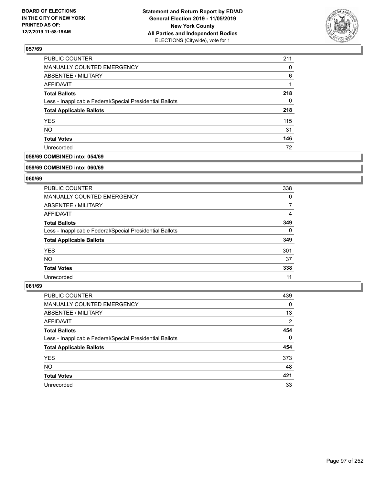

| <b>PUBLIC COUNTER</b>                                    | 211 |
|----------------------------------------------------------|-----|
| MANUALLY COUNTED EMERGENCY                               | 0   |
| ABSENTEE / MILITARY                                      | 6   |
| <b>AFFIDAVIT</b>                                         |     |
| <b>Total Ballots</b>                                     | 218 |
| Less - Inapplicable Federal/Special Presidential Ballots | 0   |
| <b>Total Applicable Ballots</b>                          | 218 |
| <b>YES</b>                                               | 115 |
| <b>NO</b>                                                | 31  |
| <b>Total Votes</b>                                       | 146 |
| Unrecorded                                               | 72  |

# **058/69 COMBINED into: 054/69**

#### **059/69 COMBINED into: 060/69**

# **060/69**

| <b>PUBLIC COUNTER</b>                                    | 338      |
|----------------------------------------------------------|----------|
| <b>MANUALLY COUNTED EMERGENCY</b>                        | 0        |
| ABSENTEE / MILITARY                                      | 7        |
| AFFIDAVIT                                                | 4        |
| <b>Total Ballots</b>                                     | 349      |
| Less - Inapplicable Federal/Special Presidential Ballots | $\Omega$ |
| <b>Total Applicable Ballots</b>                          | 349      |
| <b>YES</b>                                               | 301      |
| NO.                                                      | 37       |
| <b>Total Votes</b>                                       | 338      |
| Unrecorded                                               | 11       |

| <b>PUBLIC COUNTER</b>                                    | 439            |
|----------------------------------------------------------|----------------|
| <b>MANUALLY COUNTED EMERGENCY</b>                        | $\Omega$       |
| ABSENTEE / MILITARY                                      | 13             |
| AFFIDAVIT                                                | $\overline{2}$ |
| <b>Total Ballots</b>                                     | 454            |
| Less - Inapplicable Federal/Special Presidential Ballots | $\mathbf{0}$   |
| <b>Total Applicable Ballots</b>                          | 454            |
| <b>YES</b>                                               | 373            |
| <b>NO</b>                                                | 48             |
| <b>Total Votes</b>                                       | 421            |
| Unrecorded                                               | 33             |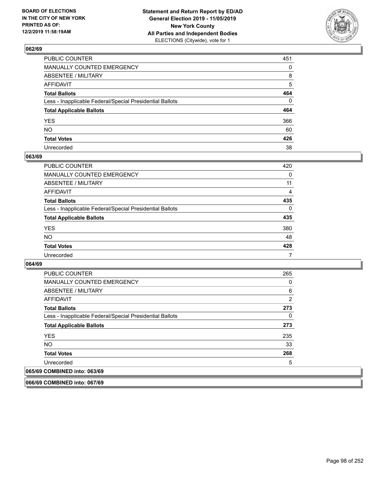

| PUBLIC COUNTER                                           | 451      |
|----------------------------------------------------------|----------|
| MANUALLY COUNTED EMERGENCY                               | $\Omega$ |
| ABSENTEE / MILITARY                                      | 8        |
| AFFIDAVIT                                                | 5        |
| Total Ballots                                            | 464      |
| Less - Inapplicable Federal/Special Presidential Ballots | $\Omega$ |
| <b>Total Applicable Ballots</b>                          | 464      |
| YES                                                      | 366      |
| NO.                                                      | 60       |
| <b>Total Votes</b>                                       | 426      |
| Unrecorded                                               | 38       |

## **063/69**

| <b>PUBLIC COUNTER</b>                                    | 420      |
|----------------------------------------------------------|----------|
| <b>MANUALLY COUNTED EMERGENCY</b>                        | $\Omega$ |
| ABSENTEE / MILITARY                                      | 11       |
| <b>AFFIDAVIT</b>                                         | 4        |
| <b>Total Ballots</b>                                     | 435      |
| Less - Inapplicable Federal/Special Presidential Ballots | $\Omega$ |
| <b>Total Applicable Ballots</b>                          | 435      |
| <b>YES</b>                                               | 380      |
| <b>NO</b>                                                | 48       |
| <b>Total Votes</b>                                       | 428      |
| Unrecorded                                               | 7        |

## **064/69**

| <b>PUBLIC COUNTER</b>                                    | 265 |
|----------------------------------------------------------|-----|
| <b>MANUALLY COUNTED EMERGENCY</b>                        | 0   |
| ABSENTEE / MILITARY                                      | 6   |
| AFFIDAVIT                                                | 2   |
| <b>Total Ballots</b>                                     | 273 |
| Less - Inapplicable Federal/Special Presidential Ballots | 0   |
| <b>Total Applicable Ballots</b>                          | 273 |
| <b>YES</b>                                               | 235 |
| <b>NO</b>                                                | 33  |
| <b>Total Votes</b>                                       | 268 |
| Unrecorded                                               | 5   |
| 065/69 COMBINED into: 063/69                             |     |

**066/69 COMBINED into: 067/69**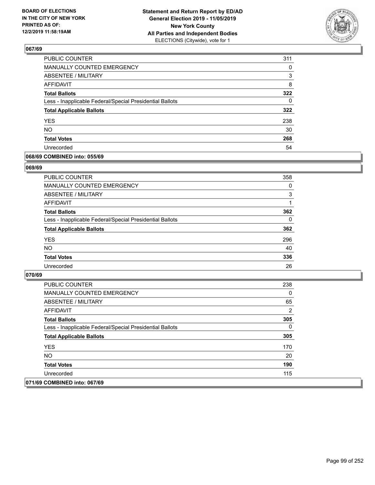

| PUBLIC COUNTER                                           | 311      |
|----------------------------------------------------------|----------|
| <b>MANUALLY COUNTED EMERGENCY</b>                        | $\Omega$ |
| <b>ABSENTEE / MILITARY</b>                               | 3        |
| <b>AFFIDAVIT</b>                                         | 8        |
| <b>Total Ballots</b>                                     | 322      |
| Less - Inapplicable Federal/Special Presidential Ballots | 0        |
| <b>Total Applicable Ballots</b>                          | 322      |
| <b>YES</b>                                               | 238      |
| <b>NO</b>                                                | 30       |
| <b>Total Votes</b>                                       | 268      |
| Unrecorded                                               | 54       |

## **068/69 COMBINED into: 055/69**

## **069/69**

| PUBLIC COUNTER                                           | 358      |
|----------------------------------------------------------|----------|
| <b>MANUALLY COUNTED EMERGENCY</b>                        | $\Omega$ |
| ABSENTEE / MILITARY                                      | 3        |
| AFFIDAVIT                                                |          |
| <b>Total Ballots</b>                                     | 362      |
| Less - Inapplicable Federal/Special Presidential Ballots | 0        |
| <b>Total Applicable Ballots</b>                          | 362      |
| <b>YES</b>                                               | 296      |
| <b>NO</b>                                                | 40       |
| <b>Total Votes</b>                                       | 336      |
| Unrecorded                                               | 26       |
|                                                          |          |

| <b>PUBLIC COUNTER</b>                                    | 238 |
|----------------------------------------------------------|-----|
| MANUALLY COUNTED EMERGENCY                               | 0   |
| ABSENTEE / MILITARY                                      | 65  |
| AFFIDAVIT                                                | 2   |
| <b>Total Ballots</b>                                     | 305 |
| Less - Inapplicable Federal/Special Presidential Ballots | 0   |
| <b>Total Applicable Ballots</b>                          | 305 |
| <b>YES</b>                                               | 170 |
| NO.                                                      | 20  |
| <b>Total Votes</b>                                       | 190 |
| Unrecorded                                               | 115 |
| 071/69 COMBINED into: 067/69                             |     |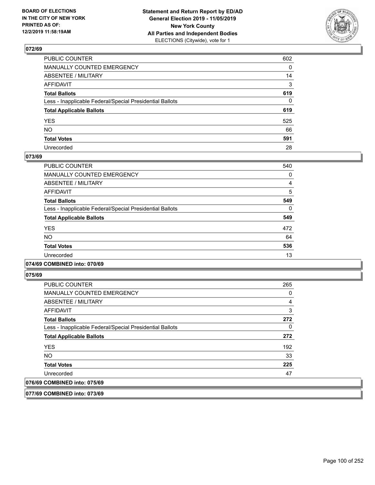

| PUBLIC COUNTER                                           | 602 |
|----------------------------------------------------------|-----|
| MANUALLY COUNTED EMERGENCY                               | 0   |
| ABSENTEE / MILITARY                                      | 14  |
| AFFIDAVIT                                                | 3   |
| Total Ballots                                            | 619 |
| Less - Inapplicable Federal/Special Presidential Ballots | 0   |
| <b>Total Applicable Ballots</b>                          | 619 |
| YES                                                      | 525 |
| NO.                                                      | 66  |
| <b>Total Votes</b>                                       | 591 |
| Unrecorded                                               | 28  |

## **073/69**

| PUBLIC COUNTER                                           | 540      |
|----------------------------------------------------------|----------|
| <b>MANUALLY COUNTED EMERGENCY</b>                        | 0        |
| ABSENTEE / MILITARY                                      | 4        |
| <b>AFFIDAVIT</b>                                         | 5        |
| <b>Total Ballots</b>                                     | 549      |
| Less - Inapplicable Federal/Special Presidential Ballots | $\Omega$ |
| <b>Total Applicable Ballots</b>                          | 549      |
| <b>YES</b>                                               | 472      |
| NO.                                                      | 64       |
| <b>Total Votes</b>                                       | 536      |
| Unrecorded                                               | 13       |

## **074/69 COMBINED into: 070/69**

**075/69** 

| <b>PUBLIC COUNTER</b>                                    | 265 |
|----------------------------------------------------------|-----|
| MANUALLY COUNTED EMERGENCY                               | 0   |
| ABSENTEE / MILITARY                                      | 4   |
| AFFIDAVIT                                                | 3   |
| <b>Total Ballots</b>                                     | 272 |
| Less - Inapplicable Federal/Special Presidential Ballots | 0   |
| <b>Total Applicable Ballots</b>                          | 272 |
| <b>YES</b>                                               | 192 |
| <b>NO</b>                                                | 33  |
| <b>Total Votes</b>                                       | 225 |
| Unrecorded                                               | 47  |
| 076/69 COMBINED into: 075/69                             |     |

**077/69 COMBINED into: 073/69**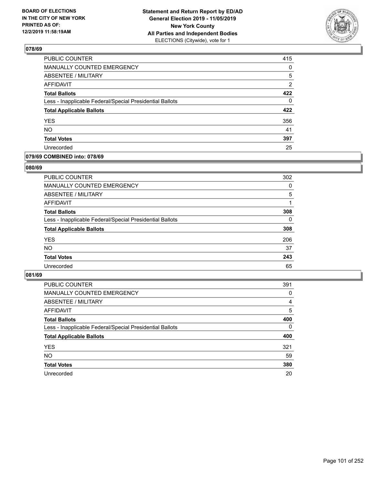

| PUBLIC COUNTER                                           | 415            |
|----------------------------------------------------------|----------------|
| MANUALLY COUNTED EMERGENCY                               | 0              |
| ABSENTEE / MILITARY                                      | 5              |
| <b>AFFIDAVIT</b>                                         | $\overline{2}$ |
| <b>Total Ballots</b>                                     | 422            |
| Less - Inapplicable Federal/Special Presidential Ballots | $\Omega$       |
| <b>Total Applicable Ballots</b>                          | 422            |
| <b>YES</b>                                               | 356            |
| <b>NO</b>                                                | 41             |
| <b>Total Votes</b>                                       | 397            |
| Unrecorded                                               | 25             |

## **079/69 COMBINED into: 078/69**

## **080/69**

| <b>PUBLIC COUNTER</b>                                    | 302      |
|----------------------------------------------------------|----------|
| MANUALLY COUNTED EMERGENCY                               | $\Omega$ |
| <b>ABSENTEE / MILITARY</b>                               | 5        |
| AFFIDAVIT                                                |          |
| <b>Total Ballots</b>                                     | 308      |
| Less - Inapplicable Federal/Special Presidential Ballots | $\Omega$ |
| <b>Total Applicable Ballots</b>                          | 308      |
| <b>YES</b>                                               | 206      |
| <b>NO</b>                                                | 37       |
| <b>Total Votes</b>                                       | 243      |
| Unrecorded                                               | 65       |
|                                                          |          |

| <b>PUBLIC COUNTER</b>                                    | 391      |
|----------------------------------------------------------|----------|
| MANUALLY COUNTED EMERGENCY                               | 0        |
| ABSENTEE / MILITARY                                      | 4        |
| AFFIDAVIT                                                | 5        |
| <b>Total Ballots</b>                                     | 400      |
| Less - Inapplicable Federal/Special Presidential Ballots | $\Omega$ |
| <b>Total Applicable Ballots</b>                          | 400      |
| <b>YES</b>                                               | 321      |
| <b>NO</b>                                                | 59       |
| <b>Total Votes</b>                                       | 380      |
| Unrecorded                                               | 20       |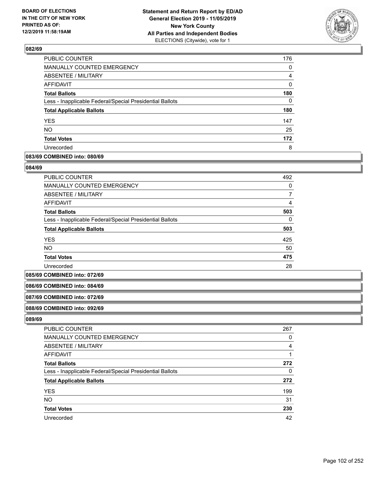

| <b>PUBLIC COUNTER</b>                                    | 176      |
|----------------------------------------------------------|----------|
| <b>MANUALLY COUNTED EMERGENCY</b>                        | 0        |
| <b>ABSENTEE / MILITARY</b>                               | 4        |
| <b>AFFIDAVIT</b>                                         | $\Omega$ |
| <b>Total Ballots</b>                                     | 180      |
| Less - Inapplicable Federal/Special Presidential Ballots | 0        |
| <b>Total Applicable Ballots</b>                          | 180      |
| <b>YES</b>                                               | 147      |
| <b>NO</b>                                                | 25       |
| <b>Total Votes</b>                                       | 172      |
| Unrecorded                                               | 8        |

## **083/69 COMBINED into: 080/69**

### **084/69**

| <b>PUBLIC COUNTER</b>                                    | 492 |
|----------------------------------------------------------|-----|
| MANUALLY COUNTED EMERGENCY                               | 0   |
| ABSENTEE / MILITARY                                      |     |
| AFFIDAVIT                                                | 4   |
| <b>Total Ballots</b>                                     | 503 |
| Less - Inapplicable Federal/Special Presidential Ballots | 0   |
| <b>Total Applicable Ballots</b>                          | 503 |
| <b>YES</b>                                               | 425 |
| <b>NO</b>                                                | 50  |
| <b>Total Votes</b>                                       | 475 |
| Unrecorded                                               | 28  |

#### **085/69 COMBINED into: 072/69**

## **086/69 COMBINED into: 084/69**

#### **087/69 COMBINED into: 072/69**

#### **088/69 COMBINED into: 092/69**

| <b>PUBLIC COUNTER</b>                                    | 267 |
|----------------------------------------------------------|-----|
| MANUALLY COUNTED EMERGENCY                               | 0   |
| ABSENTEE / MILITARY                                      | 4   |
| AFFIDAVIT                                                |     |
| <b>Total Ballots</b>                                     | 272 |
| Less - Inapplicable Federal/Special Presidential Ballots | 0   |
| <b>Total Applicable Ballots</b>                          | 272 |
| <b>YES</b>                                               | 199 |
| <b>NO</b>                                                | 31  |
| <b>Total Votes</b>                                       | 230 |
| Unrecorded                                               | 42  |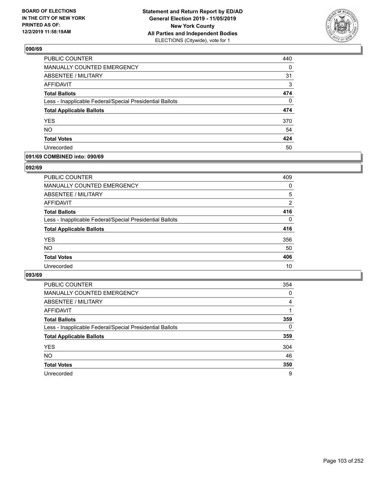

| PUBLIC COUNTER                                           | 440      |
|----------------------------------------------------------|----------|
| MANUALLY COUNTED EMERGENCY                               | 0        |
| ABSENTEE / MILITARY                                      | 31       |
| AFFIDAVIT                                                | 3        |
| <b>Total Ballots</b>                                     | 474      |
| Less - Inapplicable Federal/Special Presidential Ballots | $\Omega$ |
| <b>Total Applicable Ballots</b>                          | 474      |
| <b>YES</b>                                               | 370      |
| <b>NO</b>                                                | 54       |
| <b>Total Votes</b>                                       | 424      |
| Unrecorded                                               | 50       |

## **091/69 COMBINED into: 090/69**

### **092/69**

| <b>PUBLIC COUNTER</b>                                    | 409      |
|----------------------------------------------------------|----------|
| <b>MANUALLY COUNTED EMERGENCY</b>                        | $\Omega$ |
| ABSENTEE / MILITARY                                      | 5        |
| AFFIDAVIT                                                | 2        |
| <b>Total Ballots</b>                                     | 416      |
| Less - Inapplicable Federal/Special Presidential Ballots | 0        |
| <b>Total Applicable Ballots</b>                          | 416      |
| <b>YES</b>                                               | 356      |
| <b>NO</b>                                                | 50       |
| <b>Total Votes</b>                                       | 406      |
| Unrecorded                                               | 10       |
|                                                          |          |

| <b>PUBLIC COUNTER</b>                                    | 354      |
|----------------------------------------------------------|----------|
| <b>MANUALLY COUNTED EMERGENCY</b>                        | 0        |
| ABSENTEE / MILITARY                                      | 4        |
| AFFIDAVIT                                                |          |
| <b>Total Ballots</b>                                     | 359      |
| Less - Inapplicable Federal/Special Presidential Ballots | $\Omega$ |
| <b>Total Applicable Ballots</b>                          | 359      |
| <b>YES</b>                                               | 304      |
| <b>NO</b>                                                | 46       |
| <b>Total Votes</b>                                       | 350      |
| Unrecorded                                               | 9        |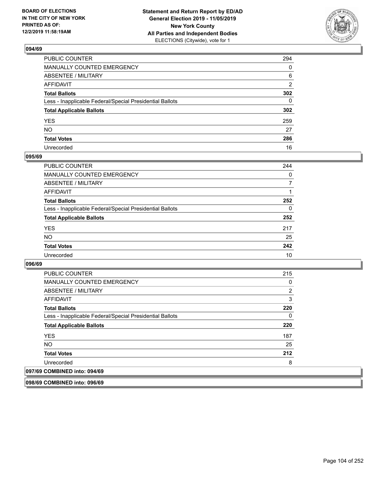

| PUBLIC COUNTER                                           | 294 |
|----------------------------------------------------------|-----|
| MANUALLY COUNTED EMERGENCY                               | 0   |
| ABSENTEE / MILITARY                                      | 6   |
| AFFIDAVIT                                                | 2   |
| Total Ballots                                            | 302 |
| Less - Inapplicable Federal/Special Presidential Ballots | 0   |
| <b>Total Applicable Ballots</b>                          | 302 |
| YES                                                      | 259 |
| NO.                                                      | 27  |
| <b>Total Votes</b>                                       | 286 |
| Unrecorded                                               | 16  |

## **095/69**

| <b>PUBLIC COUNTER</b>                                    | 244      |
|----------------------------------------------------------|----------|
| MANUALLY COUNTED EMERGENCY                               | $\Omega$ |
| ABSENTEE / MILITARY                                      | 7        |
| AFFIDAVIT                                                |          |
| <b>Total Ballots</b>                                     | 252      |
| Less - Inapplicable Federal/Special Presidential Ballots | $\Omega$ |
| <b>Total Applicable Ballots</b>                          | 252      |
| <b>YES</b>                                               | 217      |
| <b>NO</b>                                                | 25       |
| <b>Total Votes</b>                                       | 242      |
| Unrecorded                                               | 10       |

## **096/69**

| <b>PUBLIC COUNTER</b>                                    | 215 |
|----------------------------------------------------------|-----|
| <b>MANUALLY COUNTED EMERGENCY</b>                        | 0   |
| ABSENTEE / MILITARY                                      | 2   |
| AFFIDAVIT                                                | 3   |
| <b>Total Ballots</b>                                     | 220 |
| Less - Inapplicable Federal/Special Presidential Ballots | 0   |
| <b>Total Applicable Ballots</b>                          | 220 |
| <b>YES</b>                                               | 187 |
| <b>NO</b>                                                | 25  |
| <b>Total Votes</b>                                       | 212 |
| Unrecorded                                               | 8   |
| 097/69 COMBINED into: 094/69                             |     |

**098/69 COMBINED into: 096/69**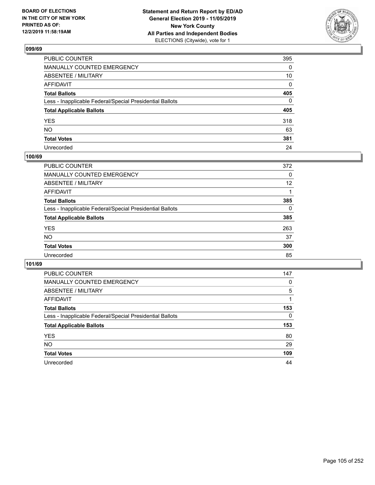

| PUBLIC COUNTER                                           | 395 |
|----------------------------------------------------------|-----|
| MANUALLY COUNTED EMERGENCY                               | 0   |
| ABSENTEE / MILITARY                                      | 10  |
| AFFIDAVIT                                                | 0   |
| Total Ballots                                            | 405 |
| Less - Inapplicable Federal/Special Presidential Ballots | 0   |
| <b>Total Applicable Ballots</b>                          | 405 |
| YES                                                      | 318 |
| NO.                                                      | 63  |
| <b>Total Votes</b>                                       | 381 |
| Unrecorded                                               | 24  |

# **100/69**

| <b>PUBLIC COUNTER</b>                                    | 372 |
|----------------------------------------------------------|-----|
| MANUALLY COUNTED EMERGENCY                               | 0   |
| ABSENTEE / MILITARY                                      | 12  |
| AFFIDAVIT                                                |     |
| <b>Total Ballots</b>                                     | 385 |
| Less - Inapplicable Federal/Special Presidential Ballots | 0   |
| <b>Total Applicable Ballots</b>                          | 385 |
| <b>YES</b>                                               | 263 |
| <b>NO</b>                                                | 37  |
| <b>Total Votes</b>                                       | 300 |
| Unrecorded                                               | 85  |

| <b>PUBLIC COUNTER</b>                                    | 147      |
|----------------------------------------------------------|----------|
| MANUALLY COUNTED EMERGENCY                               | 0        |
| ABSENTEE / MILITARY                                      | 5        |
| AFFIDAVIT                                                |          |
| <b>Total Ballots</b>                                     | 153      |
| Less - Inapplicable Federal/Special Presidential Ballots | $\Omega$ |
| <b>Total Applicable Ballots</b>                          | 153      |
| <b>YES</b>                                               | 80       |
| <b>NO</b>                                                | 29       |
| <b>Total Votes</b>                                       | 109      |
| Unrecorded                                               | 44       |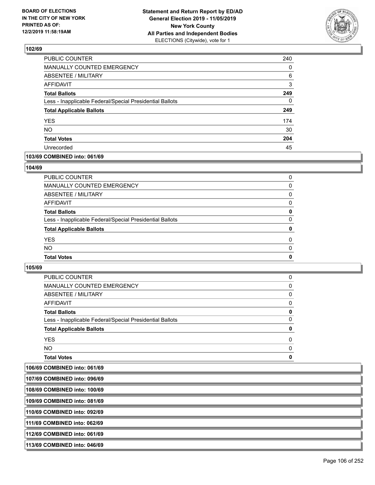

| PUBLIC COUNTER                                           | 240      |
|----------------------------------------------------------|----------|
| MANUALLY COUNTED EMERGENCY                               | 0        |
| ABSENTEE / MILITARY                                      | 6        |
| AFFIDAVIT                                                | 3        |
| <b>Total Ballots</b>                                     | 249      |
| Less - Inapplicable Federal/Special Presidential Ballots | $\Omega$ |
| <b>Total Applicable Ballots</b>                          | 249      |
| <b>YES</b>                                               | 174      |
| NO.                                                      | 30       |
| <b>Total Votes</b>                                       | 204      |
| Unrecorded                                               | 45       |

## **103/69 COMBINED into: 061/69**

## **104/69**

| PUBLIC COUNTER                                           | 0            |
|----------------------------------------------------------|--------------|
| <b>MANUALLY COUNTED EMERGENCY</b>                        | 0            |
| <b>ABSENTEE / MILITARY</b>                               | $\Omega$     |
| <b>AFFIDAVIT</b>                                         | 0            |
| <b>Total Ballots</b>                                     | 0            |
| Less - Inapplicable Federal/Special Presidential Ballots | $\Omega$     |
| <b>Total Applicable Ballots</b>                          | 0            |
| <b>YES</b>                                               | $\Omega$     |
| <b>NO</b>                                                | $\Omega$     |
| <b>Total Votes</b>                                       | $\mathbf{0}$ |
|                                                          |              |

| <b>Total Votes</b>                                       | 0        |
|----------------------------------------------------------|----------|
| NO.                                                      | $\Omega$ |
| <b>YES</b>                                               | $\Omega$ |
| <b>Total Applicable Ballots</b>                          | 0        |
| Less - Inapplicable Federal/Special Presidential Ballots | 0        |
| <b>Total Ballots</b>                                     | 0        |
| AFFIDAVIT                                                | $\Omega$ |
| ABSENTEE / MILITARY                                      | 0        |
| <b>MANUALLY COUNTED EMERGENCY</b>                        | 0        |
| PUBLIC COUNTER                                           | 0        |

| 106/69 COMBINED into: 061/69 |  |
|------------------------------|--|
|------------------------------|--|

| 107/69 COMBINED into: 096/69  |  |
|-------------------------------|--|
| 108/69 COMBINED into: 100/69  |  |
| 109/69 COMBINED into: 081/69  |  |
| 110/69 COMBINED into: 092/69  |  |
| 1111/69 COMBINED into: 062/69 |  |
| 112/69 COMBINED into: 061/69  |  |
| 113/69 COMBINED into: 046/69  |  |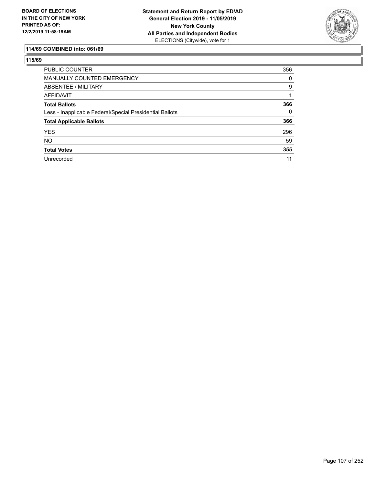

# **114/69 COMBINED into: 061/69**

| <b>PUBLIC COUNTER</b>                                    | 356      |
|----------------------------------------------------------|----------|
| <b>MANUALLY COUNTED EMERGENCY</b>                        | 0        |
| ABSENTEE / MILITARY                                      | 9        |
| AFFIDAVIT                                                |          |
| <b>Total Ballots</b>                                     | 366      |
| Less - Inapplicable Federal/Special Presidential Ballots | $\Omega$ |
| <b>Total Applicable Ballots</b>                          | 366      |
| <b>YES</b>                                               | 296      |
| <b>NO</b>                                                | 59       |
| <b>Total Votes</b>                                       | 355      |
| Unrecorded                                               | 11       |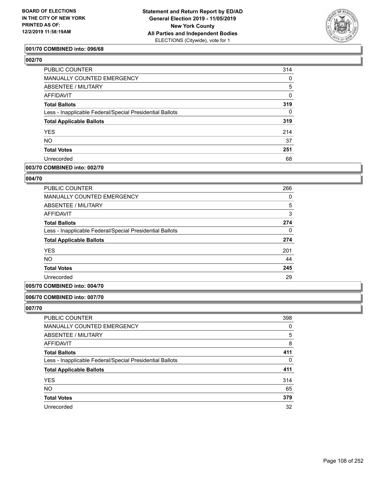

## **001/70 COMBINED into: 096/68**

# **002/70**

| PUBLIC COUNTER                                           | 314      |
|----------------------------------------------------------|----------|
| <b>MANUALLY COUNTED EMERGENCY</b>                        | 0        |
| ABSENTEE / MILITARY                                      | 5        |
| AFFIDAVIT                                                | 0        |
| <b>Total Ballots</b>                                     | 319      |
| Less - Inapplicable Federal/Special Presidential Ballots | $\Omega$ |
| <b>Total Applicable Ballots</b>                          | 319      |
| <b>YES</b>                                               | 214      |
| <b>NO</b>                                                | 37       |
| <b>Total Votes</b>                                       | 251      |
| Unrecorded                                               | 68       |
|                                                          |          |

## **003/70 COMBINED into: 002/70**

## **004/70**

| 266      |
|----------|
| 0        |
| 5        |
| 3        |
| 274      |
| $\Omega$ |
| 274      |
| 201      |
| 44       |
| 245      |
| 29       |
|          |

## **005/70 COMBINED into: 004/70**

## **006/70 COMBINED into: 007/70**

| <b>PUBLIC COUNTER</b>                                    | 398 |
|----------------------------------------------------------|-----|
| <b>MANUALLY COUNTED EMERGENCY</b>                        | 0   |
| ABSENTEE / MILITARY                                      | 5   |
| AFFIDAVIT                                                | 8   |
| <b>Total Ballots</b>                                     | 411 |
| Less - Inapplicable Federal/Special Presidential Ballots | 0   |
| <b>Total Applicable Ballots</b>                          | 411 |
| <b>YES</b>                                               | 314 |
| <b>NO</b>                                                | 65  |
| <b>Total Votes</b>                                       | 379 |
| Unrecorded                                               | 32  |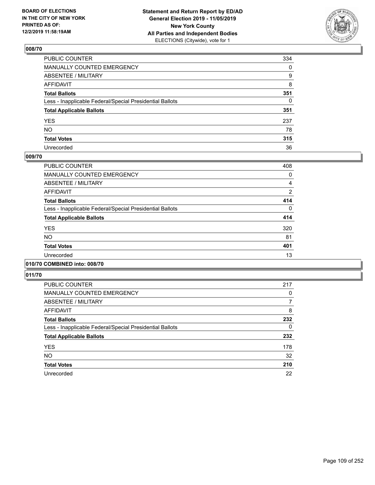

| PUBLIC COUNTER                                           | 334 |
|----------------------------------------------------------|-----|
| MANUALLY COUNTED EMERGENCY                               | 0   |
| ABSENTEE / MILITARY                                      | 9   |
| AFFIDAVIT                                                | 8   |
| Total Ballots                                            | 351 |
| Less - Inapplicable Federal/Special Presidential Ballots | 0   |
| <b>Total Applicable Ballots</b>                          | 351 |
| YES                                                      | 237 |
| NO.                                                      | 78  |
| <b>Total Votes</b>                                       | 315 |
| Unrecorded                                               | 36  |

## **009/70**

| <b>PUBLIC COUNTER</b>                                    | 408      |
|----------------------------------------------------------|----------|
| <b>MANUALLY COUNTED EMERGENCY</b>                        | 0        |
| ABSENTEE / MILITARY                                      | 4        |
| <b>AFFIDAVIT</b>                                         | 2        |
| <b>Total Ballots</b>                                     | 414      |
| Less - Inapplicable Federal/Special Presidential Ballots | $\Omega$ |
| <b>Total Applicable Ballots</b>                          | 414      |
| <b>YES</b>                                               | 320      |
| <b>NO</b>                                                | 81       |
| <b>Total Votes</b>                                       | 401      |
| Unrecorded                                               | 13       |
|                                                          |          |

# **010/70 COMBINED into: 008/70**

| <b>PUBLIC COUNTER</b>                                    | 217 |
|----------------------------------------------------------|-----|
| <b>MANUALLY COUNTED EMERGENCY</b>                        | 0   |
| ABSENTEE / MILITARY                                      | 7   |
| <b>AFFIDAVIT</b>                                         | 8   |
| <b>Total Ballots</b>                                     | 232 |
| Less - Inapplicable Federal/Special Presidential Ballots | 0   |
| <b>Total Applicable Ballots</b>                          | 232 |
| <b>YES</b>                                               | 178 |
| <b>NO</b>                                                | 32  |
| <b>Total Votes</b>                                       | 210 |
| Unrecorded                                               | 22  |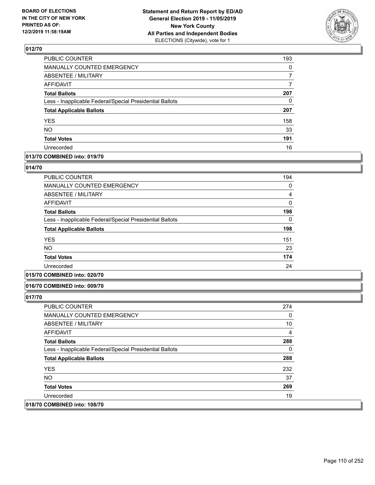

| PUBLIC COUNTER                                           | 193      |
|----------------------------------------------------------|----------|
| MANUALLY COUNTED EMERGENCY                               | $\Omega$ |
| <b>ABSENTEE / MILITARY</b>                               |          |
| <b>AFFIDAVIT</b>                                         | 7        |
| <b>Total Ballots</b>                                     | 207      |
| Less - Inapplicable Federal/Special Presidential Ballots | 0        |
| <b>Total Applicable Ballots</b>                          | 207      |
| <b>YES</b>                                               | 158      |
| <b>NO</b>                                                | 33       |
| <b>Total Votes</b>                                       | 191      |
| Unrecorded                                               | 16       |

# **013/70 COMBINED into: 019/70**

### **014/70**

| <b>PUBLIC COUNTER</b>                                    | 194 |
|----------------------------------------------------------|-----|
| <b>MANUALLY COUNTED EMERGENCY</b>                        | 0   |
| ABSENTEE / MILITARY                                      | 4   |
| <b>AFFIDAVIT</b>                                         | 0   |
| <b>Total Ballots</b>                                     | 198 |
| Less - Inapplicable Federal/Special Presidential Ballots | 0   |
| <b>Total Applicable Ballots</b>                          | 198 |
| <b>YES</b>                                               | 151 |
| NO.                                                      | 23  |
| <b>Total Votes</b>                                       | 174 |
| Unrecorded                                               | 24  |

# **015/70 COMBINED into: 020/70**

#### **016/70 COMBINED into: 009/70**

| <b>PUBLIC COUNTER</b>                                    | 274 |
|----------------------------------------------------------|-----|
| <b>MANUALLY COUNTED EMERGENCY</b>                        | 0   |
| ABSENTEE / MILITARY                                      | 10  |
| AFFIDAVIT                                                | 4   |
| <b>Total Ballots</b>                                     | 288 |
| Less - Inapplicable Federal/Special Presidential Ballots | 0   |
| <b>Total Applicable Ballots</b>                          | 288 |
| <b>YES</b>                                               | 232 |
| NO.                                                      | 37  |
| <b>Total Votes</b>                                       | 269 |
| Unrecorded                                               | 19  |
| 018/70 COMBINED into: 108/70                             |     |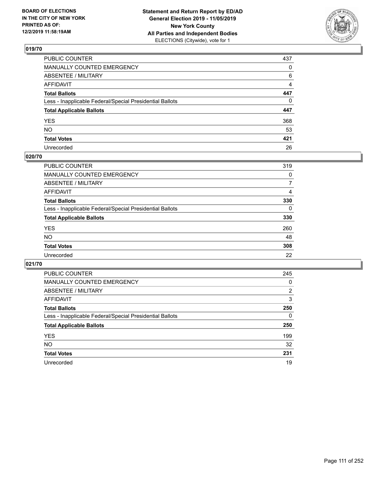

| PUBLIC COUNTER                                           | 437      |
|----------------------------------------------------------|----------|
| MANUALLY COUNTED EMERGENCY                               | 0        |
| ABSENTEE / MILITARY                                      | 6        |
| AFFIDAVIT                                                | 4        |
| Total Ballots                                            | 447      |
| Less - Inapplicable Federal/Special Presidential Ballots | $\Omega$ |
| <b>Total Applicable Ballots</b>                          | 447      |
| YES                                                      | 368      |
| NO.                                                      | 53       |
| <b>Total Votes</b>                                       | 421      |
| Unrecorded                                               | 26       |

# **020/70**

| <b>PUBLIC COUNTER</b>                                    | 319      |
|----------------------------------------------------------|----------|
| MANUALLY COUNTED EMERGENCY                               | 0        |
| ABSENTEE / MILITARY                                      |          |
| AFFIDAVIT                                                | 4        |
| <b>Total Ballots</b>                                     | 330      |
| Less - Inapplicable Federal/Special Presidential Ballots | $\Omega$ |
| <b>Total Applicable Ballots</b>                          | 330      |
| <b>YES</b>                                               | 260      |
| <b>NO</b>                                                | 48       |
| <b>Total Votes</b>                                       | 308      |
| Unrecorded                                               | 22       |

| <b>PUBLIC COUNTER</b>                                    | 245 |
|----------------------------------------------------------|-----|
| MANUALLY COUNTED EMERGENCY                               | 0   |
| ABSENTEE / MILITARY                                      | 2   |
| AFFIDAVIT                                                | 3   |
| <b>Total Ballots</b>                                     | 250 |
| Less - Inapplicable Federal/Special Presidential Ballots | 0   |
| <b>Total Applicable Ballots</b>                          | 250 |
| <b>YES</b>                                               | 199 |
| NO.                                                      | 32  |
| <b>Total Votes</b>                                       | 231 |
| Unrecorded                                               | 19  |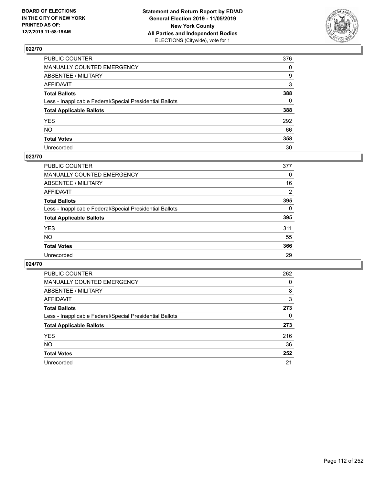

| PUBLIC COUNTER                                           | 376          |
|----------------------------------------------------------|--------------|
| MANUALLY COUNTED EMERGENCY                               | $\mathbf{0}$ |
| ABSENTEE / MILITARY                                      | 9            |
| AFFIDAVIT                                                | 3            |
| Total Ballots                                            | 388          |
| Less - Inapplicable Federal/Special Presidential Ballots | $\Omega$     |
| <b>Total Applicable Ballots</b>                          | 388          |
| YES                                                      | 292          |
| NO.                                                      | 66           |
| <b>Total Votes</b>                                       | 358          |
| Unrecorded                                               | 30           |

## **023/70**

| <b>PUBLIC COUNTER</b>                                    | 377      |
|----------------------------------------------------------|----------|
| MANUALLY COUNTED EMERGENCY                               | 0        |
| ABSENTEE / MILITARY                                      | 16       |
| AFFIDAVIT                                                | 2        |
| <b>Total Ballots</b>                                     | 395      |
| Less - Inapplicable Federal/Special Presidential Ballots | $\Omega$ |
| <b>Total Applicable Ballots</b>                          | 395      |
| <b>YES</b>                                               | 311      |
| <b>NO</b>                                                | 55       |
| <b>Total Votes</b>                                       | 366      |
| Unrecorded                                               | 29       |

| <b>PUBLIC COUNTER</b>                                    | 262 |
|----------------------------------------------------------|-----|
| MANUALLY COUNTED EMERGENCY                               | 0   |
| ABSENTEE / MILITARY                                      | 8   |
| AFFIDAVIT                                                | 3   |
| <b>Total Ballots</b>                                     | 273 |
| Less - Inapplicable Federal/Special Presidential Ballots | 0   |
| <b>Total Applicable Ballots</b>                          | 273 |
| <b>YES</b>                                               | 216 |
| <b>NO</b>                                                | 36  |
| <b>Total Votes</b>                                       | 252 |
| Unrecorded                                               | 21  |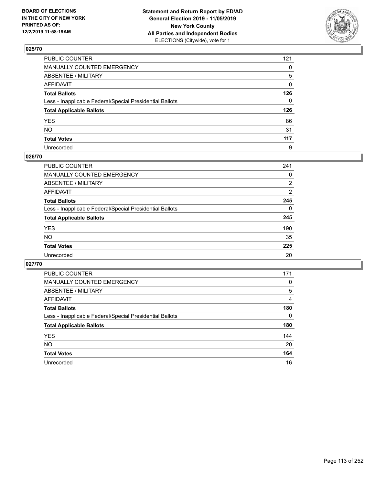

| PUBLIC COUNTER                                           | 121          |
|----------------------------------------------------------|--------------|
| MANUALLY COUNTED EMERGENCY                               | $\mathbf{0}$ |
| ABSENTEE / MILITARY                                      | 5            |
| AFFIDAVIT                                                | $\mathbf{0}$ |
| Total Ballots                                            | 126          |
| Less - Inapplicable Federal/Special Presidential Ballots | $\Omega$     |
| <b>Total Applicable Ballots</b>                          | 126          |
| YES                                                      | 86           |
| NO.                                                      | 31           |
| <b>Total Votes</b>                                       | 117          |
| Unrecorded                                               | 9            |

## **026/70**

| <b>PUBLIC COUNTER</b>                                    | 241      |
|----------------------------------------------------------|----------|
| MANUALLY COUNTED EMERGENCY                               | 0        |
| ABSENTEE / MILITARY                                      | 2        |
| AFFIDAVIT                                                | 2        |
| <b>Total Ballots</b>                                     | 245      |
| Less - Inapplicable Federal/Special Presidential Ballots | $\Omega$ |
| <b>Total Applicable Ballots</b>                          | 245      |
| <b>YES</b>                                               | 190      |
| <b>NO</b>                                                | 35       |
| <b>Total Votes</b>                                       | 225      |
| Unrecorded                                               | 20       |

| <b>PUBLIC COUNTER</b>                                    | 171      |
|----------------------------------------------------------|----------|
| <b>MANUALLY COUNTED EMERGENCY</b>                        | $\Omega$ |
| ABSENTEE / MILITARY                                      | 5        |
| AFFIDAVIT                                                | 4        |
| <b>Total Ballots</b>                                     | 180      |
| Less - Inapplicable Federal/Special Presidential Ballots | $\Omega$ |
| <b>Total Applicable Ballots</b>                          | 180      |
| <b>YES</b>                                               | 144      |
| <b>NO</b>                                                | 20       |
| <b>Total Votes</b>                                       | 164      |
| Unrecorded                                               | 16       |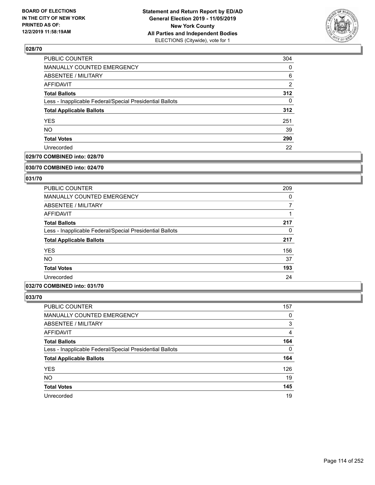

| PUBLIC COUNTER                                           | 304 |
|----------------------------------------------------------|-----|
| MANUALLY COUNTED EMERGENCY                               | 0   |
| <b>ABSENTEE / MILITARY</b>                               | 6   |
| <b>AFFIDAVIT</b>                                         | 2   |
| <b>Total Ballots</b>                                     | 312 |
| Less - Inapplicable Federal/Special Presidential Ballots | 0   |
| <b>Total Applicable Ballots</b>                          | 312 |
| <b>YES</b>                                               | 251 |
| <b>NO</b>                                                | 39  |
| <b>Total Votes</b>                                       | 290 |
| Unrecorded                                               | 22  |

## **029/70 COMBINED into: 028/70**

#### **030/70 COMBINED into: 024/70**

# **031/70**

| <b>PUBLIC COUNTER</b>                                    | 209      |
|----------------------------------------------------------|----------|
| <b>MANUALLY COUNTED EMERGENCY</b>                        | $\Omega$ |
| ABSENTEE / MILITARY                                      | 7        |
| AFFIDAVIT                                                |          |
| <b>Total Ballots</b>                                     | 217      |
| Less - Inapplicable Federal/Special Presidential Ballots | 0        |
| <b>Total Applicable Ballots</b>                          | 217      |
| <b>YES</b>                                               | 156      |
| NO.                                                      | 37       |
| <b>Total Votes</b>                                       | 193      |
| Unrecorded                                               | 24       |

## **032/70 COMBINED into: 031/70**

| <b>PUBLIC COUNTER</b>                                    | 157      |
|----------------------------------------------------------|----------|
| MANUALLY COUNTED EMERGENCY                               | 0        |
| <b>ABSENTEE / MILITARY</b>                               | 3        |
| AFFIDAVIT                                                | 4        |
| <b>Total Ballots</b>                                     | 164      |
| Less - Inapplicable Federal/Special Presidential Ballots | $\Omega$ |
| <b>Total Applicable Ballots</b>                          | 164      |
| <b>YES</b>                                               | 126      |
| <b>NO</b>                                                | 19       |
| <b>Total Votes</b>                                       | 145      |
| Unrecorded                                               | 19       |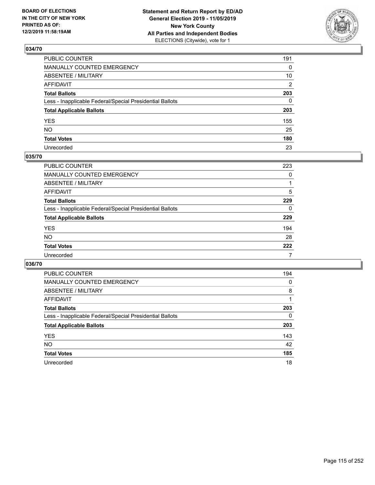

| PUBLIC COUNTER                                           | 191 |
|----------------------------------------------------------|-----|
| MANUALLY COUNTED EMERGENCY                               | 0   |
| ABSENTEE / MILITARY                                      | 10  |
| AFFIDAVIT                                                | 2   |
| Total Ballots                                            | 203 |
| Less - Inapplicable Federal/Special Presidential Ballots | 0   |
| <b>Total Applicable Ballots</b>                          | 203 |
| YES                                                      | 155 |
| NO.                                                      | 25  |
| <b>Total Votes</b>                                       | 180 |
| Unrecorded                                               | 23  |

## **035/70**

| <b>PUBLIC COUNTER</b>                                    | 223      |
|----------------------------------------------------------|----------|
| MANUALLY COUNTED EMERGENCY                               | $\Omega$ |
| ABSENTEE / MILITARY                                      |          |
| AFFIDAVIT                                                | 5        |
| <b>Total Ballots</b>                                     | 229      |
| Less - Inapplicable Federal/Special Presidential Ballots | 0        |
| <b>Total Applicable Ballots</b>                          | 229      |
| <b>YES</b>                                               | 194      |
| <b>NO</b>                                                | 28       |
| <b>Total Votes</b>                                       | 222      |
| Unrecorded                                               | 7        |

| <b>PUBLIC COUNTER</b>                                    | 194 |
|----------------------------------------------------------|-----|
| <b>MANUALLY COUNTED EMERGENCY</b>                        | 0   |
| ABSENTEE / MILITARY                                      | 8   |
| AFFIDAVIT                                                |     |
| <b>Total Ballots</b>                                     | 203 |
| Less - Inapplicable Federal/Special Presidential Ballots | 0   |
| <b>Total Applicable Ballots</b>                          | 203 |
| <b>YES</b>                                               | 143 |
| NO.                                                      | 42  |
| <b>Total Votes</b>                                       | 185 |
| Unrecorded                                               | 18  |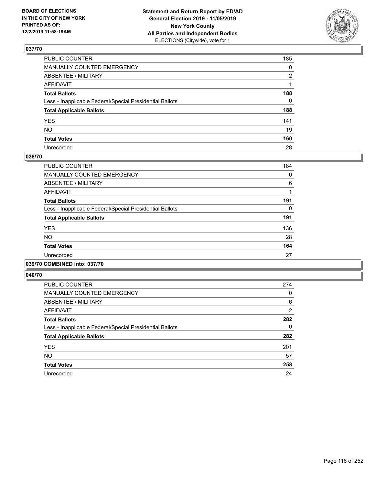

| PUBLIC COUNTER                                           | 185 |
|----------------------------------------------------------|-----|
| MANUALLY COUNTED EMERGENCY                               | 0   |
| ABSENTEE / MILITARY                                      | 2   |
| AFFIDAVIT                                                |     |
| Total Ballots                                            | 188 |
| Less - Inapplicable Federal/Special Presidential Ballots | 0   |
| <b>Total Applicable Ballots</b>                          | 188 |
| YES                                                      | 141 |
| NO.                                                      | 19  |
| <b>Total Votes</b>                                       | 160 |
| Unrecorded                                               | 28  |

## **038/70**

| <b>PUBLIC COUNTER</b>                                    | 184 |
|----------------------------------------------------------|-----|
| <b>MANUALLY COUNTED EMERGENCY</b>                        | 0   |
| ABSENTEE / MILITARY                                      | 6   |
| <b>AFFIDAVIT</b>                                         |     |
| <b>Total Ballots</b>                                     | 191 |
| Less - Inapplicable Federal/Special Presidential Ballots | 0   |
| <b>Total Applicable Ballots</b>                          | 191 |
| <b>YES</b>                                               | 136 |
| <b>NO</b>                                                | 28  |
| <b>Total Votes</b>                                       | 164 |
| Unrecorded                                               | 27  |
|                                                          |     |

## **039/70 COMBINED into: 037/70**

| <b>PUBLIC COUNTER</b>                                    | 274            |
|----------------------------------------------------------|----------------|
| <b>MANUALLY COUNTED EMERGENCY</b>                        | $\Omega$       |
| ABSENTEE / MILITARY                                      | 6              |
| <b>AFFIDAVIT</b>                                         | $\overline{2}$ |
| <b>Total Ballots</b>                                     | 282            |
| Less - Inapplicable Federal/Special Presidential Ballots | 0              |
| <b>Total Applicable Ballots</b>                          | 282            |
| <b>YES</b>                                               | 201            |
| <b>NO</b>                                                | 57             |
| <b>Total Votes</b>                                       | 258            |
| Unrecorded                                               | 24             |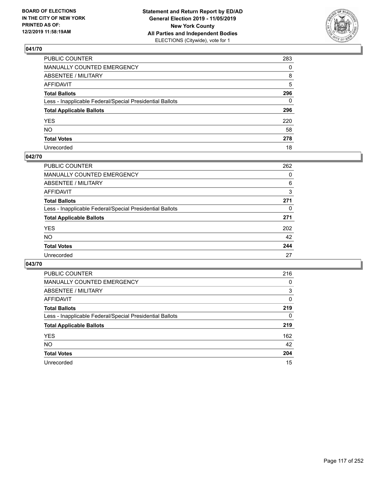

| PUBLIC COUNTER                                           | 283 |
|----------------------------------------------------------|-----|
| MANUALLY COUNTED EMERGENCY                               | 0   |
| ABSENTEE / MILITARY                                      | 8   |
| AFFIDAVIT                                                | 5   |
| Total Ballots                                            | 296 |
| Less - Inapplicable Federal/Special Presidential Ballots | 0   |
| <b>Total Applicable Ballots</b>                          | 296 |
| YES                                                      | 220 |
| NO.                                                      | 58  |
| <b>Total Votes</b>                                       | 278 |
| Unrecorded                                               | 18  |

## **042/70**

| <b>PUBLIC COUNTER</b>                                    | 262      |
|----------------------------------------------------------|----------|
| MANUALLY COUNTED EMERGENCY                               | 0        |
| ABSENTEE / MILITARY                                      | 6        |
| AFFIDAVIT                                                | 3        |
| <b>Total Ballots</b>                                     | 271      |
| Less - Inapplicable Federal/Special Presidential Ballots | $\Omega$ |
| <b>Total Applicable Ballots</b>                          | 271      |
| <b>YES</b>                                               | 202      |
| <b>NO</b>                                                | 42       |
| <b>Total Votes</b>                                       | 244      |
| Unrecorded                                               | 27       |

| <b>PUBLIC COUNTER</b>                                    | 216      |
|----------------------------------------------------------|----------|
| MANUALLY COUNTED EMERGENCY                               | 0        |
| ABSENTEE / MILITARY                                      | 3        |
| AFFIDAVIT                                                | $\Omega$ |
| <b>Total Ballots</b>                                     | 219      |
| Less - Inapplicable Federal/Special Presidential Ballots | 0        |
| <b>Total Applicable Ballots</b>                          | 219      |
| <b>YES</b>                                               | 162      |
| <b>NO</b>                                                | 42       |
| <b>Total Votes</b>                                       | 204      |
| Unrecorded                                               | 15       |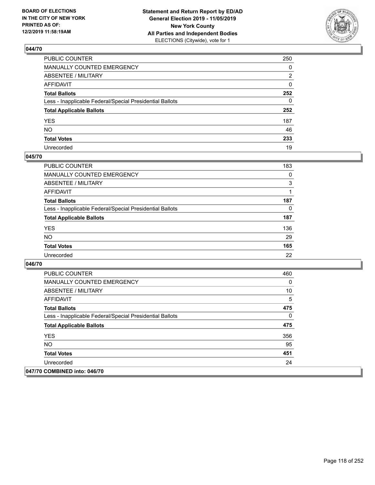

| PUBLIC COUNTER                                           | 250          |
|----------------------------------------------------------|--------------|
| MANUALLY COUNTED EMERGENCY                               | $\mathbf{0}$ |
| ABSENTEE / MILITARY                                      | 2            |
| AFFIDAVIT                                                | $\mathbf{0}$ |
| Total Ballots                                            | 252          |
| Less - Inapplicable Federal/Special Presidential Ballots | $\mathbf{0}$ |
| <b>Total Applicable Ballots</b>                          | 252          |
| YES                                                      | 187          |
| NO.                                                      | 46           |
| <b>Total Votes</b>                                       | 233          |
| Unrecorded                                               | 19           |

## **045/70**

| <b>PUBLIC COUNTER</b>                                    | 183 |
|----------------------------------------------------------|-----|
| <b>MANUALLY COUNTED EMERGENCY</b>                        | 0   |
| ABSENTEE / MILITARY                                      | 3   |
| AFFIDAVIT                                                |     |
| <b>Total Ballots</b>                                     | 187 |
| Less - Inapplicable Federal/Special Presidential Ballots | 0   |
| <b>Total Applicable Ballots</b>                          | 187 |
| <b>YES</b>                                               | 136 |
| <b>NO</b>                                                | 29  |
| <b>Total Votes</b>                                       | 165 |
| Unrecorded                                               | 22  |

| <b>PUBLIC COUNTER</b>                                    | 460 |
|----------------------------------------------------------|-----|
| <b>MANUALLY COUNTED EMERGENCY</b>                        | 0   |
| ABSENTEE / MILITARY                                      | 10  |
| AFFIDAVIT                                                | 5   |
| <b>Total Ballots</b>                                     | 475 |
| Less - Inapplicable Federal/Special Presidential Ballots | 0   |
| <b>Total Applicable Ballots</b>                          | 475 |
| <b>YES</b>                                               | 356 |
| NO.                                                      | 95  |
| <b>Total Votes</b>                                       | 451 |
| Unrecorded                                               | 24  |
| 047/70 COMBINED into: 046/70                             |     |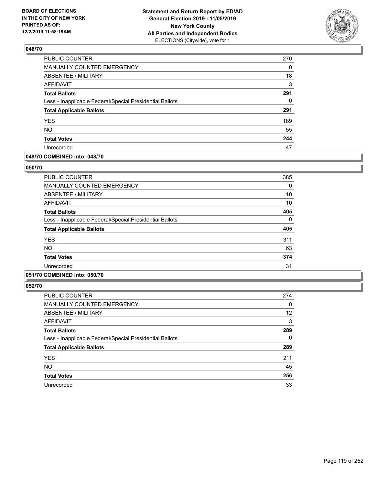

| <b>PUBLIC COUNTER</b>                                    | 270 |
|----------------------------------------------------------|-----|
| MANUALLY COUNTED EMERGENCY                               | 0   |
| <b>ABSENTEE / MILITARY</b>                               | 18  |
| <b>AFFIDAVIT</b>                                         | 3   |
| <b>Total Ballots</b>                                     | 291 |
| Less - Inapplicable Federal/Special Presidential Ballots | 0   |
| <b>Total Applicable Ballots</b>                          | 291 |
| <b>YES</b>                                               | 189 |
| <b>NO</b>                                                | 55  |
| <b>Total Votes</b>                                       | 244 |
| Unrecorded                                               | 47  |

## **049/70 COMBINED into: 048/70**

### **050/70**

| <b>PUBLIC COUNTER</b>                                    | 385 |
|----------------------------------------------------------|-----|
| <b>MANUALLY COUNTED EMERGENCY</b>                        | 0   |
| <b>ABSENTEE / MILITARY</b>                               | 10  |
| <b>AFFIDAVIT</b>                                         | 10  |
| <b>Total Ballots</b>                                     | 405 |
| Less - Inapplicable Federal/Special Presidential Ballots | 0   |
| <b>Total Applicable Ballots</b>                          | 405 |
| <b>YES</b>                                               | 311 |
| <b>NO</b>                                                | 63  |
| <b>Total Votes</b>                                       | 374 |
| Unrecorded                                               | 31  |
|                                                          |     |

# **051/70 COMBINED into: 050/70**

| <b>PUBLIC COUNTER</b>                                    | 274      |
|----------------------------------------------------------|----------|
| <b>MANUALLY COUNTED EMERGENCY</b>                        | 0        |
| ABSENTEE / MILITARY                                      | 12       |
| <b>AFFIDAVIT</b>                                         | 3        |
| <b>Total Ballots</b>                                     | 289      |
| Less - Inapplicable Federal/Special Presidential Ballots | $\Omega$ |
| <b>Total Applicable Ballots</b>                          | 289      |
| <b>YES</b>                                               | 211      |
| <b>NO</b>                                                | 45       |
| <b>Total Votes</b>                                       | 256      |
| Unrecorded                                               | 33       |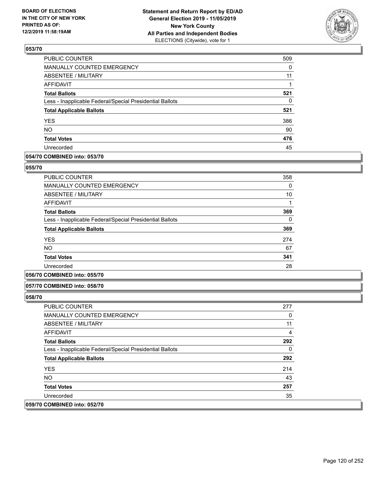

| <b>PUBLIC COUNTER</b>                                    | 509      |
|----------------------------------------------------------|----------|
| <b>MANUALLY COUNTED EMERGENCY</b>                        | $\Omega$ |
| <b>ABSENTEE / MILITARY</b>                               | 11       |
| <b>AFFIDAVIT</b>                                         |          |
| <b>Total Ballots</b>                                     | 521      |
| Less - Inapplicable Federal/Special Presidential Ballots | 0        |
| <b>Total Applicable Ballots</b>                          | 521      |
| <b>YES</b>                                               | 386      |
| <b>NO</b>                                                | 90       |
| <b>Total Votes</b>                                       | 476      |
| Unrecorded                                               | 45       |

## **054/70 COMBINED into: 053/70**

## **055/70**

| <b>PUBLIC COUNTER</b>                                    | 358 |
|----------------------------------------------------------|-----|
| <b>MANUALLY COUNTED EMERGENCY</b>                        | 0   |
| ABSENTEE / MILITARY                                      | 10  |
| <b>AFFIDAVIT</b>                                         |     |
| <b>Total Ballots</b>                                     | 369 |
| Less - Inapplicable Federal/Special Presidential Ballots | 0   |
| <b>Total Applicable Ballots</b>                          | 369 |
| <b>YES</b>                                               | 274 |
| <b>NO</b>                                                | 67  |
| <b>Total Votes</b>                                       | 341 |
| Unrecorded                                               | 28  |

## **056/70 COMBINED into: 055/70**

#### **057/70 COMBINED into: 058/70**

| <b>PUBLIC COUNTER</b>                                    | 277 |
|----------------------------------------------------------|-----|
| <b>MANUALLY COUNTED EMERGENCY</b>                        | 0   |
| ABSENTEE / MILITARY                                      | 11  |
| AFFIDAVIT                                                | 4   |
| <b>Total Ballots</b>                                     | 292 |
| Less - Inapplicable Federal/Special Presidential Ballots | 0   |
| <b>Total Applicable Ballots</b>                          | 292 |
| <b>YES</b>                                               | 214 |
| NO.                                                      | 43  |
| <b>Total Votes</b>                                       | 257 |
| Unrecorded                                               | 35  |
| 059/70 COMBINED into: 052/70                             |     |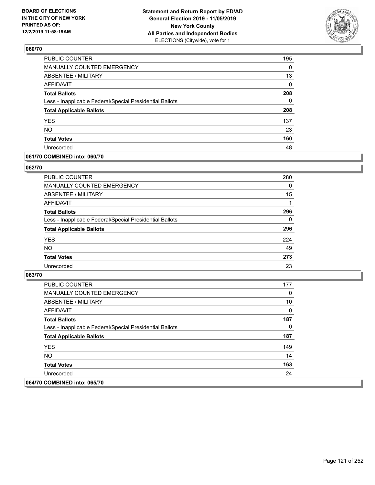

| <b>PUBLIC COUNTER</b>                                    | 195 |
|----------------------------------------------------------|-----|
| MANUALLY COUNTED EMERGENCY                               | 0   |
| <b>ABSENTEE / MILITARY</b>                               | 13  |
| <b>AFFIDAVIT</b>                                         | 0   |
| <b>Total Ballots</b>                                     | 208 |
| Less - Inapplicable Federal/Special Presidential Ballots | 0   |
| <b>Total Applicable Ballots</b>                          | 208 |
| <b>YES</b>                                               | 137 |
| <b>NO</b>                                                | 23  |
| <b>Total Votes</b>                                       | 160 |
| Unrecorded                                               | 48  |

## **061/70 COMBINED into: 060/70**

## **062/70**

| PUBLIC COUNTER                                           | 280 |
|----------------------------------------------------------|-----|
| <b>MANUALLY COUNTED EMERGENCY</b>                        | 0   |
| <b>ABSENTEE / MILITARY</b>                               | 15  |
| AFFIDAVIT                                                |     |
| <b>Total Ballots</b>                                     | 296 |
| Less - Inapplicable Federal/Special Presidential Ballots | 0   |
| <b>Total Applicable Ballots</b>                          | 296 |
| <b>YES</b>                                               | 224 |
| <b>NO</b>                                                | 49  |
| <b>Total Votes</b>                                       | 273 |
| Unrecorded                                               | 23  |

| <b>PUBLIC COUNTER</b>                                    | 177 |
|----------------------------------------------------------|-----|
| <b>MANUALLY COUNTED EMERGENCY</b>                        | 0   |
| ABSENTEE / MILITARY                                      | 10  |
| AFFIDAVIT                                                | 0   |
| <b>Total Ballots</b>                                     | 187 |
| Less - Inapplicable Federal/Special Presidential Ballots | 0   |
| <b>Total Applicable Ballots</b>                          | 187 |
| <b>YES</b>                                               | 149 |
| NO.                                                      | 14  |
| <b>Total Votes</b>                                       | 163 |
| Unrecorded                                               | 24  |
| 064/70 COMBINED into: 065/70                             |     |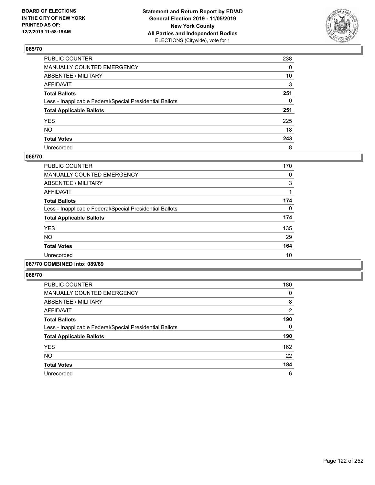

| PUBLIC COUNTER                                           | 238 |
|----------------------------------------------------------|-----|
| MANUALLY COUNTED EMERGENCY                               | 0   |
| ABSENTEE / MILITARY                                      | 10  |
| AFFIDAVIT                                                | 3   |
| Total Ballots                                            | 251 |
| Less - Inapplicable Federal/Special Presidential Ballots | 0   |
| <b>Total Applicable Ballots</b>                          | 251 |
| YES                                                      | 225 |
| NO.                                                      | 18  |
| <b>Total Votes</b>                                       | 243 |
| Unrecorded                                               | 8   |

## **066/70**

| <b>PUBLIC COUNTER</b>                                    | 170 |
|----------------------------------------------------------|-----|
| MANUALLY COUNTED EMERGENCY                               | 0   |
| ABSENTEE / MILITARY                                      | 3   |
| <b>AFFIDAVIT</b>                                         |     |
| <b>Total Ballots</b>                                     | 174 |
| Less - Inapplicable Federal/Special Presidential Ballots | 0   |
| <b>Total Applicable Ballots</b>                          | 174 |
| <b>YES</b>                                               | 135 |
| NO.                                                      | 29  |
| <b>Total Votes</b>                                       | 164 |
| Unrecorded                                               | 10  |
|                                                          |     |

## **067/70 COMBINED into: 089/69**

| <b>PUBLIC COUNTER</b>                                    | 180           |
|----------------------------------------------------------|---------------|
| <b>MANUALLY COUNTED EMERGENCY</b>                        | 0             |
| ABSENTEE / MILITARY                                      | 8             |
| <b>AFFIDAVIT</b>                                         | $\mathcal{P}$ |
| <b>Total Ballots</b>                                     | 190           |
| Less - Inapplicable Federal/Special Presidential Ballots | $\Omega$      |
| <b>Total Applicable Ballots</b>                          | 190           |
| <b>YES</b>                                               | 162           |
| <b>NO</b>                                                | 22            |
| <b>Total Votes</b>                                       | 184           |
| Unrecorded                                               | 6             |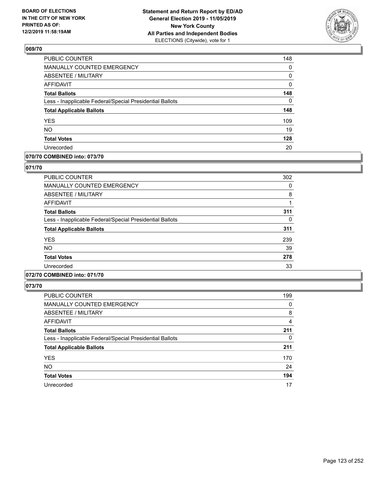

| <b>PUBLIC COUNTER</b>                                    | 148      |
|----------------------------------------------------------|----------|
| MANUALLY COUNTED EMERGENCY                               | 0        |
| ABSENTEE / MILITARY                                      | 0        |
| <b>AFFIDAVIT</b>                                         | 0        |
| <b>Total Ballots</b>                                     | 148      |
| Less - Inapplicable Federal/Special Presidential Ballots | $\Omega$ |
| <b>Total Applicable Ballots</b>                          | 148      |
| <b>YES</b>                                               | 109      |
| <b>NO</b>                                                | 19       |
| <b>Total Votes</b>                                       | 128      |
| Unrecorded                                               | 20       |

# **070/70 COMBINED into: 073/70**

## **071/70**

| <b>PUBLIC COUNTER</b>                                    | 302 |
|----------------------------------------------------------|-----|
| MANUALLY COUNTED EMERGENCY                               | 0   |
| ABSENTEE / MILITARY                                      | 8   |
| AFFIDAVIT                                                |     |
| <b>Total Ballots</b>                                     | 311 |
| Less - Inapplicable Federal/Special Presidential Ballots | 0   |
| <b>Total Applicable Ballots</b>                          | 311 |
| <b>YES</b>                                               | 239 |
| <b>NO</b>                                                | 39  |
| <b>Total Votes</b>                                       | 278 |
| Unrecorded                                               | 33  |
|                                                          |     |

# **072/70 COMBINED into: 071/70**

| <b>PUBLIC COUNTER</b>                                    | 199      |
|----------------------------------------------------------|----------|
| MANUALLY COUNTED EMERGENCY                               | 0        |
| ABSENTEE / MILITARY                                      | 8        |
| <b>AFFIDAVIT</b>                                         | 4        |
| <b>Total Ballots</b>                                     | 211      |
| Less - Inapplicable Federal/Special Presidential Ballots | $\Omega$ |
| <b>Total Applicable Ballots</b>                          | 211      |
| <b>YES</b>                                               | 170      |
| <b>NO</b>                                                | 24       |
| <b>Total Votes</b>                                       | 194      |
| Unrecorded                                               | 17       |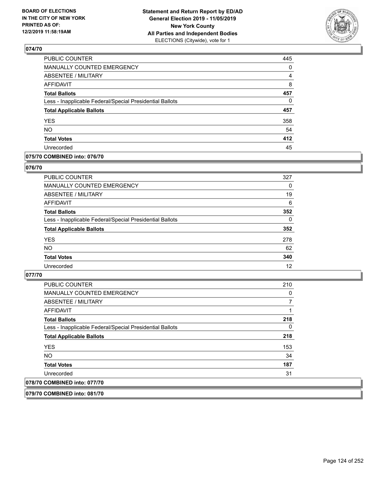

| PUBLIC COUNTER                                           | 445 |
|----------------------------------------------------------|-----|
| MANUALLY COUNTED EMERGENCY                               | 0   |
| <b>ABSENTEE / MILITARY</b>                               | 4   |
| <b>AFFIDAVIT</b>                                         | 8   |
| <b>Total Ballots</b>                                     | 457 |
| Less - Inapplicable Federal/Special Presidential Ballots | 0   |
| <b>Total Applicable Ballots</b>                          | 457 |
| <b>YES</b>                                               | 358 |
| <b>NO</b>                                                | 54  |
| <b>Total Votes</b>                                       | 412 |
| Unrecorded                                               | 45  |

## **075/70 COMBINED into: 076/70**

## **076/70**

| <b>PUBLIC COUNTER</b>                                    | 327      |
|----------------------------------------------------------|----------|
| MANUALLY COUNTED EMERGENCY                               | 0        |
| <b>ABSENTEE / MILITARY</b>                               | 19       |
| AFFIDAVIT                                                | 6        |
| <b>Total Ballots</b>                                     | 352      |
| Less - Inapplicable Federal/Special Presidential Ballots | $\Omega$ |
| <b>Total Applicable Ballots</b>                          | 352      |
| <b>YES</b>                                               | 278      |
| <b>NO</b>                                                | 62       |
| <b>Total Votes</b>                                       | 340      |
| Unrecorded                                               | 12       |
|                                                          |          |

## **077/70**

| <b>PUBLIC COUNTER</b>                                    | 210 |
|----------------------------------------------------------|-----|
| <b>MANUALLY COUNTED EMERGENCY</b>                        | 0   |
| ABSENTEE / MILITARY                                      |     |
| AFFIDAVIT                                                |     |
| <b>Total Ballots</b>                                     | 218 |
| Less - Inapplicable Federal/Special Presidential Ballots | 0   |
| <b>Total Applicable Ballots</b>                          | 218 |
| <b>YES</b>                                               | 153 |
| NO.                                                      | 34  |
| <b>Total Votes</b>                                       | 187 |
| Unrecorded                                               | 31  |
| 078/70 COMBINED into: 077/70                             |     |
|                                                          |     |

**079/70 COMBINED into: 081/70**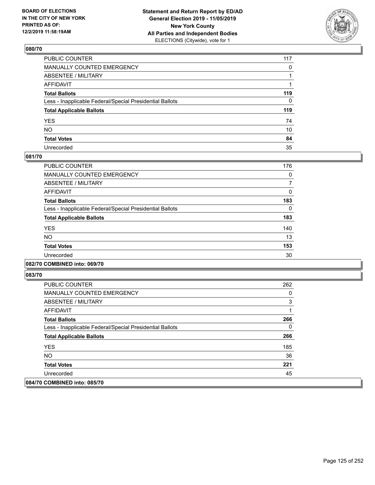

| PUBLIC COUNTER                                           | 117          |
|----------------------------------------------------------|--------------|
| MANUALLY COUNTED EMERGENCY                               | $\mathbf{0}$ |
| ABSENTEE / MILITARY                                      |              |
| AFFIDAVIT                                                |              |
| Total Ballots                                            | 119          |
| Less - Inapplicable Federal/Special Presidential Ballots | 0            |
| <b>Total Applicable Ballots</b>                          | 119          |
| YES                                                      | 74           |
| NO.                                                      | 10           |
| <b>Total Votes</b>                                       | 84           |
| Unrecorded                                               | 35           |

## **081/70**

| <b>PUBLIC COUNTER</b>                                    | 176 |
|----------------------------------------------------------|-----|
| <b>MANUALLY COUNTED EMERGENCY</b>                        | 0   |
| ABSENTEE / MILITARY                                      |     |
| <b>AFFIDAVIT</b>                                         | 0   |
| <b>Total Ballots</b>                                     | 183 |
| Less - Inapplicable Federal/Special Presidential Ballots | 0   |
| <b>Total Applicable Ballots</b>                          | 183 |
| <b>YES</b>                                               | 140 |
| <b>NO</b>                                                | 13  |
| <b>Total Votes</b>                                       | 153 |
| Unrecorded                                               | 30  |
|                                                          |     |

# **082/70 COMBINED into: 069/70**

| <b>PUBLIC COUNTER</b>                                    | 262 |
|----------------------------------------------------------|-----|
| <b>MANUALLY COUNTED EMERGENCY</b>                        | 0   |
| ABSENTEE / MILITARY                                      | 3   |
| AFFIDAVIT                                                |     |
| <b>Total Ballots</b>                                     | 266 |
| Less - Inapplicable Federal/Special Presidential Ballots | 0   |
| <b>Total Applicable Ballots</b>                          | 266 |
| <b>YES</b>                                               | 185 |
| NO.                                                      | 36  |
| <b>Total Votes</b>                                       | 221 |
| Unrecorded                                               | 45  |
| 084/70 COMBINED into: 085/70                             |     |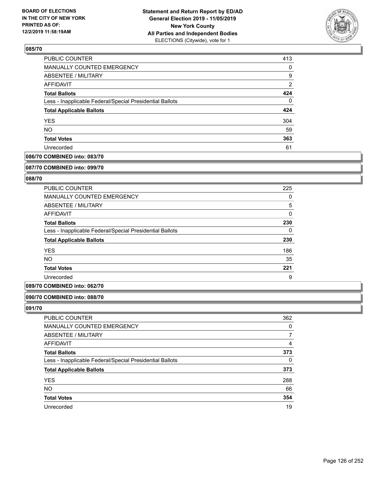

| <b>PUBLIC COUNTER</b>                                    | 413 |
|----------------------------------------------------------|-----|
| MANUALLY COUNTED EMERGENCY                               | 0   |
| ABSENTEE / MILITARY                                      | 9   |
| AFFIDAVIT                                                | 2   |
| <b>Total Ballots</b>                                     | 424 |
| Less - Inapplicable Federal/Special Presidential Ballots | 0   |
| <b>Total Applicable Ballots</b>                          | 424 |
| <b>YES</b>                                               | 304 |
| <b>NO</b>                                                | 59  |
| <b>Total Votes</b>                                       | 363 |
| Unrecorded                                               | 61  |

# **086/70 COMBINED into: 083/70**

#### **087/70 COMBINED into: 099/70**

# **088/70**

| <b>PUBLIC COUNTER</b>                                    | 225      |
|----------------------------------------------------------|----------|
| <b>MANUALLY COUNTED EMERGENCY</b>                        | 0        |
| ABSENTEE / MILITARY                                      | 5        |
| AFFIDAVIT                                                | 0        |
| <b>Total Ballots</b>                                     | 230      |
| Less - Inapplicable Federal/Special Presidential Ballots | $\Omega$ |
| <b>Total Applicable Ballots</b>                          | 230      |
| <b>YES</b>                                               | 186      |
| NO.                                                      | 35       |
| <b>Total Votes</b>                                       | 221      |
| Unrecorded                                               | 9        |

## **089/70 COMBINED into: 062/70**

## **090/70 COMBINED into: 088/70**

| PUBLIC COUNTER                                           | 362 |
|----------------------------------------------------------|-----|
| <b>MANUALLY COUNTED EMERGENCY</b>                        | 0   |
| ABSENTEE / MILITARY                                      |     |
| AFFIDAVIT                                                | 4   |
| <b>Total Ballots</b>                                     | 373 |
| Less - Inapplicable Federal/Special Presidential Ballots | 0   |
| <b>Total Applicable Ballots</b>                          | 373 |
| <b>YES</b>                                               | 288 |
| <b>NO</b>                                                | 66  |
| <b>Total Votes</b>                                       | 354 |
| Unrecorded                                               | 19  |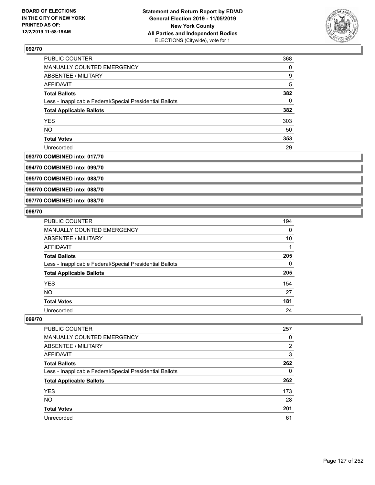

| PUBLIC COUNTER                                           | 368      |
|----------------------------------------------------------|----------|
| MANUALLY COUNTED EMERGENCY                               | $\Omega$ |
| <b>ABSENTEE / MILITARY</b>                               | 9        |
| <b>AFFIDAVIT</b>                                         | 5        |
| <b>Total Ballots</b>                                     | 382      |
| Less - Inapplicable Federal/Special Presidential Ballots | 0        |
| <b>Total Applicable Ballots</b>                          | 382      |
| <b>YES</b>                                               | 303      |
| <b>NO</b>                                                | 50       |
| <b>Total Votes</b>                                       | 353      |
| Unrecorded                                               | 29       |

## **093/70 COMBINED into: 017/70**

**094/70 COMBINED into: 099/70**

**095/70 COMBINED into: 088/70**

**096/70 COMBINED into: 088/70**

### **097/70 COMBINED into: 088/70**

## **098/70**

| <b>PUBLIC COUNTER</b>                                    | 194      |
|----------------------------------------------------------|----------|
| <b>MANUALLY COUNTED EMERGENCY</b>                        | 0        |
| ABSENTEE / MILITARY                                      | 10       |
| <b>AFFIDAVIT</b>                                         |          |
| <b>Total Ballots</b>                                     | 205      |
| Less - Inapplicable Federal/Special Presidential Ballots | $\Omega$ |
| <b>Total Applicable Ballots</b>                          | 205      |
| <b>YES</b>                                               | 154      |
| NO.                                                      | 27       |
| <b>Total Votes</b>                                       | 181      |
| Unrecorded                                               | 24       |

| <b>PUBLIC COUNTER</b>                                    | 257           |
|----------------------------------------------------------|---------------|
| <b>MANUALLY COUNTED EMERGENCY</b>                        | 0             |
| ABSENTEE / MILITARY                                      | $\mathcal{P}$ |
| AFFIDAVIT                                                | 3             |
| <b>Total Ballots</b>                                     | 262           |
| Less - Inapplicable Federal/Special Presidential Ballots | 0             |
| <b>Total Applicable Ballots</b>                          | 262           |
| <b>YES</b>                                               | 173           |
| <b>NO</b>                                                | 28            |
| <b>Total Votes</b>                                       | 201           |
| Unrecorded                                               | 61            |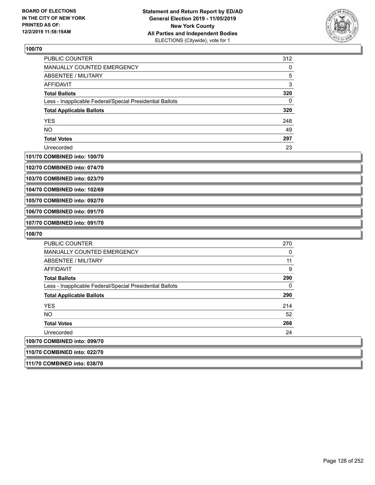

| <b>PUBLIC COUNTER</b>                                    | 312 |
|----------------------------------------------------------|-----|
| <b>MANUALLY COUNTED EMERGENCY</b>                        | 0   |
| ABSENTEE / MILITARY                                      | 5   |
| AFFIDAVIT                                                | 3   |
| <b>Total Ballots</b>                                     | 320 |
| Less - Inapplicable Federal/Special Presidential Ballots | 0   |
| <b>Total Applicable Ballots</b>                          | 320 |
| <b>YES</b>                                               | 248 |
| <b>NO</b>                                                | 49  |
| <b>Total Votes</b>                                       | 297 |
| Unrecorded                                               | 23  |

#### **101/70 COMBINED into: 100/70**

**102/70 COMBINED into: 074/70**

**103/70 COMBINED into: 023/70**

**104/70 COMBINED into: 102/69**

**105/70 COMBINED into: 092/70**

**106/70 COMBINED into: 091/70**

**107/70 COMBINED into: 091/70**

**111/70 COMBINED into: 038/70**

| PUBLIC COUNTER                                           | 270      |
|----------------------------------------------------------|----------|
| <b>MANUALLY COUNTED EMERGENCY</b>                        | 0        |
| ABSENTEE / MILITARY                                      | 11       |
| AFFIDAVIT                                                | 9        |
| <b>Total Ballots</b>                                     | 290      |
| Less - Inapplicable Federal/Special Presidential Ballots | $\Omega$ |
| <b>Total Applicable Ballots</b>                          | 290      |
| <b>YES</b>                                               | 214      |
| NO.                                                      | 52       |
| <b>Total Votes</b>                                       | 266      |
| Unrecorded                                               | 24       |
| 109/70 COMBINED into: 099/70                             |          |
| 110/70 COMBINED into: 022/70                             |          |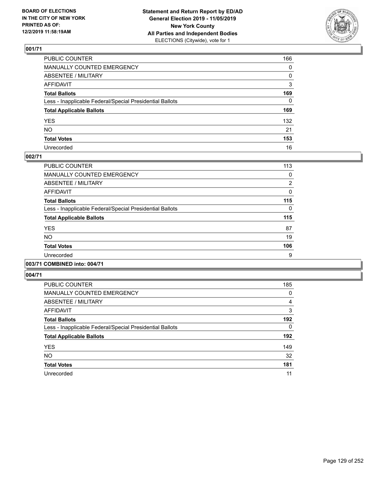

| PUBLIC COUNTER                                           | 166          |
|----------------------------------------------------------|--------------|
| MANUALLY COUNTED EMERGENCY                               | 0            |
| ABSENTEE / MILITARY                                      | 0            |
| AFFIDAVIT                                                | 3            |
| Total Ballots                                            | 169          |
| Less - Inapplicable Federal/Special Presidential Ballots | $\mathbf{0}$ |
| <b>Total Applicable Ballots</b>                          | 169          |
| YES                                                      | 132          |
| NO.                                                      | 21           |
| <b>Total Votes</b>                                       | 153          |
| Unrecorded                                               | 16           |

## **002/71**

| <b>PUBLIC COUNTER</b>                                    | 113 |
|----------------------------------------------------------|-----|
| <b>MANUALLY COUNTED EMERGENCY</b>                        | 0   |
| ABSENTEE / MILITARY                                      | 2   |
| <b>AFFIDAVIT</b>                                         | 0   |
| <b>Total Ballots</b>                                     | 115 |
| Less - Inapplicable Federal/Special Presidential Ballots | 0   |
| <b>Total Applicable Ballots</b>                          | 115 |
| <b>YES</b>                                               | 87  |
| <b>NO</b>                                                | 19  |
| <b>Total Votes</b>                                       | 106 |
| Unrecorded                                               | 9   |
|                                                          |     |

# **003/71 COMBINED into: 004/71**

| PUBLIC COUNTER                                           | 185 |
|----------------------------------------------------------|-----|
| <b>MANUALLY COUNTED EMERGENCY</b>                        | 0   |
| ABSENTEE / MILITARY                                      | 4   |
| <b>AFFIDAVIT</b>                                         | 3   |
| <b>Total Ballots</b>                                     | 192 |
| Less - Inapplicable Federal/Special Presidential Ballots | 0   |
| <b>Total Applicable Ballots</b>                          | 192 |
| <b>YES</b>                                               | 149 |
| <b>NO</b>                                                | 32  |
| <b>Total Votes</b>                                       | 181 |
| Unrecorded                                               | 11  |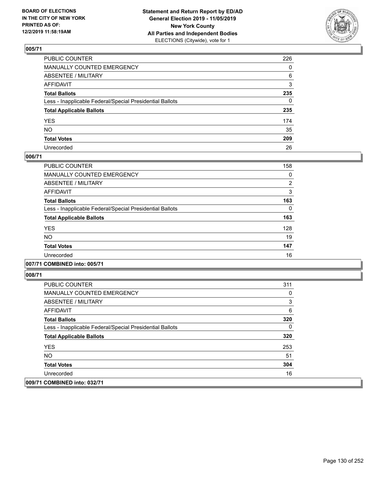

| PUBLIC COUNTER                                           | 226          |
|----------------------------------------------------------|--------------|
| MANUALLY COUNTED EMERGENCY                               | $\mathbf{0}$ |
| ABSENTEE / MILITARY                                      | 6            |
| AFFIDAVIT                                                | 3            |
| Total Ballots                                            | 235          |
| Less - Inapplicable Federal/Special Presidential Ballots | 0            |
| <b>Total Applicable Ballots</b>                          | 235          |
| YES                                                      | 174          |
| NO.                                                      | 35           |
| <b>Total Votes</b>                                       | 209          |
| Unrecorded                                               | 26           |

# **006/71**

| <b>PUBLIC COUNTER</b>                                    | 158      |
|----------------------------------------------------------|----------|
| <b>MANUALLY COUNTED EMERGENCY</b>                        | 0        |
| ABSENTEE / MILITARY                                      | 2        |
| <b>AFFIDAVIT</b>                                         | 3        |
| <b>Total Ballots</b>                                     | 163      |
| Less - Inapplicable Federal/Special Presidential Ballots | $\Omega$ |
| <b>Total Applicable Ballots</b>                          | 163      |
| <b>YES</b>                                               | 128      |
| <b>NO</b>                                                | 19       |
| <b>Total Votes</b>                                       | 147      |
| Unrecorded                                               | 16       |
|                                                          |          |

## **007/71 COMBINED into: 005/71**

| PUBLIC COUNTER                                           | 311 |
|----------------------------------------------------------|-----|
| <b>MANUALLY COUNTED EMERGENCY</b>                        | 0   |
| ABSENTEE / MILITARY                                      | 3   |
| AFFIDAVIT                                                | 6   |
| <b>Total Ballots</b>                                     | 320 |
| Less - Inapplicable Federal/Special Presidential Ballots | 0   |
| <b>Total Applicable Ballots</b>                          | 320 |
| <b>YES</b>                                               | 253 |
| NO.                                                      | 51  |
| <b>Total Votes</b>                                       | 304 |
| Unrecorded                                               | 16  |
| 009/71 COMBINED into: 032/71                             |     |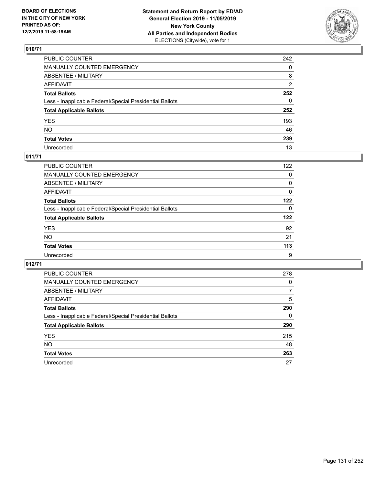

| PUBLIC COUNTER                                           | 242          |
|----------------------------------------------------------|--------------|
| MANUALLY COUNTED EMERGENCY                               | $\mathbf{0}$ |
| ABSENTEE / MILITARY                                      | 8            |
| AFFIDAVIT                                                | 2            |
| Total Ballots                                            | 252          |
| Less - Inapplicable Federal/Special Presidential Ballots | 0            |
| <b>Total Applicable Ballots</b>                          | 252          |
| YES                                                      | 193          |
| NO.                                                      | 46           |
| <b>Total Votes</b>                                       | 239          |
| Unrecorded                                               | 13           |

# **011/71**

| PUBLIC COUNTER                                           | 122      |
|----------------------------------------------------------|----------|
| MANUALLY COUNTED EMERGENCY                               | 0        |
| <b>ABSENTEE / MILITARY</b>                               | 0        |
| AFFIDAVIT                                                | 0        |
| <b>Total Ballots</b>                                     | 122      |
| Less - Inapplicable Federal/Special Presidential Ballots | $\Omega$ |
| <b>Total Applicable Ballots</b>                          | 122      |
| <b>YES</b>                                               | 92       |
| <b>NO</b>                                                | 21       |
| <b>Total Votes</b>                                       | 113      |
| Unrecorded                                               | 9        |

| <b>PUBLIC COUNTER</b>                                    | 278 |
|----------------------------------------------------------|-----|
| <b>MANUALLY COUNTED EMERGENCY</b>                        | 0   |
| <b>ABSENTEE / MILITARY</b>                               | 7   |
| <b>AFFIDAVIT</b>                                         | 5   |
| <b>Total Ballots</b>                                     | 290 |
| Less - Inapplicable Federal/Special Presidential Ballots | 0   |
| <b>Total Applicable Ballots</b>                          | 290 |
| <b>YES</b>                                               | 215 |
| <b>NO</b>                                                | 48  |
| <b>Total Votes</b>                                       | 263 |
| Unrecorded                                               | 27  |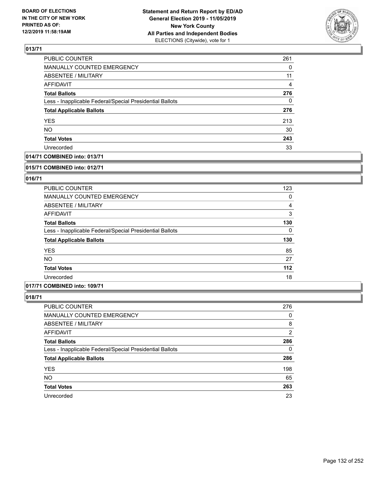

| PUBLIC COUNTER                                           | 261 |
|----------------------------------------------------------|-----|
| <b>MANUALLY COUNTED EMERGENCY</b>                        | 0   |
| <b>ABSENTEE / MILITARY</b>                               | 11  |
| <b>AFFIDAVIT</b>                                         | 4   |
| <b>Total Ballots</b>                                     | 276 |
| Less - Inapplicable Federal/Special Presidential Ballots | 0   |
| <b>Total Applicable Ballots</b>                          | 276 |
| <b>YES</b>                                               | 213 |
| <b>NO</b>                                                | 30  |
| <b>Total Votes</b>                                       | 243 |
| Unrecorded                                               | 33  |

# **014/71 COMBINED into: 013/71**

#### **015/71 COMBINED into: 012/71**

# **016/71**

| PUBLIC COUNTER                                           | 123      |
|----------------------------------------------------------|----------|
| <b>MANUALLY COUNTED EMERGENCY</b>                        | 0        |
| ABSENTEE / MILITARY                                      | 4        |
| AFFIDAVIT                                                | 3        |
| <b>Total Ballots</b>                                     | 130      |
| Less - Inapplicable Federal/Special Presidential Ballots | $\Omega$ |
| <b>Total Applicable Ballots</b>                          | 130      |
| <b>YES</b>                                               | 85       |
| <b>NO</b>                                                | 27       |
| <b>Total Votes</b>                                       | $112$    |
| Unrecorded                                               | 18       |

## **017/71 COMBINED into: 109/71**

| PUBLIC COUNTER                                           | 276 |
|----------------------------------------------------------|-----|
| <b>MANUALLY COUNTED EMERGENCY</b>                        | 0   |
| ABSENTEE / MILITARY                                      | 8   |
| AFFIDAVIT                                                | 2   |
| <b>Total Ballots</b>                                     | 286 |
| Less - Inapplicable Federal/Special Presidential Ballots | 0   |
| <b>Total Applicable Ballots</b>                          | 286 |
| <b>YES</b>                                               | 198 |
| <b>NO</b>                                                | 65  |
| <b>Total Votes</b>                                       | 263 |
| Unrecorded                                               | 23  |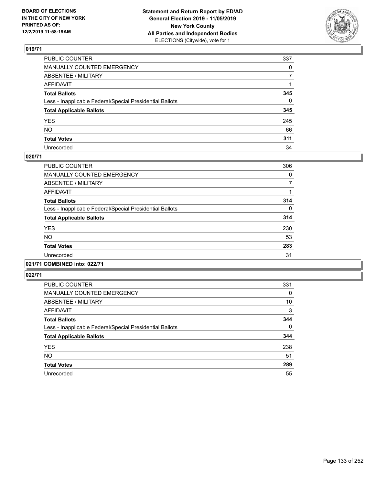

| PUBLIC COUNTER                                           | 337          |
|----------------------------------------------------------|--------------|
| MANUALLY COUNTED EMERGENCY                               | $\mathbf{0}$ |
| ABSENTEE / MILITARY                                      | 7            |
| AFFIDAVIT                                                |              |
| Total Ballots                                            | 345          |
| Less - Inapplicable Federal/Special Presidential Ballots | 0            |
| <b>Total Applicable Ballots</b>                          | 345          |
| YES                                                      | 245          |
| NO.                                                      | 66           |
| <b>Total Votes</b>                                       | 311          |
| Unrecorded                                               | 34           |

## **020/71**

| PUBLIC COUNTER                                           | 306      |
|----------------------------------------------------------|----------|
| <b>MANUALLY COUNTED EMERGENCY</b>                        | 0        |
| ABSENTEE / MILITARY                                      | 7        |
| <b>AFFIDAVIT</b>                                         |          |
| <b>Total Ballots</b>                                     | 314      |
| Less - Inapplicable Federal/Special Presidential Ballots | $\Omega$ |
| <b>Total Applicable Ballots</b>                          | 314      |
| <b>YES</b>                                               | 230      |
| NO.                                                      | 53       |
| <b>Total Votes</b>                                       | 283      |
| Unrecorded                                               | 31       |
|                                                          |          |

# **021/71 COMBINED into: 022/71**

| PUBLIC COUNTER                                           | 331 |
|----------------------------------------------------------|-----|
| MANUALLY COUNTED EMERGENCY                               | 0   |
| ABSENTEE / MILITARY                                      | 10  |
| AFFIDAVIT                                                | 3   |
| <b>Total Ballots</b>                                     | 344 |
| Less - Inapplicable Federal/Special Presidential Ballots | 0   |
| <b>Total Applicable Ballots</b>                          | 344 |
| <b>YES</b>                                               | 238 |
| <b>NO</b>                                                | 51  |
| <b>Total Votes</b>                                       | 289 |
| Unrecorded                                               | 55  |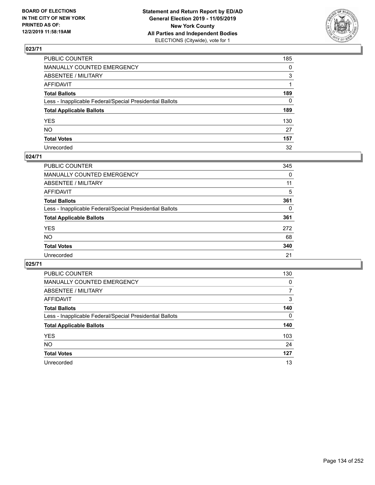

| PUBLIC COUNTER                                           | 185          |
|----------------------------------------------------------|--------------|
| MANUALLY COUNTED EMERGENCY                               | $\mathbf{0}$ |
| ABSENTEE / MILITARY                                      | 3            |
| AFFIDAVIT                                                |              |
| Total Ballots                                            | 189          |
| Less - Inapplicable Federal/Special Presidential Ballots | 0            |
| <b>Total Applicable Ballots</b>                          | 189          |
| YES                                                      | 130          |
| NO.                                                      | 27           |
| <b>Total Votes</b>                                       | 157          |
| Unrecorded                                               | 32           |

## **024/71**

| <b>PUBLIC COUNTER</b>                                    | 345      |
|----------------------------------------------------------|----------|
| <b>MANUALLY COUNTED EMERGENCY</b>                        | 0        |
| ABSENTEE / MILITARY                                      | 11       |
| AFFIDAVIT                                                | 5        |
| <b>Total Ballots</b>                                     | 361      |
| Less - Inapplicable Federal/Special Presidential Ballots | $\Omega$ |
| <b>Total Applicable Ballots</b>                          | 361      |
| <b>YES</b>                                               | 272      |
| <b>NO</b>                                                | 68       |
| <b>Total Votes</b>                                       | 340      |
| Unrecorded                                               | 21       |

| PUBLIC COUNTER                                           | 130      |
|----------------------------------------------------------|----------|
| <b>MANUALLY COUNTED EMERGENCY</b>                        | $\Omega$ |
| ABSENTEE / MILITARY                                      | 7        |
| AFFIDAVIT                                                | 3        |
| <b>Total Ballots</b>                                     | 140      |
| Less - Inapplicable Federal/Special Presidential Ballots | $\Omega$ |
| <b>Total Applicable Ballots</b>                          | 140      |
| <b>YES</b>                                               | 103      |
| <b>NO</b>                                                | 24       |
| <b>Total Votes</b>                                       | 127      |
| Unrecorded                                               | 13       |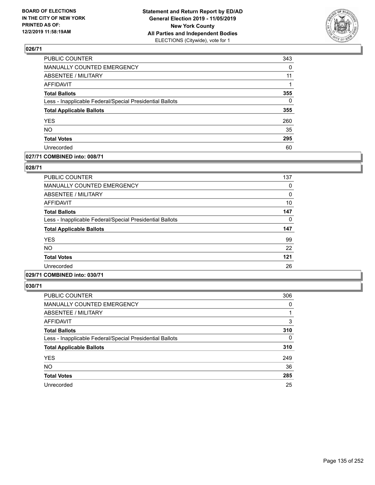

| <b>PUBLIC COUNTER</b>                                    | 343      |
|----------------------------------------------------------|----------|
| MANUALLY COUNTED EMERGENCY                               | 0        |
| <b>ABSENTEE / MILITARY</b>                               | 11       |
| <b>AFFIDAVIT</b>                                         |          |
| <b>Total Ballots</b>                                     | 355      |
| Less - Inapplicable Federal/Special Presidential Ballots | $\Omega$ |
| <b>Total Applicable Ballots</b>                          | 355      |
| <b>YES</b>                                               | 260      |
| <b>NO</b>                                                | 35       |
| <b>Total Votes</b>                                       | 295      |
| Unrecorded                                               | 60       |

## **027/71 COMBINED into: 008/71**

## **028/71**

| <b>PUBLIC COUNTER</b>                                    | 137 |
|----------------------------------------------------------|-----|
| <b>MANUALLY COUNTED EMERGENCY</b>                        | 0   |
| ABSENTEE / MILITARY                                      | 0   |
| AFFIDAVIT                                                | 10  |
| <b>Total Ballots</b>                                     | 147 |
| Less - Inapplicable Federal/Special Presidential Ballots | 0   |
| <b>Total Applicable Ballots</b>                          | 147 |
| <b>YES</b>                                               | 99  |
| <b>NO</b>                                                | 22  |
| <b>Total Votes</b>                                       | 121 |
| Unrecorded                                               | 26  |
|                                                          |     |

# **029/71 COMBINED into: 030/71**

| PUBLIC COUNTER                                           | 306      |
|----------------------------------------------------------|----------|
| <b>MANUALLY COUNTED EMERGENCY</b>                        | 0        |
| <b>ABSENTEE / MILITARY</b>                               |          |
| AFFIDAVIT                                                | 3        |
| <b>Total Ballots</b>                                     | 310      |
| Less - Inapplicable Federal/Special Presidential Ballots | $\Omega$ |
| <b>Total Applicable Ballots</b>                          | 310      |
| <b>YES</b>                                               | 249      |
| <b>NO</b>                                                | 36       |
| <b>Total Votes</b>                                       | 285      |
| Unrecorded                                               | 25       |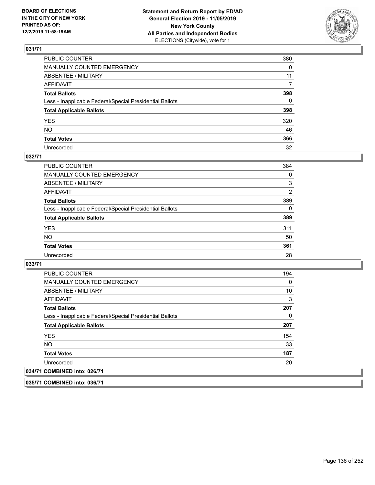

| PUBLIC COUNTER                                           | 380      |
|----------------------------------------------------------|----------|
| MANUALLY COUNTED EMERGENCY                               | $\Omega$ |
| ABSENTEE / MILITARY                                      | 11       |
| AFFIDAVIT                                                | 7        |
| Total Ballots                                            | 398      |
| Less - Inapplicable Federal/Special Presidential Ballots | 0        |
| <b>Total Applicable Ballots</b>                          | 398      |
| YES                                                      | 320      |
| NO.                                                      | 46       |
| <b>Total Votes</b>                                       | 366      |
| Unrecorded                                               | 32       |

## **032/71**

| <b>PUBLIC COUNTER</b>                                    | 384      |
|----------------------------------------------------------|----------|
| <b>MANUALLY COUNTED EMERGENCY</b>                        | 0        |
| ABSENTEE / MILITARY                                      | 3        |
| AFFIDAVIT                                                | 2        |
| <b>Total Ballots</b>                                     | 389      |
| Less - Inapplicable Federal/Special Presidential Ballots | $\Omega$ |
| <b>Total Applicable Ballots</b>                          | 389      |
| <b>YES</b>                                               | 311      |
| <b>NO</b>                                                | 50       |
| <b>Total Votes</b>                                       | 361      |
| Unrecorded                                               | 28       |

**033/71** 

| PUBLIC COUNTER                                           | 194 |
|----------------------------------------------------------|-----|
| MANUALLY COUNTED EMERGENCY                               | 0   |
| ABSENTEE / MILITARY                                      | 10  |
| AFFIDAVIT                                                | 3   |
| <b>Total Ballots</b>                                     | 207 |
| Less - Inapplicable Federal/Special Presidential Ballots | 0   |
| <b>Total Applicable Ballots</b>                          | 207 |
| <b>YES</b>                                               | 154 |
| NO.                                                      | 33  |
| <b>Total Votes</b>                                       | 187 |
| Unrecorded                                               | 20  |
| 034/71 COMBINED into: 026/71                             |     |

**035/71 COMBINED into: 036/71**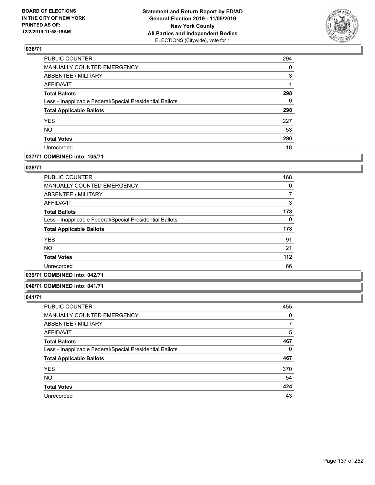

| PUBLIC COUNTER                                           | 294 |
|----------------------------------------------------------|-----|
| MANUALLY COUNTED EMERGENCY                               | 0   |
| <b>ABSENTEE / MILITARY</b>                               | 3   |
| <b>AFFIDAVIT</b>                                         |     |
| <b>Total Ballots</b>                                     | 298 |
| Less - Inapplicable Federal/Special Presidential Ballots | 0   |
| <b>Total Applicable Ballots</b>                          | 298 |
| <b>YES</b>                                               | 227 |
| <b>NO</b>                                                | 53  |
| <b>Total Votes</b>                                       | 280 |
| Unrecorded                                               | 18  |

# **037/71 COMBINED into: 105/71**

## **038/71**

| PUBLIC COUNTER                                           | 168 |
|----------------------------------------------------------|-----|
| <b>MANUALLY COUNTED EMERGENCY</b>                        | 0   |
| ABSENTEE / MILITARY                                      | 7   |
| <b>AFFIDAVIT</b>                                         | 3   |
| <b>Total Ballots</b>                                     | 178 |
| Less - Inapplicable Federal/Special Presidential Ballots | 0   |
| <b>Total Applicable Ballots</b>                          | 178 |
| <b>YES</b>                                               | 91  |
| NO.                                                      | 21  |
| <b>Total Votes</b>                                       | 112 |
| Unrecorded                                               | 66  |
|                                                          |     |

# **039/71 COMBINED into: 042/71**

#### **040/71 COMBINED into: 041/71**

| <b>PUBLIC COUNTER</b>                                    | 455 |
|----------------------------------------------------------|-----|
| MANUALLY COUNTED EMERGENCY                               | 0   |
| ABSENTEE / MILITARY                                      | 7   |
| AFFIDAVIT                                                | 5   |
| <b>Total Ballots</b>                                     | 467 |
| Less - Inapplicable Federal/Special Presidential Ballots | 0   |
| <b>Total Applicable Ballots</b>                          | 467 |
| <b>YES</b>                                               | 370 |
| <b>NO</b>                                                | 54  |
| <b>Total Votes</b>                                       | 424 |
| Unrecorded                                               | 43  |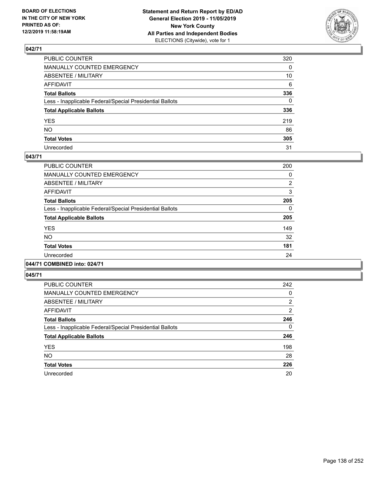

| PUBLIC COUNTER                                           | 320 |
|----------------------------------------------------------|-----|
| MANUALLY COUNTED EMERGENCY                               | 0   |
| ABSENTEE / MILITARY                                      | 10  |
| AFFIDAVIT                                                | 6   |
| Total Ballots                                            | 336 |
| Less - Inapplicable Federal/Special Presidential Ballots | 0   |
| <b>Total Applicable Ballots</b>                          | 336 |
| YES                                                      | 219 |
| NO.                                                      | 86  |
| <b>Total Votes</b>                                       | 305 |
| Unrecorded                                               | 31  |

## **043/71**

| PUBLIC COUNTER                                           | 200      |
|----------------------------------------------------------|----------|
| <b>MANUALLY COUNTED EMERGENCY</b>                        | 0        |
| ABSENTEE / MILITARY                                      | 2        |
| <b>AFFIDAVIT</b>                                         | 3        |
| <b>Total Ballots</b>                                     | 205      |
| Less - Inapplicable Federal/Special Presidential Ballots | $\Omega$ |
| <b>Total Applicable Ballots</b>                          | 205      |
| <b>YES</b>                                               | 149      |
| <b>NO</b>                                                | 32       |
| <b>Total Votes</b>                                       | 181      |
| Unrecorded                                               | 24       |
|                                                          |          |

# **044/71 COMBINED into: 024/71**

| <b>PUBLIC COUNTER</b>                                    | 242      |
|----------------------------------------------------------|----------|
| MANUALLY COUNTED EMERGENCY                               | 0        |
| ABSENTEE / MILITARY                                      | 2        |
| AFFIDAVIT                                                | 2        |
| <b>Total Ballots</b>                                     | 246      |
| Less - Inapplicable Federal/Special Presidential Ballots | $\Omega$ |
| <b>Total Applicable Ballots</b>                          | 246      |
| <b>YES</b>                                               | 198      |
| NO.                                                      | 28       |
| <b>Total Votes</b>                                       | 226      |
| Unrecorded                                               | 20       |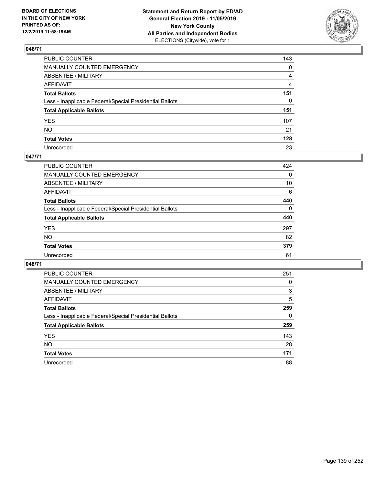

| PUBLIC COUNTER                                           | 143 |
|----------------------------------------------------------|-----|
| MANUALLY COUNTED EMERGENCY                               | 0   |
| ABSENTEE / MILITARY                                      | 4   |
| AFFIDAVIT                                                | 4   |
| Total Ballots                                            | 151 |
| Less - Inapplicable Federal/Special Presidential Ballots | 0   |
| <b>Total Applicable Ballots</b>                          | 151 |
| YES                                                      | 107 |
| NO.                                                      | 21  |
| <b>Total Votes</b>                                       | 128 |
| Unrecorded                                               | 23  |

## **047/71**

| <b>PUBLIC COUNTER</b>                                    | 424      |
|----------------------------------------------------------|----------|
| <b>MANUALLY COUNTED EMERGENCY</b>                        | 0        |
| ABSENTEE / MILITARY                                      | 10       |
| AFFIDAVIT                                                | 6        |
| <b>Total Ballots</b>                                     | 440      |
| Less - Inapplicable Federal/Special Presidential Ballots | $\Omega$ |
| <b>Total Applicable Ballots</b>                          | 440      |
| <b>YES</b>                                               | 297      |
| <b>NO</b>                                                | 82       |
| <b>Total Votes</b>                                       | 379      |
| Unrecorded                                               | 61       |

| PUBLIC COUNTER                                           | 251 |
|----------------------------------------------------------|-----|
| MANUALLY COUNTED EMERGENCY                               | 0   |
| ABSENTEE / MILITARY                                      | 3   |
| AFFIDAVIT                                                | 5   |
| <b>Total Ballots</b>                                     | 259 |
| Less - Inapplicable Federal/Special Presidential Ballots | 0   |
| <b>Total Applicable Ballots</b>                          | 259 |
| <b>YES</b>                                               | 143 |
| NO.                                                      | 28  |
| <b>Total Votes</b>                                       | 171 |
| Unrecorded                                               | 88  |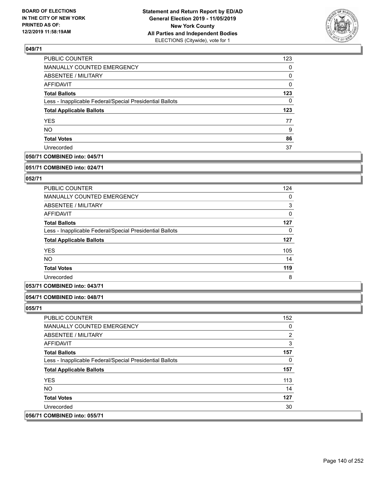

| PUBLIC COUNTER                                           | 123      |
|----------------------------------------------------------|----------|
| MANUALLY COUNTED EMERGENCY                               | $\Omega$ |
| <b>ABSENTEE / MILITARY</b>                               | 0        |
| AFFIDAVIT                                                | $\Omega$ |
| <b>Total Ballots</b>                                     | 123      |
| Less - Inapplicable Federal/Special Presidential Ballots | 0        |
| <b>Total Applicable Ballots</b>                          | 123      |
| <b>YES</b>                                               | 77       |
| <b>NO</b>                                                | 9        |
| <b>Total Votes</b>                                       | 86       |
| Unrecorded                                               | 37       |

# **050/71 COMBINED into: 045/71**

#### **051/71 COMBINED into: 024/71**

# **052/71**

| <b>PUBLIC COUNTER</b>                                    | 124 |
|----------------------------------------------------------|-----|
| <b>MANUALLY COUNTED EMERGENCY</b>                        | 0   |
| ABSENTEE / MILITARY                                      | 3   |
| AFFIDAVIT                                                | 0   |
| <b>Total Ballots</b>                                     | 127 |
| Less - Inapplicable Federal/Special Presidential Ballots | 0   |
| <b>Total Applicable Ballots</b>                          | 127 |
| <b>YES</b>                                               | 105 |
| <b>NO</b>                                                | 14  |
| <b>Total Votes</b>                                       | 119 |
| Unrecorded                                               | 8   |

# **053/71 COMBINED into: 043/71**

# **054/71 COMBINED into: 048/71**

| PUBLIC COUNTER                                           | 152            |
|----------------------------------------------------------|----------------|
| <b>MANUALLY COUNTED EMERGENCY</b>                        | 0              |
| ABSENTEE / MILITARY                                      | $\overline{2}$ |
| AFFIDAVIT                                                | 3              |
| <b>Total Ballots</b>                                     | 157            |
| Less - Inapplicable Federal/Special Presidential Ballots | 0              |
| <b>Total Applicable Ballots</b>                          | 157            |
| <b>YES</b>                                               | 113            |
| NO.                                                      | 14             |
| <b>Total Votes</b>                                       | 127            |
| Unrecorded                                               | 30             |
| 056/71 COMBINED into: 055/71                             |                |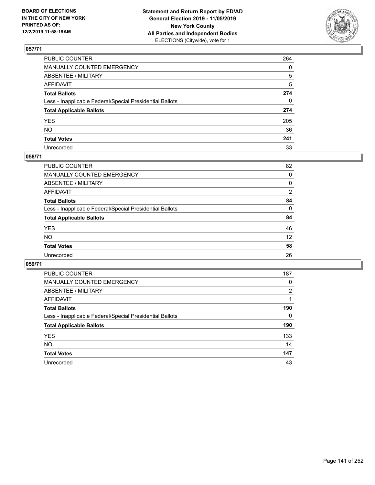

| PUBLIC COUNTER                                           | 264          |
|----------------------------------------------------------|--------------|
| MANUALLY COUNTED EMERGENCY                               | $\mathbf{0}$ |
| ABSENTEE / MILITARY                                      | 5            |
| AFFIDAVIT                                                | 5            |
| Total Ballots                                            | 274          |
| Less - Inapplicable Federal/Special Presidential Ballots | 0            |
| <b>Total Applicable Ballots</b>                          | 274          |
| YES                                                      | 205          |
| NO.                                                      | 36           |
| <b>Total Votes</b>                                       | 241          |
| Unrecorded                                               | 33           |

# **058/71**

| 82             |
|----------------|
| 0              |
| 0              |
| $\overline{2}$ |
| 84             |
| $\Omega$       |
| 84             |
| 46             |
| 12             |
| 58             |
| 26             |
|                |

| PUBLIC COUNTER                                           | 187      |
|----------------------------------------------------------|----------|
| <b>MANUALLY COUNTED EMERGENCY</b>                        | 0        |
| ABSENTEE / MILITARY                                      | 2        |
| AFFIDAVIT                                                |          |
| <b>Total Ballots</b>                                     | 190      |
| Less - Inapplicable Federal/Special Presidential Ballots | $\Omega$ |
| <b>Total Applicable Ballots</b>                          | 190      |
| <b>YES</b>                                               | 133      |
| <b>NO</b>                                                | 14       |
| <b>Total Votes</b>                                       | 147      |
| Unrecorded                                               | 43       |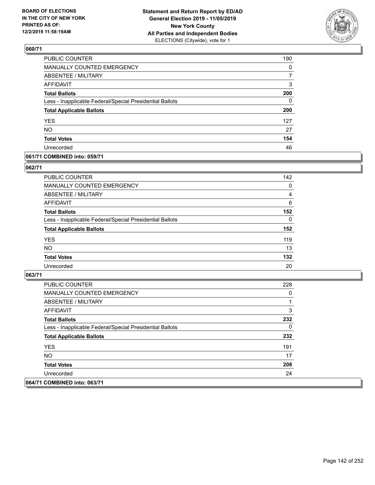

| <b>PUBLIC COUNTER</b>                                    | 190      |
|----------------------------------------------------------|----------|
| MANUALLY COUNTED EMERGENCY                               | $\Omega$ |
| <b>ABSENTEE / MILITARY</b>                               |          |
| <b>AFFIDAVIT</b>                                         | 3        |
| <b>Total Ballots</b>                                     | 200      |
| Less - Inapplicable Federal/Special Presidential Ballots | 0        |
| <b>Total Applicable Ballots</b>                          | 200      |
| <b>YES</b>                                               | 127      |
| <b>NO</b>                                                | 27       |
| <b>Total Votes</b>                                       | 154      |
| Unrecorded                                               | 46       |

## **061/71 COMBINED into: 059/71**

## **062/71**

| PUBLIC COUNTER                                           | 142      |
|----------------------------------------------------------|----------|
| MANUALLY COUNTED EMERGENCY                               | $\Omega$ |
| <b>ABSENTEE / MILITARY</b>                               | 4        |
| AFFIDAVIT                                                | 6        |
| <b>Total Ballots</b>                                     | 152      |
| Less - Inapplicable Federal/Special Presidential Ballots | $\Omega$ |
| <b>Total Applicable Ballots</b>                          | 152      |
| <b>YES</b>                                               | 119      |
| <b>NO</b>                                                | 13       |
| <b>Total Votes</b>                                       | 132      |
| Unrecorded                                               | 20       |

| PUBLIC COUNTER                                           | 228 |
|----------------------------------------------------------|-----|
| MANUALLY COUNTED EMERGENCY                               | 0   |
| ABSENTEE / MILITARY                                      |     |
| AFFIDAVIT                                                | 3   |
| <b>Total Ballots</b>                                     | 232 |
| Less - Inapplicable Federal/Special Presidential Ballots | 0   |
| <b>Total Applicable Ballots</b>                          | 232 |
| <b>YES</b>                                               | 191 |
| NO.                                                      | 17  |
| <b>Total Votes</b>                                       | 208 |
| Unrecorded                                               | 24  |
| 064/71 COMBINED into: 063/71                             |     |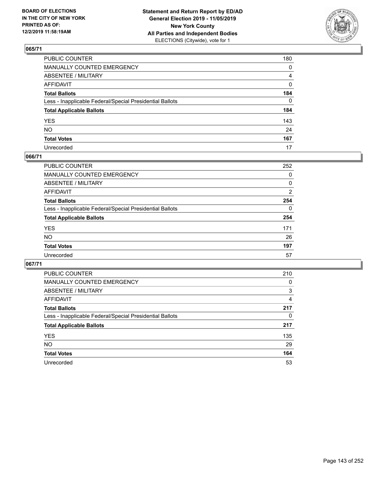

| PUBLIC COUNTER                                           | 180 |
|----------------------------------------------------------|-----|
| MANUALLY COUNTED EMERGENCY                               | 0   |
| ABSENTEE / MILITARY                                      | 4   |
| AFFIDAVIT                                                | 0   |
| Total Ballots                                            | 184 |
| Less - Inapplicable Federal/Special Presidential Ballots | 0   |
| <b>Total Applicable Ballots</b>                          | 184 |
| YES                                                      | 143 |
| NO.                                                      | 24  |
| <b>Total Votes</b>                                       | 167 |
| Unrecorded                                               | 17  |

## **066/71**

| <b>PUBLIC COUNTER</b>                                    | 252      |
|----------------------------------------------------------|----------|
| MANUALLY COUNTED EMERGENCY                               | 0        |
| ABSENTEE / MILITARY                                      | 0        |
| AFFIDAVIT                                                | 2        |
| <b>Total Ballots</b>                                     | 254      |
| Less - Inapplicable Federal/Special Presidential Ballots | $\Omega$ |
| <b>Total Applicable Ballots</b>                          | 254      |
| <b>YES</b>                                               | 171      |
| <b>NO</b>                                                | 26       |
| <b>Total Votes</b>                                       | 197      |
| Unrecorded                                               | 57       |

| PUBLIC COUNTER                                           | 210      |
|----------------------------------------------------------|----------|
| <b>MANUALLY COUNTED EMERGENCY</b>                        | $\Omega$ |
| ABSENTEE / MILITARY                                      | 3        |
| AFFIDAVIT                                                | 4        |
| <b>Total Ballots</b>                                     | 217      |
| Less - Inapplicable Federal/Special Presidential Ballots | 0        |
| <b>Total Applicable Ballots</b>                          | 217      |
| <b>YES</b>                                               | 135      |
| <b>NO</b>                                                | 29       |
| <b>Total Votes</b>                                       | 164      |
| Unrecorded                                               | 53       |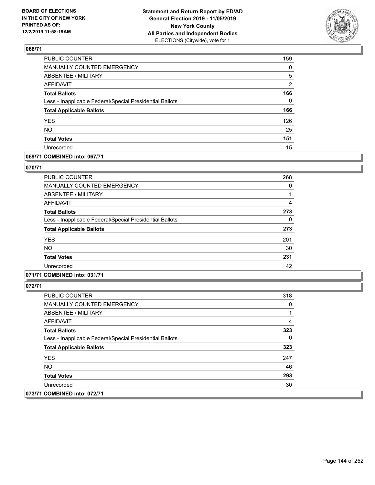

| PUBLIC COUNTER                                           | 159            |
|----------------------------------------------------------|----------------|
| MANUALLY COUNTED EMERGENCY                               | 0              |
| <b>ABSENTEE / MILITARY</b>                               | 5              |
| <b>AFFIDAVIT</b>                                         | $\overline{2}$ |
| <b>Total Ballots</b>                                     | 166            |
| Less - Inapplicable Federal/Special Presidential Ballots | $\Omega$       |
| <b>Total Applicable Ballots</b>                          | 166            |
| <b>YES</b>                                               | 126            |
| <b>NO</b>                                                | 25             |
| <b>Total Votes</b>                                       | 151            |
| Unrecorded                                               | 15             |

# **069/71 COMBINED into: 067/71**

## **070/71**

| PUBLIC COUNTER                                           | 268 |
|----------------------------------------------------------|-----|
| <b>MANUALLY COUNTED EMERGENCY</b>                        | 0   |
| ABSENTEE / MILITARY                                      |     |
| AFFIDAVIT                                                | 4   |
| <b>Total Ballots</b>                                     | 273 |
| Less - Inapplicable Federal/Special Presidential Ballots | 0   |
| <b>Total Applicable Ballots</b>                          | 273 |
| <b>YES</b>                                               | 201 |
| <b>NO</b>                                                | 30  |
| <b>Total Votes</b>                                       | 231 |
| Unrecorded                                               | 42  |

# **071/71 COMBINED into: 031/71**

| <b>PUBLIC COUNTER</b>                                    | 318 |
|----------------------------------------------------------|-----|
| <b>MANUALLY COUNTED EMERGENCY</b>                        | 0   |
| ABSENTEE / MILITARY                                      |     |
| AFFIDAVIT                                                | 4   |
| <b>Total Ballots</b>                                     | 323 |
| Less - Inapplicable Federal/Special Presidential Ballots | 0   |
| <b>Total Applicable Ballots</b>                          | 323 |
| <b>YES</b>                                               | 247 |
| NO.                                                      | 46  |
| <b>Total Votes</b>                                       | 293 |
| Unrecorded                                               | 30  |
| 073/71 COMBINED into: 072/71                             |     |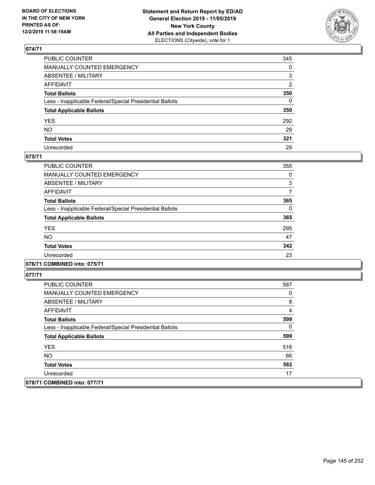

| PUBLIC COUNTER                                           | 345          |
|----------------------------------------------------------|--------------|
| MANUALLY COUNTED EMERGENCY                               | $\mathbf{0}$ |
| ABSENTEE / MILITARY                                      | 3            |
| AFFIDAVIT                                                | 2            |
| Total Ballots                                            | 350          |
| Less - Inapplicable Federal/Special Presidential Ballots | 0            |
| <b>Total Applicable Ballots</b>                          | 350          |
| YES                                                      | 292          |
| NO.                                                      | 29           |
| <b>Total Votes</b>                                       | 321          |
| Unrecorded                                               | 29           |

## **075/71**

| PUBLIC COUNTER                                           | 355      |
|----------------------------------------------------------|----------|
| <b>MANUALLY COUNTED EMERGENCY</b>                        | 0        |
| ABSENTEE / MILITARY                                      | 3        |
| <b>AFFIDAVIT</b>                                         | 7        |
| <b>Total Ballots</b>                                     | 365      |
| Less - Inapplicable Federal/Special Presidential Ballots | $\Omega$ |
| <b>Total Applicable Ballots</b>                          | 365      |
| <b>YES</b>                                               | 295      |
| <b>NO</b>                                                | 47       |
| <b>Total Votes</b>                                       | 342      |
| Unrecorded                                               | 23       |

## **076/71 COMBINED into: 075/71**

| PUBLIC COUNTER                                           | 587 |
|----------------------------------------------------------|-----|
| <b>MANUALLY COUNTED EMERGENCY</b>                        | 0   |
| ABSENTEE / MILITARY                                      | 8   |
| AFFIDAVIT                                                | 4   |
| <b>Total Ballots</b>                                     | 599 |
| Less - Inapplicable Federal/Special Presidential Ballots | 0   |
| <b>Total Applicable Ballots</b>                          | 599 |
| <b>YES</b>                                               | 516 |
| NO.                                                      | 66  |
| <b>Total Votes</b>                                       | 582 |
| Unrecorded                                               | 17  |
| 078/71 COMBINED into: 077/71                             |     |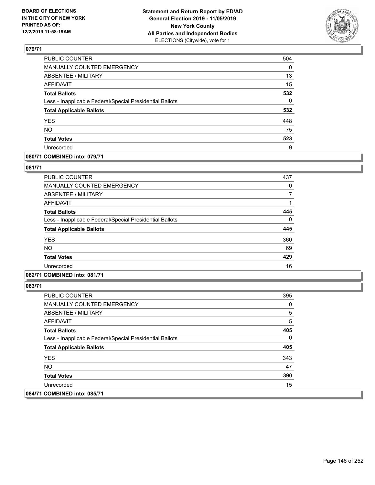

| <b>PUBLIC COUNTER</b>                                    | 504      |
|----------------------------------------------------------|----------|
| MANUALLY COUNTED EMERGENCY                               | 0        |
| ABSENTEE / MILITARY                                      | 13       |
| <b>AFFIDAVIT</b>                                         | 15       |
| <b>Total Ballots</b>                                     | 532      |
| Less - Inapplicable Federal/Special Presidential Ballots | $\Omega$ |
| <b>Total Applicable Ballots</b>                          | 532      |
| <b>YES</b>                                               | 448      |
| <b>NO</b>                                                | 75       |
| <b>Total Votes</b>                                       | 523      |
| Unrecorded                                               | 9        |

## **080/71 COMBINED into: 079/71**

### **081/71**

| <b>PUBLIC COUNTER</b>                                    | 437 |
|----------------------------------------------------------|-----|
| <b>MANUALLY COUNTED EMERGENCY</b>                        | 0   |
| <b>ABSENTEE / MILITARY</b>                               |     |
| <b>AFFIDAVIT</b>                                         |     |
| <b>Total Ballots</b>                                     | 445 |
| Less - Inapplicable Federal/Special Presidential Ballots | 0   |
| <b>Total Applicable Ballots</b>                          | 445 |
| <b>YES</b>                                               | 360 |
| <b>NO</b>                                                | 69  |
| <b>Total Votes</b>                                       | 429 |
| Unrecorded                                               | 16  |
|                                                          |     |

# **082/71 COMBINED into: 081/71**

| <b>PUBLIC COUNTER</b>                                    | 395 |
|----------------------------------------------------------|-----|
| <b>MANUALLY COUNTED EMERGENCY</b>                        | 0   |
| ABSENTEE / MILITARY                                      | 5   |
| AFFIDAVIT                                                | 5   |
| <b>Total Ballots</b>                                     | 405 |
| Less - Inapplicable Federal/Special Presidential Ballots | 0   |
| <b>Total Applicable Ballots</b>                          | 405 |
| <b>YES</b>                                               | 343 |
| NO.                                                      | 47  |
| <b>Total Votes</b>                                       | 390 |
| Unrecorded                                               | 15  |
| 084/71 COMBINED into: 085/71                             |     |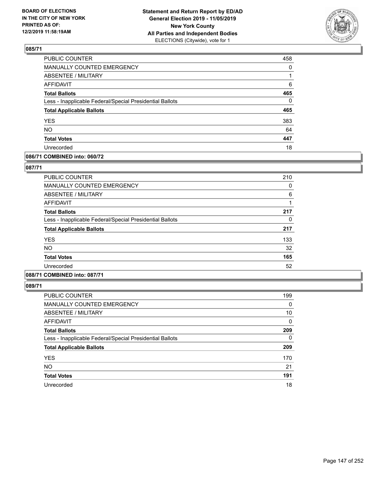

| PUBLIC COUNTER                                           | 458      |
|----------------------------------------------------------|----------|
| MANUALLY COUNTED EMERGENCY                               | 0        |
| <b>ABSENTEE / MILITARY</b>                               |          |
| <b>AFFIDAVIT</b>                                         | 6        |
| <b>Total Ballots</b>                                     | 465      |
| Less - Inapplicable Federal/Special Presidential Ballots | $\Omega$ |
| <b>Total Applicable Ballots</b>                          | 465      |
| <b>YES</b>                                               | 383      |
| <b>NO</b>                                                | 64       |
| <b>Total Votes</b>                                       | 447      |
| Unrecorded                                               | 18       |

## **086/71 COMBINED into: 060/72**

### **087/71**

| <b>PUBLIC COUNTER</b>                                    | 210 |
|----------------------------------------------------------|-----|
| <b>MANUALLY COUNTED EMERGENCY</b>                        | 0   |
| ABSENTEE / MILITARY                                      | 6   |
| AFFIDAVIT                                                |     |
| <b>Total Ballots</b>                                     | 217 |
| Less - Inapplicable Federal/Special Presidential Ballots | 0   |
| <b>Total Applicable Ballots</b>                          | 217 |
| <b>YES</b>                                               | 133 |
| <b>NO</b>                                                | 32  |
| <b>Total Votes</b>                                       | 165 |
| Unrecorded                                               | 52  |
|                                                          |     |

# **088/71 COMBINED into: 087/71**

| <b>PUBLIC COUNTER</b>                                    | 199      |
|----------------------------------------------------------|----------|
| <b>MANUALLY COUNTED EMERGENCY</b>                        | 0        |
| ABSENTEE / MILITARY                                      | 10       |
| AFFIDAVIT                                                | 0        |
| <b>Total Ballots</b>                                     | 209      |
| Less - Inapplicable Federal/Special Presidential Ballots | $\Omega$ |
| <b>Total Applicable Ballots</b>                          | 209      |
| <b>YES</b>                                               | 170      |
| <b>NO</b>                                                | 21       |
| <b>Total Votes</b>                                       | 191      |
| Unrecorded                                               | 18       |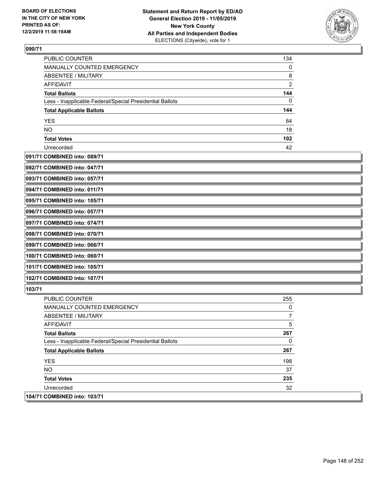

| <b>PUBLIC COUNTER</b>                                    | 134            |
|----------------------------------------------------------|----------------|
| MANUALLY COUNTED EMERGENCY                               | 0              |
| ABSENTEE / MILITARY                                      | 8              |
| <b>AFFIDAVIT</b>                                         | $\overline{2}$ |
| <b>Total Ballots</b>                                     | 144            |
| Less - Inapplicable Federal/Special Presidential Ballots | 0              |
| <b>Total Applicable Ballots</b>                          | 144            |
| <b>YES</b>                                               | 84             |
| <b>NO</b>                                                | 18             |
| <b>Total Votes</b>                                       | 102            |
| Unrecorded                                               | 42             |

## **091/71 COMBINED into: 089/71**

| 092/71 COMBINED into: 047/71 |  |
|------------------------------|--|
| 093/71 COMBINED into: 057/71 |  |
| 094/71 COMBINED into: 011/71 |  |
| 095/71 COMBINED into: 105/71 |  |
| 096/71 COMBINED into: 057/71 |  |
| 097/71 COMBINED into: 074/71 |  |
| 098/71 COMBINED into: 070/71 |  |
| 099/71 COMBINED into: 066/71 |  |
| 100/71 COMBINED into: 060/71 |  |
| 101/71 COMBINED into: 105/71 |  |
| 102/71 COMBINED into: 107/71 |  |

| <b>PUBLIC COUNTER</b>                                    | 255 |
|----------------------------------------------------------|-----|
| <b>MANUALLY COUNTED EMERGENCY</b>                        | 0   |
| ABSENTEE / MILITARY                                      |     |
| AFFIDAVIT                                                | 5   |
| <b>Total Ballots</b>                                     | 267 |
| Less - Inapplicable Federal/Special Presidential Ballots | 0   |
| <b>Total Applicable Ballots</b>                          | 267 |
| <b>YES</b>                                               | 198 |
| NO.                                                      | 37  |
| <b>Total Votes</b>                                       | 235 |
| Unrecorded                                               | 32  |
| 104/71 COMBINED into: 103/71                             |     |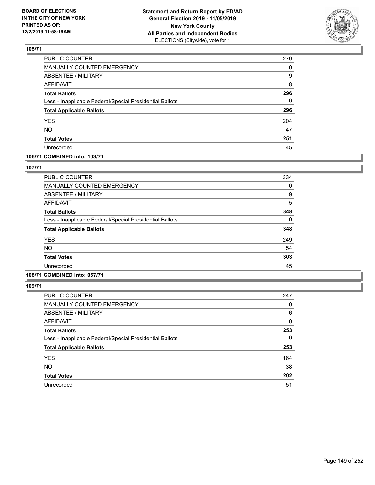

| PUBLIC COUNTER                                           | 279      |
|----------------------------------------------------------|----------|
| <b>MANUALLY COUNTED EMERGENCY</b>                        | $\Omega$ |
| <b>ABSENTEE / MILITARY</b>                               | 9        |
| <b>AFFIDAVIT</b>                                         | 8        |
| <b>Total Ballots</b>                                     | 296      |
| Less - Inapplicable Federal/Special Presidential Ballots | 0        |
| <b>Total Applicable Ballots</b>                          | 296      |
| <b>YES</b>                                               | 204      |
| <b>NO</b>                                                | 47       |
| <b>Total Votes</b>                                       | 251      |
| Unrecorded                                               | 45       |

## **106/71 COMBINED into: 103/71**

### **107/71**

| <b>PUBLIC COUNTER</b>                                    | 334 |
|----------------------------------------------------------|-----|
| MANUALLY COUNTED EMERGENCY                               | 0   |
| ABSENTEE / MILITARY                                      | 9   |
| AFFIDAVIT                                                | 5   |
| <b>Total Ballots</b>                                     | 348 |
| Less - Inapplicable Federal/Special Presidential Ballots | 0   |
| <b>Total Applicable Ballots</b>                          | 348 |
| <b>YES</b>                                               | 249 |
| <b>NO</b>                                                | 54  |
| <b>Total Votes</b>                                       | 303 |
| Unrecorded                                               | 45  |
|                                                          |     |

# **108/71 COMBINED into: 057/71**

| <b>PUBLIC COUNTER</b>                                    | 247 |
|----------------------------------------------------------|-----|
| <b>MANUALLY COUNTED EMERGENCY</b>                        | 0   |
| <b>ABSENTEE / MILITARY</b>                               | 6   |
| AFFIDAVIT                                                | 0   |
| <b>Total Ballots</b>                                     | 253 |
| Less - Inapplicable Federal/Special Presidential Ballots | 0   |
| <b>Total Applicable Ballots</b>                          | 253 |
| <b>YES</b>                                               | 164 |
| <b>NO</b>                                                | 38  |
| <b>Total Votes</b>                                       | 202 |
| Unrecorded                                               | 51  |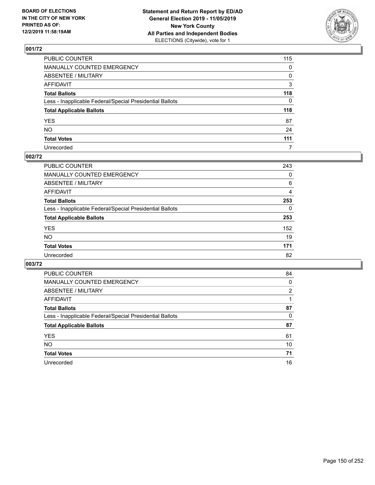

| PUBLIC COUNTER                                           | 115 |
|----------------------------------------------------------|-----|
| MANUALLY COUNTED EMERGENCY                               | 0   |
| ABSENTEE / MILITARY                                      | 0   |
| AFFIDAVIT                                                | 3   |
| Total Ballots                                            | 118 |
| Less - Inapplicable Federal/Special Presidential Ballots | 0   |
| <b>Total Applicable Ballots</b>                          | 118 |
| YES                                                      | 87  |
| NO.                                                      | 24  |
| <b>Total Votes</b>                                       | 111 |
| Unrecorded                                               | 7   |

## **002/72**

| <b>PUBLIC COUNTER</b>                                    | 243      |
|----------------------------------------------------------|----------|
| <b>MANUALLY COUNTED EMERGENCY</b>                        | 0        |
| ABSENTEE / MILITARY                                      | 6        |
| AFFIDAVIT                                                | 4        |
| <b>Total Ballots</b>                                     | 253      |
| Less - Inapplicable Federal/Special Presidential Ballots | $\Omega$ |
| <b>Total Applicable Ballots</b>                          | 253      |
| <b>YES</b>                                               | 152      |
| <b>NO</b>                                                | 19       |
| <b>Total Votes</b>                                       | 171      |
| Unrecorded                                               | 82       |

| PUBLIC COUNTER                                           | 84       |
|----------------------------------------------------------|----------|
| MANUALLY COUNTED EMERGENCY                               | $\Omega$ |
| ABSENTEE / MILITARY                                      | 2        |
| AFFIDAVIT                                                |          |
| <b>Total Ballots</b>                                     | 87       |
| Less - Inapplicable Federal/Special Presidential Ballots | 0        |
| <b>Total Applicable Ballots</b>                          | 87       |
| <b>YES</b>                                               | 61       |
| <b>NO</b>                                                | 10       |
| <b>Total Votes</b>                                       | 71       |
| Unrecorded                                               | 16       |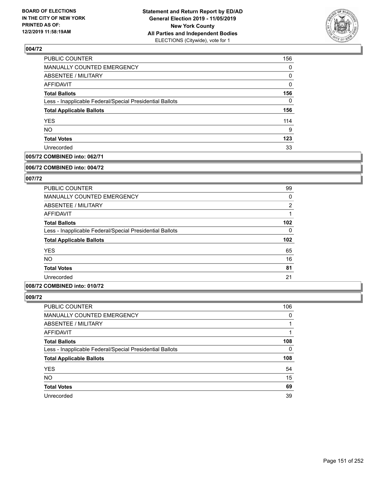

| 156      |
|----------|
| 0        |
| 0        |
| $\Omega$ |
| 156      |
| $\Omega$ |
| 156      |
| 114      |
| 9        |
| 123      |
| 33       |
|          |

## **005/72 COMBINED into: 062/71**

#### **006/72 COMBINED into: 004/72**

## **007/72**

| <b>PUBLIC COUNTER</b>                                    | 99             |
|----------------------------------------------------------|----------------|
| MANUALLY COUNTED EMERGENCY                               | 0              |
| ABSENTEE / MILITARY                                      | $\overline{2}$ |
| AFFIDAVIT                                                |                |
| <b>Total Ballots</b>                                     | 102            |
| Less - Inapplicable Federal/Special Presidential Ballots | $\Omega$       |
| <b>Total Applicable Ballots</b>                          | 102            |
| <b>YES</b>                                               | 65             |
| <b>NO</b>                                                | 16             |
| <b>Total Votes</b>                                       | 81             |
| Unrecorded                                               | 21             |

### **008/72 COMBINED into: 010/72**

| PUBLIC COUNTER                                           | 106 |
|----------------------------------------------------------|-----|
| MANUALLY COUNTED EMERGENCY                               | 0   |
| <b>ABSENTEE / MILITARY</b>                               |     |
| AFFIDAVIT                                                |     |
| <b>Total Ballots</b>                                     | 108 |
| Less - Inapplicable Federal/Special Presidential Ballots | 0   |
| <b>Total Applicable Ballots</b>                          | 108 |
| <b>YES</b>                                               | 54  |
| <b>NO</b>                                                | 15  |
| <b>Total Votes</b>                                       | 69  |
| Unrecorded                                               | 39  |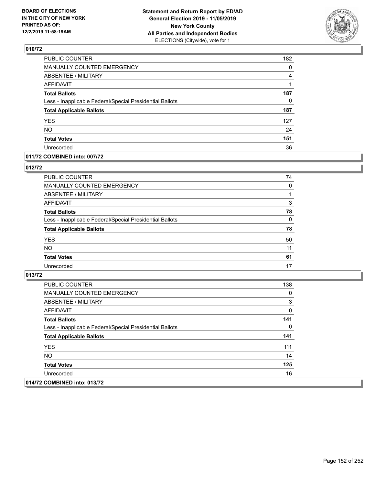

| PUBLIC COUNTER                                           | 182 |
|----------------------------------------------------------|-----|
| MANUALLY COUNTED EMERGENCY                               | 0   |
| <b>ABSENTEE / MILITARY</b>                               | 4   |
| <b>AFFIDAVIT</b>                                         | 1   |
| <b>Total Ballots</b>                                     | 187 |
| Less - Inapplicable Federal/Special Presidential Ballots | 0   |
| <b>Total Applicable Ballots</b>                          | 187 |
| <b>YES</b>                                               | 127 |
| <b>NO</b>                                                | 24  |
| <b>Total Votes</b>                                       | 151 |
| Unrecorded                                               | 36  |

### **011/72 COMBINED into: 007/72**

### **012/72**

| <b>PUBLIC COUNTER</b>                                    | 74       |
|----------------------------------------------------------|----------|
| MANUALLY COUNTED EMERGENCY                               | 0        |
| ABSENTEE / MILITARY                                      |          |
| AFFIDAVIT                                                | 3        |
| <b>Total Ballots</b>                                     | 78       |
| Less - Inapplicable Federal/Special Presidential Ballots | $\Omega$ |
| <b>Total Applicable Ballots</b>                          | 78       |
| <b>YES</b>                                               | 50       |
| <b>NO</b>                                                | 11       |
| <b>Total Votes</b>                                       | 61       |
| Unrecorded                                               | 17       |

| <b>PUBLIC COUNTER</b>                                    | 138 |
|----------------------------------------------------------|-----|
| MANUALLY COUNTED EMERGENCY                               | 0   |
| ABSENTEE / MILITARY                                      | 3   |
| AFFIDAVIT                                                | 0   |
| <b>Total Ballots</b>                                     | 141 |
| Less - Inapplicable Federal/Special Presidential Ballots | 0   |
| <b>Total Applicable Ballots</b>                          | 141 |
| <b>YES</b>                                               | 111 |
| NO.                                                      | 14  |
| <b>Total Votes</b>                                       | 125 |
| Unrecorded                                               | 16  |
| 014/72 COMBINED into: 013/72                             |     |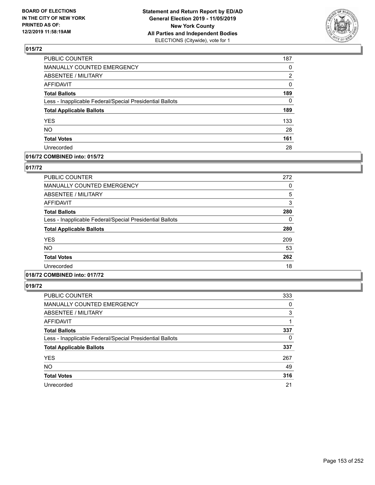

| PUBLIC COUNTER                                           | 187 |
|----------------------------------------------------------|-----|
| <b>MANUALLY COUNTED EMERGENCY</b>                        | 0   |
| <b>ABSENTEE / MILITARY</b>                               | 2   |
| <b>AFFIDAVIT</b>                                         | 0   |
| <b>Total Ballots</b>                                     | 189 |
| Less - Inapplicable Federal/Special Presidential Ballots | 0   |
| <b>Total Applicable Ballots</b>                          | 189 |
| <b>YES</b>                                               | 133 |
| <b>NO</b>                                                | 28  |
| <b>Total Votes</b>                                       | 161 |
| Unrecorded                                               | 28  |

## **016/72 COMBINED into: 015/72**

### **017/72**

| <b>PUBLIC COUNTER</b>                                    | 272 |
|----------------------------------------------------------|-----|
| <b>MANUALLY COUNTED EMERGENCY</b>                        | 0   |
| ABSENTEE / MILITARY                                      | 5   |
| AFFIDAVIT                                                | 3   |
| <b>Total Ballots</b>                                     | 280 |
| Less - Inapplicable Federal/Special Presidential Ballots | 0   |
| <b>Total Applicable Ballots</b>                          | 280 |
| <b>YES</b>                                               | 209 |
| <b>NO</b>                                                | 53  |
| <b>Total Votes</b>                                       | 262 |
| Unrecorded                                               | 18  |
|                                                          |     |

# **018/72 COMBINED into: 017/72**

| <b>PUBLIC COUNTER</b>                                    | 333      |
|----------------------------------------------------------|----------|
| MANUALLY COUNTED EMERGENCY                               | 0        |
| ABSENTEE / MILITARY                                      | 3        |
| AFFIDAVIT                                                |          |
| <b>Total Ballots</b>                                     | 337      |
| Less - Inapplicable Federal/Special Presidential Ballots | $\Omega$ |
| <b>Total Applicable Ballots</b>                          | 337      |
| <b>YES</b>                                               | 267      |
| <b>NO</b>                                                | 49       |
| <b>Total Votes</b>                                       | 316      |
| Unrecorded                                               | 21       |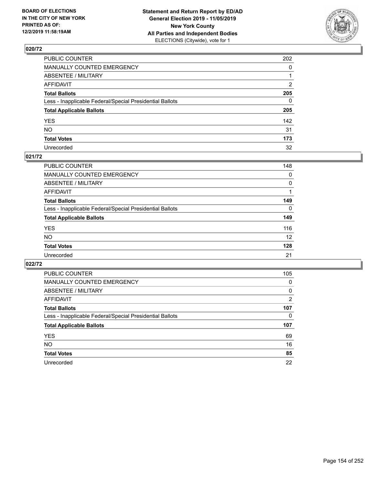

| PUBLIC COUNTER                                           | 202          |
|----------------------------------------------------------|--------------|
| MANUALLY COUNTED EMERGENCY                               | $\mathbf{0}$ |
| ABSENTEE / MILITARY                                      |              |
| AFFIDAVIT                                                | 2            |
| Total Ballots                                            | 205          |
| Less - Inapplicable Federal/Special Presidential Ballots | $\Omega$     |
| <b>Total Applicable Ballots</b>                          | 205          |
| YES                                                      | 142          |
| NO.                                                      | 31           |
| <b>Total Votes</b>                                       | 173          |
| Unrecorded                                               | 32           |

### **021/72**

| <b>PUBLIC COUNTER</b>                                    | 148      |
|----------------------------------------------------------|----------|
| <b>MANUALLY COUNTED EMERGENCY</b>                        | 0        |
| ABSENTEE / MILITARY                                      | $\Omega$ |
| AFFIDAVIT                                                |          |
| <b>Total Ballots</b>                                     | 149      |
| Less - Inapplicable Federal/Special Presidential Ballots | $\Omega$ |
| <b>Total Applicable Ballots</b>                          | 149      |
| <b>YES</b>                                               | 116      |
| <b>NO</b>                                                | 12       |
| <b>Total Votes</b>                                       | 128      |
| Unrecorded                                               | 21       |

| PUBLIC COUNTER                                           | 105      |
|----------------------------------------------------------|----------|
| <b>MANUALLY COUNTED EMERGENCY</b>                        | $\Omega$ |
| ABSENTEE / MILITARY                                      | 0        |
| <b>AFFIDAVIT</b>                                         | 2        |
| <b>Total Ballots</b>                                     | 107      |
| Less - Inapplicable Federal/Special Presidential Ballots | 0        |
| <b>Total Applicable Ballots</b>                          | 107      |
| <b>YES</b>                                               | 69       |
| <b>NO</b>                                                | 16       |
| <b>Total Votes</b>                                       | 85       |
| Unrecorded                                               | 22       |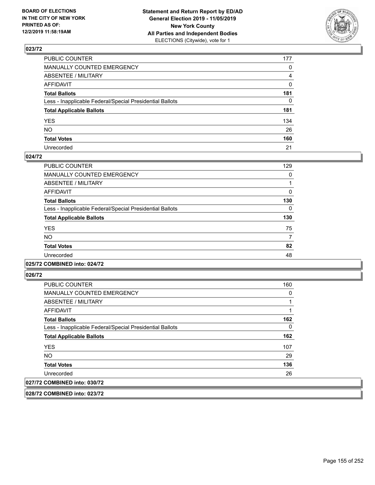

| PUBLIC COUNTER                                           | 177          |
|----------------------------------------------------------|--------------|
| MANUALLY COUNTED EMERGENCY                               | 0            |
| ABSENTEE / MILITARY                                      | 4            |
| AFFIDAVIT                                                | 0            |
| Total Ballots                                            | 181          |
| Less - Inapplicable Federal/Special Presidential Ballots | $\mathbf{0}$ |
| <b>Total Applicable Ballots</b>                          | 181          |
| YES                                                      | 134          |
| NO.                                                      | 26           |
| <b>Total Votes</b>                                       | 160          |
| Unrecorded                                               | 21           |

### **024/72**

| PUBLIC COUNTER                                           | 129 |
|----------------------------------------------------------|-----|
| <b>MANUALLY COUNTED EMERGENCY</b>                        | 0   |
| <b>ABSENTEE / MILITARY</b>                               |     |
| <b>AFFIDAVIT</b>                                         | 0   |
| <b>Total Ballots</b>                                     | 130 |
| Less - Inapplicable Federal/Special Presidential Ballots | 0   |
| <b>Total Applicable Ballots</b>                          | 130 |
| <b>YES</b>                                               | 75  |
| <b>NO</b>                                                | 7   |
| <b>Total Votes</b>                                       | 82  |
| Unrecorded                                               | 48  |
|                                                          |     |

#### **025/72 COMBINED into: 024/72**

**026/72** 

| <b>PUBLIC COUNTER</b>                                    | 160 |
|----------------------------------------------------------|-----|
| MANUALLY COUNTED EMERGENCY                               | 0   |
| <b>ABSENTEE / MILITARY</b>                               |     |
| AFFIDAVIT                                                |     |
| <b>Total Ballots</b>                                     | 162 |
| Less - Inapplicable Federal/Special Presidential Ballots | 0   |
| <b>Total Applicable Ballots</b>                          | 162 |
| <b>YES</b>                                               | 107 |
| <b>NO</b>                                                | 29  |
| <b>Total Votes</b>                                       | 136 |
| Unrecorded                                               | 26  |
| 027/72 COMBINED into: 030/72                             |     |

**028/72 COMBINED into: 023/72**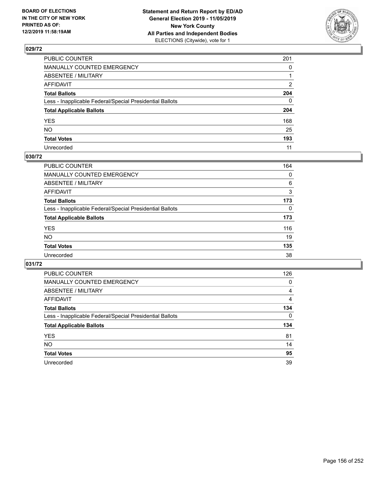

| PUBLIC COUNTER                                           | 201          |
|----------------------------------------------------------|--------------|
| MANUALLY COUNTED EMERGENCY                               | $\mathbf{0}$ |
| ABSENTEE / MILITARY                                      |              |
| AFFIDAVIT                                                | 2            |
| Total Ballots                                            | 204          |
| Less - Inapplicable Federal/Special Presidential Ballots | $\Omega$     |
| <b>Total Applicable Ballots</b>                          | 204          |
| YES                                                      | 168          |
| NO.                                                      | 25           |
| <b>Total Votes</b>                                       | 193          |
| Unrecorded                                               | 11           |

## **030/72**

| <b>PUBLIC COUNTER</b>                                    | 164      |
|----------------------------------------------------------|----------|
| <b>MANUALLY COUNTED EMERGENCY</b>                        | 0        |
| ABSENTEE / MILITARY                                      | 6        |
| AFFIDAVIT                                                | 3        |
| <b>Total Ballots</b>                                     | 173      |
| Less - Inapplicable Federal/Special Presidential Ballots | $\Omega$ |
| <b>Total Applicable Ballots</b>                          | 173      |
| <b>YES</b>                                               | 116      |
| <b>NO</b>                                                | 19       |
| <b>Total Votes</b>                                       | 135      |
| Unrecorded                                               | 38       |

| <b>PUBLIC COUNTER</b>                                    | 126            |
|----------------------------------------------------------|----------------|
| <b>MANUALLY COUNTED EMERGENCY</b>                        | 0              |
| <b>ABSENTEE / MILITARY</b>                               | 4              |
| AFFIDAVIT                                                | $\overline{4}$ |
| <b>Total Ballots</b>                                     | 134            |
| Less - Inapplicable Federal/Special Presidential Ballots | $\Omega$       |
| <b>Total Applicable Ballots</b>                          | 134            |
|                                                          |                |
| <b>YES</b>                                               | 81             |
| <b>NO</b>                                                | 14             |
| <b>Total Votes</b>                                       | 95             |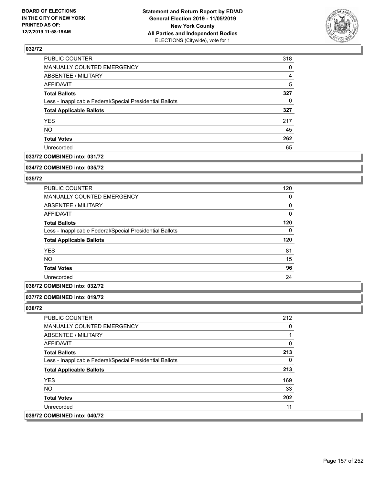

| PUBLIC COUNTER                                           | 318 |
|----------------------------------------------------------|-----|
| MANUALLY COUNTED EMERGENCY                               | 0   |
| ABSENTEE / MILITARY                                      | 4   |
| AFFIDAVIT                                                | 5   |
| <b>Total Ballots</b>                                     | 327 |
| Less - Inapplicable Federal/Special Presidential Ballots | 0   |
| <b>Total Applicable Ballots</b>                          | 327 |
| <b>YES</b>                                               | 217 |
| <b>NO</b>                                                | 45  |
| <b>Total Votes</b>                                       | 262 |
| Unrecorded                                               | 65  |

## **033/72 COMBINED into: 031/72**

#### **034/72 COMBINED into: 035/72**

## **035/72**

| 120 |
|-----|
| 0   |
| 0   |
| 0   |
| 120 |
| 0   |
| 120 |
| 81  |
| 15  |
| 96  |
| 24  |
|     |

## **036/72 COMBINED into: 032/72**

#### **037/72 COMBINED into: 019/72**

| <b>PUBLIC COUNTER</b>                                    | 212 |
|----------------------------------------------------------|-----|
| MANUALLY COUNTED EMERGENCY                               | 0   |
| ABSENTEE / MILITARY                                      |     |
| AFFIDAVIT                                                | 0   |
| <b>Total Ballots</b>                                     | 213 |
| Less - Inapplicable Federal/Special Presidential Ballots | 0   |
| <b>Total Applicable Ballots</b>                          | 213 |
| <b>YES</b>                                               | 169 |
| NO.                                                      | 33  |
| <b>Total Votes</b>                                       | 202 |
| Unrecorded                                               | 11  |
| 039/72 COMBINED into: 040/72                             |     |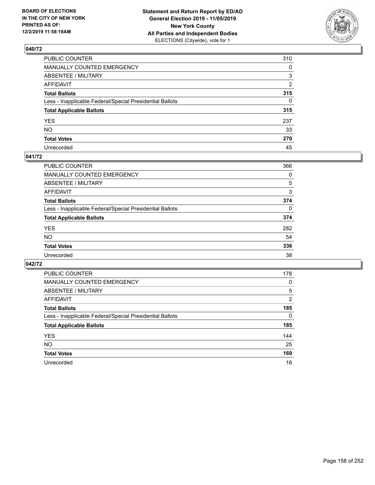

| PUBLIC COUNTER                                           | 310          |
|----------------------------------------------------------|--------------|
| MANUALLY COUNTED EMERGENCY                               | 0            |
| ABSENTEE / MILITARY                                      | 3            |
| AFFIDAVIT                                                | 2            |
| Total Ballots                                            | 315          |
| Less - Inapplicable Federal/Special Presidential Ballots | $\mathbf{0}$ |
| <b>Total Applicable Ballots</b>                          | 315          |
| YES                                                      | 237          |
| NO.                                                      | 33           |
| <b>Total Votes</b>                                       | 270          |
| Unrecorded                                               | 45           |

### **041/72**

| <b>PUBLIC COUNTER</b>                                    | 366      |
|----------------------------------------------------------|----------|
| MANUALLY COUNTED EMERGENCY                               | 0        |
| ABSENTEE / MILITARY                                      | 5        |
| AFFIDAVIT                                                | 3        |
| <b>Total Ballots</b>                                     | 374      |
| Less - Inapplicable Federal/Special Presidential Ballots | $\Omega$ |
| <b>Total Applicable Ballots</b>                          | 374      |
| <b>YES</b>                                               | 282      |
| <b>NO</b>                                                | 54       |
| <b>Total Votes</b>                                       | 336      |
| Unrecorded                                               | 38       |

| <b>PUBLIC COUNTER</b>                                    | 178            |
|----------------------------------------------------------|----------------|
| MANUALLY COUNTED EMERGENCY                               | 0              |
| ABSENTEE / MILITARY                                      | 5              |
| AFFIDAVIT                                                | $\overline{2}$ |
| <b>Total Ballots</b>                                     | 185            |
| Less - Inapplicable Federal/Special Presidential Ballots | 0              |
| <b>Total Applicable Ballots</b>                          | 185            |
| <b>YES</b>                                               | 144            |
| NO.                                                      | 25             |
| <b>Total Votes</b>                                       | 169            |
| Unrecorded                                               | 16             |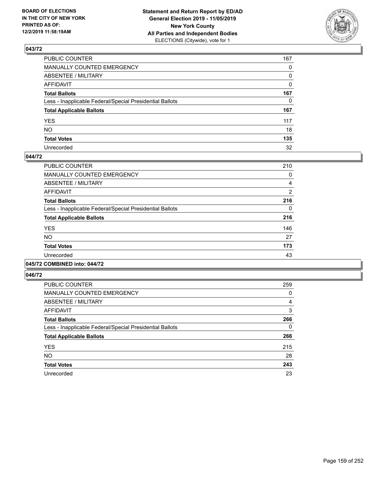

| PUBLIC COUNTER                                           | 167          |
|----------------------------------------------------------|--------------|
| MANUALLY COUNTED EMERGENCY                               | $\mathbf{0}$ |
| ABSENTEE / MILITARY                                      | 0            |
| AFFIDAVIT                                                | $\mathbf{0}$ |
| Total Ballots                                            | 167          |
| Less - Inapplicable Federal/Special Presidential Ballots | $\mathbf{0}$ |
| <b>Total Applicable Ballots</b>                          | 167          |
| YES                                                      | 117          |
| NΟ                                                       | 18           |
| <b>Total Votes</b>                                       | 135          |
| Unrecorded                                               | 32           |

### **044/72**

| PUBLIC COUNTER                                           | 210            |
|----------------------------------------------------------|----------------|
| <b>MANUALLY COUNTED EMERGENCY</b>                        | 0              |
| ABSENTEE / MILITARY                                      | 4              |
| <b>AFFIDAVIT</b>                                         | $\overline{2}$ |
| <b>Total Ballots</b>                                     | 216            |
| Less - Inapplicable Federal/Special Presidential Ballots | $\Omega$       |
| <b>Total Applicable Ballots</b>                          | 216            |
| <b>YES</b>                                               | 146            |
| NO.                                                      | 27             |
| <b>Total Votes</b>                                       | 173            |
| Unrecorded                                               | 43             |
|                                                          |                |

### **045/72 COMBINED into: 044/72**

| <b>PUBLIC COUNTER</b>                                    | 259 |
|----------------------------------------------------------|-----|
| MANUALLY COUNTED EMERGENCY                               | 0   |
| ABSENTEE / MILITARY                                      | 4   |
| AFFIDAVIT                                                | 3   |
| <b>Total Ballots</b>                                     | 266 |
| Less - Inapplicable Federal/Special Presidential Ballots | 0   |
| <b>Total Applicable Ballots</b>                          | 266 |
| <b>YES</b>                                               | 215 |
| <b>NO</b>                                                | 28  |
| <b>Total Votes</b>                                       | 243 |
| Unrecorded                                               | 23  |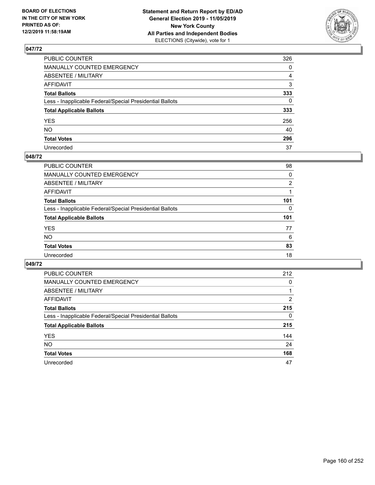

| PUBLIC COUNTER                                           | 326          |
|----------------------------------------------------------|--------------|
| MANUALLY COUNTED EMERGENCY                               | $\mathbf{0}$ |
| ABSENTEE / MILITARY                                      | 4            |
| AFFIDAVIT                                                | 3            |
| Total Ballots                                            | 333          |
| Less - Inapplicable Federal/Special Presidential Ballots | $\mathbf{0}$ |
| <b>Total Applicable Ballots</b>                          | 333          |
| YES                                                      | 256          |
| NO.                                                      | 40           |
| <b>Total Votes</b>                                       | 296          |
| Unrecorded                                               | 37           |

### **048/72**

| <b>PUBLIC COUNTER</b>                                    | 98             |
|----------------------------------------------------------|----------------|
| <b>MANUALLY COUNTED EMERGENCY</b>                        | 0              |
| ABSENTEE / MILITARY                                      | $\overline{2}$ |
| AFFIDAVIT                                                |                |
| <b>Total Ballots</b>                                     | 101            |
| Less - Inapplicable Federal/Special Presidential Ballots | $\Omega$       |
| <b>Total Applicable Ballots</b>                          | 101            |
| <b>YES</b>                                               | 77             |
| <b>NO</b>                                                | 6              |
| <b>Total Votes</b>                                       | 83             |
| Unrecorded                                               | 18             |
|                                                          |                |

| PUBLIC COUNTER                                           | 212      |
|----------------------------------------------------------|----------|
| <b>MANUALLY COUNTED EMERGENCY</b>                        | $\Omega$ |
| ABSENTEE / MILITARY                                      |          |
| AFFIDAVIT                                                | 2        |
| <b>Total Ballots</b>                                     | 215      |
| Less - Inapplicable Federal/Special Presidential Ballots | $\Omega$ |
| <b>Total Applicable Ballots</b>                          | 215      |
| <b>YES</b>                                               | 144      |
| <b>NO</b>                                                | 24       |
| <b>Total Votes</b>                                       | 168      |
| Unrecorded                                               | 47       |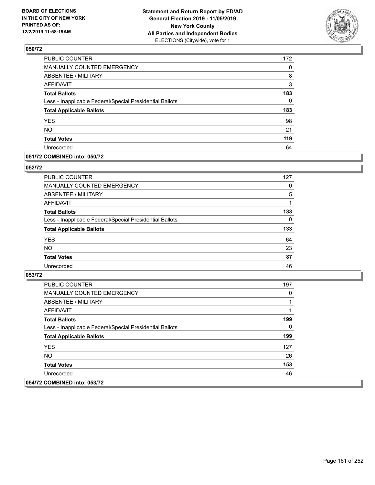

| PUBLIC COUNTER                                           | 172      |
|----------------------------------------------------------|----------|
| MANUALLY COUNTED EMERGENCY                               | 0        |
| <b>ABSENTEE / MILITARY</b>                               | 8        |
| <b>AFFIDAVIT</b>                                         | 3        |
| <b>Total Ballots</b>                                     | 183      |
| Less - Inapplicable Federal/Special Presidential Ballots | $\Omega$ |
| <b>Total Applicable Ballots</b>                          | 183      |
| <b>YES</b>                                               | 98       |
| <b>NO</b>                                                | 21       |
| <b>Total Votes</b>                                       | 119      |
| Unrecorded                                               | 64       |

### **051/72 COMBINED into: 050/72**

#### **052/72**

| <b>PUBLIC COUNTER</b>                                    | 127      |
|----------------------------------------------------------|----------|
| <b>MANUALLY COUNTED EMERGENCY</b>                        | $\Omega$ |
| ABSENTEE / MILITARY                                      | 5        |
| AFFIDAVIT                                                |          |
| <b>Total Ballots</b>                                     | 133      |
| Less - Inapplicable Federal/Special Presidential Ballots | $\Omega$ |
| <b>Total Applicable Ballots</b>                          | 133      |
| <b>YES</b>                                               | 64       |
| <b>NO</b>                                                | 23       |
| <b>Total Votes</b>                                       | 87       |
| Unrecorded                                               | 46       |

| <b>PUBLIC COUNTER</b>                                    | 197 |
|----------------------------------------------------------|-----|
| <b>MANUALLY COUNTED EMERGENCY</b>                        | 0   |
| ABSENTEE / MILITARY                                      |     |
| AFFIDAVIT                                                |     |
| <b>Total Ballots</b>                                     | 199 |
| Less - Inapplicable Federal/Special Presidential Ballots | 0   |
| <b>Total Applicable Ballots</b>                          | 199 |
| <b>YES</b>                                               | 127 |
| NO.                                                      | 26  |
| <b>Total Votes</b>                                       | 153 |
| Unrecorded                                               | 46  |
| 054/72 COMBINED into: 053/72                             |     |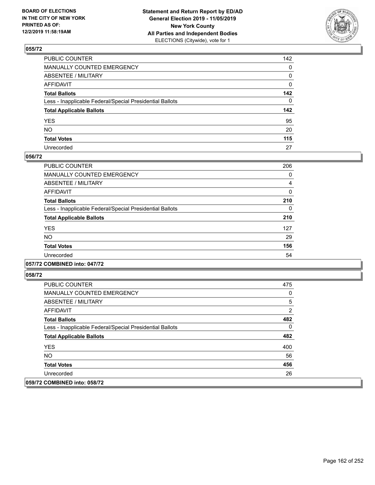

| PUBLIC COUNTER                                           | 142 |
|----------------------------------------------------------|-----|
| MANUALLY COUNTED EMERGENCY                               | 0   |
| ABSENTEE / MILITARY                                      | 0   |
| AFFIDAVIT                                                | 0   |
| Total Ballots                                            | 142 |
| Less - Inapplicable Federal/Special Presidential Ballots | 0   |
| <b>Total Applicable Ballots</b>                          | 142 |
| YES                                                      | 95  |
| NO.                                                      | 20  |
| <b>Total Votes</b>                                       | 115 |
| Unrecorded                                               | 27  |

### **056/72**

| PUBLIC COUNTER                                           | 206 |
|----------------------------------------------------------|-----|
| <b>MANUALLY COUNTED EMERGENCY</b>                        | 0   |
| ABSENTEE / MILITARY                                      | 4   |
| <b>AFFIDAVIT</b>                                         | 0   |
| <b>Total Ballots</b>                                     | 210 |
| Less - Inapplicable Federal/Special Presidential Ballots | 0   |
| <b>Total Applicable Ballots</b>                          | 210 |
| <b>YES</b>                                               | 127 |
| NO.                                                      | 29  |
| <b>Total Votes</b>                                       | 156 |
| Unrecorded                                               | 54  |
|                                                          |     |

## **057/72 COMBINED into: 047/72**

| <b>PUBLIC COUNTER</b>                                    | 475 |
|----------------------------------------------------------|-----|
| <b>MANUALLY COUNTED EMERGENCY</b>                        | 0   |
| ABSENTEE / MILITARY                                      | 5   |
| AFFIDAVIT                                                | 2   |
| <b>Total Ballots</b>                                     | 482 |
| Less - Inapplicable Federal/Special Presidential Ballots | 0   |
| <b>Total Applicable Ballots</b>                          | 482 |
| <b>YES</b>                                               | 400 |
| NO.                                                      | 56  |
| <b>Total Votes</b>                                       | 456 |
| Unrecorded                                               | 26  |
| 059/72 COMBINED into: 058/72                             |     |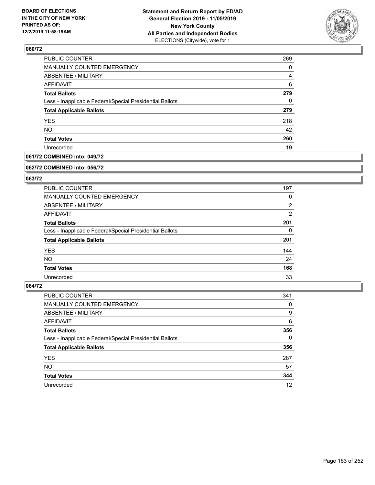

| PUBLIC COUNTER                                           | 269 |
|----------------------------------------------------------|-----|
| MANUALLY COUNTED EMERGENCY                               | 0   |
| ABSENTEE / MILITARY                                      | 4   |
| <b>AFFIDAVIT</b>                                         | 6   |
| <b>Total Ballots</b>                                     | 279 |
| Less - Inapplicable Federal/Special Presidential Ballots | 0   |
| <b>Total Applicable Ballots</b>                          | 279 |
| <b>YES</b>                                               | 218 |
| <b>NO</b>                                                | 42  |
| <b>Total Votes</b>                                       | 260 |
| Unrecorded                                               | 19  |

## **061/72 COMBINED into: 049/72**

#### **062/72 COMBINED into: 056/72**

## **063/72**

| <b>PUBLIC COUNTER</b>                                    | 197            |
|----------------------------------------------------------|----------------|
| MANUALLY COUNTED EMERGENCY                               | 0              |
| ABSENTEE / MILITARY                                      | $\overline{2}$ |
| AFFIDAVIT                                                | $\overline{2}$ |
| <b>Total Ballots</b>                                     | 201            |
| Less - Inapplicable Federal/Special Presidential Ballots | 0              |
| <b>Total Applicable Ballots</b>                          | 201            |
| <b>YES</b>                                               | 144            |
| NO.                                                      | 24             |
| <b>Total Votes</b>                                       | 168            |
| Unrecorded                                               | 33             |

| PUBLIC COUNTER                                           | 341      |
|----------------------------------------------------------|----------|
| MANUALLY COUNTED EMERGENCY                               | 0        |
| ABSENTEE / MILITARY                                      | 9        |
| AFFIDAVIT                                                | 6        |
| <b>Total Ballots</b>                                     | 356      |
| Less - Inapplicable Federal/Special Presidential Ballots | $\Omega$ |
| <b>Total Applicable Ballots</b>                          | 356      |
| <b>YES</b>                                               | 287      |
| <b>NO</b>                                                | 57       |
| <b>Total Votes</b>                                       | 344      |
| Unrecorded                                               | 12       |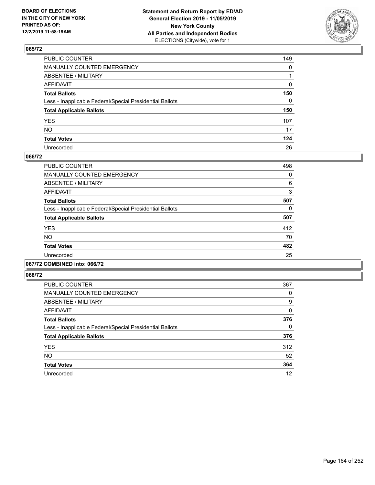

| PUBLIC COUNTER                                           | 149          |
|----------------------------------------------------------|--------------|
| MANUALLY COUNTED EMERGENCY                               | $\mathbf{0}$ |
| ABSENTEE / MILITARY                                      |              |
| AFFIDAVIT                                                | 0            |
| Total Ballots                                            | 150          |
| Less - Inapplicable Federal/Special Presidential Ballots | $\Omega$     |
| <b>Total Applicable Ballots</b>                          | 150          |
| YES                                                      | 107          |
| NO.                                                      | 17           |
| <b>Total Votes</b>                                       | 124          |
| Unrecorded                                               | 26           |

### **066/72**

| <b>PUBLIC COUNTER</b>                                    | 498 |
|----------------------------------------------------------|-----|
| <b>MANUALLY COUNTED EMERGENCY</b>                        | 0   |
| ABSENTEE / MILITARY                                      | 6   |
| <b>AFFIDAVIT</b>                                         | 3   |
| <b>Total Ballots</b>                                     | 507 |
| Less - Inapplicable Federal/Special Presidential Ballots | 0   |
| <b>Total Applicable Ballots</b>                          | 507 |
| <b>YES</b>                                               | 412 |
| <b>NO</b>                                                | 70  |
| <b>Total Votes</b>                                       | 482 |
| Unrecorded                                               | 25  |
|                                                          |     |

## **067/72 COMBINED into: 066/72**

| <b>PUBLIC COUNTER</b>                                    | 367 |
|----------------------------------------------------------|-----|
| <b>MANUALLY COUNTED EMERGENCY</b>                        | 0   |
| ABSENTEE / MILITARY                                      | 9   |
| AFFIDAVIT                                                | 0   |
| <b>Total Ballots</b>                                     | 376 |
| Less - Inapplicable Federal/Special Presidential Ballots | 0   |
| <b>Total Applicable Ballots</b>                          | 376 |
| <b>YES</b>                                               | 312 |
| <b>NO</b>                                                | 52  |
| <b>Total Votes</b>                                       | 364 |
| Unrecorded                                               | 12  |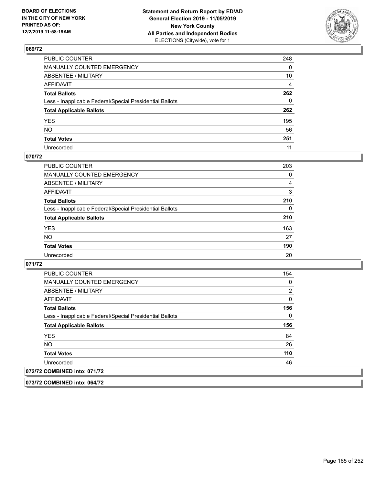

| PUBLIC COUNTER                                           | 248          |
|----------------------------------------------------------|--------------|
| MANUALLY COUNTED EMERGENCY                               | $\mathbf{0}$ |
| ABSENTEE / MILITARY                                      | 10           |
| AFFIDAVIT                                                | 4            |
| Total Ballots                                            | 262          |
| Less - Inapplicable Federal/Special Presidential Ballots | $\mathbf{0}$ |
| <b>Total Applicable Ballots</b>                          | 262          |
| YES                                                      | 195          |
| NO.                                                      | 56           |
| <b>Total Votes</b>                                       | 251          |
| Unrecorded                                               | 11           |

### **070/72**

| <b>PUBLIC COUNTER</b>                                    | 203      |
|----------------------------------------------------------|----------|
| <b>MANUALLY COUNTED EMERGENCY</b>                        | 0        |
| ABSENTEE / MILITARY                                      | 4        |
| AFFIDAVIT                                                | 3        |
| <b>Total Ballots</b>                                     | 210      |
| Less - Inapplicable Federal/Special Presidential Ballots | $\Omega$ |
| <b>Total Applicable Ballots</b>                          | 210      |
| <b>YES</b>                                               | 163      |
| <b>NO</b>                                                | 27       |
| <b>Total Votes</b>                                       | 190      |
| Unrecorded                                               | 20       |

### **071/72**

**073/72 COMBINED into: 064/72**

| <b>PUBLIC COUNTER</b>                                    | 154 |
|----------------------------------------------------------|-----|
| <b>MANUALLY COUNTED EMERGENCY</b>                        | 0   |
| ABSENTEE / MILITARY                                      | 2   |
| <b>AFFIDAVIT</b>                                         | 0   |
| <b>Total Ballots</b>                                     | 156 |
| Less - Inapplicable Federal/Special Presidential Ballots | 0   |
| <b>Total Applicable Ballots</b>                          | 156 |
| <b>YES</b>                                               | 84  |
| NO.                                                      | 26  |
| <b>Total Votes</b>                                       | 110 |
| Unrecorded                                               | 46  |
| 072/72 COMBINED into: 071/72                             |     |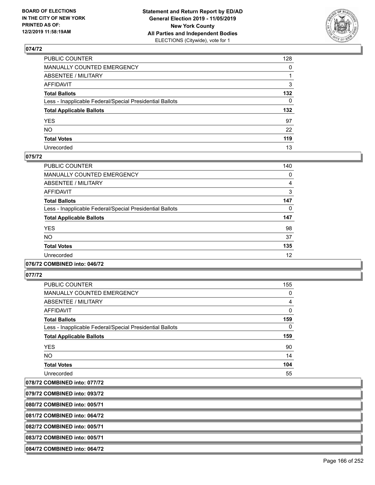

| PUBLIC COUNTER                                           | 128          |
|----------------------------------------------------------|--------------|
| MANUALLY COUNTED EMERGENCY                               | $\mathbf{0}$ |
| ABSENTEE / MILITARY                                      |              |
| AFFIDAVIT                                                | 3            |
| Total Ballots                                            | 132          |
| Less - Inapplicable Federal/Special Presidential Ballots | $\mathbf{0}$ |
| <b>Total Applicable Ballots</b>                          | 132          |
| YES                                                      | 97           |
| NO.                                                      | 22           |
| <b>Total Votes</b>                                       | 119          |
| Unrecorded                                               | 13           |

### **075/72**

| <b>PUBLIC COUNTER</b>                                    | 140 |
|----------------------------------------------------------|-----|
| <b>MANUALLY COUNTED EMERGENCY</b>                        | 0   |
| ABSENTEE / MILITARY                                      | 4   |
| <b>AFFIDAVIT</b>                                         | 3   |
| <b>Total Ballots</b>                                     | 147 |
| Less - Inapplicable Federal/Special Presidential Ballots | 0   |
| <b>Total Applicable Ballots</b>                          | 147 |
| <b>YES</b>                                               | 98  |
| N <sub>O</sub>                                           | 37  |
| <b>Total Votes</b>                                       | 135 |
| Unrecorded                                               | 12  |
|                                                          |     |

#### **076/72 COMBINED into: 046/72**

**077/72** 

| <b>PUBLIC COUNTER</b>                                    | 155            |
|----------------------------------------------------------|----------------|
| <b>MANUALLY COUNTED EMERGENCY</b>                        | 0              |
| ABSENTEE / MILITARY                                      | $\overline{4}$ |
| <b>AFFIDAVIT</b>                                         | $\mathbf{0}$   |
| <b>Total Ballots</b>                                     | 159            |
| Less - Inapplicable Federal/Special Presidential Ballots | 0              |
| <b>Total Applicable Ballots</b>                          | 159            |
| <b>YES</b>                                               | 90             |
| NO.                                                      | 14             |
| <b>Total Votes</b>                                       | 104            |
| Unrecorded                                               | 55             |

**078/72 COMBINED into: 077/72**

**079/72 COMBINED into: 093/72**

**080/72 COMBINED into: 005/71**

**081/72 COMBINED into: 064/72**

**082/72 COMBINED into: 005/71**

**083/72 COMBINED into: 005/71**

**084/72 COMBINED into: 064/72**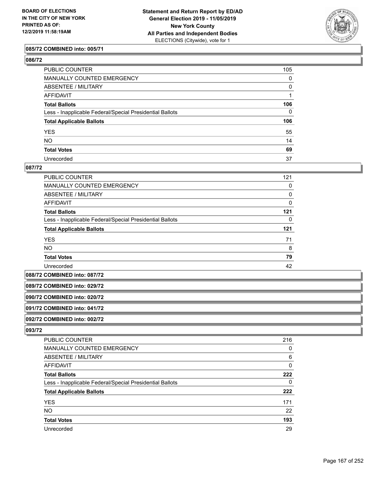

#### **085/72 COMBINED into: 005/71**

### **086/72**

| PUBLIC COUNTER                                           | 105          |
|----------------------------------------------------------|--------------|
| MANUALLY COUNTED EMERGENCY                               | 0            |
| ABSENTEE / MILITARY                                      | 0            |
| AFFIDAVIT                                                |              |
| Total Ballots                                            | 106          |
| Less - Inapplicable Federal/Special Presidential Ballots | $\mathbf{0}$ |
| <b>Total Applicable Ballots</b>                          | 106          |
| YES                                                      | 55           |
| NO.                                                      | 14           |
| <b>Total Votes</b>                                       | 69           |
| Unrecorded                                               | 37           |

#### **087/72**

| PUBLIC COUNTER                                           | 121 |
|----------------------------------------------------------|-----|
| <b>MANUALLY COUNTED EMERGENCY</b>                        | 0   |
| ABSENTEE / MILITARY                                      | 0   |
| AFFIDAVIT                                                | 0   |
| <b>Total Ballots</b>                                     | 121 |
| Less - Inapplicable Federal/Special Presidential Ballots | 0   |
| <b>Total Applicable Ballots</b>                          | 121 |
| <b>YES</b>                                               | 71  |
| <b>NO</b>                                                | 8   |
| <b>Total Votes</b>                                       | 79  |
| Unrecorded                                               | 42  |

**088/72 COMBINED into: 087/72**

#### **089/72 COMBINED into: 029/72**

**090/72 COMBINED into: 020/72**

## **091/72 COMBINED into: 041/72**

**092/72 COMBINED into: 002/72**

| <b>PUBLIC COUNTER</b>                                    | 216 |
|----------------------------------------------------------|-----|
| MANUALLY COUNTED EMERGENCY                               | 0   |
| ABSENTEE / MILITARY                                      | 6   |
| AFFIDAVIT                                                | 0   |
| <b>Total Ballots</b>                                     | 222 |
| Less - Inapplicable Federal/Special Presidential Ballots | 0   |
| <b>Total Applicable Ballots</b>                          | 222 |
| <b>YES</b>                                               | 171 |
| NO.                                                      | 22  |
| <b>Total Votes</b>                                       | 193 |
| Unrecorded                                               | 29  |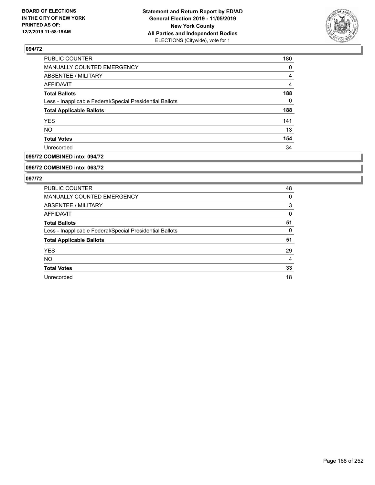

| <b>PUBLIC COUNTER</b>                                    | 180      |
|----------------------------------------------------------|----------|
| MANUALLY COUNTED EMERGENCY                               | $\Omega$ |
| <b>ABSENTEE / MILITARY</b>                               | 4        |
| AFFIDAVIT                                                | 4        |
| <b>Total Ballots</b>                                     | 188      |
| Less - Inapplicable Federal/Special Presidential Ballots | 0        |
| <b>Total Applicable Ballots</b>                          | 188      |
| <b>YES</b>                                               | 141      |
| <b>NO</b>                                                | 13       |
| <b>Total Votes</b>                                       | 154      |
| Unrecorded                                               | 34       |

## **095/72 COMBINED into: 094/72**

#### **096/72 COMBINED into: 063/72**

| PUBLIC COUNTER                                           | 48 |
|----------------------------------------------------------|----|
| <b>MANUALLY COUNTED EMERGENCY</b>                        | 0  |
| ABSENTEE / MILITARY                                      | 3  |
| <b>AFFIDAVIT</b>                                         | 0  |
| <b>Total Ballots</b>                                     | 51 |
| Less - Inapplicable Federal/Special Presidential Ballots | 0  |
| <b>Total Applicable Ballots</b>                          | 51 |
| <b>YES</b>                                               | 29 |
| <b>NO</b>                                                | 4  |
| <b>Total Votes</b>                                       | 33 |
| Unrecorded                                               | 18 |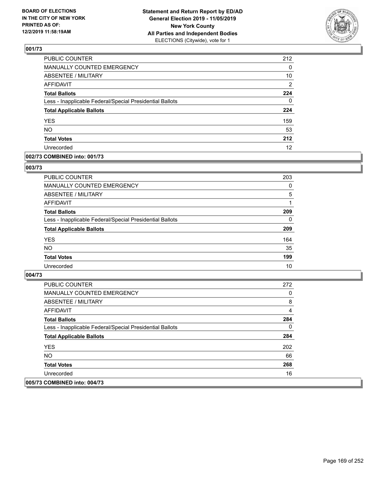

| PUBLIC COUNTER                                           | 212            |
|----------------------------------------------------------|----------------|
| <b>MANUALLY COUNTED EMERGENCY</b>                        | 0              |
| <b>ABSENTEE / MILITARY</b>                               | 10             |
| <b>AFFIDAVIT</b>                                         | $\overline{2}$ |
| <b>Total Ballots</b>                                     | 224            |
| Less - Inapplicable Federal/Special Presidential Ballots | 0              |
| <b>Total Applicable Ballots</b>                          | 224            |
| <b>YES</b>                                               | 159            |
| <b>NO</b>                                                | 53             |
| <b>Total Votes</b>                                       | 212            |
| Unrecorded                                               | 12             |

### **002/73 COMBINED into: 001/73**

### **003/73**

| PUBLIC COUNTER                                           | 203      |
|----------------------------------------------------------|----------|
| <b>MANUALLY COUNTED EMERGENCY</b>                        | 0        |
| ABSENTEE / MILITARY                                      | 5        |
| AFFIDAVIT                                                |          |
| <b>Total Ballots</b>                                     | 209      |
| Less - Inapplicable Federal/Special Presidential Ballots | $\Omega$ |
| <b>Total Applicable Ballots</b>                          | 209      |
| <b>YES</b>                                               | 164      |
| <b>NO</b>                                                | 35       |
| <b>Total Votes</b>                                       | 199      |
| Unrecorded                                               | 10       |

| <b>PUBLIC COUNTER</b>                                    | 272 |
|----------------------------------------------------------|-----|
| <b>MANUALLY COUNTED EMERGENCY</b>                        | 0   |
| ABSENTEE / MILITARY                                      | 8   |
| AFFIDAVIT                                                | 4   |
| <b>Total Ballots</b>                                     | 284 |
| Less - Inapplicable Federal/Special Presidential Ballots | 0   |
| <b>Total Applicable Ballots</b>                          | 284 |
| <b>YES</b>                                               | 202 |
| NO.                                                      | 66  |
| <b>Total Votes</b>                                       | 268 |
| Unrecorded                                               | 16  |
| 005/73 COMBINED into: 004/73                             |     |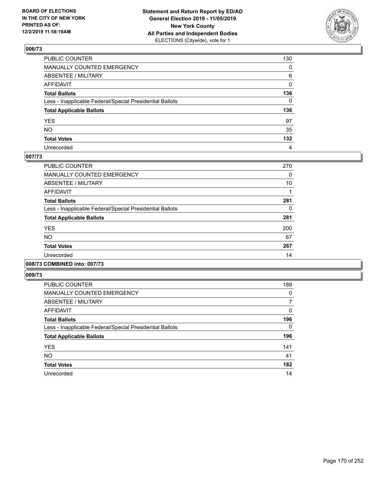

| PUBLIC COUNTER                                           | 130 |
|----------------------------------------------------------|-----|
| MANUALLY COUNTED EMERGENCY                               | 0   |
| ABSENTEE / MILITARY                                      | 6   |
| AFFIDAVIT                                                | 0   |
| Total Ballots                                            | 136 |
| Less - Inapplicable Federal/Special Presidential Ballots | 0   |
| <b>Total Applicable Ballots</b>                          | 136 |
| YES                                                      | 97  |
| NO.                                                      | 35  |
| <b>Total Votes</b>                                       | 132 |
| Unrecorded                                               | 4   |

### **007/73**

| <b>PUBLIC COUNTER</b>                                    | 270 |
|----------------------------------------------------------|-----|
| <b>MANUALLY COUNTED EMERGENCY</b>                        | 0   |
| ABSENTEE / MILITARY                                      | 10  |
| <b>AFFIDAVIT</b>                                         |     |
| <b>Total Ballots</b>                                     | 281 |
| Less - Inapplicable Federal/Special Presidential Ballots | 0   |
| <b>Total Applicable Ballots</b>                          | 281 |
| <b>YES</b>                                               | 200 |
| NO                                                       | 67  |
| <b>Total Votes</b>                                       | 267 |
| Unrecorded                                               | 14  |
|                                                          |     |

## **008/73 COMBINED into: 007/73**

| <b>PUBLIC COUNTER</b>                                    | 189      |
|----------------------------------------------------------|----------|
| <b>MANUALLY COUNTED EMERGENCY</b>                        | $\Omega$ |
| ABSENTEE / MILITARY                                      | 7        |
| AFFIDAVIT                                                | $\Omega$ |
| <b>Total Ballots</b>                                     | 196      |
| Less - Inapplicable Federal/Special Presidential Ballots | $\Omega$ |
| <b>Total Applicable Ballots</b>                          | 196      |
| <b>YES</b>                                               | 141      |
| <b>NO</b>                                                | 41       |
| <b>Total Votes</b>                                       | 182      |
| Unrecorded                                               | 14       |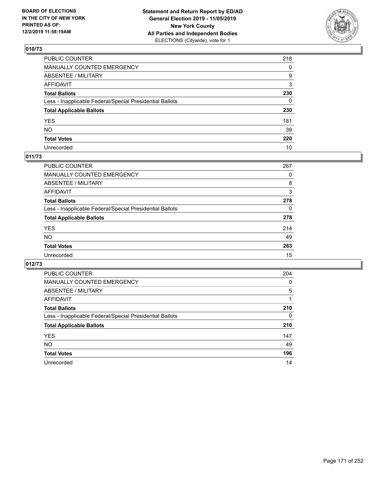

| PUBLIC COUNTER                                           | 218          |
|----------------------------------------------------------|--------------|
| MANUALLY COUNTED EMERGENCY                               | $\mathbf{0}$ |
| ABSENTEE / MILITARY                                      | 9            |
| AFFIDAVIT                                                | 3            |
| Total Ballots                                            | 230          |
| Less - Inapplicable Federal/Special Presidential Ballots | 0            |
| <b>Total Applicable Ballots</b>                          | 230          |
| YES                                                      | 181          |
| NO.                                                      | 39           |
| <b>Total Votes</b>                                       | 220          |
| Unrecorded                                               | 10           |

## **011/73**

| <b>PUBLIC COUNTER</b>                                    | 267 |
|----------------------------------------------------------|-----|
| MANUALLY COUNTED EMERGENCY                               | 0   |
| ABSENTEE / MILITARY                                      | 8   |
| AFFIDAVIT                                                | 3   |
| <b>Total Ballots</b>                                     | 278 |
| Less - Inapplicable Federal/Special Presidential Ballots | 0   |
| <b>Total Applicable Ballots</b>                          | 278 |
| <b>YES</b>                                               | 214 |
| <b>NO</b>                                                | 49  |
| <b>Total Votes</b>                                       | 263 |
| Unrecorded                                               | 15  |

| <b>PUBLIC COUNTER</b>                                    | 204      |
|----------------------------------------------------------|----------|
| <b>MANUALLY COUNTED EMERGENCY</b>                        | $\Omega$ |
| <b>ABSENTEE / MILITARY</b>                               | 5        |
| <b>AFFIDAVIT</b>                                         |          |
| <b>Total Ballots</b>                                     | 210      |
| Less - Inapplicable Federal/Special Presidential Ballots | $\Omega$ |
| <b>Total Applicable Ballots</b>                          | 210      |
| <b>YES</b>                                               | 147      |
| <b>NO</b>                                                | 49       |
| <b>Total Votes</b>                                       | 196      |
| Unrecorded                                               | 14       |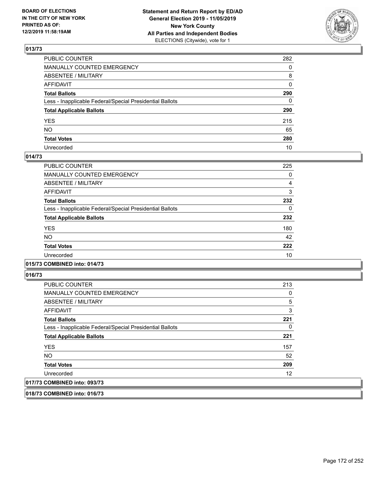

| PUBLIC COUNTER                                           | 282          |
|----------------------------------------------------------|--------------|
| MANUALLY COUNTED EMERGENCY                               | 0            |
| ABSENTEE / MILITARY                                      | 8            |
| AFFIDAVIT                                                | $\mathbf{0}$ |
| Total Ballots                                            | 290          |
| Less - Inapplicable Federal/Special Presidential Ballots | 0            |
| <b>Total Applicable Ballots</b>                          | 290          |
| YES                                                      | 215          |
| NO.                                                      | 65           |
| <b>Total Votes</b>                                       | 280          |
| Unrecorded                                               | 10           |

### **014/73**

| <b>PUBLIC COUNTER</b>                                    | 225 |
|----------------------------------------------------------|-----|
| MANUALLY COUNTED EMERGENCY                               | 0   |
| ABSENTEE / MILITARY                                      | 4   |
| <b>AFFIDAVIT</b>                                         | 3   |
| <b>Total Ballots</b>                                     | 232 |
| Less - Inapplicable Federal/Special Presidential Ballots | 0   |
| <b>Total Applicable Ballots</b>                          | 232 |
| <b>YES</b>                                               | 180 |
| NO.                                                      | 42  |
| <b>Total Votes</b>                                       | 222 |
| Unrecorded                                               | 10  |
|                                                          |     |

## **015/73 COMBINED into: 014/73**

**016/73** 

| <b>PUBLIC COUNTER</b>                                    | 213            |
|----------------------------------------------------------|----------------|
| <b>MANUALLY COUNTED EMERGENCY</b>                        | 0              |
| ABSENTEE / MILITARY                                      | $\overline{5}$ |
| AFFIDAVIT                                                | 3              |
| <b>Total Ballots</b>                                     | 221            |
| Less - Inapplicable Federal/Special Presidential Ballots | 0              |
| <b>Total Applicable Ballots</b>                          | 221            |
| <b>YES</b>                                               | 157            |
| <b>NO</b>                                                | 52             |
| <b>Total Votes</b>                                       | 209            |
| Unrecorded                                               | 12             |
| 017/73 COMBINED into: 093/73                             |                |

**018/73 COMBINED into: 016/73**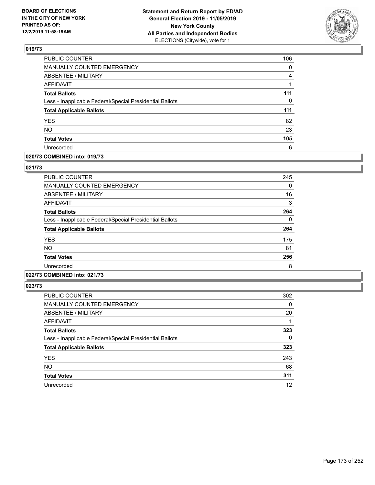

| PUBLIC COUNTER                                           | 106 |
|----------------------------------------------------------|-----|
| <b>MANUALLY COUNTED EMERGENCY</b>                        | 0   |
| <b>ABSENTEE / MILITARY</b>                               | 4   |
| <b>AFFIDAVIT</b>                                         |     |
| <b>Total Ballots</b>                                     | 111 |
| Less - Inapplicable Federal/Special Presidential Ballots | 0   |
| <b>Total Applicable Ballots</b>                          | 111 |
| <b>YES</b>                                               | 82  |
| <b>NO</b>                                                | 23  |
| <b>Total Votes</b>                                       | 105 |
| Unrecorded                                               | 6   |

### **020/73 COMBINED into: 019/73**

### **021/73**

| <b>PUBLIC COUNTER</b>                                    | 245 |
|----------------------------------------------------------|-----|
| <b>MANUALLY COUNTED EMERGENCY</b>                        | 0   |
| <b>ABSENTEE / MILITARY</b>                               | 16  |
| <b>AFFIDAVIT</b>                                         | 3   |
| <b>Total Ballots</b>                                     | 264 |
| Less - Inapplicable Federal/Special Presidential Ballots | 0   |
| <b>Total Applicable Ballots</b>                          | 264 |
| <b>YES</b>                                               | 175 |
| <b>NO</b>                                                | 81  |
| <b>Total Votes</b>                                       | 256 |
| Unrecorded                                               | 8   |
|                                                          |     |

## **022/73 COMBINED into: 021/73**

| <b>PUBLIC COUNTER</b>                                    | 302      |
|----------------------------------------------------------|----------|
| <b>MANUALLY COUNTED EMERGENCY</b>                        | 0        |
| <b>ABSENTEE / MILITARY</b>                               | 20       |
| AFFIDAVIT                                                |          |
| <b>Total Ballots</b>                                     | 323      |
| Less - Inapplicable Federal/Special Presidential Ballots | $\Omega$ |
| <b>Total Applicable Ballots</b>                          | 323      |
| <b>YES</b>                                               | 243      |
| <b>NO</b>                                                | 68       |
| <b>Total Votes</b>                                       | 311      |
| Unrecorded                                               | 12       |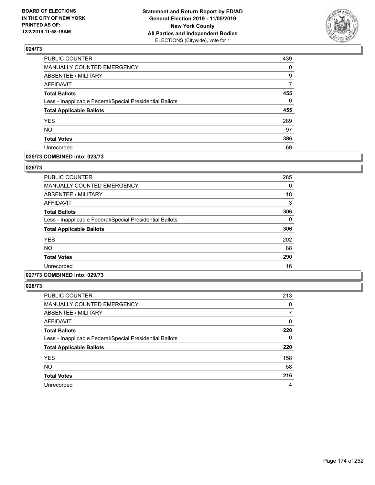

| PUBLIC COUNTER                                           | 439      |
|----------------------------------------------------------|----------|
| <b>MANUALLY COUNTED EMERGENCY</b>                        | $\Omega$ |
| <b>ABSENTEE / MILITARY</b>                               | 9        |
| <b>AFFIDAVIT</b>                                         | 7        |
| <b>Total Ballots</b>                                     | 455      |
| Less - Inapplicable Federal/Special Presidential Ballots | $\Omega$ |
| <b>Total Applicable Ballots</b>                          | 455      |
| <b>YES</b>                                               | 289      |
| <b>NO</b>                                                | 97       |
| <b>Total Votes</b>                                       | 386      |
| Unrecorded                                               | 69       |

### **025/73 COMBINED into: 023/73**

### **026/73**

| <b>PUBLIC COUNTER</b>                                    | 285 |
|----------------------------------------------------------|-----|
| <b>MANUALLY COUNTED EMERGENCY</b>                        | 0   |
| ABSENTEE / MILITARY                                      | 18  |
| AFFIDAVIT                                                | 3   |
| <b>Total Ballots</b>                                     | 306 |
| Less - Inapplicable Federal/Special Presidential Ballots | 0   |
| <b>Total Applicable Ballots</b>                          | 306 |
| <b>YES</b>                                               | 202 |
| <b>NO</b>                                                | 88  |
| <b>Total Votes</b>                                       | 290 |
| Unrecorded                                               | 16  |

# **027/73 COMBINED into: 029/73**

| <b>PUBLIC COUNTER</b>                                    | 213      |
|----------------------------------------------------------|----------|
| <b>MANUALLY COUNTED EMERGENCY</b>                        | 0        |
| ABSENTEE / MILITARY                                      | 7        |
| AFFIDAVIT                                                | 0        |
| <b>Total Ballots</b>                                     | 220      |
| Less - Inapplicable Federal/Special Presidential Ballots | $\Omega$ |
| <b>Total Applicable Ballots</b>                          | 220      |
| <b>YES</b>                                               | 158      |
| <b>NO</b>                                                | 58       |
| <b>Total Votes</b>                                       | 216      |
| Unrecorded                                               | 4        |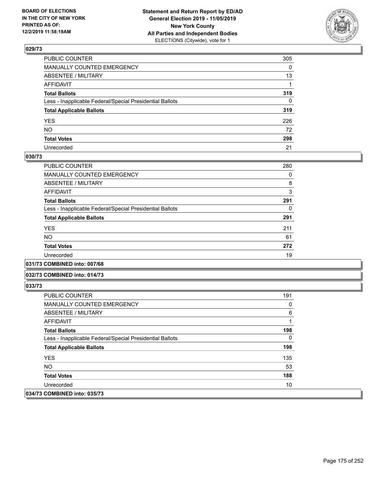

| PUBLIC COUNTER                                           | 305 |
|----------------------------------------------------------|-----|
| MANUALLY COUNTED EMERGENCY                               | 0   |
| ABSENTEE / MILITARY                                      | 13  |
| AFFIDAVIT                                                | 1   |
| Total Ballots                                            | 319 |
| Less - Inapplicable Federal/Special Presidential Ballots | 0   |
| <b>Total Applicable Ballots</b>                          | 319 |
| YES                                                      | 226 |
| NO.                                                      | 72  |
| <b>Total Votes</b>                                       | 298 |
| Unrecorded                                               | 21  |

### **030/73**

| <b>PUBLIC COUNTER</b>                                    | 280 |
|----------------------------------------------------------|-----|
| <b>MANUALLY COUNTED EMERGENCY</b>                        | 0   |
| ABSENTEE / MILITARY                                      | 8   |
| AFFIDAVIT                                                | 3   |
| <b>Total Ballots</b>                                     | 291 |
| Less - Inapplicable Federal/Special Presidential Ballots | 0   |
| <b>Total Applicable Ballots</b>                          | 291 |
| <b>YES</b>                                               | 211 |
| <b>NO</b>                                                | 61  |
| <b>Total Votes</b>                                       | 272 |
| Unrecorded                                               | 19  |
|                                                          |     |

### **031/73 COMBINED into: 007/68**

#### **032/73 COMBINED into: 014/73**

| <b>PUBLIC COUNTER</b>                                    | 191      |
|----------------------------------------------------------|----------|
| <b>MANUALLY COUNTED EMERGENCY</b>                        | $\Omega$ |
| ABSENTEE / MILITARY                                      | 6        |
| AFFIDAVIT                                                |          |
| <b>Total Ballots</b>                                     | 198      |
| Less - Inapplicable Federal/Special Presidential Ballots | 0        |
| <b>Total Applicable Ballots</b>                          | 198      |
| <b>YES</b>                                               | 135      |
| NO.                                                      | 53       |
| <b>Total Votes</b>                                       | 188      |
| Unrecorded                                               | 10       |
| 034/73 COMBINED into: 035/73                             |          |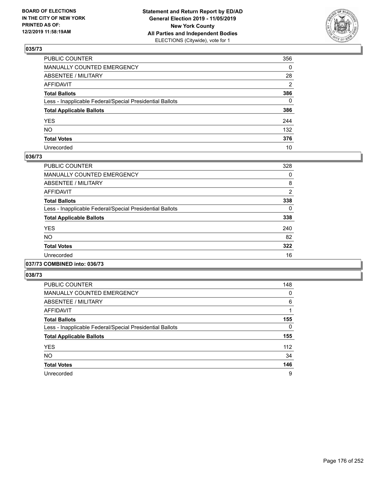

| PUBLIC COUNTER                                           | 356          |
|----------------------------------------------------------|--------------|
| MANUALLY COUNTED EMERGENCY                               | $\mathbf{0}$ |
| ABSENTEE / MILITARY                                      | 28           |
| AFFIDAVIT                                                | 2            |
| Total Ballots                                            | 386          |
| Less - Inapplicable Federal/Special Presidential Ballots | $\Omega$     |
| <b>Total Applicable Ballots</b>                          | 386          |
| YES                                                      | 244          |
| NO.                                                      | 132          |
| <b>Total Votes</b>                                       | 376          |
| Unrecorded                                               | 10           |

### **036/73**

| <b>PUBLIC COUNTER</b>                                    | 328            |
|----------------------------------------------------------|----------------|
| <b>MANUALLY COUNTED EMERGENCY</b>                        | 0              |
| ABSENTEE / MILITARY                                      | 8              |
| <b>AFFIDAVIT</b>                                         | $\overline{2}$ |
| <b>Total Ballots</b>                                     | 338            |
| Less - Inapplicable Federal/Special Presidential Ballots | 0              |
| <b>Total Applicable Ballots</b>                          | 338            |
| <b>YES</b>                                               | 240            |
| NO                                                       | 82             |
| <b>Total Votes</b>                                       | 322            |
| Unrecorded                                               | 16             |
|                                                          |                |

#### **037/73 COMBINED into: 036/73**

| <b>PUBLIC COUNTER</b>                                    | 148      |
|----------------------------------------------------------|----------|
| MANUALLY COUNTED EMERGENCY                               | 0        |
| ABSENTEE / MILITARY                                      | 6        |
| AFFIDAVIT                                                |          |
| <b>Total Ballots</b>                                     | 155      |
| Less - Inapplicable Federal/Special Presidential Ballots | $\Omega$ |
| <b>Total Applicable Ballots</b>                          | 155      |
| <b>YES</b>                                               | 112      |
| <b>NO</b>                                                | 34       |
| <b>Total Votes</b>                                       | 146      |
| Unrecorded                                               | 9        |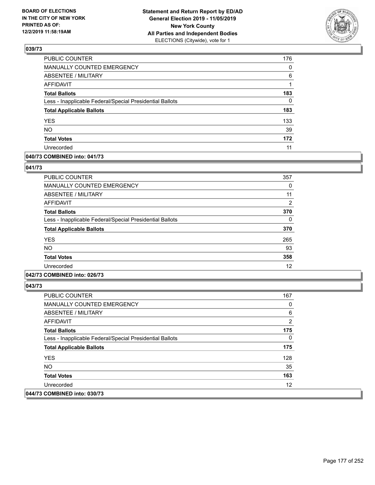

| <b>PUBLIC COUNTER</b>                                    | 176      |
|----------------------------------------------------------|----------|
| <b>MANUALLY COUNTED EMERGENCY</b>                        | $\Omega$ |
| <b>ABSENTEE / MILITARY</b>                               | 6        |
| <b>AFFIDAVIT</b>                                         |          |
| <b>Total Ballots</b>                                     | 183      |
| Less - Inapplicable Federal/Special Presidential Ballots | 0        |
| <b>Total Applicable Ballots</b>                          | 183      |
| <b>YES</b>                                               | 133      |
| <b>NO</b>                                                | 39       |
| <b>Total Votes</b>                                       | 172      |
| Unrecorded                                               | 11       |

## **040/73 COMBINED into: 041/73**

### **041/73**

| <b>PUBLIC COUNTER</b>                                    | 357            |
|----------------------------------------------------------|----------------|
| <b>MANUALLY COUNTED EMERGENCY</b>                        | 0              |
| ABSENTEE / MILITARY                                      | 11             |
| AFFIDAVIT                                                | $\overline{2}$ |
| <b>Total Ballots</b>                                     | 370            |
| Less - Inapplicable Federal/Special Presidential Ballots | 0              |
| <b>Total Applicable Ballots</b>                          | 370            |
| <b>YES</b>                                               | 265            |
| <b>NO</b>                                                | 93             |
| <b>Total Votes</b>                                       | 358            |
| Unrecorded                                               | 12             |

## **042/73 COMBINED into: 026/73**

| <b>PUBLIC COUNTER</b>                                    | 167               |
|----------------------------------------------------------|-------------------|
| <b>MANUALLY COUNTED EMERGENCY</b>                        | 0                 |
| ABSENTEE / MILITARY                                      | 6                 |
| AFFIDAVIT                                                | 2                 |
| <b>Total Ballots</b>                                     | 175               |
| Less - Inapplicable Federal/Special Presidential Ballots | 0                 |
| <b>Total Applicable Ballots</b>                          | 175               |
| <b>YES</b>                                               | 128               |
| NO.                                                      | 35                |
| <b>Total Votes</b>                                       | 163               |
| Unrecorded                                               | $12 \overline{ }$ |
| 044/73 COMBINED into: 030/73                             |                   |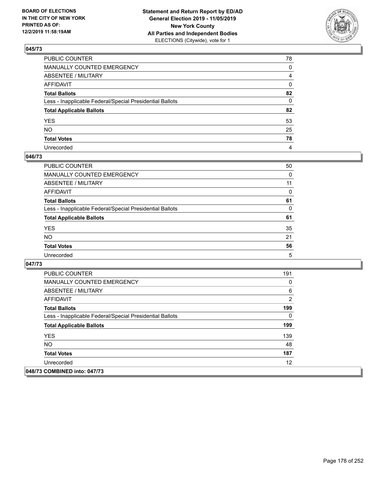

| PUBLIC COUNTER                                           | 78             |
|----------------------------------------------------------|----------------|
| MANUALLY COUNTED EMERGENCY                               | $\mathbf{0}$   |
| ABSENTEE / MILITARY                                      | $\overline{4}$ |
| AFFIDAVIT                                                | 0              |
| Total Ballots                                            | 82             |
| Less - Inapplicable Federal/Special Presidential Ballots | $\mathbf{0}$   |
| <b>Total Applicable Ballots</b>                          | 82             |
| YES                                                      | 53             |
| NO.                                                      | 25             |
| <b>Total Votes</b>                                       | 78             |
| Unrecorded                                               | 4              |

### **046/73**

| <b>PUBLIC COUNTER</b>                                    | 50 |
|----------------------------------------------------------|----|
| <b>MANUALLY COUNTED EMERGENCY</b>                        | 0  |
| ABSENTEE / MILITARY                                      | 11 |
| AFFIDAVIT                                                | 0  |
| <b>Total Ballots</b>                                     | 61 |
| Less - Inapplicable Federal/Special Presidential Ballots | 0  |
| <b>Total Applicable Ballots</b>                          | 61 |
| <b>YES</b>                                               | 35 |
| <b>NO</b>                                                | 21 |
| <b>Total Votes</b>                                       | 56 |
| Unrecorded                                               | 5  |

| <b>PUBLIC COUNTER</b>                                    | 191 |
|----------------------------------------------------------|-----|
| <b>MANUALLY COUNTED EMERGENCY</b>                        | 0   |
| ABSENTEE / MILITARY                                      | 6   |
| AFFIDAVIT                                                | 2   |
| <b>Total Ballots</b>                                     | 199 |
| Less - Inapplicable Federal/Special Presidential Ballots | 0   |
| <b>Total Applicable Ballots</b>                          | 199 |
| <b>YES</b>                                               | 139 |
| NO.                                                      | 48  |
| <b>Total Votes</b>                                       | 187 |
| Unrecorded                                               | 12  |
| 048/73 COMBINED into: 047/73                             |     |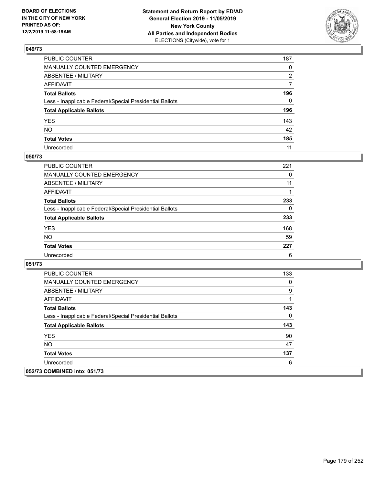

| PUBLIC COUNTER                                           | 187          |
|----------------------------------------------------------|--------------|
| MANUALLY COUNTED EMERGENCY                               | $\mathbf{0}$ |
| ABSENTEE / MILITARY                                      | 2            |
| AFFIDAVIT                                                | 7            |
| Total Ballots                                            | 196          |
| Less - Inapplicable Federal/Special Presidential Ballots | $\Omega$     |
| <b>Total Applicable Ballots</b>                          | 196          |
| YES                                                      | 143          |
| NO.                                                      | 42           |
| <b>Total Votes</b>                                       | 185          |
| Unrecorded                                               | 11           |

### **050/73**

| <b>PUBLIC COUNTER</b>                                    | 221      |
|----------------------------------------------------------|----------|
| <b>MANUALLY COUNTED EMERGENCY</b>                        | 0        |
| ABSENTEE / MILITARY                                      | 11       |
| AFFIDAVIT                                                |          |
| <b>Total Ballots</b>                                     | 233      |
| Less - Inapplicable Federal/Special Presidential Ballots | $\Omega$ |
| <b>Total Applicable Ballots</b>                          | 233      |
| <b>YES</b>                                               | 168      |
| <b>NO</b>                                                | 59       |
| <b>Total Votes</b>                                       | 227      |
| Unrecorded                                               | 6        |

| <b>PUBLIC COUNTER</b>                                    | 133 |
|----------------------------------------------------------|-----|
| <b>MANUALLY COUNTED EMERGENCY</b>                        | 0   |
| ABSENTEE / MILITARY                                      | 9   |
| AFFIDAVIT                                                |     |
| <b>Total Ballots</b>                                     | 143 |
| Less - Inapplicable Federal/Special Presidential Ballots | 0   |
| <b>Total Applicable Ballots</b>                          | 143 |
| <b>YES</b>                                               | 90  |
| <b>NO</b>                                                | 47  |
| <b>Total Votes</b>                                       | 137 |
| Unrecorded                                               | 6   |
| 052/73 COMBINED into: 051/73                             |     |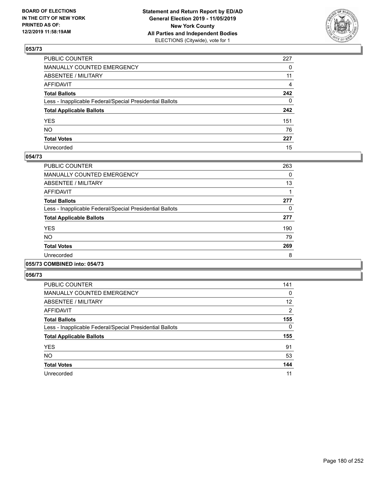

| PUBLIC COUNTER                                           | 227          |
|----------------------------------------------------------|--------------|
| MANUALLY COUNTED EMERGENCY                               | $\mathbf{0}$ |
| ABSENTEE / MILITARY                                      | 11           |
| AFFIDAVIT                                                | 4            |
| Total Ballots                                            | 242          |
| Less - Inapplicable Federal/Special Presidential Ballots | $\mathbf{0}$ |
| <b>Total Applicable Ballots</b>                          | 242          |
| YES                                                      | 151          |
| NO.                                                      | 76           |
| <b>Total Votes</b>                                       | 227          |
| Unrecorded                                               | 15           |

### **054/73**

| PUBLIC COUNTER                                           | 263 |
|----------------------------------------------------------|-----|
| <b>MANUALLY COUNTED EMERGENCY</b>                        | 0   |
| ABSENTEE / MILITARY                                      | 13  |
| AFFIDAVIT                                                |     |
| <b>Total Ballots</b>                                     | 277 |
| Less - Inapplicable Federal/Special Presidential Ballots | 0   |
| <b>Total Applicable Ballots</b>                          | 277 |
| <b>YES</b>                                               | 190 |
| NO.                                                      | 79  |
| <b>Total Votes</b>                                       | 269 |
| Unrecorded                                               | 8   |
|                                                          |     |

#### **055/73 COMBINED into: 054/73**

| PUBLIC COUNTER                                           | 141      |
|----------------------------------------------------------|----------|
| MANUALLY COUNTED EMERGENCY                               | 0        |
| ABSENTEE / MILITARY                                      | 12       |
| AFFIDAVIT                                                | 2        |
| <b>Total Ballots</b>                                     | 155      |
| Less - Inapplicable Federal/Special Presidential Ballots | $\Omega$ |
| <b>Total Applicable Ballots</b>                          | 155      |
| <b>YES</b>                                               | 91       |
| <b>NO</b>                                                | 53       |
| <b>Total Votes</b>                                       | 144      |
| Unrecorded                                               | 11       |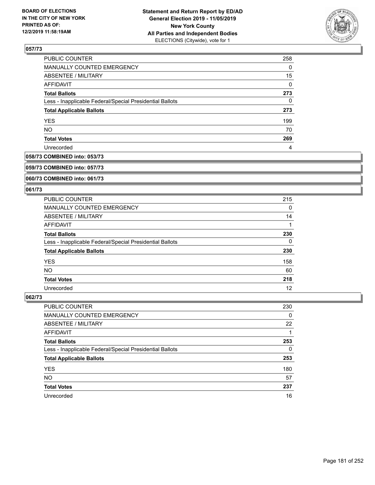

| <b>PUBLIC COUNTER</b>                                    | 258      |
|----------------------------------------------------------|----------|
| MANUALLY COUNTED EMERGENCY                               | 0        |
| ABSENTEE / MILITARY                                      | 15       |
| AFFIDAVIT                                                | $\Omega$ |
| <b>Total Ballots</b>                                     | 273      |
| Less - Inapplicable Federal/Special Presidential Ballots | 0        |
| <b>Total Applicable Ballots</b>                          | 273      |
| <b>YES</b>                                               | 199      |
| <b>NO</b>                                                | 70       |
| <b>Total Votes</b>                                       | 269      |
| Unrecorded                                               | 4        |

## **058/73 COMBINED into: 053/73**

#### **059/73 COMBINED into: 057/73**

## **060/73 COMBINED into: 061/73**

#### **061/73**

| <b>PUBLIC COUNTER</b>                                    | 215 |
|----------------------------------------------------------|-----|
| MANUALLY COUNTED EMERGENCY                               | 0   |
| ABSENTEE / MILITARY                                      | 14  |
| AFFIDAVIT                                                |     |
| <b>Total Ballots</b>                                     | 230 |
| Less - Inapplicable Federal/Special Presidential Ballots | 0   |
| <b>Total Applicable Ballots</b>                          | 230 |
| <b>YES</b>                                               | 158 |
| NO.                                                      | 60  |
| <b>Total Votes</b>                                       | 218 |
| Unrecorded                                               | 12  |

| <b>PUBLIC COUNTER</b>                                    | 230 |
|----------------------------------------------------------|-----|
| MANUALLY COUNTED EMERGENCY                               | 0   |
| ABSENTEE / MILITARY                                      | 22  |
| AFFIDAVIT                                                |     |
| <b>Total Ballots</b>                                     | 253 |
| Less - Inapplicable Federal/Special Presidential Ballots | 0   |
| <b>Total Applicable Ballots</b>                          | 253 |
| <b>YES</b>                                               | 180 |
| <b>NO</b>                                                | 57  |
| <b>Total Votes</b>                                       | 237 |
| Unrecorded                                               | 16  |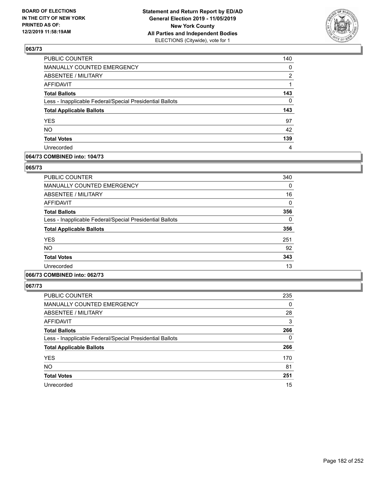

| 140      |
|----------|
| $\Omega$ |
| 2        |
|          |
| 143      |
| $\Omega$ |
| 143      |
| 97       |
| 42       |
| 139      |
| 4        |
|          |

### **064/73 COMBINED into: 104/73**

#### **065/73**

| <b>PUBLIC COUNTER</b>                                    | 340 |
|----------------------------------------------------------|-----|
| <b>MANUALLY COUNTED EMERGENCY</b>                        | 0   |
| <b>ABSENTEE / MILITARY</b>                               | 16  |
| <b>AFFIDAVIT</b>                                         | 0   |
| <b>Total Ballots</b>                                     | 356 |
| Less - Inapplicable Federal/Special Presidential Ballots | 0   |
| <b>Total Applicable Ballots</b>                          | 356 |
| <b>YES</b>                                               | 251 |
| NO.                                                      | 92  |
| <b>Total Votes</b>                                       | 343 |
| Unrecorded                                               | 13  |

# **066/73 COMBINED into: 062/73**

| <b>PUBLIC COUNTER</b>                                    | 235      |
|----------------------------------------------------------|----------|
| <b>MANUALLY COUNTED EMERGENCY</b>                        | $\Omega$ |
| ABSENTEE / MILITARY                                      | 28       |
| AFFIDAVIT                                                | 3        |
| <b>Total Ballots</b>                                     | 266      |
| Less - Inapplicable Federal/Special Presidential Ballots | $\Omega$ |
| <b>Total Applicable Ballots</b>                          | 266      |
| <b>YES</b>                                               | 170      |
| <b>NO</b>                                                | 81       |
| <b>Total Votes</b>                                       | 251      |
| Unrecorded                                               | 15       |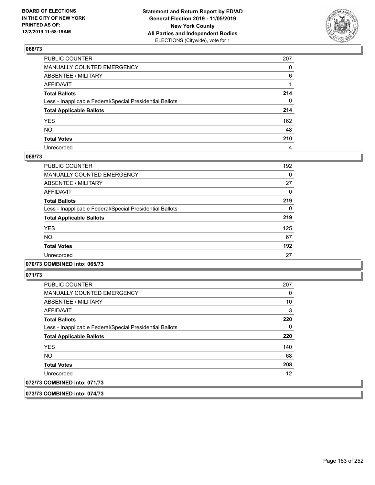

| PUBLIC COUNTER                                           | 207      |
|----------------------------------------------------------|----------|
| MANUALLY COUNTED EMERGENCY                               | $\Omega$ |
| ABSENTEE / MILITARY                                      | 6        |
| AFFIDAVIT                                                |          |
| Total Ballots                                            | 214      |
| Less - Inapplicable Federal/Special Presidential Ballots | 0        |
| <b>Total Applicable Ballots</b>                          | 214      |
| YES                                                      | 162      |
| NO.                                                      | 48       |
| <b>Total Votes</b>                                       | 210      |
| Unrecorded                                               | 4        |

### **069/73**

| PUBLIC COUNTER                                           | 192      |
|----------------------------------------------------------|----------|
| <b>MANUALLY COUNTED EMERGENCY</b>                        | 0        |
| ABSENTEE / MILITARY                                      | 27       |
| AFFIDAVIT                                                | 0        |
| <b>Total Ballots</b>                                     | 219      |
| Less - Inapplicable Federal/Special Presidential Ballots | $\Omega$ |
| <b>Total Applicable Ballots</b>                          | 219      |
| <b>YES</b>                                               | 125      |
| <b>NO</b>                                                | 67       |
| <b>Total Votes</b>                                       | 192      |
| Unrecorded                                               | 27       |
|                                                          |          |

## **070/73 COMBINED into: 065/73**

**071/73** 

| <b>PUBLIC COUNTER</b>                                    | 207 |
|----------------------------------------------------------|-----|
| MANUALLY COUNTED EMERGENCY                               | 0   |
| ABSENTEE / MILITARY                                      | 10  |
| AFFIDAVIT                                                | 3   |
| <b>Total Ballots</b>                                     | 220 |
| Less - Inapplicable Federal/Special Presidential Ballots | 0   |
| <b>Total Applicable Ballots</b>                          | 220 |
| <b>YES</b>                                               | 140 |
| <b>NO</b>                                                | 68  |
| <b>Total Votes</b>                                       | 208 |
| Unrecorded                                               | 12  |
| 072/73 COMBINED into: 071/73                             |     |

**073/73 COMBINED into: 074/73**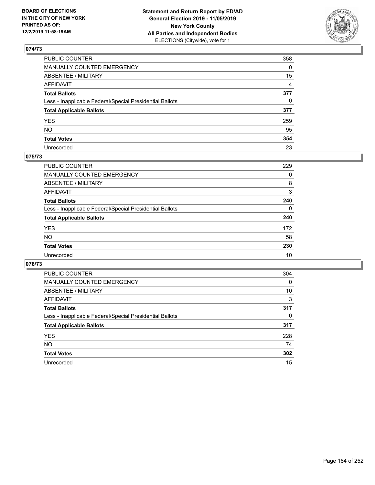

| PUBLIC COUNTER                                           | 358            |
|----------------------------------------------------------|----------------|
| MANUALLY COUNTED EMERGENCY                               | $\Omega$       |
| ABSENTEE / MILITARY                                      | 15             |
| AFFIDAVIT                                                | $\overline{4}$ |
| Total Ballots                                            | 377            |
| Less - Inapplicable Federal/Special Presidential Ballots | $\mathbf{0}$   |
| <b>Total Applicable Ballots</b>                          | 377            |
| YES                                                      | 259            |
| NO.                                                      | 95             |
| <b>Total Votes</b>                                       | 354            |
| Unrecorded                                               | 23             |

### **075/73**

| <b>PUBLIC COUNTER</b>                                    | 229      |
|----------------------------------------------------------|----------|
| MANUALLY COUNTED EMERGENCY                               | 0        |
| ABSENTEE / MILITARY                                      | 8        |
| AFFIDAVIT                                                | 3        |
| <b>Total Ballots</b>                                     | 240      |
| Less - Inapplicable Federal/Special Presidential Ballots | $\Omega$ |
| <b>Total Applicable Ballots</b>                          | 240      |
| <b>YES</b>                                               | 172      |
| <b>NO</b>                                                | 58       |
| <b>Total Votes</b>                                       | 230      |
| Unrecorded                                               | 10       |

| <b>PUBLIC COUNTER</b>                                    | 304 |
|----------------------------------------------------------|-----|
| <b>MANUALLY COUNTED EMERGENCY</b>                        | 0   |
| ABSENTEE / MILITARY                                      | 10  |
| AFFIDAVIT                                                | 3   |
| <b>Total Ballots</b>                                     | 317 |
| Less - Inapplicable Federal/Special Presidential Ballots | 0   |
| <b>Total Applicable Ballots</b>                          | 317 |
| <b>YES</b>                                               | 228 |
| NO.                                                      | 74  |
| <b>Total Votes</b>                                       | 302 |
| Unrecorded                                               | 15  |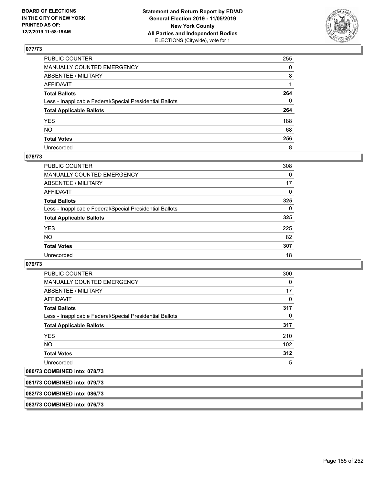

| PUBLIC COUNTER                                           | 255      |
|----------------------------------------------------------|----------|
| MANUALLY COUNTED EMERGENCY                               | $\Omega$ |
| ABSENTEE / MILITARY                                      | 8        |
| AFFIDAVIT                                                |          |
| Total Ballots                                            | 264      |
| Less - Inapplicable Federal/Special Presidential Ballots | 0        |
| <b>Total Applicable Ballots</b>                          | 264      |
| YES                                                      | 188      |
| NO.                                                      | 68       |
| <b>Total Votes</b>                                       | 256      |
| Unrecorded                                               | 8        |

# **078/73**

| <b>PUBLIC COUNTER</b>                                    | 308          |
|----------------------------------------------------------|--------------|
| <b>MANUALLY COUNTED EMERGENCY</b>                        | 0            |
| ABSENTEE / MILITARY                                      | 17           |
| AFFIDAVIT                                                | $\Omega$     |
| <b>Total Ballots</b>                                     | 325          |
| Less - Inapplicable Federal/Special Presidential Ballots | $\mathbf{0}$ |
| <b>Total Applicable Ballots</b>                          | 325          |
| <b>YES</b>                                               | 225          |
| <b>NO</b>                                                | 82           |
| <b>Total Votes</b>                                       | 307          |
| Unrecorded                                               | 18           |

### **079/73**

| <b>PUBLIC COUNTER</b>                                    | 300      |
|----------------------------------------------------------|----------|
| <b>MANUALLY COUNTED EMERGENCY</b>                        | $\Omega$ |
| <b>ABSENTEE / MILITARY</b>                               | 17       |
| AFFIDAVIT                                                | 0        |
| <b>Total Ballots</b>                                     | 317      |
| Less - Inapplicable Federal/Special Presidential Ballots | $\Omega$ |
| <b>Total Applicable Ballots</b>                          | 317      |
| <b>YES</b>                                               | 210      |
| <b>NO</b>                                                | 102      |
| <b>Total Votes</b>                                       | 312      |
| Unrecorded                                               | 5        |

## **080/73 COMBINED into: 078/73**

| 081/73 COMBINED into: 079/73 |  |
|------------------------------|--|
|                              |  |
| 082/73 COMBINED into: 086/73 |  |
|                              |  |
| 083/73 COMBINED into: 076/73 |  |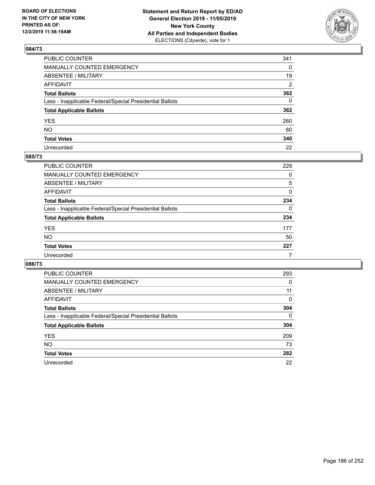

| PUBLIC COUNTER                                           | 341 |
|----------------------------------------------------------|-----|
| MANUALLY COUNTED EMERGENCY                               | 0   |
| ABSENTEE / MILITARY                                      | 19  |
| AFFIDAVIT                                                | 2   |
| Total Ballots                                            | 362 |
| Less - Inapplicable Federal/Special Presidential Ballots | 0   |
| <b>Total Applicable Ballots</b>                          | 362 |
| YES                                                      | 260 |
| NO.                                                      | 80  |
| <b>Total Votes</b>                                       | 340 |
| Unrecorded                                               | 22  |

### **085/73**

| <b>PUBLIC COUNTER</b>                                    | 229 |
|----------------------------------------------------------|-----|
| MANUALLY COUNTED EMERGENCY                               | 0   |
| ABSENTEE / MILITARY                                      | 5   |
| AFFIDAVIT                                                | 0   |
| <b>Total Ballots</b>                                     | 234 |
| Less - Inapplicable Federal/Special Presidential Ballots | 0   |
| <b>Total Applicable Ballots</b>                          | 234 |
| <b>YES</b>                                               | 177 |
| <b>NO</b>                                                | 50  |
| <b>Total Votes</b>                                       | 227 |
| Unrecorded                                               |     |

| <b>PUBLIC COUNTER</b>                                    | 293          |
|----------------------------------------------------------|--------------|
| MANUALLY COUNTED EMERGENCY                               | 0            |
| ABSENTEE / MILITARY                                      | 11           |
| AFFIDAVIT                                                | $\Omega$     |
| <b>Total Ballots</b>                                     | 304          |
| Less - Inapplicable Federal/Special Presidential Ballots | $\mathbf{0}$ |
| <b>Total Applicable Ballots</b>                          | 304          |
| <b>YES</b>                                               | 209          |
| NO.                                                      | 73           |
| <b>Total Votes</b>                                       | 282          |
| Unrecorded                                               | 22           |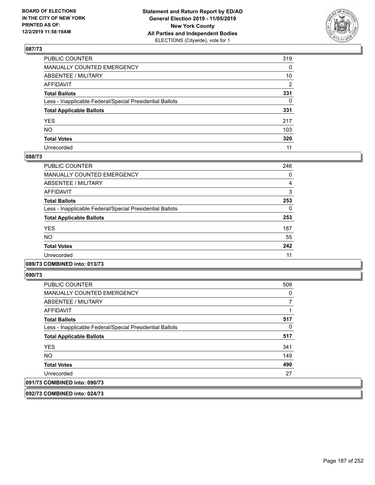

| PUBLIC COUNTER                                           | 319          |
|----------------------------------------------------------|--------------|
| MANUALLY COUNTED EMERGENCY                               | 0            |
| ABSENTEE / MILITARY                                      | 10           |
| AFFIDAVIT                                                | 2            |
| Total Ballots                                            | 331          |
| Less - Inapplicable Federal/Special Presidential Ballots | $\mathbf{0}$ |
| <b>Total Applicable Ballots</b>                          | 331          |
| YES                                                      | 217          |
| NO.                                                      | 103          |
| <b>Total Votes</b>                                       | 320          |
| Unrecorded                                               | 11           |

### **088/73**

| PUBLIC COUNTER                                           | 246 |
|----------------------------------------------------------|-----|
|                                                          |     |
| <b>MANUALLY COUNTED EMERGENCY</b>                        | 0   |
| ABSENTEE / MILITARY                                      | 4   |
| <b>AFFIDAVIT</b>                                         | 3   |
| <b>Total Ballots</b>                                     | 253 |
| Less - Inapplicable Federal/Special Presidential Ballots | 0   |
| <b>Total Applicable Ballots</b>                          | 253 |
| <b>YES</b>                                               | 187 |
| NO.                                                      | 55  |
| <b>Total Votes</b>                                       | 242 |
| Unrecorded                                               | 11  |
|                                                          |     |

## **089/73 COMBINED into: 013/73**

**090/73** 

| <b>PUBLIC COUNTER</b>                                    | 509 |
|----------------------------------------------------------|-----|
| <b>MANUALLY COUNTED EMERGENCY</b>                        | 0   |
| ABSENTEE / MILITARY                                      |     |
| AFFIDAVIT                                                |     |
| <b>Total Ballots</b>                                     | 517 |
| Less - Inapplicable Federal/Special Presidential Ballots | 0   |
| <b>Total Applicable Ballots</b>                          | 517 |
| <b>YES</b>                                               | 341 |
| <b>NO</b>                                                | 149 |
| <b>Total Votes</b>                                       | 490 |
| Unrecorded                                               | 27  |
| 091/73 COMBINED into: 090/73                             |     |

**092/73 COMBINED into: 024/73**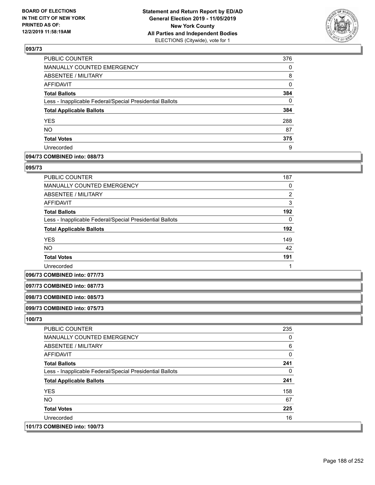

| 376      |
|----------|
| 0        |
| 8        |
| $\Omega$ |
| 384      |
| $\Omega$ |
| 384      |
| 288      |
| 87       |
| 375      |
| 9        |
|          |

## **094/73 COMBINED into: 088/73**

#### **095/73**

| <b>PUBLIC COUNTER</b>                                    | 187 |
|----------------------------------------------------------|-----|
| <b>MANUALLY COUNTED EMERGENCY</b>                        | 0   |
| ABSENTEE / MILITARY                                      | 2   |
| AFFIDAVIT                                                | 3   |
| <b>Total Ballots</b>                                     | 192 |
| Less - Inapplicable Federal/Special Presidential Ballots | 0   |
| <b>Total Applicable Ballots</b>                          | 192 |
| <b>YES</b>                                               | 149 |
| <b>NO</b>                                                | 42  |
| <b>Total Votes</b>                                       | 191 |
| Unrecorded                                               |     |

#### **096/73 COMBINED into: 077/73**

## **097/73 COMBINED into: 087/73**

#### **098/73 COMBINED into: 085/73**

### **099/73 COMBINED into: 075/73**

| <b>PUBLIC COUNTER</b>                                    | 235 |
|----------------------------------------------------------|-----|
| <b>MANUALLY COUNTED EMERGENCY</b>                        | 0   |
| ABSENTEE / MILITARY                                      | 6   |
| AFFIDAVIT                                                | 0   |
| <b>Total Ballots</b>                                     | 241 |
| Less - Inapplicable Federal/Special Presidential Ballots | 0   |
| <b>Total Applicable Ballots</b>                          | 241 |
| <b>YES</b>                                               | 158 |
| NO.                                                      | 67  |
| <b>Total Votes</b>                                       | 225 |
| Unrecorded                                               | 16  |
| 101/73 COMBINED into: 100/73                             |     |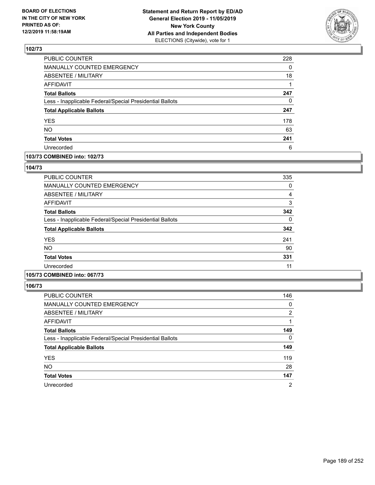

| PUBLIC COUNTER                                           | 228 |
|----------------------------------------------------------|-----|
| MANUALLY COUNTED EMERGENCY                               | 0   |
| ABSENTEE / MILITARY                                      | 18  |
| <b>AFFIDAVIT</b>                                         |     |
| <b>Total Ballots</b>                                     | 247 |
| Less - Inapplicable Federal/Special Presidential Ballots | 0   |
| <b>Total Applicable Ballots</b>                          | 247 |
| <b>YES</b>                                               | 178 |
| NO.                                                      | 63  |
| <b>Total Votes</b>                                       | 241 |
| Unrecorded                                               | 6   |

### **103/73 COMBINED into: 102/73**

### **104/73**

| <b>PUBLIC COUNTER</b>                                    | 335 |
|----------------------------------------------------------|-----|
| MANUALLY COUNTED EMERGENCY                               | 0   |
| ABSENTEE / MILITARY                                      | 4   |
| AFFIDAVIT                                                | 3   |
| <b>Total Ballots</b>                                     | 342 |
| Less - Inapplicable Federal/Special Presidential Ballots | 0   |
| <b>Total Applicable Ballots</b>                          | 342 |
| <b>YES</b>                                               | 241 |
| <b>NO</b>                                                | 90  |
| <b>Total Votes</b>                                       | 331 |
| Unrecorded                                               | 11  |

# **105/73 COMBINED into: 067/73**

| <b>PUBLIC COUNTER</b>                                    | 146      |
|----------------------------------------------------------|----------|
| <b>MANUALLY COUNTED EMERGENCY</b>                        | 0        |
| ABSENTEE / MILITARY                                      | 2        |
| AFFIDAVIT                                                |          |
| <b>Total Ballots</b>                                     | 149      |
| Less - Inapplicable Federal/Special Presidential Ballots | $\Omega$ |
| <b>Total Applicable Ballots</b>                          | 149      |
| <b>YES</b>                                               | 119      |
| <b>NO</b>                                                | 28       |
| <b>Total Votes</b>                                       | 147      |
| Unrecorded                                               | 2        |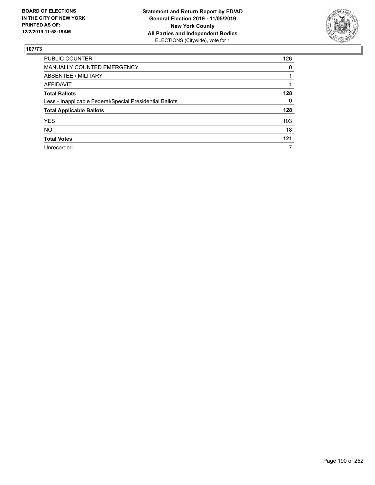

| <b>PUBLIC COUNTER</b>                                    | 126 |
|----------------------------------------------------------|-----|
| <b>MANUALLY COUNTED EMERGENCY</b>                        | 0   |
| ABSENTEE / MILITARY                                      |     |
| AFFIDAVIT                                                |     |
| <b>Total Ballots</b>                                     | 128 |
| Less - Inapplicable Federal/Special Presidential Ballots | 0   |
| <b>Total Applicable Ballots</b>                          | 128 |
| <b>YES</b>                                               | 103 |
| <b>NO</b>                                                | 18  |
| <b>Total Votes</b>                                       | 121 |
| Unrecorded                                               | 7   |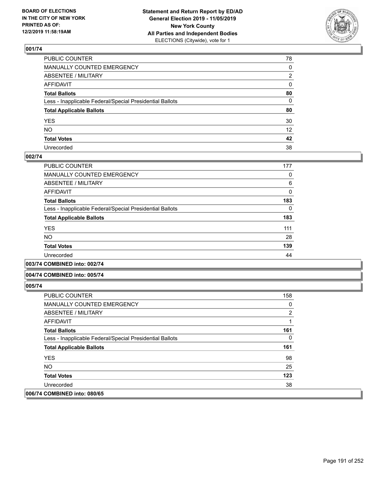

| PUBLIC COUNTER                                           | 78              |
|----------------------------------------------------------|-----------------|
| MANUALLY COUNTED EMERGENCY                               | 0               |
| ABSENTEE / MILITARY                                      | 2               |
| AFFIDAVIT                                                | 0               |
| Total Ballots                                            | 80              |
| Less - Inapplicable Federal/Special Presidential Ballots | $\mathbf{0}$    |
| <b>Total Applicable Ballots</b>                          | 80              |
| YES                                                      | 30              |
| NO.                                                      | 12 <sup>2</sup> |
| <b>Total Votes</b>                                       | 42              |
| Unrecorded                                               | 38              |

### **002/74**

| PUBLIC COUNTER                                           | 177 |
|----------------------------------------------------------|-----|
| <b>MANUALLY COUNTED EMERGENCY</b>                        | 0   |
| ABSENTEE / MILITARY                                      | 6   |
| AFFIDAVIT                                                | 0   |
| <b>Total Ballots</b>                                     | 183 |
| Less - Inapplicable Federal/Special Presidential Ballots | 0   |
| <b>Total Applicable Ballots</b>                          | 183 |
| <b>YES</b>                                               | 111 |
| <b>NO</b>                                                | 28  |
| <b>Total Votes</b>                                       | 139 |
| Unrecorded                                               | 44  |
|                                                          |     |

**003/74 COMBINED into: 002/74**

#### **004/74 COMBINED into: 005/74**

| <b>PUBLIC COUNTER</b>                                    | 158            |
|----------------------------------------------------------|----------------|
| <b>MANUALLY COUNTED EMERGENCY</b>                        | $\Omega$       |
| ABSENTEE / MILITARY                                      | $\overline{2}$ |
| AFFIDAVIT                                                |                |
| <b>Total Ballots</b>                                     | 161            |
| Less - Inapplicable Federal/Special Presidential Ballots | $\Omega$       |
| <b>Total Applicable Ballots</b>                          | 161            |
| <b>YES</b>                                               | 98             |
| NO.                                                      | 25             |
| <b>Total Votes</b>                                       | 123            |
| Unrecorded                                               | 38             |
| 006/74 COMBINED into: 080/65                             |                |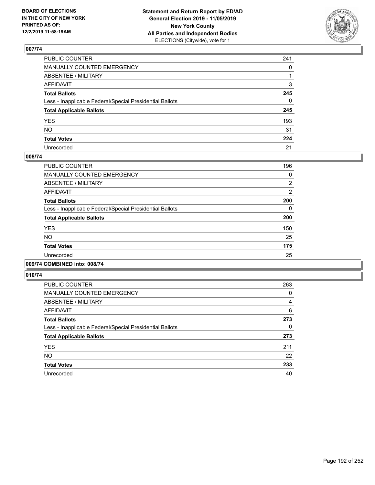

| PUBLIC COUNTER                                           | 241          |
|----------------------------------------------------------|--------------|
| MANUALLY COUNTED EMERGENCY                               | $\mathbf{0}$ |
| ABSENTEE / MILITARY                                      |              |
| AFFIDAVIT                                                | 3            |
| Total Ballots                                            | 245          |
| Less - Inapplicable Federal/Special Presidential Ballots | $\mathbf{0}$ |
| <b>Total Applicable Ballots</b>                          | 245          |
| YES                                                      | 193          |
| NO.                                                      | 31           |
| <b>Total Votes</b>                                       | 224          |
| Unrecorded                                               | 21           |

### **008/74**

| PUBLIC COUNTER                                           | 196            |
|----------------------------------------------------------|----------------|
| <b>MANUALLY COUNTED EMERGENCY</b>                        | 0              |
| ABSENTEE / MILITARY                                      | 2              |
| <b>AFFIDAVIT</b>                                         | $\overline{2}$ |
| <b>Total Ballots</b>                                     | 200            |
| Less - Inapplicable Federal/Special Presidential Ballots | 0              |
| <b>Total Applicable Ballots</b>                          | 200            |
| <b>YES</b>                                               | 150            |
| <b>NO</b>                                                | 25             |
| <b>Total Votes</b>                                       | 175            |
| Unrecorded                                               | 25             |
|                                                          |                |

## **009/74 COMBINED into: 008/74**

| <b>PUBLIC COUNTER</b>                                    | 263      |
|----------------------------------------------------------|----------|
| <b>MANUALLY COUNTED EMERGENCY</b>                        | 0        |
| ABSENTEE / MILITARY                                      | 4        |
| AFFIDAVIT                                                | 6        |
| <b>Total Ballots</b>                                     | 273      |
| Less - Inapplicable Federal/Special Presidential Ballots | $\Omega$ |
| <b>Total Applicable Ballots</b>                          | 273      |
| <b>YES</b>                                               | 211      |
| <b>NO</b>                                                | 22       |
| <b>Total Votes</b>                                       | 233      |
| Unrecorded                                               | 40       |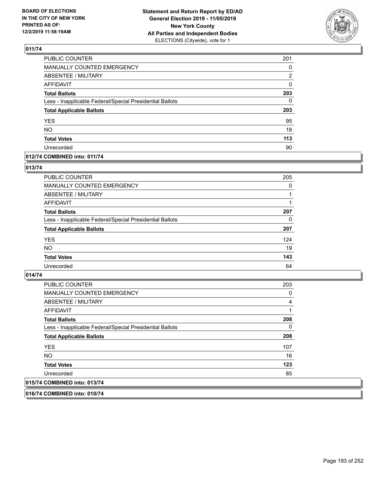

| PUBLIC COUNTER                                           | 201      |
|----------------------------------------------------------|----------|
| MANUALLY COUNTED EMERGENCY                               | $\Omega$ |
| <b>ABSENTEE / MILITARY</b>                               | 2        |
| <b>AFFIDAVIT</b>                                         | 0        |
| <b>Total Ballots</b>                                     | 203      |
| Less - Inapplicable Federal/Special Presidential Ballots | 0        |
| <b>Total Applicable Ballots</b>                          | 203      |
| <b>YES</b>                                               | 95       |
| <b>NO</b>                                                | 18       |
| <b>Total Votes</b>                                       | 113      |
| Unrecorded                                               | 90       |

### **012/74 COMBINED into: 011/74**

### **013/74**

| <b>PUBLIC COUNTER</b>                                    | 205      |
|----------------------------------------------------------|----------|
| <b>MANUALLY COUNTED EMERGENCY</b>                        | $\Omega$ |
| ABSENTEE / MILITARY                                      |          |
| AFFIDAVIT                                                |          |
| <b>Total Ballots</b>                                     | 207      |
| Less - Inapplicable Federal/Special Presidential Ballots | $\Omega$ |
| <b>Total Applicable Ballots</b>                          | 207      |
| <b>YES</b>                                               | 124      |
| <b>NO</b>                                                | 19       |
| <b>Total Votes</b>                                       | 143      |
| Unrecorded                                               | 64       |

## **014/74**

| 015/74 COMBINED into: 013/74                             |     |
|----------------------------------------------------------|-----|
| Unrecorded                                               | 85  |
| <b>Total Votes</b>                                       | 123 |
| NO.                                                      | 16  |
| <b>YES</b>                                               | 107 |
| <b>Total Applicable Ballots</b>                          | 208 |
| Less - Inapplicable Federal/Special Presidential Ballots | 0   |
| <b>Total Ballots</b>                                     | 208 |
| <b>AFFIDAVIT</b>                                         |     |
| ABSENTEE / MILITARY                                      | 4   |
| <b>MANUALLY COUNTED EMERGENCY</b>                        | 0   |
| <b>PUBLIC COUNTER</b>                                    | 203 |

**016/74 COMBINED into: 010/74**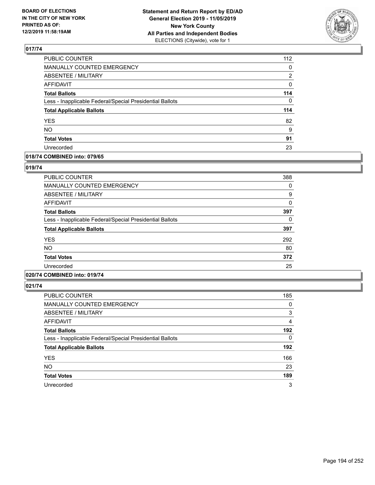

| PUBLIC COUNTER                                           | 112 |
|----------------------------------------------------------|-----|
| MANUALLY COUNTED EMERGENCY                               | 0   |
| <b>ABSENTEE / MILITARY</b>                               | 2   |
| <b>AFFIDAVIT</b>                                         | 0   |
| <b>Total Ballots</b>                                     | 114 |
| Less - Inapplicable Federal/Special Presidential Ballots | 0   |
| <b>Total Applicable Ballots</b>                          | 114 |
| <b>YES</b>                                               | 82  |
| <b>NO</b>                                                | 9   |
| <b>Total Votes</b>                                       | 91  |
| Unrecorded                                               | 23  |

### **018/74 COMBINED into: 079/65**

### **019/74**

| <b>PUBLIC COUNTER</b>                                    | 388 |
|----------------------------------------------------------|-----|
| MANUALLY COUNTED EMERGENCY                               | 0   |
| ABSENTEE / MILITARY                                      | 9   |
| AFFIDAVIT                                                | 0   |
| <b>Total Ballots</b>                                     | 397 |
| Less - Inapplicable Federal/Special Presidential Ballots | 0   |
| <b>Total Applicable Ballots</b>                          | 397 |
| <b>YES</b>                                               | 292 |
| <b>NO</b>                                                | 80  |
| <b>Total Votes</b>                                       | 372 |
| Unrecorded                                               | 25  |
|                                                          |     |

# **020/74 COMBINED into: 019/74**

| <b>PUBLIC COUNTER</b>                                    | 185      |
|----------------------------------------------------------|----------|
| <b>MANUALLY COUNTED EMERGENCY</b>                        | 0        |
| ABSENTEE / MILITARY                                      | 3        |
| AFFIDAVIT                                                | 4        |
| <b>Total Ballots</b>                                     | 192      |
| Less - Inapplicable Federal/Special Presidential Ballots | $\Omega$ |
| <b>Total Applicable Ballots</b>                          | 192      |
| <b>YES</b>                                               | 166      |
| <b>NO</b>                                                | 23       |
| <b>Total Votes</b>                                       | 189      |
| Unrecorded                                               | 3        |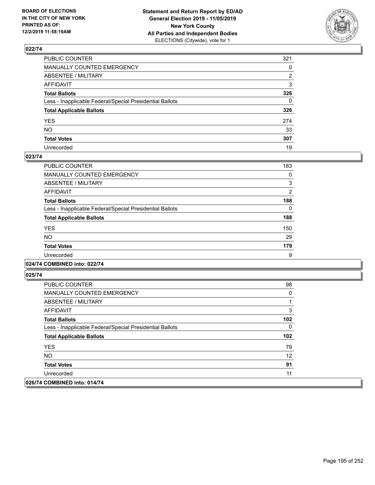

| PUBLIC COUNTER                                           | 321          |
|----------------------------------------------------------|--------------|
| MANUALLY COUNTED EMERGENCY                               | $\mathbf{0}$ |
| ABSENTEE / MILITARY                                      | 2            |
| AFFIDAVIT                                                | 3            |
| Total Ballots                                            | 326          |
| Less - Inapplicable Federal/Special Presidential Ballots | $\Omega$     |
| <b>Total Applicable Ballots</b>                          | 326          |
| YES                                                      | 274          |
| NO.                                                      | 33           |
| <b>Total Votes</b>                                       | 307          |
| Unrecorded                                               | 19           |

### **023/74**

| <b>PUBLIC COUNTER</b>                                    | 183            |
|----------------------------------------------------------|----------------|
| <b>MANUALLY COUNTED EMERGENCY</b>                        | 0              |
| ABSENTEE / MILITARY                                      | 3              |
| <b>AFFIDAVIT</b>                                         | $\overline{2}$ |
| <b>Total Ballots</b>                                     | 188            |
| Less - Inapplicable Federal/Special Presidential Ballots | 0              |
| <b>Total Applicable Ballots</b>                          | 188            |
| <b>YES</b>                                               | 150            |
| <b>NO</b>                                                | 29             |
| <b>Total Votes</b>                                       | 179            |
| Unrecorded                                               | 9              |
|                                                          |                |

## **024/74 COMBINED into: 022/74**

| <b>PUBLIC COUNTER</b>                                    | 98  |
|----------------------------------------------------------|-----|
| <b>MANUALLY COUNTED EMERGENCY</b>                        | 0   |
| ABSENTEE / MILITARY                                      |     |
| AFFIDAVIT                                                | 3   |
| <b>Total Ballots</b>                                     | 102 |
| Less - Inapplicable Federal/Special Presidential Ballots | 0   |
| <b>Total Applicable Ballots</b>                          | 102 |
| <b>YES</b>                                               | 79  |
| NO.                                                      | 12  |
| <b>Total Votes</b>                                       | 91  |
| Unrecorded                                               | 11  |
| 026/74 COMBINED into: 014/74                             |     |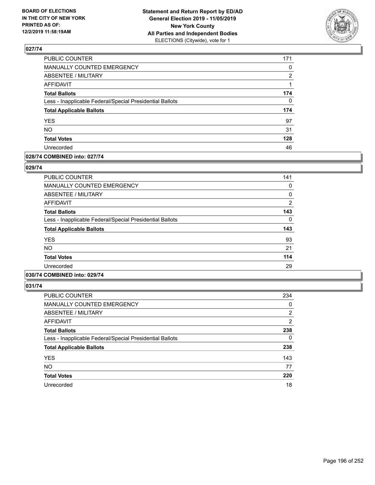

| PUBLIC COUNTER                                           | 171 |
|----------------------------------------------------------|-----|
| <b>MANUALLY COUNTED EMERGENCY</b>                        | 0   |
| <b>ABSENTEE / MILITARY</b>                               | 2   |
| <b>AFFIDAVIT</b>                                         |     |
| <b>Total Ballots</b>                                     | 174 |
| Less - Inapplicable Federal/Special Presidential Ballots | 0   |
| <b>Total Applicable Ballots</b>                          | 174 |
| <b>YES</b>                                               | 97  |
| <b>NO</b>                                                | 31  |
| <b>Total Votes</b>                                       | 128 |
| Unrecorded                                               | 46  |

## **028/74 COMBINED into: 027/74**

### **029/74**

| <b>PUBLIC COUNTER</b>                                    | 141           |
|----------------------------------------------------------|---------------|
| MANUALLY COUNTED EMERGENCY                               | 0             |
| ABSENTEE / MILITARY                                      | 0             |
| AFFIDAVIT                                                | $\mathcal{P}$ |
| <b>Total Ballots</b>                                     | 143           |
| Less - Inapplicable Federal/Special Presidential Ballots | 0             |
| <b>Total Applicable Ballots</b>                          | 143           |
| <b>YES</b>                                               | 93            |
| <b>NO</b>                                                | 21            |
| <b>Total Votes</b>                                       | 114           |
| Unrecorded                                               | 29            |
|                                                          |               |

## **030/74 COMBINED into: 029/74**

| <b>PUBLIC COUNTER</b>                                    | 234 |
|----------------------------------------------------------|-----|
| <b>MANUALLY COUNTED EMERGENCY</b>                        | 0   |
| <b>ABSENTEE / MILITARY</b>                               | 2   |
| AFFIDAVIT                                                | 2   |
| <b>Total Ballots</b>                                     | 238 |
| Less - Inapplicable Federal/Special Presidential Ballots | 0   |
| <b>Total Applicable Ballots</b>                          | 238 |
| <b>YES</b>                                               | 143 |
| <b>NO</b>                                                | 77  |
| <b>Total Votes</b>                                       | 220 |
| Unrecorded                                               | 18  |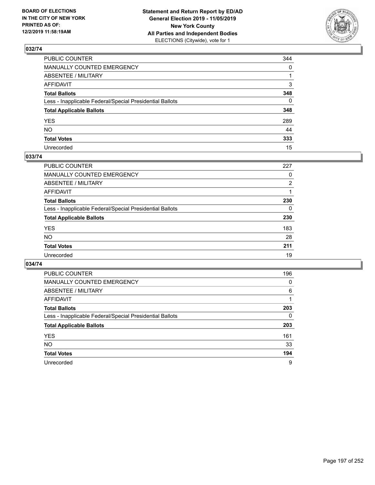

| PUBLIC COUNTER                                           | 344          |
|----------------------------------------------------------|--------------|
| MANUALLY COUNTED EMERGENCY                               | $\mathbf{0}$ |
| ABSENTEE / MILITARY                                      |              |
| AFFIDAVIT                                                | 3            |
| Total Ballots                                            | 348          |
| Less - Inapplicable Federal/Special Presidential Ballots | $\mathbf{0}$ |
| <b>Total Applicable Ballots</b>                          | 348          |
| YES                                                      | 289          |
| NO.                                                      | 44           |
| <b>Total Votes</b>                                       | 333          |
| Unrecorded                                               | 15           |

### **033/74**

| PUBLIC COUNTER                                           | 227 |
|----------------------------------------------------------|-----|
| <b>MANUALLY COUNTED EMERGENCY</b>                        | 0   |
| ABSENTEE / MILITARY                                      | 2   |
| AFFIDAVIT                                                |     |
| <b>Total Ballots</b>                                     | 230 |
| Less - Inapplicable Federal/Special Presidential Ballots | 0   |
| <b>Total Applicable Ballots</b>                          | 230 |
| <b>YES</b>                                               | 183 |
| <b>NO</b>                                                | 28  |
| <b>Total Votes</b>                                       | 211 |
| Unrecorded                                               | 19  |

| <b>PUBLIC COUNTER</b>                                    | 196      |
|----------------------------------------------------------|----------|
| <b>MANUALLY COUNTED EMERGENCY</b>                        | $\Omega$ |
| ABSENTEE / MILITARY                                      | 6        |
| AFFIDAVIT                                                |          |
| <b>Total Ballots</b>                                     | 203      |
| Less - Inapplicable Federal/Special Presidential Ballots | $\Omega$ |
| <b>Total Applicable Ballots</b>                          | 203      |
| <b>YES</b>                                               | 161      |
| <b>NO</b>                                                | 33       |
| <b>Total Votes</b>                                       | 194      |
| Unrecorded                                               | 9        |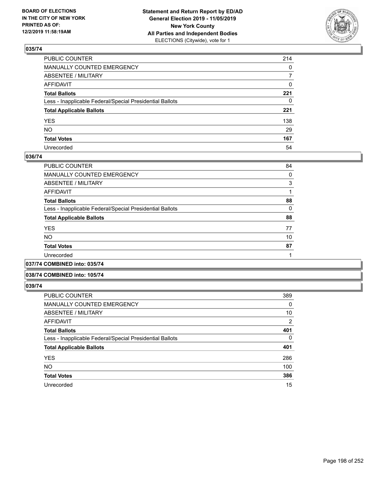

| PUBLIC COUNTER                                           | 214            |
|----------------------------------------------------------|----------------|
| MANUALLY COUNTED EMERGENCY                               | $\mathbf{0}$   |
| ABSENTEE / MILITARY                                      | $\overline{7}$ |
| AFFIDAVIT                                                | 0              |
| Total Ballots                                            | 221            |
| Less - Inapplicable Federal/Special Presidential Ballots | $\mathbf{0}$   |
| <b>Total Applicable Ballots</b>                          | 221            |
| YES                                                      | 138            |
| NO.                                                      | 29             |
| <b>Total Votes</b>                                       | 167            |
| Unrecorded                                               | 54             |

### **036/74**

| PUBLIC COUNTER                                           | 84 |
|----------------------------------------------------------|----|
| <b>MANUALLY COUNTED EMERGENCY</b>                        | 0  |
| ABSENTEE / MILITARY                                      | 3  |
| AFFIDAVIT                                                |    |
| <b>Total Ballots</b>                                     | 88 |
| Less - Inapplicable Federal/Special Presidential Ballots | 0  |
| <b>Total Applicable Ballots</b>                          | 88 |
| <b>YES</b>                                               | 77 |
| <b>NO</b>                                                | 10 |
| <b>Total Votes</b>                                       | 87 |
| Unrecorded                                               |    |
| A                                                        |    |

# **037/74 COMBINED into: 035/74**

### **038/74 COMBINED into: 105/74**

| <b>PUBLIC COUNTER</b>                                    | 389            |
|----------------------------------------------------------|----------------|
| <b>MANUALLY COUNTED EMERGENCY</b>                        | 0              |
| ABSENTEE / MILITARY                                      | 10             |
| <b>AFFIDAVIT</b>                                         | $\overline{2}$ |
| <b>Total Ballots</b>                                     | 401            |
| Less - Inapplicable Federal/Special Presidential Ballots | 0              |
| <b>Total Applicable Ballots</b>                          | 401            |
| <b>YES</b>                                               | 286            |
| <b>NO</b>                                                | 100            |
| <b>Total Votes</b>                                       | 386            |
| Unrecorded                                               | 15             |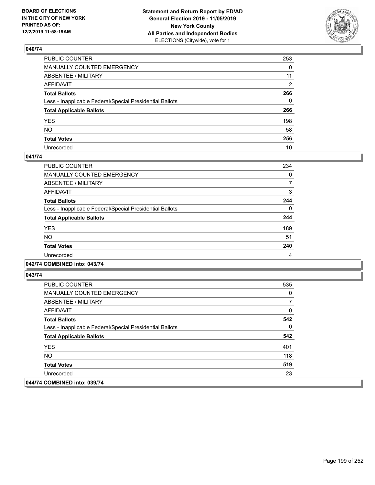

| PUBLIC COUNTER                                           | 253          |
|----------------------------------------------------------|--------------|
| MANUALLY COUNTED EMERGENCY                               | 0            |
| ABSENTEE / MILITARY                                      | 11           |
| AFFIDAVIT                                                | 2            |
| Total Ballots                                            | 266          |
| Less - Inapplicable Federal/Special Presidential Ballots | $\mathbf{0}$ |
| <b>Total Applicable Ballots</b>                          | 266          |
| YES                                                      | 198          |
| NO.                                                      | 58           |
| <b>Total Votes</b>                                       | 256          |
| Unrecorded                                               | 10           |

### **041/74**

| <b>PUBLIC COUNTER</b>                                    | 234      |
|----------------------------------------------------------|----------|
| <b>MANUALLY COUNTED EMERGENCY</b>                        | $\Omega$ |
| ABSENTEE / MILITARY                                      |          |
| <b>AFFIDAVIT</b>                                         | 3        |
| <b>Total Ballots</b>                                     | 244      |
| Less - Inapplicable Federal/Special Presidential Ballots | $\Omega$ |
| <b>Total Applicable Ballots</b>                          | 244      |
| <b>YES</b>                                               | 189      |
| <b>NO</b>                                                | 51       |
| <b>Total Votes</b>                                       | 240      |
| Unrecorded                                               | 4        |
|                                                          |          |

## **042/74 COMBINED into: 043/74**

| <b>PUBLIC COUNTER</b>                                    | 535 |
|----------------------------------------------------------|-----|
| <b>MANUALLY COUNTED EMERGENCY</b>                        | 0   |
| ABSENTEE / MILITARY                                      |     |
| AFFIDAVIT                                                | 0   |
| <b>Total Ballots</b>                                     | 542 |
| Less - Inapplicable Federal/Special Presidential Ballots | 0   |
| <b>Total Applicable Ballots</b>                          | 542 |
| <b>YES</b>                                               | 401 |
| NO.                                                      | 118 |
| <b>Total Votes</b>                                       | 519 |
| Unrecorded                                               | 23  |
| 044/74 COMBINED into: 039/74                             |     |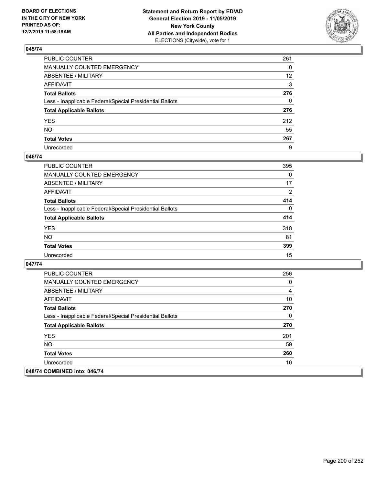

| PUBLIC COUNTER                                           | 261               |
|----------------------------------------------------------|-------------------|
| MANUALLY COUNTED EMERGENCY                               | 0                 |
| ABSENTEE / MILITARY                                      | $12 \overline{ }$ |
| AFFIDAVIT                                                | 3                 |
| Total Ballots                                            | 276               |
| Less - Inapplicable Federal/Special Presidential Ballots | 0                 |
| <b>Total Applicable Ballots</b>                          | 276               |
| YES                                                      | 212               |
| NO.                                                      | 55                |
| <b>Total Votes</b>                                       | 267               |
| Unrecorded                                               | 9                 |

### **046/74**

| <b>PUBLIC COUNTER</b>                                    | 395            |
|----------------------------------------------------------|----------------|
| <b>MANUALLY COUNTED EMERGENCY</b>                        | $\Omega$       |
| ABSENTEE / MILITARY                                      | 17             |
| <b>AFFIDAVIT</b>                                         | $\overline{2}$ |
| <b>Total Ballots</b>                                     | 414            |
| Less - Inapplicable Federal/Special Presidential Ballots | $\Omega$       |
| <b>Total Applicable Ballots</b>                          | 414            |
| <b>YES</b>                                               | 318            |
| <b>NO</b>                                                | 81             |
| <b>Total Votes</b>                                       | 399            |
| Unrecorded                                               | 15             |

| <b>PUBLIC COUNTER</b>                                    | 256            |
|----------------------------------------------------------|----------------|
| <b>MANUALLY COUNTED EMERGENCY</b>                        | 0              |
| ABSENTEE / MILITARY                                      | $\overline{4}$ |
| <b>AFFIDAVIT</b>                                         | 10             |
| <b>Total Ballots</b>                                     | 270            |
| Less - Inapplicable Federal/Special Presidential Ballots | 0              |
| <b>Total Applicable Ballots</b>                          | 270            |
| <b>YES</b>                                               | 201            |
| NO.                                                      | 59             |
| <b>Total Votes</b>                                       | 260            |
| Unrecorded                                               | 10             |
| 048/74 COMBINED into: 046/74                             |                |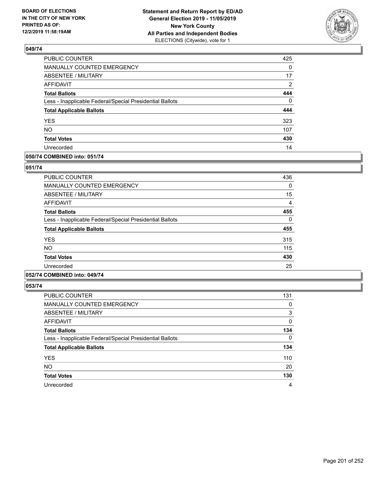

| PUBLIC COUNTER                                           | 425      |
|----------------------------------------------------------|----------|
| <b>MANUALLY COUNTED EMERGENCY</b>                        | $\Omega$ |
| <b>ABSENTEE / MILITARY</b>                               | 17       |
| <b>AFFIDAVIT</b>                                         | 2        |
| <b>Total Ballots</b>                                     | 444      |
| Less - Inapplicable Federal/Special Presidential Ballots | $\Omega$ |
| <b>Total Applicable Ballots</b>                          | 444      |
| <b>YES</b>                                               | 323      |
| <b>NO</b>                                                | 107      |
| <b>Total Votes</b>                                       | 430      |
| Unrecorded                                               | 14       |

### **050/74 COMBINED into: 051/74**

### **051/74**

| <b>PUBLIC COUNTER</b>                                    | 436 |
|----------------------------------------------------------|-----|
| <b>MANUALLY COUNTED EMERGENCY</b>                        | 0   |
| ABSENTEE / MILITARY                                      | 15  |
| <b>AFFIDAVIT</b>                                         | 4   |
| <b>Total Ballots</b>                                     | 455 |
| Less - Inapplicable Federal/Special Presidential Ballots | 0   |
| <b>Total Applicable Ballots</b>                          | 455 |
| <b>YES</b>                                               | 315 |
| <b>NO</b>                                                | 115 |
| <b>Total Votes</b>                                       | 430 |
| Unrecorded                                               | 25  |
|                                                          |     |

## **052/74 COMBINED into: 049/74**

| <b>PUBLIC COUNTER</b>                                    | 131 |
|----------------------------------------------------------|-----|
| <b>MANUALLY COUNTED EMERGENCY</b>                        | 0   |
| ABSENTEE / MILITARY                                      | 3   |
| AFFIDAVIT                                                | 0   |
| <b>Total Ballots</b>                                     | 134 |
| Less - Inapplicable Federal/Special Presidential Ballots | 0   |
| <b>Total Applicable Ballots</b>                          | 134 |
| <b>YES</b>                                               | 110 |
| <b>NO</b>                                                | 20  |
| <b>Total Votes</b>                                       | 130 |
| Unrecorded                                               | 4   |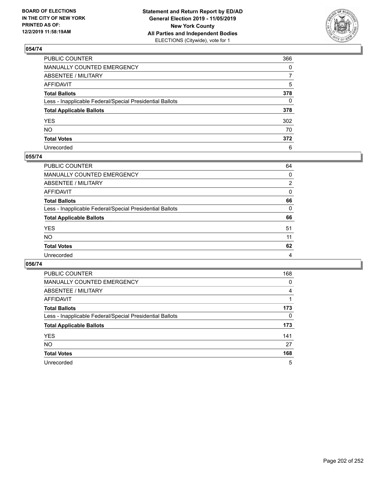

| PUBLIC COUNTER                                           | 366 |
|----------------------------------------------------------|-----|
| MANUALLY COUNTED EMERGENCY                               | 0   |
| ABSENTEE / MILITARY                                      |     |
| AFFIDAVIT                                                | 5   |
| Total Ballots                                            | 378 |
| Less - Inapplicable Federal/Special Presidential Ballots | 0   |
| <b>Total Applicable Ballots</b>                          | 378 |
| YES                                                      | 302 |
| NO.                                                      | 70  |
| <b>Total Votes</b>                                       | 372 |
| Unrecorded                                               | 6   |

### **055/74**

| PUBLIC COUNTER                                           | 64       |
|----------------------------------------------------------|----------|
| MANUALLY COUNTED EMERGENCY                               | 0        |
| ABSENTEE / MILITARY                                      | 2        |
| AFFIDAVIT                                                | $\Omega$ |
| <b>Total Ballots</b>                                     | 66       |
| Less - Inapplicable Federal/Special Presidential Ballots | $\Omega$ |
| <b>Total Applicable Ballots</b>                          | 66       |
| <b>YES</b>                                               | 51       |
| <b>NO</b>                                                | 11       |
| <b>Total Votes</b>                                       | 62       |
| Unrecorded                                               | 4        |

| <b>PUBLIC COUNTER</b>                                    | 168      |
|----------------------------------------------------------|----------|
| <b>MANUALLY COUNTED EMERGENCY</b>                        | 0        |
| ABSENTEE / MILITARY                                      | 4        |
| AFFIDAVIT                                                |          |
| <b>Total Ballots</b>                                     | 173      |
| Less - Inapplicable Federal/Special Presidential Ballots | $\Omega$ |
| <b>Total Applicable Ballots</b>                          | 173      |
| <b>YES</b>                                               | 141      |
| <b>NO</b>                                                | 27       |
| <b>Total Votes</b>                                       | 168      |
| Unrecorded                                               | 5        |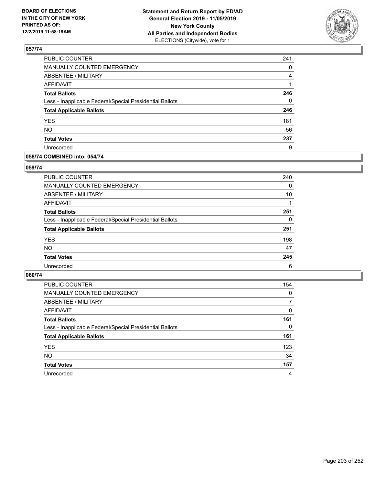

| PUBLIC COUNTER                                           | 241 |
|----------------------------------------------------------|-----|
| <b>MANUALLY COUNTED EMERGENCY</b>                        | 0   |
| <b>ABSENTEE / MILITARY</b>                               | 4   |
| <b>AFFIDAVIT</b>                                         |     |
| <b>Total Ballots</b>                                     | 246 |
| Less - Inapplicable Federal/Special Presidential Ballots | 0   |
| <b>Total Applicable Ballots</b>                          | 246 |
| <b>YES</b>                                               | 181 |
| <b>NO</b>                                                | 56  |
| <b>Total Votes</b>                                       | 237 |
| Unrecorded                                               | 9   |

### **058/74 COMBINED into: 054/74**

### **059/74**

| PUBLIC COUNTER                                           | 240      |
|----------------------------------------------------------|----------|
| MANUALLY COUNTED EMERGENCY                               | $\Omega$ |
| ABSENTEE / MILITARY                                      | 10       |
| AFFIDAVIT                                                |          |
| <b>Total Ballots</b>                                     | 251      |
| Less - Inapplicable Federal/Special Presidential Ballots | 0        |
| <b>Total Applicable Ballots</b>                          | 251      |
| <b>YES</b>                                               | 198      |
| <b>NO</b>                                                | 47       |
| <b>Total Votes</b>                                       | 245      |
| Unrecorded                                               | 6        |
|                                                          |          |

| <b>PUBLIC COUNTER</b>                                    | 154      |
|----------------------------------------------------------|----------|
| MANUALLY COUNTED EMERGENCY                               | $\Omega$ |
| ABSENTEE / MILITARY                                      | 7        |
| AFFIDAVIT                                                | $\Omega$ |
| <b>Total Ballots</b>                                     | 161      |
| Less - Inapplicable Federal/Special Presidential Ballots | 0        |
| <b>Total Applicable Ballots</b>                          | 161      |
| <b>YES</b>                                               | 123      |
| <b>NO</b>                                                | 34       |
| <b>Total Votes</b>                                       | 157      |
| Unrecorded                                               | 4        |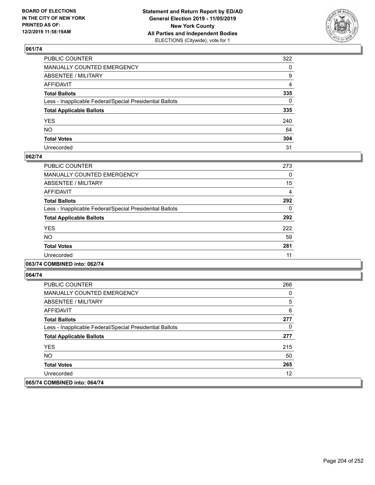

| PUBLIC COUNTER                                           | 322          |
|----------------------------------------------------------|--------------|
| MANUALLY COUNTED EMERGENCY                               | $\mathbf{0}$ |
| ABSENTEE / MILITARY                                      | 9            |
| AFFIDAVIT                                                | 4            |
| Total Ballots                                            | 335          |
| Less - Inapplicable Federal/Special Presidential Ballots | $\Omega$     |
| <b>Total Applicable Ballots</b>                          | 335          |
| YES                                                      | 240          |
| NO.                                                      | 64           |
| <b>Total Votes</b>                                       | 304          |
| Unrecorded                                               | 31           |

### **062/74**

| <b>PUBLIC COUNTER</b>                                    | 273 |
|----------------------------------------------------------|-----|
| <b>MANUALLY COUNTED EMERGENCY</b>                        | 0   |
| ABSENTEE / MILITARY                                      | 15  |
| <b>AFFIDAVIT</b>                                         | 4   |
| <b>Total Ballots</b>                                     | 292 |
| Less - Inapplicable Federal/Special Presidential Ballots | 0   |
| <b>Total Applicable Ballots</b>                          | 292 |
| <b>YES</b>                                               | 222 |
| NO.                                                      | 59  |
| <b>Total Votes</b>                                       | 281 |
| Unrecorded                                               | 11  |
|                                                          |     |

## **063/74 COMBINED into: 062/74**

| <b>PUBLIC COUNTER</b>                                    | 266 |
|----------------------------------------------------------|-----|
| <b>MANUALLY COUNTED EMERGENCY</b>                        | 0   |
| ABSENTEE / MILITARY                                      | 5   |
| AFFIDAVIT                                                | 6   |
| <b>Total Ballots</b>                                     | 277 |
| Less - Inapplicable Federal/Special Presidential Ballots | 0   |
| <b>Total Applicable Ballots</b>                          | 277 |
| <b>YES</b>                                               | 215 |
| NO.                                                      | 50  |
| <b>Total Votes</b>                                       | 265 |
| Unrecorded                                               | 12  |
| 065/74 COMBINED into: 064/74                             |     |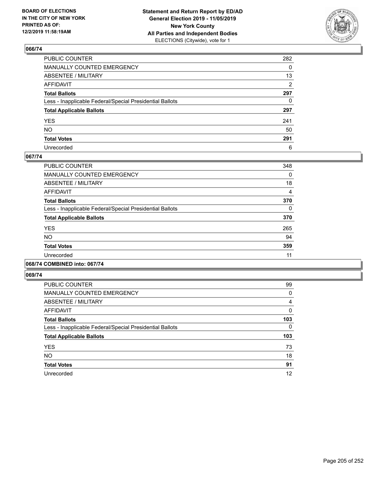

| PUBLIC COUNTER                                           | 282          |
|----------------------------------------------------------|--------------|
| MANUALLY COUNTED EMERGENCY                               | $\mathbf{0}$ |
| ABSENTEE / MILITARY                                      | 13           |
| AFFIDAVIT                                                | 2            |
| Total Ballots                                            | 297          |
| Less - Inapplicable Federal/Special Presidential Ballots | 0            |
| <b>Total Applicable Ballots</b>                          | 297          |
| YES                                                      | 241          |
| NO.                                                      | 50           |
| <b>Total Votes</b>                                       | 291          |
| Unrecorded                                               | 6            |

### **067/74**

| <b>PUBLIC COUNTER</b>                                    | 348      |
|----------------------------------------------------------|----------|
| MANUALLY COUNTED EMERGENCY                               | 0        |
| ABSENTEE / MILITARY                                      | 18       |
| AFFIDAVIT                                                | 4        |
| <b>Total Ballots</b>                                     | 370      |
| Less - Inapplicable Federal/Special Presidential Ballots | $\Omega$ |
| <b>Total Applicable Ballots</b>                          | 370      |
| <b>YES</b>                                               | 265      |
| <b>NO</b>                                                | 94       |
| <b>Total Votes</b>                                       | 359      |
| Unrecorded                                               | 11       |
|                                                          |          |

# **068/74 COMBINED into: 067/74**

| <b>PUBLIC COUNTER</b>                                    | 99       |
|----------------------------------------------------------|----------|
| <b>MANUALLY COUNTED EMERGENCY</b>                        | $\Omega$ |
| ABSENTEE / MILITARY                                      | 4        |
| AFFIDAVIT                                                | $\Omega$ |
| <b>Total Ballots</b>                                     | 103      |
| Less - Inapplicable Federal/Special Presidential Ballots | $\Omega$ |
| <b>Total Applicable Ballots</b>                          | 103      |
| <b>YES</b>                                               | 73       |
| <b>NO</b>                                                | 18       |
| <b>Total Votes</b>                                       | 91       |
| Unrecorded                                               | 12       |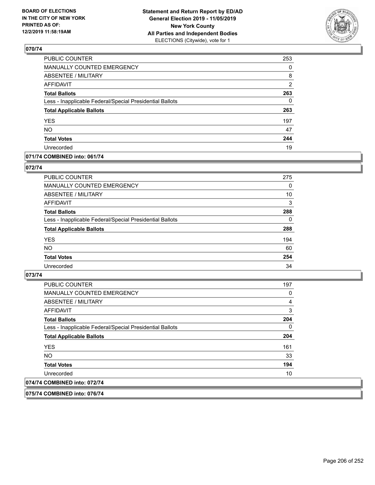

| PUBLIC COUNTER                                           | 253            |
|----------------------------------------------------------|----------------|
| MANUALLY COUNTED EMERGENCY                               | 0              |
| <b>ABSENTEE / MILITARY</b>                               | 8              |
| <b>AFFIDAVIT</b>                                         | $\overline{2}$ |
| <b>Total Ballots</b>                                     | 263            |
| Less - Inapplicable Federal/Special Presidential Ballots | $\Omega$       |
| <b>Total Applicable Ballots</b>                          | 263            |
| <b>YES</b>                                               | 197            |
| <b>NO</b>                                                | 47             |
| <b>Total Votes</b>                                       | 244            |
| Unrecorded                                               | 19             |

### **071/74 COMBINED into: 061/74**

### **072/74**

| <b>PUBLIC COUNTER</b>                                    | 275      |
|----------------------------------------------------------|----------|
| <b>MANUALLY COUNTED EMERGENCY</b>                        | $\Omega$ |
| ABSENTEE / MILITARY                                      | 10       |
| AFFIDAVIT                                                | 3        |
| <b>Total Ballots</b>                                     | 288      |
| Less - Inapplicable Federal/Special Presidential Ballots | $\Omega$ |
| <b>Total Applicable Ballots</b>                          | 288      |
| <b>YES</b>                                               | 194      |
| <b>NO</b>                                                | 60       |
| <b>Total Votes</b>                                       | 254      |
| Unrecorded                                               | 34       |

### **073/74**

| <b>Total Applicable Ballots</b>                          | 204 |
|----------------------------------------------------------|-----|
|                                                          |     |
|                                                          |     |
| Less - Inapplicable Federal/Special Presidential Ballots |     |
|                                                          | 0   |
| <b>Total Ballots</b>                                     | 204 |
| <b>AFFIDAVIT</b>                                         | 3   |
| ABSENTEE / MILITARY                                      | 4   |
|                                                          |     |
| <b>MANUALLY COUNTED EMERGENCY</b>                        | 0   |
| <b>PUBLIC COUNTER</b>                                    | 197 |

**075/74 COMBINED into: 076/74**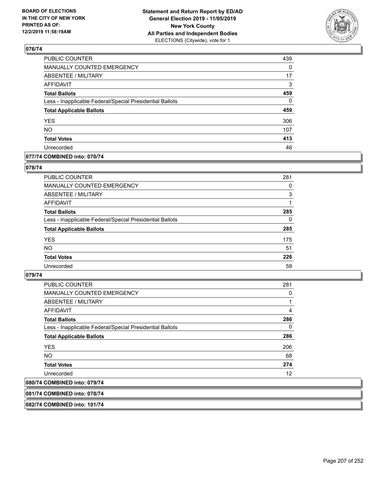

| PUBLIC COUNTER                                           | 439      |
|----------------------------------------------------------|----------|
| MANUALLY COUNTED EMERGENCY                               | 0        |
| <b>ABSENTEE / MILITARY</b>                               | 17       |
| <b>AFFIDAVIT</b>                                         | 3        |
| <b>Total Ballots</b>                                     | 459      |
| Less - Inapplicable Federal/Special Presidential Ballots | $\Omega$ |
| <b>Total Applicable Ballots</b>                          | 459      |
| <b>YES</b>                                               | 306      |
| <b>NO</b>                                                | 107      |
| <b>Total Votes</b>                                       | 413      |
| Unrecorded                                               | 46       |

## **077/74 COMBINED into: 070/74**

### **078/74**

| <b>PUBLIC COUNTER</b>                                    | 281      |
|----------------------------------------------------------|----------|
| <b>MANUALLY COUNTED EMERGENCY</b>                        | 0        |
| ABSENTEE / MILITARY                                      | 3        |
| AFFIDAVIT                                                |          |
| <b>Total Ballots</b>                                     | 285      |
| Less - Inapplicable Federal/Special Presidential Ballots | $\Omega$ |
| <b>Total Applicable Ballots</b>                          | 285      |
| <b>YES</b>                                               | 175      |
| <b>NO</b>                                                | 51       |
| <b>Total Votes</b>                                       | 226      |
| Unrecorded                                               | 59       |

### **079/74**

| <b>PUBLIC COUNTER</b>                                    | 281 |
|----------------------------------------------------------|-----|
| <b>MANUALLY COUNTED EMERGENCY</b>                        | 0   |
| ABSENTEE / MILITARY                                      | 1   |
| AFFIDAVIT                                                | 4   |
| <b>Total Ballots</b>                                     | 286 |
| Less - Inapplicable Federal/Special Presidential Ballots | 0   |
| <b>Total Applicable Ballots</b>                          | 286 |
| <b>YES</b>                                               | 206 |
| <b>NO</b>                                                | 68  |
| <b>Total Votes</b>                                       | 274 |
| Unrecorded                                               | 12  |
| 080/74 COMBINED into: 079/74                             |     |

### **081/74 COMBINED into: 078/74**

**082/74 COMBINED into: 101/74**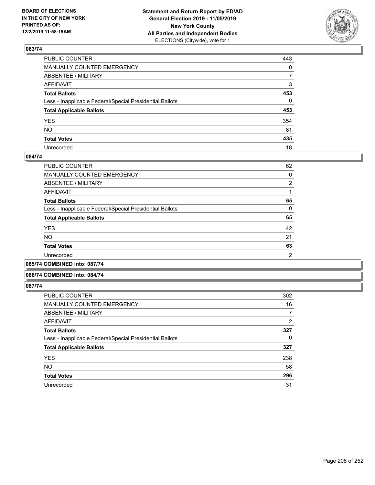

| PUBLIC COUNTER                                           | 443            |
|----------------------------------------------------------|----------------|
| MANUALLY COUNTED EMERGENCY                               | $\mathbf{0}$   |
| ABSENTEE / MILITARY                                      | $\overline{7}$ |
| AFFIDAVIT                                                | 3              |
| Total Ballots                                            | 453            |
| Less - Inapplicable Federal/Special Presidential Ballots | $\mathbf{0}$   |
| <b>Total Applicable Ballots</b>                          | 453            |
| YES                                                      | 354            |
| NO.                                                      | 81             |
| <b>Total Votes</b>                                       | 435            |
| Unrecorded                                               | 18             |

### **084/74**

| PUBLIC COUNTER                                           | 62             |
|----------------------------------------------------------|----------------|
| MANUALLY COUNTED EMERGENCY                               | 0              |
| ABSENTEE / MILITARY                                      | $\overline{2}$ |
| AFFIDAVIT                                                |                |
| <b>Total Ballots</b>                                     | 65             |
| Less - Inapplicable Federal/Special Presidential Ballots | $\Omega$       |
| <b>Total Applicable Ballots</b>                          | 65             |
| <b>YES</b>                                               | 42             |
| <b>NO</b>                                                | 21             |
| <b>Total Votes</b>                                       | 63             |
| Unrecorded                                               | 2              |
|                                                          |                |

**085/74 COMBINED into: 087/74**

#### **086/74 COMBINED into: 084/74**

| <b>PUBLIC COUNTER</b>                                    | 302      |
|----------------------------------------------------------|----------|
| MANUALLY COUNTED EMERGENCY                               | 16       |
| <b>ABSENTEE / MILITARY</b>                               | 7        |
| AFFIDAVIT                                                | 2        |
| <b>Total Ballots</b>                                     | 327      |
| Less - Inapplicable Federal/Special Presidential Ballots | $\Omega$ |
| <b>Total Applicable Ballots</b>                          | 327      |
| <b>YES</b>                                               | 238      |
| <b>NO</b>                                                | 58       |
| <b>Total Votes</b>                                       | 296      |
| Unrecorded                                               | 31       |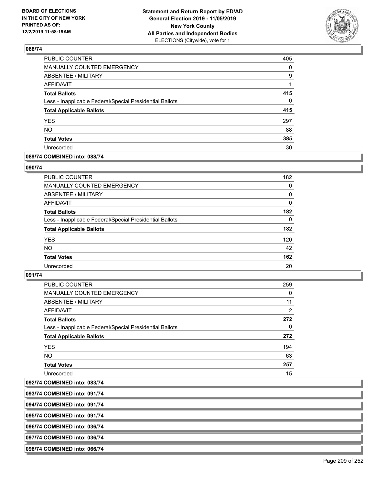

| PUBLIC COUNTER                                           | 405      |
|----------------------------------------------------------|----------|
| MANUALLY COUNTED EMERGENCY                               | 0        |
| <b>ABSENTEE / MILITARY</b>                               | 9        |
| <b>AFFIDAVIT</b>                                         |          |
| <b>Total Ballots</b>                                     | 415      |
| Less - Inapplicable Federal/Special Presidential Ballots | $\Omega$ |
| <b>Total Applicable Ballots</b>                          | 415      |
| <b>YES</b>                                               | 297      |
| <b>NO</b>                                                | 88       |
| <b>Total Votes</b>                                       | 385      |
| Unrecorded                                               | 30       |

### **089/74 COMBINED into: 088/74**

### **090/74**

| PUBLIC COUNTER                                           | 182      |
|----------------------------------------------------------|----------|
| <b>MANUALLY COUNTED EMERGENCY</b>                        | 0        |
| ABSENTEE / MILITARY                                      | 0        |
| AFFIDAVIT                                                | $\Omega$ |
| <b>Total Ballots</b>                                     | 182      |
| Less - Inapplicable Federal/Special Presidential Ballots | $\Omega$ |
| <b>Total Applicable Ballots</b>                          | 182      |
| <b>YES</b>                                               | 120      |
| <b>NO</b>                                                | 42       |
| <b>Total Votes</b>                                       | 162      |
| Unrecorded                                               | 20       |

### **091/74**

| PUBLIC COUNTER                                           | 259      |
|----------------------------------------------------------|----------|
| <b>MANUALLY COUNTED EMERGENCY</b>                        | 0        |
| ABSENTEE / MILITARY                                      | 11       |
| <b>AFFIDAVIT</b>                                         | 2        |
| <b>Total Ballots</b>                                     | 272      |
| Less - Inapplicable Federal/Special Presidential Ballots | $\Omega$ |
| <b>Total Applicable Ballots</b>                          | 272      |
| <b>YES</b>                                               | 194      |
| <b>NO</b>                                                | 63       |
| <b>Total Votes</b>                                       | 257      |
| Unrecorded                                               | 15       |

**092/74 COMBINED into: 083/74**

**093/74 COMBINED into: 091/74**

**094/74 COMBINED into: 091/74**

**095/74 COMBINED into: 091/74**

**096/74 COMBINED into: 036/74**

**097/74 COMBINED into: 036/74**

**098/74 COMBINED into: 066/74**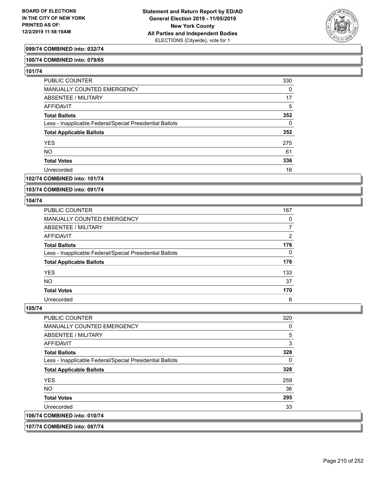

## **099/74 COMBINED into: 032/74**

### **100/74 COMBINED into: 079/65**

**101/74** 

| PUBLIC COUNTER                                           | 330      |
|----------------------------------------------------------|----------|
| MANUALLY COUNTED EMERGENCY                               | 0        |
| ABSENTEE / MILITARY                                      | 17       |
| AFFIDAVIT                                                | 5        |
| <b>Total Ballots</b>                                     | 352      |
| Less - Inapplicable Federal/Special Presidential Ballots | $\Omega$ |
| <b>Total Applicable Ballots</b>                          | 352      |
| <b>YES</b>                                               | 275      |
| <b>NO</b>                                                | 61       |
| <b>Total Votes</b>                                       | 336      |
| Unrecorded                                               | 16       |

### **102/74 COMBINED into: 101/74**

**103/74 COMBINED into: 091/74**

#### **104/74**

| PUBLIC COUNTER                                           | 167 |
|----------------------------------------------------------|-----|
| MANUALLY COUNTED EMERGENCY                               | 0   |
| <b>ABSENTEE / MILITARY</b>                               |     |
| AFFIDAVIT                                                | 2   |
| <b>Total Ballots</b>                                     | 176 |
| Less - Inapplicable Federal/Special Presidential Ballots | 0   |
| <b>Total Applicable Ballots</b>                          | 176 |
| <b>YES</b>                                               | 133 |
| <b>NO</b>                                                | 37  |
| <b>Total Votes</b>                                       | 170 |
| Unrecorded                                               | 6   |

| <b>PUBLIC COUNTER</b>                                    | 320 |
|----------------------------------------------------------|-----|
| <b>MANUALLY COUNTED EMERGENCY</b>                        | 0   |
| ABSENTEE / MILITARY                                      | 5   |
| <b>AFFIDAVIT</b>                                         | 3   |
| <b>Total Ballots</b>                                     | 328 |
| Less - Inapplicable Federal/Special Presidential Ballots | 0   |
| <b>Total Applicable Ballots</b>                          | 328 |
| <b>YES</b>                                               | 259 |
| NO.                                                      | 36  |
| <b>Total Votes</b>                                       | 295 |
| Unrecorded                                               | 33  |
| 106/74 COMBINED into: 010/74                             |     |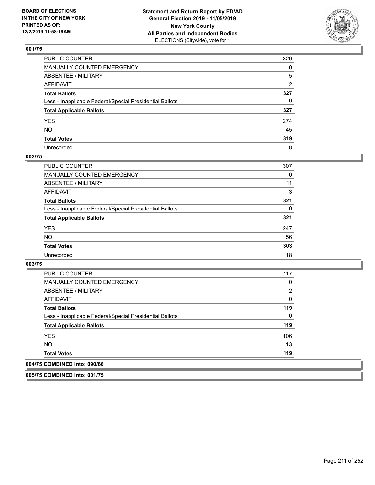

| PUBLIC COUNTER                                           | 320 |
|----------------------------------------------------------|-----|
| MANUALLY COUNTED EMERGENCY                               | 0   |
| ABSENTEE / MILITARY                                      | 5   |
| AFFIDAVIT                                                | 2   |
| Total Ballots                                            | 327 |
| Less - Inapplicable Federal/Special Presidential Ballots | 0   |
| <b>Total Applicable Ballots</b>                          | 327 |
| YES                                                      | 274 |
| NO.                                                      | 45  |
| <b>Total Votes</b>                                       | 319 |
| Unrecorded                                               | 8   |

### **002/75**

| <b>PUBLIC COUNTER</b>                                    | 307      |
|----------------------------------------------------------|----------|
| MANUALLY COUNTED EMERGENCY                               | $\Omega$ |
| ABSENTEE / MILITARY                                      | 11       |
| AFFIDAVIT                                                | 3        |
| <b>Total Ballots</b>                                     | 321      |
| Less - Inapplicable Federal/Special Presidential Ballots | 0        |
| <b>Total Applicable Ballots</b>                          | 321      |
| <b>YES</b>                                               | 247      |
| <b>NO</b>                                                | 56       |
| <b>Total Votes</b>                                       | 303      |
| Unrecorded                                               | 18       |

### **003/75**

| <b>PUBLIC COUNTER</b>                                    | 117 |
|----------------------------------------------------------|-----|
| <b>MANUALLY COUNTED EMERGENCY</b>                        | 0   |
| ABSENTEE / MILITARY                                      | 2   |
| AFFIDAVIT                                                | 0   |
| <b>Total Ballots</b>                                     | 119 |
| Less - Inapplicable Federal/Special Presidential Ballots | 0   |
| <b>Total Applicable Ballots</b>                          | 119 |
| <b>YES</b>                                               | 106 |
| NO.                                                      | 13  |
| <b>Total Votes</b>                                       | 119 |
| 004/75 COMBINED into: 090/66                             |     |

## **005/75 COMBINED into: 001/75**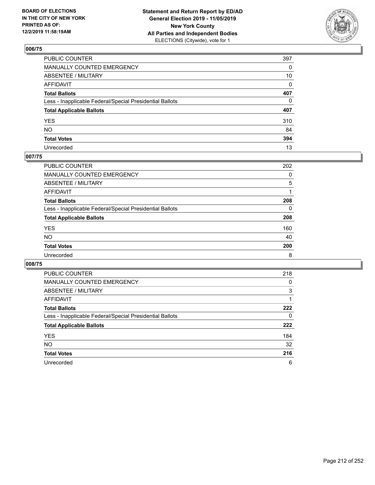

| PUBLIC COUNTER                                           | 397 |
|----------------------------------------------------------|-----|
| MANUALLY COUNTED EMERGENCY                               | 0   |
| ABSENTEE / MILITARY                                      | 10  |
| AFFIDAVIT                                                | 0   |
| Total Ballots                                            | 407 |
| Less - Inapplicable Federal/Special Presidential Ballots | 0   |
| <b>Total Applicable Ballots</b>                          | 407 |
| YES                                                      | 310 |
| NO.                                                      | 84  |
| <b>Total Votes</b>                                       | 394 |
| Unrecorded                                               | 13  |

## **007/75**

| <b>PUBLIC COUNTER</b>                                    | 202 |
|----------------------------------------------------------|-----|
| <b>MANUALLY COUNTED EMERGENCY</b>                        | 0   |
| ABSENTEE / MILITARY                                      | 5   |
| AFFIDAVIT                                                |     |
| <b>Total Ballots</b>                                     | 208 |
| Less - Inapplicable Federal/Special Presidential Ballots | 0   |
| <b>Total Applicable Ballots</b>                          | 208 |
| <b>YES</b>                                               | 160 |
| <b>NO</b>                                                | 40  |
| <b>Total Votes</b>                                       | 200 |
| Unrecorded                                               | 8   |

| <b>PUBLIC COUNTER</b>                                    | 218 |
|----------------------------------------------------------|-----|
| <b>MANUALLY COUNTED EMERGENCY</b>                        | 0   |
| ABSENTEE / MILITARY                                      | 3   |
| AFFIDAVIT                                                |     |
| <b>Total Ballots</b>                                     | 222 |
| Less - Inapplicable Federal/Special Presidential Ballots | 0   |
| <b>Total Applicable Ballots</b>                          | 222 |
| <b>YES</b>                                               | 184 |
| <b>NO</b>                                                | 32  |
| <b>Total Votes</b>                                       | 216 |
| Unrecorded                                               | 6   |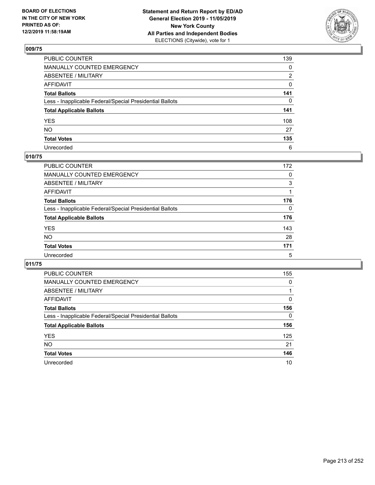

| PUBLIC COUNTER                                           | 139 |
|----------------------------------------------------------|-----|
| MANUALLY COUNTED EMERGENCY                               | 0   |
| ABSENTEE / MILITARY                                      | 2   |
| AFFIDAVIT                                                | 0   |
| Total Ballots                                            | 141 |
| Less - Inapplicable Federal/Special Presidential Ballots | 0   |
| <b>Total Applicable Ballots</b>                          | 141 |
| YES                                                      | 108 |
| NO.                                                      | 27  |
| <b>Total Votes</b>                                       | 135 |
| Unrecorded                                               | 6   |

## **010/75**

| <b>PUBLIC COUNTER</b>                                    | 172      |
|----------------------------------------------------------|----------|
| MANUALLY COUNTED EMERGENCY                               | 0        |
| ABSENTEE / MILITARY                                      | 3        |
| AFFIDAVIT                                                |          |
| <b>Total Ballots</b>                                     | 176      |
| Less - Inapplicable Federal/Special Presidential Ballots | $\Omega$ |
| <b>Total Applicable Ballots</b>                          | 176      |
| <b>YES</b>                                               | 143      |
| <b>NO</b>                                                | 28       |
| <b>Total Votes</b>                                       | 171      |
| Unrecorded                                               | 5        |

| PUBLIC COUNTER                                           | 155      |
|----------------------------------------------------------|----------|
| <b>MANUALLY COUNTED EMERGENCY</b>                        | $\Omega$ |
| ABSENTEE / MILITARY                                      |          |
| AFFIDAVIT                                                | 0        |
| <b>Total Ballots</b>                                     | 156      |
| Less - Inapplicable Federal/Special Presidential Ballots | $\Omega$ |
| <b>Total Applicable Ballots</b>                          | 156      |
| <b>YES</b>                                               | 125      |
| <b>NO</b>                                                | 21       |
| <b>Total Votes</b>                                       | 146      |
| Unrecorded                                               | 10       |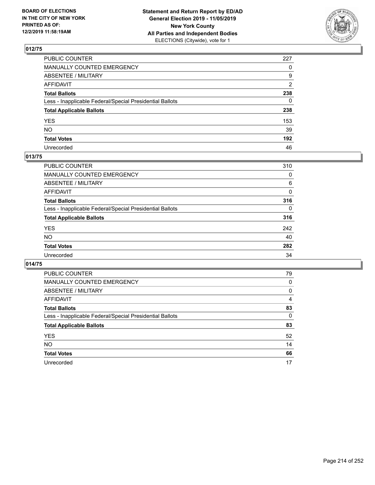

| PUBLIC COUNTER                                           | 227          |
|----------------------------------------------------------|--------------|
| MANUALLY COUNTED EMERGENCY                               | $\Omega$     |
| ABSENTEE / MILITARY                                      | 9            |
| AFFIDAVIT                                                | 2            |
| Total Ballots                                            | 238          |
| Less - Inapplicable Federal/Special Presidential Ballots | $\mathbf{0}$ |
| <b>Total Applicable Ballots</b>                          | 238          |
| YES                                                      | 153          |
| NO.                                                      | 39           |
| <b>Total Votes</b>                                       | 192          |
| Unrecorded                                               | 46           |

### **013/75**

| <b>PUBLIC COUNTER</b>                                    | 310          |
|----------------------------------------------------------|--------------|
| <b>MANUALLY COUNTED EMERGENCY</b>                        | 0            |
| ABSENTEE / MILITARY                                      | 6            |
| AFFIDAVIT                                                | $\Omega$     |
| <b>Total Ballots</b>                                     | 316          |
| Less - Inapplicable Federal/Special Presidential Ballots | $\mathbf{0}$ |
| <b>Total Applicable Ballots</b>                          | 316          |
| <b>YES</b>                                               | 242          |
| <b>NO</b>                                                | 40           |
| <b>Total Votes</b>                                       | 282          |
| Unrecorded                                               | 34           |

| <b>PUBLIC COUNTER</b>                                    | 79       |
|----------------------------------------------------------|----------|
| <b>MANUALLY COUNTED EMERGENCY</b>                        | 0        |
| ABSENTEE / MILITARY                                      | 0        |
| AFFIDAVIT                                                | 4        |
| <b>Total Ballots</b>                                     | 83       |
| Less - Inapplicable Federal/Special Presidential Ballots | $\Omega$ |
| <b>Total Applicable Ballots</b>                          | 83       |
| <b>YES</b>                                               | 52       |
| NO.                                                      | 14       |
| <b>Total Votes</b>                                       | 66       |
| Unrecorded                                               | 17       |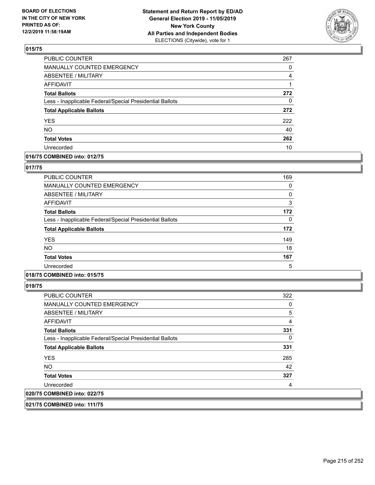

| PUBLIC COUNTER                                           | 267 |
|----------------------------------------------------------|-----|
| <b>MANUALLY COUNTED EMERGENCY</b>                        | 0   |
| <b>ABSENTEE / MILITARY</b>                               | 4   |
| <b>AFFIDAVIT</b>                                         |     |
| <b>Total Ballots</b>                                     | 272 |
| Less - Inapplicable Federal/Special Presidential Ballots | 0   |
| <b>Total Applicable Ballots</b>                          | 272 |
| <b>YES</b>                                               | 222 |
| <b>NO</b>                                                | 40  |
| <b>Total Votes</b>                                       | 262 |
| Unrecorded                                               | 10  |

# **016/75 COMBINED into: 012/75**

### **017/75**

| <b>PUBLIC COUNTER</b>                                    | 169 |
|----------------------------------------------------------|-----|
| MANUALLY COUNTED EMERGENCY                               | 0   |
| ABSENTEE / MILITARY                                      | 0   |
| AFFIDAVIT                                                | 3   |
| <b>Total Ballots</b>                                     | 172 |
| Less - Inapplicable Federal/Special Presidential Ballots | 0   |
| <b>Total Applicable Ballots</b>                          | 172 |
| <b>YES</b>                                               | 149 |
| <b>NO</b>                                                | 18  |
| <b>Total Votes</b>                                       | 167 |
| Unrecorded                                               | 5   |

## **018/75 COMBINED into: 015/75**

**019/75** 

| <b>PUBLIC COUNTER</b>                                    | 322 |
|----------------------------------------------------------|-----|
| MANUALLY COUNTED EMERGENCY                               | 0   |
| ABSENTEE / MILITARY                                      | 5   |
| AFFIDAVIT                                                | 4   |
| <b>Total Ballots</b>                                     | 331 |
| Less - Inapplicable Federal/Special Presidential Ballots | 0   |
| <b>Total Applicable Ballots</b>                          | 331 |
| <b>YES</b>                                               | 285 |
| NO.                                                      | 42  |
| <b>Total Votes</b>                                       | 327 |
| Unrecorded                                               | 4   |
| 020/75 COMBINED into: 022/75                             |     |

**021/75 COMBINED into: 111/75**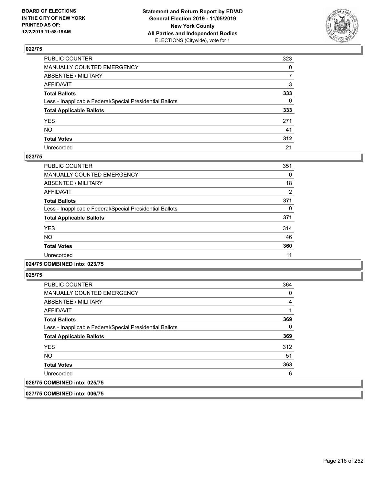

| PUBLIC COUNTER                                           | 323          |
|----------------------------------------------------------|--------------|
| MANUALLY COUNTED EMERGENCY                               | 0            |
| ABSENTEE / MILITARY                                      | 7            |
| AFFIDAVIT                                                | 3            |
| Total Ballots                                            | 333          |
| Less - Inapplicable Federal/Special Presidential Ballots | $\mathbf{0}$ |
| <b>Total Applicable Ballots</b>                          | 333          |
| YES                                                      | 271          |
| NO.                                                      | 41           |
| <b>Total Votes</b>                                       | 312          |
| Unrecorded                                               | 21           |

### **023/75**

| <b>PUBLIC COUNTER</b>                                    | 351      |
|----------------------------------------------------------|----------|
| MANUALLY COUNTED EMERGENCY                               | $\Omega$ |
| ABSENTEE / MILITARY                                      | 18       |
| <b>AFFIDAVIT</b>                                         | 2        |
| <b>Total Ballots</b>                                     | 371      |
| Less - Inapplicable Federal/Special Presidential Ballots | 0        |
| <b>Total Applicable Ballots</b>                          | 371      |
| <b>YES</b>                                               | 314      |
| <b>NO</b>                                                | 46       |
| <b>Total Votes</b>                                       | 360      |
| Unrecorded                                               | 11       |
|                                                          |          |

#### **024/75 COMBINED into: 023/75**

**025/75** 

| <b>PUBLIC COUNTER</b>                                    | 364 |
|----------------------------------------------------------|-----|
| MANUALLY COUNTED EMERGENCY                               | 0   |
| ABSENTEE / MILITARY                                      | 4   |
| AFFIDAVIT                                                |     |
| <b>Total Ballots</b>                                     | 369 |
| Less - Inapplicable Federal/Special Presidential Ballots | 0   |
| <b>Total Applicable Ballots</b>                          | 369 |
| <b>YES</b>                                               | 312 |
| <b>NO</b>                                                | 51  |
| <b>Total Votes</b>                                       | 363 |
| Unrecorded                                               | 6   |
| 026/75 COMBINED into: 025/75                             |     |

**027/75 COMBINED into: 006/75**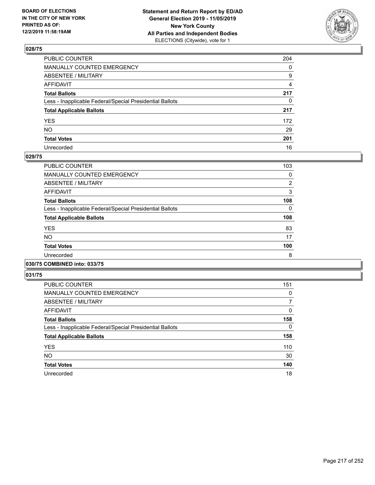

| PUBLIC COUNTER                                           | 204          |
|----------------------------------------------------------|--------------|
| MANUALLY COUNTED EMERGENCY                               | $\mathbf{0}$ |
| ABSENTEE / MILITARY                                      | 9            |
| AFFIDAVIT                                                | 4            |
| Total Ballots                                            | 217          |
| Less - Inapplicable Federal/Special Presidential Ballots | $\mathbf{0}$ |
| <b>Total Applicable Ballots</b>                          | 217          |
| YES                                                      | 172          |
| NO.                                                      | 29           |
| <b>Total Votes</b>                                       | 201          |
| Unrecorded                                               | 16           |

### **029/75**

| PUBLIC COUNTER                                           | 103      |
|----------------------------------------------------------|----------|
| <b>MANUALLY COUNTED EMERGENCY</b>                        | 0        |
| ABSENTEE / MILITARY                                      | 2        |
| <b>AFFIDAVIT</b>                                         | 3        |
| <b>Total Ballots</b>                                     | 108      |
| Less - Inapplicable Federal/Special Presidential Ballots | $\Omega$ |
| <b>Total Applicable Ballots</b>                          | 108      |
| <b>YES</b>                                               | 83       |
| <b>NO</b>                                                | 17       |
| <b>Total Votes</b>                                       | 100      |
| Unrecorded                                               | 8        |
|                                                          |          |

#### **030/75 COMBINED into: 033/75**

| <b>PUBLIC COUNTER</b>                                    | 151      |
|----------------------------------------------------------|----------|
| <b>MANUALLY COUNTED EMERGENCY</b>                        | 0        |
| ABSENTEE / MILITARY                                      | 7        |
| AFFIDAVIT                                                | 0        |
| <b>Total Ballots</b>                                     | 158      |
| Less - Inapplicable Federal/Special Presidential Ballots | $\Omega$ |
| <b>Total Applicable Ballots</b>                          | 158      |
| <b>YES</b>                                               | 110      |
| <b>NO</b>                                                | 30       |
| <b>Total Votes</b>                                       | 140      |
| Unrecorded                                               | 18       |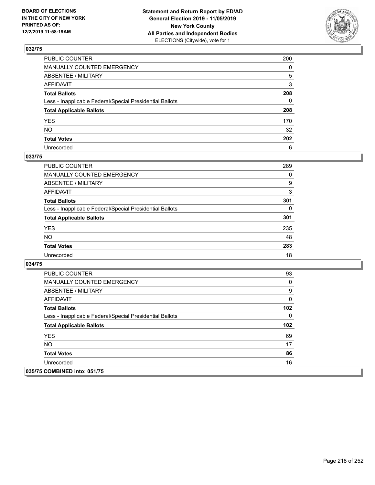

| PUBLIC COUNTER                                           | 200          |
|----------------------------------------------------------|--------------|
| MANUALLY COUNTED EMERGENCY                               | $\mathbf{0}$ |
| ABSENTEE / MILITARY                                      | 5            |
| AFFIDAVIT                                                | 3            |
| Total Ballots                                            | 208          |
| Less - Inapplicable Federal/Special Presidential Ballots | $\mathbf{0}$ |
| <b>Total Applicable Ballots</b>                          | 208          |
| YES                                                      | 170          |
| NO.                                                      | 32           |
| <b>Total Votes</b>                                       | 202          |
| Unrecorded                                               | 6            |

### **033/75**

| <b>PUBLIC COUNTER</b>                                    | 289      |
|----------------------------------------------------------|----------|
| <b>MANUALLY COUNTED EMERGENCY</b>                        | $\Omega$ |
| ABSENTEE / MILITARY                                      | 9        |
| AFFIDAVIT                                                | 3        |
| <b>Total Ballots</b>                                     | 301      |
| Less - Inapplicable Federal/Special Presidential Ballots | 0        |
| <b>Total Applicable Ballots</b>                          | 301      |
| <b>YES</b>                                               | 235      |
| <b>NO</b>                                                | 48       |
| <b>Total Votes</b>                                       | 283      |
| Unrecorded                                               | 18       |

| <b>PUBLIC COUNTER</b>                                    | 93  |
|----------------------------------------------------------|-----|
| <b>MANUALLY COUNTED EMERGENCY</b>                        | 0   |
| ABSENTEE / MILITARY                                      | 9   |
| AFFIDAVIT                                                | 0   |
| <b>Total Ballots</b>                                     | 102 |
| Less - Inapplicable Federal/Special Presidential Ballots | 0   |
| <b>Total Applicable Ballots</b>                          | 102 |
| <b>YES</b>                                               | 69  |
| NO.                                                      | 17  |
| <b>Total Votes</b>                                       | 86  |
| Unrecorded                                               | 16  |
| 035/75 COMBINED into: 051/75                             |     |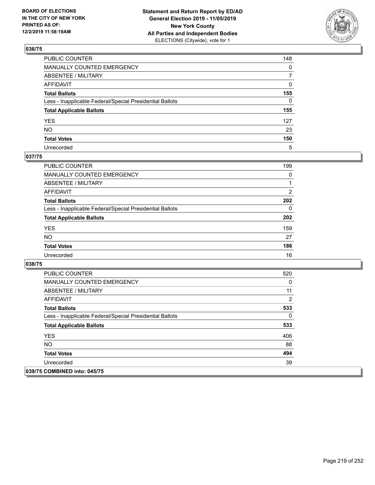

| PUBLIC COUNTER                                           | 148            |
|----------------------------------------------------------|----------------|
| MANUALLY COUNTED EMERGENCY                               | $\mathbf{0}$   |
| ABSENTEE / MILITARY                                      | $\overline{7}$ |
| AFFIDAVIT                                                | $\mathbf{0}$   |
| Total Ballots                                            | 155            |
| Less - Inapplicable Federal/Special Presidential Ballots | $\Omega$       |
| <b>Total Applicable Ballots</b>                          | 155            |
| YES                                                      | 127            |
| NO.                                                      | 23             |
| <b>Total Votes</b>                                       | 150            |
| Unrecorded                                               | 5              |

### **037/75**

| <b>PUBLIC COUNTER</b>                                    | 199      |
|----------------------------------------------------------|----------|
| MANUALLY COUNTED EMERGENCY                               | $\Omega$ |
| ABSENTEE / MILITARY                                      |          |
| AFFIDAVIT                                                | 2        |
| <b>Total Ballots</b>                                     | 202      |
| Less - Inapplicable Federal/Special Presidential Ballots | $\Omega$ |
| <b>Total Applicable Ballots</b>                          | 202      |
| <b>YES</b>                                               | 159      |
| <b>NO</b>                                                | 27       |
| <b>Total Votes</b>                                       | 186      |
| Unrecorded                                               | 16       |

| <b>PUBLIC COUNTER</b>                                    | 520      |
|----------------------------------------------------------|----------|
| <b>MANUALLY COUNTED EMERGENCY</b>                        | 0        |
| ABSENTEE / MILITARY                                      | 11       |
| AFFIDAVIT                                                | 2        |
| <b>Total Ballots</b>                                     | 533      |
| Less - Inapplicable Federal/Special Presidential Ballots | $\Omega$ |
| <b>Total Applicable Ballots</b>                          | 533      |
| <b>YES</b>                                               | 406      |
| NO.                                                      | 88       |
| <b>Total Votes</b>                                       | 494      |
| Unrecorded                                               | 39       |
| 039/75 COMBINED into: 045/75                             |          |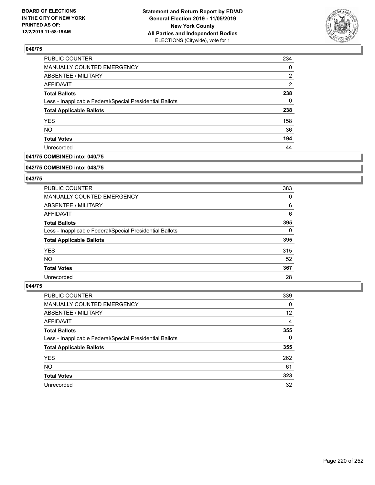

| PUBLIC COUNTER                                           | 234            |
|----------------------------------------------------------|----------------|
| MANUALLY COUNTED EMERGENCY                               | 0              |
| ABSENTEE / MILITARY                                      | 2              |
| <b>AFFIDAVIT</b>                                         | $\overline{2}$ |
| <b>Total Ballots</b>                                     | 238            |
| Less - Inapplicable Federal/Special Presidential Ballots | 0              |
| <b>Total Applicable Ballots</b>                          | 238            |
| <b>YES</b>                                               | 158            |
| <b>NO</b>                                                | 36             |
| <b>Total Votes</b>                                       | 194            |
| Unrecorded                                               | 44             |

## **041/75 COMBINED into: 040/75**

#### **042/75 COMBINED into: 048/75**

## **043/75**

| PUBLIC COUNTER                                           | 383 |
|----------------------------------------------------------|-----|
| <b>MANUALLY COUNTED EMERGENCY</b>                        | 0   |
| ABSENTEE / MILITARY                                      | 6   |
| AFFIDAVIT                                                | 6   |
| <b>Total Ballots</b>                                     | 395 |
| Less - Inapplicable Federal/Special Presidential Ballots | 0   |
| <b>Total Applicable Ballots</b>                          | 395 |
| <b>YES</b>                                               | 315 |
| NO.                                                      | 52  |
| <b>Total Votes</b>                                       | 367 |
| Unrecorded                                               | 28  |

| <b>PUBLIC COUNTER</b>                                    | 339      |
|----------------------------------------------------------|----------|
| MANUALLY COUNTED EMERGENCY                               | 0        |
| ABSENTEE / MILITARY                                      | 12       |
| AFFIDAVIT                                                | 4        |
| <b>Total Ballots</b>                                     | 355      |
| Less - Inapplicable Federal/Special Presidential Ballots | $\Omega$ |
| <b>Total Applicable Ballots</b>                          | 355      |
| <b>YES</b>                                               | 262      |
| <b>NO</b>                                                | 61       |
| <b>Total Votes</b>                                       | 323      |
| Unrecorded                                               | 32       |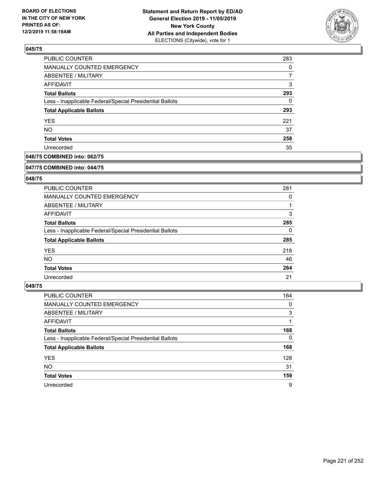

| PUBLIC COUNTER                                           | 283 |
|----------------------------------------------------------|-----|
| MANUALLY COUNTED EMERGENCY                               | 0   |
| ABSENTEE / MILITARY                                      |     |
| <b>AFFIDAVIT</b>                                         | 3   |
| <b>Total Ballots</b>                                     | 293 |
| Less - Inapplicable Federal/Special Presidential Ballots | 0   |
| <b>Total Applicable Ballots</b>                          | 293 |
| <b>YES</b>                                               | 221 |
| <b>NO</b>                                                | 37  |
| <b>Total Votes</b>                                       | 258 |
| Unrecorded                                               | 35  |

## **046/75 COMBINED into: 062/75**

#### **047/75 COMBINED into: 044/75**

## **048/75**

| <b>PUBLIC COUNTER</b>                                    | 281      |
|----------------------------------------------------------|----------|
| MANUALLY COUNTED EMERGENCY                               | 0        |
| ABSENTEE / MILITARY                                      |          |
| AFFIDAVIT                                                | 3        |
| <b>Total Ballots</b>                                     | 285      |
| Less - Inapplicable Federal/Special Presidential Ballots | $\Omega$ |
| <b>Total Applicable Ballots</b>                          | 285      |
| <b>YES</b>                                               | 218      |
| NO.                                                      | 46       |
| <b>Total Votes</b>                                       | 264      |
| Unrecorded                                               | 21       |

| <b>PUBLIC COUNTER</b>                                    | 164      |
|----------------------------------------------------------|----------|
| <b>MANUALLY COUNTED EMERGENCY</b>                        | 0        |
| ABSENTEE / MILITARY                                      | 3        |
| AFFIDAVIT                                                |          |
| <b>Total Ballots</b>                                     | 168      |
| Less - Inapplicable Federal/Special Presidential Ballots | $\Omega$ |
| <b>Total Applicable Ballots</b>                          | 168      |
| <b>YES</b>                                               | 128      |
| <b>NO</b>                                                | 31       |
| <b>Total Votes</b>                                       | 159      |
| Unrecorded                                               | 9        |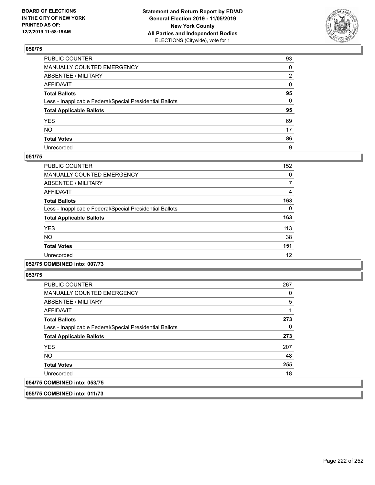

| PUBLIC COUNTER                                           | 93 |
|----------------------------------------------------------|----|
| MANUALLY COUNTED EMERGENCY                               | 0  |
| ABSENTEE / MILITARY                                      | 2  |
| AFFIDAVIT                                                | 0  |
| Total Ballots                                            | 95 |
| Less - Inapplicable Federal/Special Presidential Ballots | 0  |
| <b>Total Applicable Ballots</b>                          | 95 |
| YES                                                      | 69 |
| NO.                                                      | 17 |
| <b>Total Votes</b>                                       | 86 |
| Unrecorded                                               | 9  |

### **051/75**

| PUBLIC COUNTER                                           | 152 |
|----------------------------------------------------------|-----|
| <b>MANUALLY COUNTED EMERGENCY</b>                        | 0   |
| ABSENTEE / MILITARY                                      |     |
| <b>AFFIDAVIT</b>                                         | 4   |
| <b>Total Ballots</b>                                     | 163 |
| Less - Inapplicable Federal/Special Presidential Ballots | 0   |
| <b>Total Applicable Ballots</b>                          | 163 |
| <b>YES</b>                                               | 113 |
| NO.                                                      | 38  |
| <b>Total Votes</b>                                       | 151 |
| Unrecorded                                               | 12  |
|                                                          |     |

### **052/75 COMBINED into: 007/73**

**053/75** 

| <b>PUBLIC COUNTER</b>                                    | 267            |
|----------------------------------------------------------|----------------|
| <b>MANUALLY COUNTED EMERGENCY</b>                        | 0              |
| ABSENTEE / MILITARY                                      | $\overline{5}$ |
| AFFIDAVIT                                                |                |
| <b>Total Ballots</b>                                     | 273            |
| Less - Inapplicable Federal/Special Presidential Ballots | 0              |
| <b>Total Applicable Ballots</b>                          | 273            |
| <b>YES</b>                                               | 207            |
| <b>NO</b>                                                | 48             |
| <b>Total Votes</b>                                       | 255            |
| Unrecorded                                               | 18             |
| 054/75 COMBINED into: 053/75                             |                |

**055/75 COMBINED into: 011/73**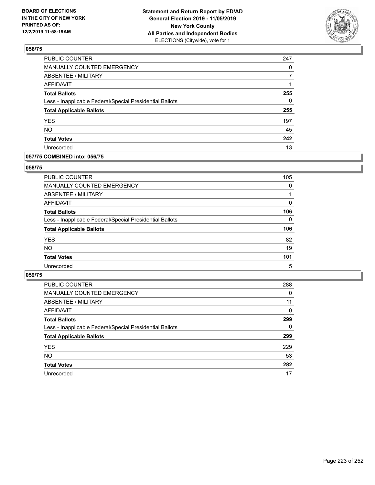

| <b>PUBLIC COUNTER</b>                                    | 247 |
|----------------------------------------------------------|-----|
| MANUALLY COUNTED EMERGENCY                               | 0   |
| ABSENTEE / MILITARY                                      |     |
| <b>AFFIDAVIT</b>                                         |     |
| <b>Total Ballots</b>                                     | 255 |
| Less - Inapplicable Federal/Special Presidential Ballots | 0   |
| <b>Total Applicable Ballots</b>                          | 255 |
| <b>YES</b>                                               | 197 |
| <b>NO</b>                                                | 45  |
| <b>Total Votes</b>                                       | 242 |
| Unrecorded                                               | 13  |

### **057/75 COMBINED into: 056/75**

### **058/75**

| PUBLIC COUNTER                                           | 105          |
|----------------------------------------------------------|--------------|
| MANUALLY COUNTED EMERGENCY                               | 0            |
| ABSENTEE / MILITARY                                      |              |
| AFFIDAVIT                                                | $\Omega$     |
| <b>Total Ballots</b>                                     | 106          |
| Less - Inapplicable Federal/Special Presidential Ballots | $\mathbf{0}$ |
| <b>Total Applicable Ballots</b>                          | 106          |
| <b>YES</b>                                               | 82           |
| <b>NO</b>                                                | 19           |
| <b>Total Votes</b>                                       | 101          |
| Unrecorded                                               | 5            |

| <b>PUBLIC COUNTER</b>                                    | 288      |
|----------------------------------------------------------|----------|
| MANUALLY COUNTED EMERGENCY                               | $\Omega$ |
| ABSENTEE / MILITARY                                      | 11       |
| AFFIDAVIT                                                | $\Omega$ |
| <b>Total Ballots</b>                                     | 299      |
| Less - Inapplicable Federal/Special Presidential Ballots | $\Omega$ |
| <b>Total Applicable Ballots</b>                          | 299      |
| <b>YES</b>                                               | 229      |
| <b>NO</b>                                                | 53       |
| <b>Total Votes</b>                                       | 282      |
| Unrecorded                                               | 17       |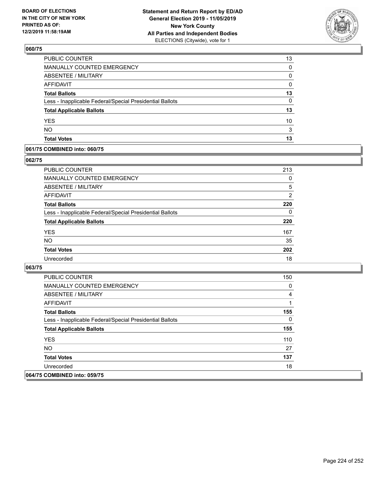

| 13 |
|----|
| 0  |
| 0  |
| 0  |
| 13 |
| 0  |
| 13 |
| 10 |
| 3  |
| 13 |
|    |

### **061/75 COMBINED into: 060/75**

## **062/75**

| PUBLIC COUNTER                                           | 213            |
|----------------------------------------------------------|----------------|
| <b>MANUALLY COUNTED EMERGENCY</b>                        | 0              |
| ABSENTEE / MILITARY                                      | 5              |
| AFFIDAVIT                                                | $\overline{2}$ |
| <b>Total Ballots</b>                                     | 220            |
| Less - Inapplicable Federal/Special Presidential Ballots | 0              |
| <b>Total Applicable Ballots</b>                          | 220            |
| <b>YES</b>                                               | 167            |
| <b>NO</b>                                                | 35             |
| <b>Total Votes</b>                                       | 202            |
| Unrecorded                                               | 18             |

| PUBLIC COUNTER                                           | 150          |
|----------------------------------------------------------|--------------|
| <b>MANUALLY COUNTED EMERGENCY</b>                        | 0            |
| ABSENTEE / MILITARY                                      | 4            |
| AFFIDAVIT                                                |              |
| <b>Total Ballots</b>                                     | 155          |
| Less - Inapplicable Federal/Special Presidential Ballots | $\mathbf{0}$ |
| <b>Total Applicable Ballots</b>                          | 155          |
| <b>YES</b>                                               | 110          |
| NO.                                                      | 27           |
| <b>Total Votes</b>                                       | 137          |
| Unrecorded                                               | 18           |
| 064/75 COMBINED into: 059/75                             |              |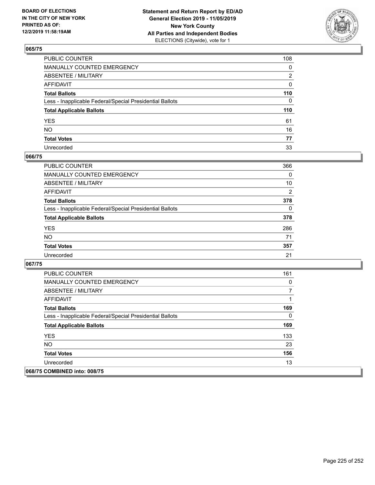

| PUBLIC COUNTER                                           | 108 |
|----------------------------------------------------------|-----|
| MANUALLY COUNTED EMERGENCY                               | 0   |
| ABSENTEE / MILITARY                                      | 2   |
| AFFIDAVIT                                                | 0   |
| Total Ballots                                            | 110 |
| Less - Inapplicable Federal/Special Presidential Ballots | 0   |
| <b>Total Applicable Ballots</b>                          | 110 |
| YES                                                      | 61  |
| NO.                                                      | 16  |
| <b>Total Votes</b>                                       | 77  |
| Unrecorded                                               | 33  |

### **066/75**

| <b>PUBLIC COUNTER</b>                                    | 366            |
|----------------------------------------------------------|----------------|
| <b>MANUALLY COUNTED EMERGENCY</b>                        | $\Omega$       |
| ABSENTEE / MILITARY                                      | 10             |
| <b>AFFIDAVIT</b>                                         | $\overline{2}$ |
| <b>Total Ballots</b>                                     | 378            |
| Less - Inapplicable Federal/Special Presidential Ballots | $\Omega$       |
| <b>Total Applicable Ballots</b>                          | 378            |
| <b>YES</b>                                               | 286            |
| <b>NO</b>                                                | 71             |
| <b>Total Votes</b>                                       | 357            |
| Unrecorded                                               | 21             |

| <b>PUBLIC COUNTER</b>                                    | 161 |
|----------------------------------------------------------|-----|
| <b>MANUALLY COUNTED EMERGENCY</b>                        | 0   |
| ABSENTEE / MILITARY                                      | 7   |
| AFFIDAVIT                                                |     |
| <b>Total Ballots</b>                                     | 169 |
| Less - Inapplicable Federal/Special Presidential Ballots | 0   |
| <b>Total Applicable Ballots</b>                          | 169 |
| <b>YES</b>                                               | 133 |
| <b>NO</b>                                                | 23  |
| <b>Total Votes</b>                                       | 156 |
| Unrecorded                                               | 13  |
| 068/75 COMBINED into: 008/75                             |     |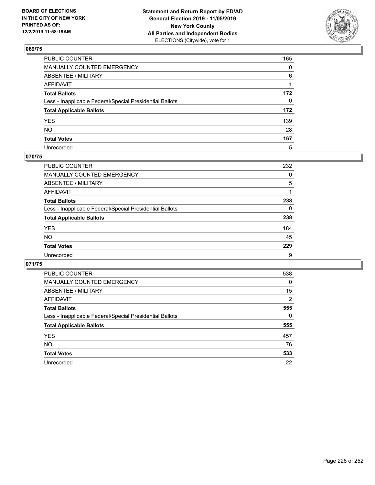

| PUBLIC COUNTER                                           | 165 |
|----------------------------------------------------------|-----|
| MANUALLY COUNTED EMERGENCY                               | 0   |
| ABSENTEE / MILITARY                                      | 6   |
| AFFIDAVIT                                                | 1   |
| Total Ballots                                            | 172 |
| Less - Inapplicable Federal/Special Presidential Ballots | 0   |
| <b>Total Applicable Ballots</b>                          | 172 |
| YES                                                      | 139 |
| NO.                                                      | 28  |
| <b>Total Votes</b>                                       | 167 |
| Unrecorded                                               | 5   |

## **070/75**

| <b>PUBLIC COUNTER</b>                                    | 232      |
|----------------------------------------------------------|----------|
| <b>MANUALLY COUNTED EMERGENCY</b>                        | $\Omega$ |
| ABSENTEE / MILITARY                                      | 5        |
| AFFIDAVIT                                                |          |
| <b>Total Ballots</b>                                     | 238      |
| Less - Inapplicable Federal/Special Presidential Ballots | $\Omega$ |
| <b>Total Applicable Ballots</b>                          | 238      |
| <b>YES</b>                                               | 184      |
| <b>NO</b>                                                | 45       |
| <b>Total Votes</b>                                       | 229      |
| Unrecorded                                               | 9        |

| <b>PUBLIC COUNTER</b>                                    | 538            |
|----------------------------------------------------------|----------------|
| <b>MANUALLY COUNTED EMERGENCY</b>                        | $\Omega$       |
| ABSENTEE / MILITARY                                      | 15             |
| AFFIDAVIT                                                | $\overline{2}$ |
| <b>Total Ballots</b>                                     | 555            |
| Less - Inapplicable Federal/Special Presidential Ballots | 0              |
| <b>Total Applicable Ballots</b>                          | 555            |
| <b>YES</b>                                               | 457            |
| NO.                                                      | 76             |
| <b>Total Votes</b>                                       | 533            |
| Unrecorded                                               | 22             |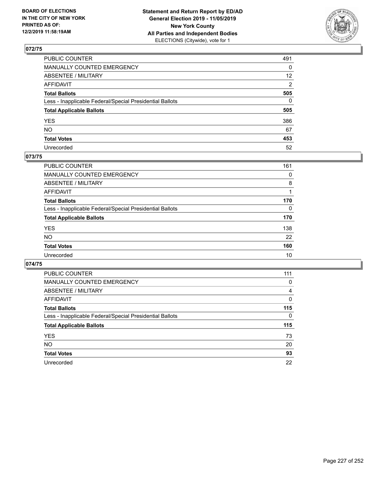

| PUBLIC COUNTER                                           | 491             |
|----------------------------------------------------------|-----------------|
| MANUALLY COUNTED EMERGENCY                               | 0               |
| ABSENTEE / MILITARY                                      | 12 <sup>2</sup> |
| AFFIDAVIT                                                | 2               |
| Total Ballots                                            | 505             |
| Less - Inapplicable Federal/Special Presidential Ballots | 0               |
| <b>Total Applicable Ballots</b>                          | 505             |
| YES                                                      | 386             |
| NO.                                                      | 67              |
| <b>Total Votes</b>                                       | 453             |
| Unrecorded                                               | 52              |

### **073/75**

| <b>PUBLIC COUNTER</b>                                    | 161      |
|----------------------------------------------------------|----------|
| <b>MANUALLY COUNTED EMERGENCY</b>                        | 0        |
| ABSENTEE / MILITARY                                      | 8        |
| AFFIDAVIT                                                |          |
| <b>Total Ballots</b>                                     | 170      |
| Less - Inapplicable Federal/Special Presidential Ballots | $\Omega$ |
| <b>Total Applicable Ballots</b>                          | 170      |
| <b>YES</b>                                               | 138      |
| <b>NO</b>                                                | 22       |
| <b>Total Votes</b>                                       | 160      |
| Unrecorded                                               | 10       |

| PUBLIC COUNTER                                           | 111      |
|----------------------------------------------------------|----------|
| <b>MANUALLY COUNTED EMERGENCY</b>                        | 0        |
| ABSENTEE / MILITARY                                      | 4        |
| AFFIDAVIT                                                | 0        |
| <b>Total Ballots</b>                                     | 115      |
| Less - Inapplicable Federal/Special Presidential Ballots | $\Omega$ |
| <b>Total Applicable Ballots</b>                          | 115      |
| <b>YES</b>                                               | 73       |
| <b>NO</b>                                                | 20       |
| <b>Total Votes</b>                                       | 93       |
| Unrecorded                                               | 22       |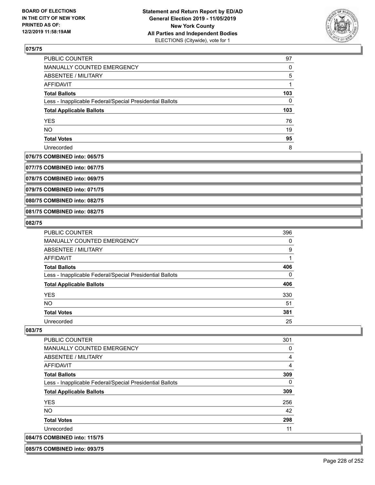

| PUBLIC COUNTER                                           | 97  |
|----------------------------------------------------------|-----|
| <b>MANUALLY COUNTED EMERGENCY</b>                        | 0   |
| ABSENTEE / MILITARY                                      | 5   |
| AFFIDAVIT                                                |     |
| <b>Total Ballots</b>                                     | 103 |
| Less - Inapplicable Federal/Special Presidential Ballots | 0   |
| <b>Total Applicable Ballots</b>                          | 103 |
| <b>YES</b>                                               | 76  |
| <b>NO</b>                                                | 19  |
| <b>Total Votes</b>                                       | 95  |
| Unrecorded                                               | 8   |

#### **076/75 COMBINED into: 065/75**

**077/75 COMBINED into: 067/75**

**078/75 COMBINED into: 069/75**

**079/75 COMBINED into: 071/75**

**080/75 COMBINED into: 082/75**

### **081/75 COMBINED into: 082/75**

#### **082/75**

| <b>PUBLIC COUNTER</b>                                    | 396 |
|----------------------------------------------------------|-----|
| MANUALLY COUNTED EMERGENCY                               | 0   |
| ABSENTEE / MILITARY                                      | 9   |
| AFFIDAVIT                                                |     |
| <b>Total Ballots</b>                                     | 406 |
| Less - Inapplicable Federal/Special Presidential Ballots | 0   |
| <b>Total Applicable Ballots</b>                          | 406 |
| <b>YES</b>                                               | 330 |
| <b>NO</b>                                                | 51  |
| <b>Total Votes</b>                                       | 381 |
| Unrecorded                                               | 25  |

#### **083/75**

| <b>PUBLIC COUNTER</b>                                    | 301 |
|----------------------------------------------------------|-----|
| <b>MANUALLY COUNTED EMERGENCY</b>                        | 0   |
| ABSENTEE / MILITARY                                      | 4   |
| AFFIDAVIT                                                | 4   |
| <b>Total Ballots</b>                                     | 309 |
| Less - Inapplicable Federal/Special Presidential Ballots | 0   |
| <b>Total Applicable Ballots</b>                          | 309 |
| <b>YES</b>                                               | 256 |
| NO.                                                      | 42  |
| <b>Total Votes</b>                                       | 298 |
| Unrecorded                                               | 11  |
| 084/75 COMBINED into: 115/75                             |     |

**085/75 COMBINED into: 093/75**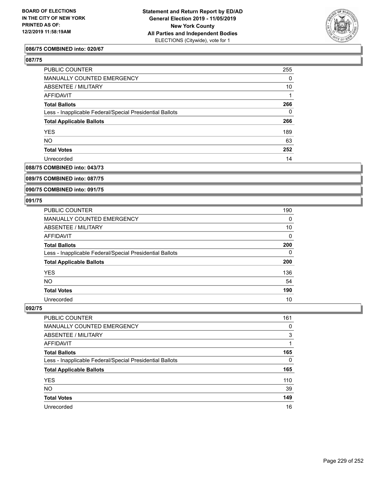

### **086/75 COMBINED into: 020/67**

## **087/75**

| PUBLIC COUNTER                                           | 255      |
|----------------------------------------------------------|----------|
| MANUALLY COUNTED EMERGENCY                               | $\Omega$ |
| <b>ABSENTEE / MILITARY</b>                               | 10       |
| AFFIDAVIT                                                |          |
| <b>Total Ballots</b>                                     | 266      |
| Less - Inapplicable Federal/Special Presidential Ballots | $\Omega$ |
| <b>Total Applicable Ballots</b>                          | 266      |
| <b>YES</b>                                               | 189      |
| <b>NO</b>                                                | 63       |
| <b>Total Votes</b>                                       | 252      |
| Unrecorded                                               | 14       |
|                                                          |          |

## **088/75 COMBINED into: 043/73**

## **089/75 COMBINED into: 087/75**

#### **090/75 COMBINED into: 091/75**

### **091/75**

| <b>PUBLIC COUNTER</b>                                    | 190 |
|----------------------------------------------------------|-----|
| MANUALLY COUNTED EMERGENCY                               | 0   |
| <b>ABSENTEE / MILITARY</b>                               | 10  |
| AFFIDAVIT                                                | 0   |
| <b>Total Ballots</b>                                     | 200 |
| Less - Inapplicable Federal/Special Presidential Ballots | 0   |
| <b>Total Applicable Ballots</b>                          | 200 |
| <b>YES</b>                                               | 136 |
| <b>NO</b>                                                | 54  |
| <b>Total Votes</b>                                       | 190 |
| Unrecorded                                               | 10  |

| PUBLIC COUNTER                                           | 161      |
|----------------------------------------------------------|----------|
| MANUALLY COUNTED EMERGENCY                               | 0        |
| ABSENTEE / MILITARY                                      | 3        |
| AFFIDAVIT                                                |          |
| <b>Total Ballots</b>                                     | 165      |
| Less - Inapplicable Federal/Special Presidential Ballots | $\Omega$ |
| <b>Total Applicable Ballots</b>                          | 165      |
| <b>YES</b>                                               | 110      |
| <b>NO</b>                                                | 39       |
| <b>Total Votes</b>                                       | 149      |
| Unrecorded                                               | 16       |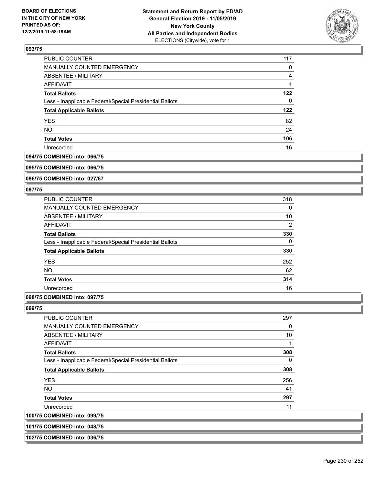

| PUBLIC COUNTER                                           | 117 |
|----------------------------------------------------------|-----|
| <b>MANUALLY COUNTED EMERGENCY</b>                        | 0   |
| ABSENTEE / MILITARY                                      | 4   |
| AFFIDAVIT                                                |     |
| <b>Total Ballots</b>                                     | 122 |
| Less - Inapplicable Federal/Special Presidential Ballots | 0   |
| <b>Total Applicable Ballots</b>                          | 122 |
| <b>YES</b>                                               | 82  |
| <b>NO</b>                                                | 24  |
| <b>Total Votes</b>                                       | 106 |
| Unrecorded                                               | 16  |

#### **094/75 COMBINED into: 066/75**

#### **095/75 COMBINED into: 066/75**

**096/75 COMBINED into: 027/67**

### **097/75**

| <b>PUBLIC COUNTER</b>                                    | 318 |
|----------------------------------------------------------|-----|
| <b>MANUALLY COUNTED EMERGENCY</b>                        | 0   |
| ABSENTEE / MILITARY                                      | 10  |
| <b>AFFIDAVIT</b>                                         | 2   |
| <b>Total Ballots</b>                                     | 330 |
| Less - Inapplicable Federal/Special Presidential Ballots | 0   |
| <b>Total Applicable Ballots</b>                          | 330 |
| <b>YES</b>                                               | 252 |
| NO.                                                      | 62  |
| <b>Total Votes</b>                                       | 314 |
| Unrecorded                                               | 16  |
|                                                          |     |

## **098/75 COMBINED into: 097/75**

#### **099/75**

**100/75 COMBINED into: 099/75**

| <b>PUBLIC COUNTER</b>                                    | 297 |
|----------------------------------------------------------|-----|
| <b>MANUALLY COUNTED EMERGENCY</b>                        | 0   |
| ABSENTEE / MILITARY                                      | 10  |
| AFFIDAVIT                                                | 1   |
| <b>Total Ballots</b>                                     | 308 |
| Less - Inapplicable Federal/Special Presidential Ballots | 0   |
| <b>Total Applicable Ballots</b>                          | 308 |
| <b>YES</b>                                               | 256 |
| <b>NO</b>                                                | 41  |
| <b>Total Votes</b>                                       | 297 |
| Unrecorded                                               | 11  |
| <b>COMBINED into: 099/75</b>                             |     |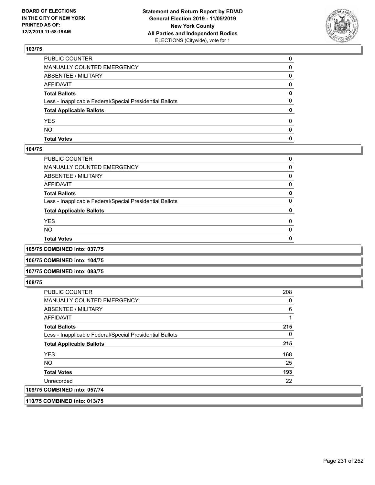

| <b>Total Votes</b>                                       | 0 |
|----------------------------------------------------------|---|
| <b>NO</b>                                                | 0 |
| <b>YES</b>                                               | 0 |
| <b>Total Applicable Ballots</b>                          | 0 |
| Less - Inapplicable Federal/Special Presidential Ballots | 0 |
| <b>Total Ballots</b>                                     | 0 |
| <b>AFFIDAVIT</b>                                         | 0 |
| <b>ABSENTEE / MILITARY</b>                               | 0 |
| <b>MANUALLY COUNTED EMERGENCY</b>                        |   |
| PUBLIC COUNTER                                           |   |

#### **104/75**

| PUBLIC COUNTER                                           | 0        |
|----------------------------------------------------------|----------|
| MANUALLY COUNTED EMERGENCY                               | 0        |
| ABSENTEE / MILITARY                                      | 0        |
| AFFIDAVIT                                                | 0        |
| <b>Total Ballots</b>                                     | 0        |
| Less - Inapplicable Federal/Special Presidential Ballots | 0        |
| <b>Total Applicable Ballots</b>                          | 0        |
| YES                                                      | $\Omega$ |
| NO.                                                      | $\Omega$ |
| <b>Total Votes</b>                                       | 0        |
|                                                          |          |

**105/75 COMBINED into: 037/75**

**106/75 COMBINED into: 104/75**

### **107/75 COMBINED into: 083/75**

**108/75** 

| <b>PUBLIC COUNTER</b>                                    | 208 |
|----------------------------------------------------------|-----|
| MANUALLY COUNTED EMERGENCY                               | 0   |
| ABSENTEE / MILITARY                                      | 6   |
| AFFIDAVIT                                                |     |
| <b>Total Ballots</b>                                     | 215 |
| Less - Inapplicable Federal/Special Presidential Ballots | 0   |
| <b>Total Applicable Ballots</b>                          | 215 |
| <b>YES</b>                                               | 168 |
| <b>NO</b>                                                | 25  |
| <b>Total Votes</b>                                       | 193 |
| Unrecorded                                               | 22  |
| 109/75 COMBINED into: 057/74                             |     |
|                                                          |     |

**110/75 COMBINED into: 013/75**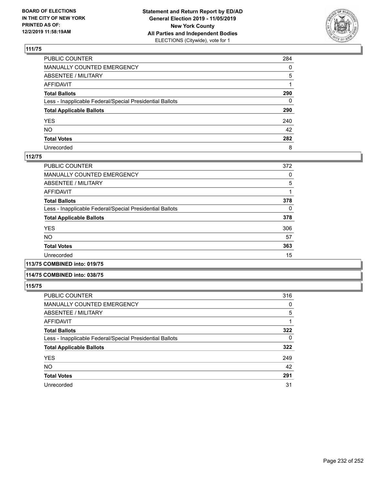

| PUBLIC COUNTER                                           | 284          |
|----------------------------------------------------------|--------------|
| MANUALLY COUNTED EMERGENCY                               | $\mathbf{0}$ |
| ABSENTEE / MILITARY                                      | 5            |
| AFFIDAVIT                                                |              |
| Total Ballots                                            | 290          |
| Less - Inapplicable Federal/Special Presidential Ballots | 0            |
| <b>Total Applicable Ballots</b>                          | 290          |
| YES                                                      | 240          |
| NO.                                                      | 42           |
| <b>Total Votes</b>                                       | 282          |
| Unrecorded                                               | 8            |

### **112/75**

| <b>PUBLIC COUNTER</b>                                    | 372 |
|----------------------------------------------------------|-----|
| MANUALLY COUNTED EMERGENCY                               | 0   |
| ABSENTEE / MILITARY                                      | 5   |
| AFFIDAVIT                                                |     |
| <b>Total Ballots</b>                                     | 378 |
| Less - Inapplicable Federal/Special Presidential Ballots | 0   |
| <b>Total Applicable Ballots</b>                          | 378 |
| <b>YES</b>                                               | 306 |
| <b>NO</b>                                                | 57  |
| <b>Total Votes</b>                                       | 363 |
| Unrecorded                                               | 15  |
|                                                          |     |

**113/75 COMBINED into: 019/75**

### **114/75 COMBINED into: 038/75**

| <b>PUBLIC COUNTER</b>                                    | 316 |
|----------------------------------------------------------|-----|
| <b>MANUALLY COUNTED EMERGENCY</b>                        | 0   |
| ABSENTEE / MILITARY                                      | 5   |
| AFFIDAVIT                                                |     |
| <b>Total Ballots</b>                                     | 322 |
| Less - Inapplicable Federal/Special Presidential Ballots | 0   |
| <b>Total Applicable Ballots</b>                          | 322 |
| <b>YES</b>                                               | 249 |
| <b>NO</b>                                                | 42  |
| <b>Total Votes</b>                                       | 291 |
| Unrecorded                                               | 31  |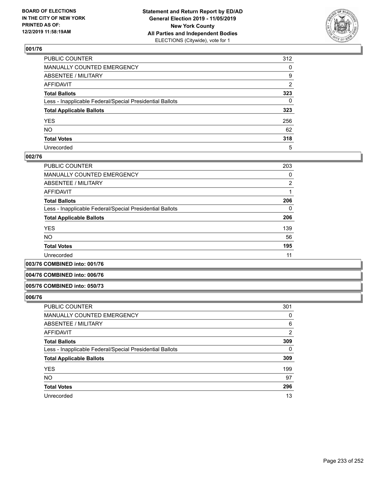

| PUBLIC COUNTER                                           | 312 |
|----------------------------------------------------------|-----|
| MANUALLY COUNTED EMERGENCY                               | 0   |
| ABSENTEE / MILITARY                                      | 9   |
| AFFIDAVIT                                                | 2   |
| Total Ballots                                            | 323 |
| Less - Inapplicable Federal/Special Presidential Ballots | 0   |
| <b>Total Applicable Ballots</b>                          | 323 |
| YES                                                      | 256 |
| NO.                                                      | 62  |
| <b>Total Votes</b>                                       | 318 |
| Unrecorded                                               | 5   |

### **002/76**

| <b>PUBLIC COUNTER</b>                                    | 203            |
|----------------------------------------------------------|----------------|
| MANUALLY COUNTED EMERGENCY                               | 0              |
| ABSENTEE / MILITARY                                      | $\overline{2}$ |
| AFFIDAVIT                                                |                |
| <b>Total Ballots</b>                                     | 206            |
| Less - Inapplicable Federal/Special Presidential Ballots | 0              |
| <b>Total Applicable Ballots</b>                          | 206            |
| <b>YES</b>                                               | 139            |
| <b>NO</b>                                                | 56             |
| <b>Total Votes</b>                                       | 195            |
| Unrecorded                                               | 11             |
|                                                          |                |

**003/76 COMBINED into: 001/76**

#### **004/76 COMBINED into: 006/76**

#### **005/76 COMBINED into: 050/73**

| <b>PUBLIC COUNTER</b>                                    | 301      |
|----------------------------------------------------------|----------|
| MANUALLY COUNTED EMERGENCY                               | 0        |
| ABSENTEE / MILITARY                                      | 6        |
| AFFIDAVIT                                                | 2        |
| <b>Total Ballots</b>                                     | 309      |
| Less - Inapplicable Federal/Special Presidential Ballots | $\Omega$ |
| <b>Total Applicable Ballots</b>                          | 309      |
| <b>YES</b>                                               | 199      |
| <b>NO</b>                                                | 97       |
| <b>Total Votes</b>                                       | 296      |
| Unrecorded                                               | 13       |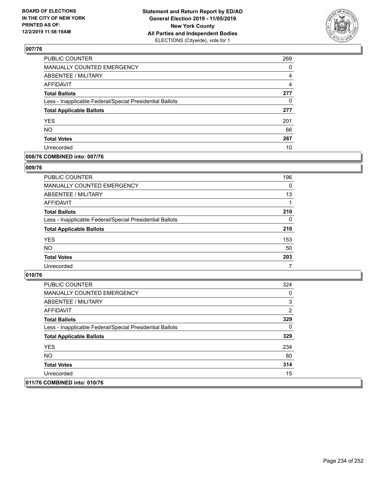

| <b>PUBLIC COUNTER</b>                                    | 269 |
|----------------------------------------------------------|-----|
| MANUALLY COUNTED EMERGENCY                               | 0   |
| ABSENTEE / MILITARY                                      | 4   |
| <b>AFFIDAVIT</b>                                         | 4   |
| <b>Total Ballots</b>                                     | 277 |
| Less - Inapplicable Federal/Special Presidential Ballots | 0   |
| <b>Total Applicable Ballots</b>                          | 277 |
| <b>YES</b>                                               | 201 |
| <b>NO</b>                                                | 66  |
| <b>Total Votes</b>                                       | 267 |
| Unrecorded                                               | 10  |

### **008/76 COMBINED into: 007/76**

### **009/76**

| PUBLIC COUNTER                                           | 196      |
|----------------------------------------------------------|----------|
| MANUALLY COUNTED EMERGENCY                               | $\Omega$ |
| ABSENTEE / MILITARY                                      | 13       |
| AFFIDAVIT                                                |          |
| <b>Total Ballots</b>                                     | 210      |
| Less - Inapplicable Federal/Special Presidential Ballots | $\Omega$ |
| <b>Total Applicable Ballots</b>                          | 210      |
| <b>YES</b>                                               | 153      |
| <b>NO</b>                                                | 50       |
| <b>Total Votes</b>                                       | 203      |
| Unrecorded                                               | 7        |

| <b>PUBLIC COUNTER</b>                                    | 324 |
|----------------------------------------------------------|-----|
| <b>MANUALLY COUNTED EMERGENCY</b>                        | 0   |
| ABSENTEE / MILITARY                                      | 3   |
| AFFIDAVIT                                                | 2   |
| <b>Total Ballots</b>                                     | 329 |
| Less - Inapplicable Federal/Special Presidential Ballots | 0   |
| <b>Total Applicable Ballots</b>                          | 329 |
| <b>YES</b>                                               | 234 |
| NO.                                                      | 80  |
| <b>Total Votes</b>                                       | 314 |
| Unrecorded                                               | 15  |
| 011/76 COMBINED into: 010/76                             |     |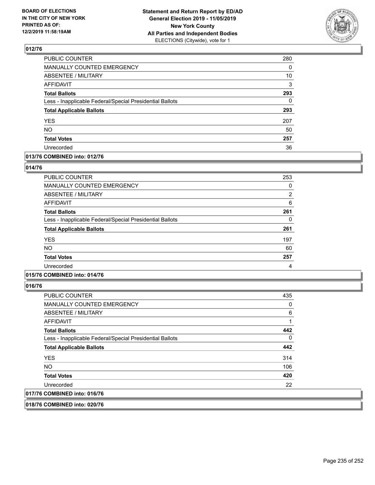

| PUBLIC COUNTER                                           | 280 |
|----------------------------------------------------------|-----|
| MANUALLY COUNTED EMERGENCY                               | 0   |
| <b>ABSENTEE / MILITARY</b>                               | 10  |
| <b>AFFIDAVIT</b>                                         | 3   |
| <b>Total Ballots</b>                                     | 293 |
| Less - Inapplicable Federal/Special Presidential Ballots | 0   |
| <b>Total Applicable Ballots</b>                          | 293 |
| <b>YES</b>                                               | 207 |
| <b>NO</b>                                                | 50  |
| <b>Total Votes</b>                                       | 257 |
| Unrecorded                                               | 36  |

### **013/76 COMBINED into: 012/76**

### **014/76**

| <b>PUBLIC COUNTER</b>                                    | 253 |
|----------------------------------------------------------|-----|
|                                                          |     |
| <b>MANUALLY COUNTED EMERGENCY</b>                        | 0   |
| ABSENTEE / MILITARY                                      | 2   |
| AFFIDAVIT                                                | 6   |
| <b>Total Ballots</b>                                     | 261 |
| Less - Inapplicable Federal/Special Presidential Ballots | 0   |
| <b>Total Applicable Ballots</b>                          | 261 |
| <b>YES</b>                                               | 197 |
| <b>NO</b>                                                | 60  |
| <b>Total Votes</b>                                       | 257 |
| Unrecorded                                               | 4   |

## **015/76 COMBINED into: 014/76**

**016/76** 

| <b>PUBLIC COUNTER</b>                                    | 435 |
|----------------------------------------------------------|-----|
| MANUALLY COUNTED EMERGENCY                               | 0   |
| ABSENTEE / MILITARY                                      | 6   |
| AFFIDAVIT                                                |     |
| <b>Total Ballots</b>                                     | 442 |
| Less - Inapplicable Federal/Special Presidential Ballots | 0   |
| <b>Total Applicable Ballots</b>                          | 442 |
| <b>YES</b>                                               | 314 |
| NO.                                                      | 106 |
| <b>Total Votes</b>                                       | 420 |
| Unrecorded                                               | 22  |
| 017/76 COMBINED into: 016/76                             |     |

**018/76 COMBINED into: 020/76**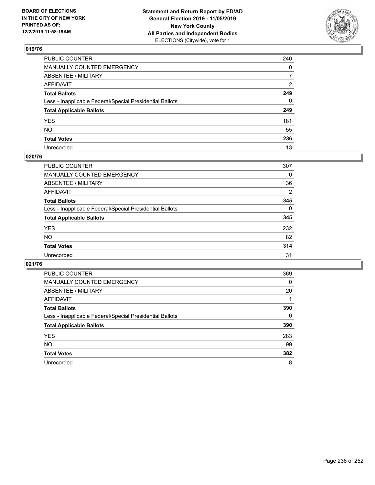

| PUBLIC COUNTER                                           | 240            |
|----------------------------------------------------------|----------------|
| MANUALLY COUNTED EMERGENCY                               | $\Omega$       |
| ABSENTEE / MILITARY                                      | $\overline{7}$ |
| AFFIDAVIT                                                | $\overline{2}$ |
| Total Ballots                                            | 249            |
| Less - Inapplicable Federal/Special Presidential Ballots | $\mathbf{0}$   |
| <b>Total Applicable Ballots</b>                          | 249            |
| YES                                                      | 181            |
| NO.                                                      | 55             |
| <b>Total Votes</b>                                       | 236            |
| Unrecorded                                               | 13             |

### **020/76**

| PUBLIC COUNTER                                           | 307      |
|----------------------------------------------------------|----------|
| <b>MANUALLY COUNTED EMERGENCY</b>                        | 0        |
| ABSENTEE / MILITARY                                      | 36       |
| AFFIDAVIT                                                | 2        |
| <b>Total Ballots</b>                                     | 345      |
| Less - Inapplicable Federal/Special Presidential Ballots | $\Omega$ |
| <b>Total Applicable Ballots</b>                          | 345      |
| <b>YES</b>                                               | 232      |
| <b>NO</b>                                                | 82       |
| <b>Total Votes</b>                                       | 314      |
| Unrecorded                                               | 31       |

| PUBLIC COUNTER                                           | 369      |
|----------------------------------------------------------|----------|
| <b>MANUALLY COUNTED EMERGENCY</b>                        | $\Omega$ |
| ABSENTEE / MILITARY                                      | 20       |
| AFFIDAVIT                                                |          |
| <b>Total Ballots</b>                                     | 390      |
| Less - Inapplicable Federal/Special Presidential Ballots | $\Omega$ |
| <b>Total Applicable Ballots</b>                          | 390      |
| <b>YES</b>                                               | 283      |
| <b>NO</b>                                                | 99       |
| <b>Total Votes</b>                                       | 382      |
| Unrecorded                                               | 8        |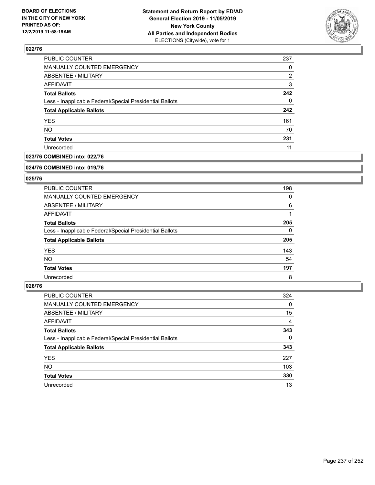

| PUBLIC COUNTER                                           | 237 |
|----------------------------------------------------------|-----|
| MANUALLY COUNTED EMERGENCY                               | 0   |
| <b>ABSENTEE / MILITARY</b>                               | 2   |
| <b>AFFIDAVIT</b>                                         | 3   |
| <b>Total Ballots</b>                                     | 242 |
| Less - Inapplicable Federal/Special Presidential Ballots | 0   |
| <b>Total Applicable Ballots</b>                          | 242 |
| <b>YES</b>                                               | 161 |
| <b>NO</b>                                                | 70  |
| <b>Total Votes</b>                                       | 231 |
| Unrecorded                                               | 11  |

### **023/76 COMBINED into: 022/76**

#### **024/76 COMBINED into: 019/76**

## **025/76**

| <b>PUBLIC COUNTER</b>                                    | 198      |
|----------------------------------------------------------|----------|
| <b>MANUALLY COUNTED EMERGENCY</b>                        | 0        |
| ABSENTEE / MILITARY                                      | 6        |
| AFFIDAVIT                                                |          |
| <b>Total Ballots</b>                                     | 205      |
| Less - Inapplicable Federal/Special Presidential Ballots | $\Omega$ |
| <b>Total Applicable Ballots</b>                          | 205      |
| <b>YES</b>                                               | 143      |
| NO.                                                      | 54       |
| <b>Total Votes</b>                                       | 197      |
| Unrecorded                                               | 8        |

| PUBLIC COUNTER                                           | 324      |
|----------------------------------------------------------|----------|
| MANUALLY COUNTED EMERGENCY                               | 0        |
| ABSENTEE / MILITARY                                      | 15       |
| AFFIDAVIT                                                | 4        |
| <b>Total Ballots</b>                                     | 343      |
| Less - Inapplicable Federal/Special Presidential Ballots | $\Omega$ |
| <b>Total Applicable Ballots</b>                          | 343      |
| <b>YES</b>                                               | 227      |
| <b>NO</b>                                                | 103      |
| <b>Total Votes</b>                                       | 330      |
| Unrecorded                                               | 13       |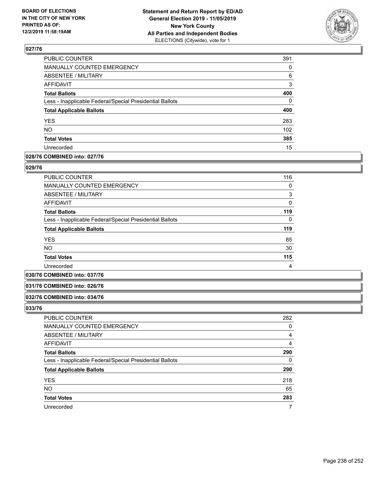

| PUBLIC COUNTER                                           | 391      |
|----------------------------------------------------------|----------|
| MANUALLY COUNTED EMERGENCY                               | 0        |
| ABSENTEE / MILITARY                                      | 6        |
| AFFIDAVIT                                                | 3        |
| <b>Total Ballots</b>                                     | 400      |
| Less - Inapplicable Federal/Special Presidential Ballots | $\Omega$ |
| <b>Total Applicable Ballots</b>                          | 400      |
| <b>YES</b>                                               | 283      |
| NO.                                                      | 102      |
| <b>Total Votes</b>                                       | 385      |
| Unrecorded                                               | 15       |

### **028/76 COMBINED into: 027/76**

### **029/76**

| <b>PUBLIC COUNTER</b>                                    | 116 |
|----------------------------------------------------------|-----|
| <b>MANUALLY COUNTED EMERGENCY</b>                        | 0   |
| ABSENTEE / MILITARY                                      | 3   |
| <b>AFFIDAVIT</b>                                         | 0   |
| <b>Total Ballots</b>                                     | 119 |
| Less - Inapplicable Federal/Special Presidential Ballots | 0   |
| <b>Total Applicable Ballots</b>                          | 119 |
| <b>YES</b>                                               | 85  |
| <b>NO</b>                                                | 30  |
| <b>Total Votes</b>                                       | 115 |
| Unrecorded                                               | 4   |

### **030/76 COMBINED into: 037/76**

### **031/76 COMBINED into: 026/76**

#### **032/76 COMBINED into: 034/76**

| <b>PUBLIC COUNTER</b>                                    | 282 |
|----------------------------------------------------------|-----|
| MANUALLY COUNTED EMERGENCY                               | 0   |
| ABSENTEE / MILITARY                                      | 4   |
| AFFIDAVIT                                                | 4   |
| <b>Total Ballots</b>                                     | 290 |
| Less - Inapplicable Federal/Special Presidential Ballots | 0   |
| <b>Total Applicable Ballots</b>                          | 290 |
| <b>YES</b>                                               | 218 |
| <b>NO</b>                                                | 65  |
| <b>Total Votes</b>                                       | 283 |
| Unrecorded                                               |     |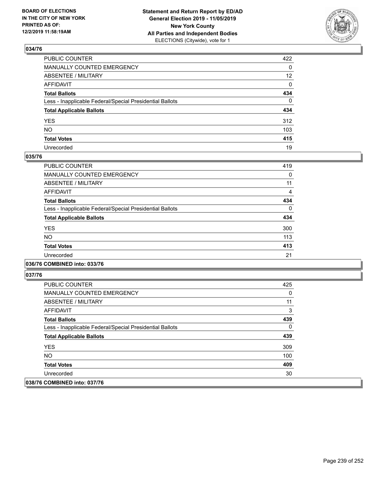

| PUBLIC COUNTER                                           | 422             |
|----------------------------------------------------------|-----------------|
| MANUALLY COUNTED EMERGENCY                               | 0               |
| ABSENTEE / MILITARY                                      | 12 <sup>2</sup> |
| AFFIDAVIT                                                | 0               |
| Total Ballots                                            | 434             |
| Less - Inapplicable Federal/Special Presidential Ballots | 0               |
| <b>Total Applicable Ballots</b>                          | 434             |
| YES                                                      | 312             |
| NO.                                                      | 103             |
| <b>Total Votes</b>                                       | 415             |
| Unrecorded                                               | 19              |

### **035/76**

| <b>PUBLIC COUNTER</b>                                    | 419      |
|----------------------------------------------------------|----------|
| <b>MANUALLY COUNTED EMERGENCY</b>                        | 0        |
| ABSENTEE / MILITARY                                      | 11       |
| <b>AFFIDAVIT</b>                                         | 4        |
| <b>Total Ballots</b>                                     | 434      |
| Less - Inapplicable Federal/Special Presidential Ballots | $\Omega$ |
| <b>Total Applicable Ballots</b>                          | 434      |
| <b>YES</b>                                               | 300      |
| NO.                                                      | 113      |
| <b>Total Votes</b>                                       | 413      |
| Unrecorded                                               | 21       |
|                                                          |          |

### **036/76 COMBINED into: 033/76**

| <b>PUBLIC COUNTER</b>                                    | 425 |
|----------------------------------------------------------|-----|
| <b>MANUALLY COUNTED EMERGENCY</b>                        | 0   |
| ABSENTEE / MILITARY                                      | 11  |
| AFFIDAVIT                                                | 3   |
| <b>Total Ballots</b>                                     | 439 |
| Less - Inapplicable Federal/Special Presidential Ballots | 0   |
| <b>Total Applicable Ballots</b>                          | 439 |
| <b>YES</b>                                               | 309 |
| NO.                                                      | 100 |
| <b>Total Votes</b>                                       | 409 |
| Unrecorded                                               | 30  |
| 038/76 COMBINED into: 037/76                             |     |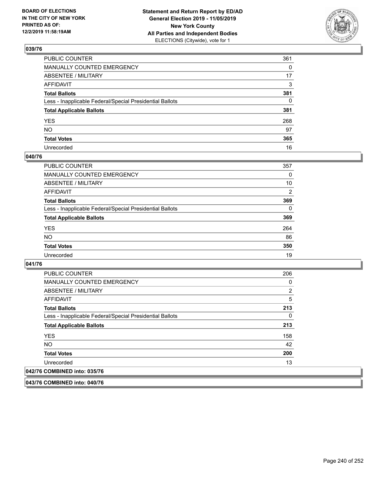

| PUBLIC COUNTER                                           | 361 |
|----------------------------------------------------------|-----|
| MANUALLY COUNTED EMERGENCY                               | 0   |
| ABSENTEE / MILITARY                                      | 17  |
| AFFIDAVIT                                                | 3   |
| Total Ballots                                            | 381 |
| Less - Inapplicable Federal/Special Presidential Ballots | 0   |
| <b>Total Applicable Ballots</b>                          | 381 |
| YES                                                      | 268 |
| NO.                                                      | 97  |
| <b>Total Votes</b>                                       | 365 |
| Unrecorded                                               | 16  |

### **040/76**

| PUBLIC COUNTER                                           | 357            |
|----------------------------------------------------------|----------------|
| <b>MANUALLY COUNTED EMERGENCY</b>                        | $\Omega$       |
| ABSENTEE / MILITARY                                      | 10             |
| <b>AFFIDAVIT</b>                                         | $\overline{2}$ |
| <b>Total Ballots</b>                                     | 369            |
| Less - Inapplicable Federal/Special Presidential Ballots | $\Omega$       |
| <b>Total Applicable Ballots</b>                          | 369            |
| <b>YES</b>                                               | 264            |
| <b>NO</b>                                                | 86             |
| <b>Total Votes</b>                                       | 350            |
| Unrecorded                                               | 19             |

### **041/76**

| <b>PUBLIC COUNTER</b>                                    | 206 |
|----------------------------------------------------------|-----|
| <b>MANUALLY COUNTED EMERGENCY</b>                        | 0   |
| ABSENTEE / MILITARY                                      | 2   |
| AFFIDAVIT                                                | 5   |
| <b>Total Ballots</b>                                     | 213 |
| Less - Inapplicable Federal/Special Presidential Ballots | 0   |
| <b>Total Applicable Ballots</b>                          | 213 |
| <b>YES</b>                                               | 158 |
| <b>NO</b>                                                | 42  |
| <b>Total Votes</b>                                       | 200 |
| Unrecorded                                               | 13  |
| 042/76 COMBINED into: 035/76                             |     |

**043/76 COMBINED into: 040/76**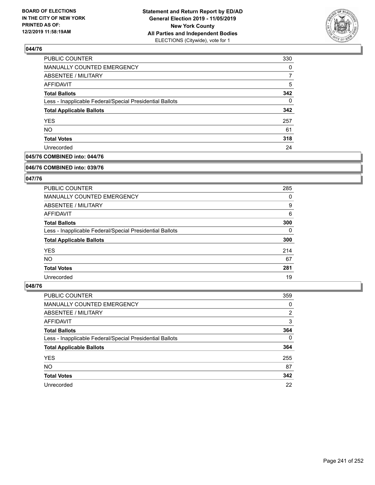

| <b>PUBLIC COUNTER</b>                                    | 330 |
|----------------------------------------------------------|-----|
| MANUALLY COUNTED EMERGENCY                               | 0   |
| <b>ABSENTEE / MILITARY</b>                               |     |
| AFFIDAVIT                                                | 5   |
| <b>Total Ballots</b>                                     | 342 |
| Less - Inapplicable Federal/Special Presidential Ballots | 0   |
| <b>Total Applicable Ballots</b>                          | 342 |
| <b>YES</b>                                               | 257 |
| <b>NO</b>                                                | 61  |
| <b>Total Votes</b>                                       | 318 |
| Unrecorded                                               | 24  |

## **045/76 COMBINED into: 044/76**

#### **046/76 COMBINED into: 039/76**

## **047/76**

| PUBLIC COUNTER                                           | 285 |
|----------------------------------------------------------|-----|
| <b>MANUALLY COUNTED EMERGENCY</b>                        | 0   |
| ABSENTEE / MILITARY                                      | 9   |
| AFFIDAVIT                                                | 6   |
| <b>Total Ballots</b>                                     | 300 |
| Less - Inapplicable Federal/Special Presidential Ballots | 0   |
| <b>Total Applicable Ballots</b>                          | 300 |
| <b>YES</b>                                               | 214 |
| NO.                                                      | 67  |
| <b>Total Votes</b>                                       | 281 |
| Unrecorded                                               | 19  |

| <b>PUBLIC COUNTER</b>                                    | 359            |
|----------------------------------------------------------|----------------|
| MANUALLY COUNTED EMERGENCY                               | 0              |
| ABSENTEE / MILITARY                                      | $\overline{2}$ |
| AFFIDAVIT                                                | 3              |
| <b>Total Ballots</b>                                     | 364            |
| Less - Inapplicable Federal/Special Presidential Ballots | $\Omega$       |
| <b>Total Applicable Ballots</b>                          | 364            |
| <b>YES</b>                                               | 255            |
| <b>NO</b>                                                | 87             |
| <b>Total Votes</b>                                       | 342            |
| Unrecorded                                               | 22             |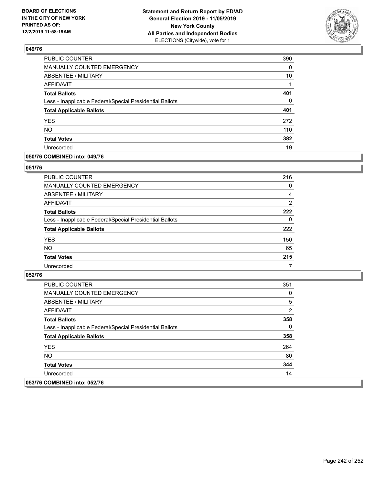

| PUBLIC COUNTER                                           | 390 |
|----------------------------------------------------------|-----|
| MANUALLY COUNTED EMERGENCY                               | 0   |
| <b>ABSENTEE / MILITARY</b>                               | 10  |
| <b>AFFIDAVIT</b>                                         |     |
| <b>Total Ballots</b>                                     | 401 |
| Less - Inapplicable Federal/Special Presidential Ballots | 0   |
| <b>Total Applicable Ballots</b>                          | 401 |
| <b>YES</b>                                               | 272 |
| <b>NO</b>                                                | 110 |
| <b>Total Votes</b>                                       | 382 |
| Unrecorded                                               | 19  |

### **050/76 COMBINED into: 049/76**

### **051/76**

| PUBLIC COUNTER                                           | 216            |
|----------------------------------------------------------|----------------|
| MANUALLY COUNTED EMERGENCY                               | $\Omega$       |
| ABSENTEE / MILITARY                                      | 4              |
| AFFIDAVIT                                                | $\overline{2}$ |
| <b>Total Ballots</b>                                     | 222            |
| Less - Inapplicable Federal/Special Presidential Ballots | $\Omega$       |
| <b>Total Applicable Ballots</b>                          | 222            |
| <b>YES</b>                                               | 150            |
| <b>NO</b>                                                | 65             |
| <b>Total Votes</b>                                       | 215            |
| Unrecorded                                               | 7              |

| <b>PUBLIC COUNTER</b>                                    | 351 |
|----------------------------------------------------------|-----|
| <b>MANUALLY COUNTED EMERGENCY</b>                        | 0   |
| ABSENTEE / MILITARY                                      | 5   |
| AFFIDAVIT                                                | 2   |
| <b>Total Ballots</b>                                     | 358 |
| Less - Inapplicable Federal/Special Presidential Ballots | 0   |
| <b>Total Applicable Ballots</b>                          | 358 |
| <b>YES</b>                                               | 264 |
| NO.                                                      | 80  |
| <b>Total Votes</b>                                       | 344 |
| Unrecorded                                               | 14  |
| 053/76 COMBINED into: 052/76                             |     |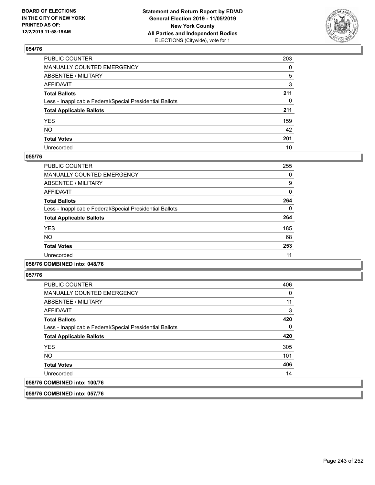

| PUBLIC COUNTER                                           | 203 |
|----------------------------------------------------------|-----|
| MANUALLY COUNTED EMERGENCY                               | 0   |
| ABSENTEE / MILITARY                                      | 5   |
| AFFIDAVIT                                                | 3   |
| Total Ballots                                            | 211 |
| Less - Inapplicable Federal/Special Presidential Ballots | 0   |
| <b>Total Applicable Ballots</b>                          | 211 |
| YES                                                      | 159 |
| NO.                                                      | 42  |
| <b>Total Votes</b>                                       | 201 |
| Unrecorded                                               | 10  |

### **055/76**

| <b>PUBLIC COUNTER</b>                                    | 255      |
|----------------------------------------------------------|----------|
| MANUALLY COUNTED EMERGENCY                               | 0        |
| ABSENTEE / MILITARY                                      | 9        |
| <b>AFFIDAVIT</b>                                         | 0        |
| <b>Total Ballots</b>                                     | 264      |
| Less - Inapplicable Federal/Special Presidential Ballots | $\Omega$ |
| <b>Total Applicable Ballots</b>                          | 264      |
| <b>YES</b>                                               | 185      |
| NO.                                                      | 68       |
| <b>Total Votes</b>                                       | 253      |
| Unrecorded                                               | 11       |
|                                                          |          |

### **056/76 COMBINED into: 048/76**

**057/76** 

| <b>PUBLIC COUNTER</b>                                    | 406      |
|----------------------------------------------------------|----------|
| <b>MANUALLY COUNTED EMERGENCY</b>                        | 0        |
| ABSENTEE / MILITARY                                      | 11       |
| AFFIDAVIT                                                | 3        |
| <b>Total Ballots</b>                                     | 420      |
| Less - Inapplicable Federal/Special Presidential Ballots | $\Omega$ |
| <b>Total Applicable Ballots</b>                          | 420      |
| <b>YES</b>                                               | 305      |
| <b>NO</b>                                                | 101      |
| <b>Total Votes</b>                                       | 406      |
| Unrecorded                                               | 14       |
| 058/76 COMBINED into: 100/76                             |          |

**059/76 COMBINED into: 057/76**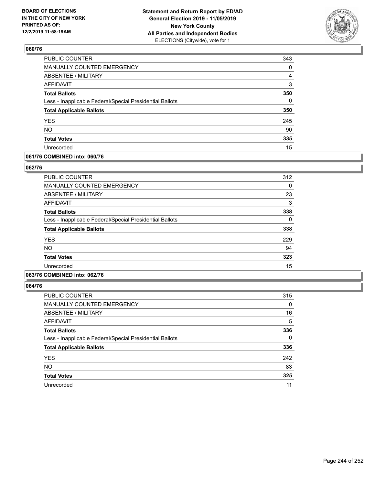

| <b>PUBLIC COUNTER</b>                                    | 343      |
|----------------------------------------------------------|----------|
| MANUALLY COUNTED EMERGENCY                               | 0        |
| <b>ABSENTEE / MILITARY</b>                               | 4        |
| <b>AFFIDAVIT</b>                                         | 3        |
| <b>Total Ballots</b>                                     | 350      |
| Less - Inapplicable Federal/Special Presidential Ballots | $\Omega$ |
| <b>Total Applicable Ballots</b>                          | 350      |
| <b>YES</b>                                               | 245      |
| <b>NO</b>                                                | 90       |
| <b>Total Votes</b>                                       | 335      |
| Unrecorded                                               | 15       |

### **061/76 COMBINED into: 060/76**

### **062/76**

| PUBLIC COUNTER                                           | 312 |
|----------------------------------------------------------|-----|
| MANUALLY COUNTED EMERGENCY                               | 0   |
| ABSENTEE / MILITARY                                      | 23  |
| AFFIDAVIT                                                | 3   |
| <b>Total Ballots</b>                                     | 338 |
| Less - Inapplicable Federal/Special Presidential Ballots | 0   |
| <b>Total Applicable Ballots</b>                          | 338 |
| <b>YES</b>                                               | 229 |
| <b>NO</b>                                                | 94  |
| <b>Total Votes</b>                                       | 323 |
| Unrecorded                                               | 15  |

## **063/76 COMBINED into: 062/76**

| <b>PUBLIC COUNTER</b>                                    | 315      |
|----------------------------------------------------------|----------|
| <b>MANUALLY COUNTED EMERGENCY</b>                        | 0        |
| ABSENTEE / MILITARY                                      | 16       |
| AFFIDAVIT                                                | 5        |
| <b>Total Ballots</b>                                     | 336      |
| Less - Inapplicable Federal/Special Presidential Ballots | $\Omega$ |
| <b>Total Applicable Ballots</b>                          | 336      |
| <b>YES</b>                                               | 242      |
| <b>NO</b>                                                | 83       |
| <b>Total Votes</b>                                       | 325      |
| Unrecorded                                               | 11       |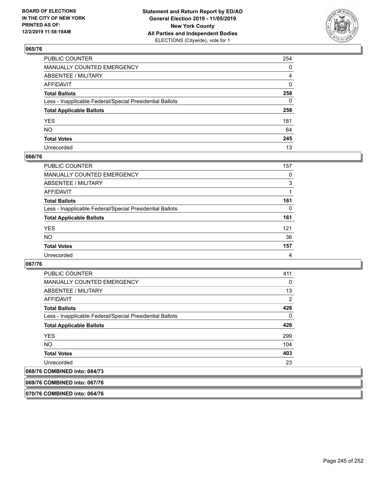

| PUBLIC COUNTER                                           | 254          |
|----------------------------------------------------------|--------------|
| MANUALLY COUNTED EMERGENCY                               | 0            |
| ABSENTEE / MILITARY                                      | 4            |
| AFFIDAVIT                                                | 0            |
| Total Ballots                                            | 258          |
| Less - Inapplicable Federal/Special Presidential Ballots | $\mathbf{0}$ |
| <b>Total Applicable Ballots</b>                          | 258          |
| YES                                                      | 181          |
| NO.                                                      | 64           |
| <b>Total Votes</b>                                       | 245          |
| Unrecorded                                               | 13           |

### **066/76**

| <b>PUBLIC COUNTER</b>                                    | 157            |
|----------------------------------------------------------|----------------|
| <b>MANUALLY COUNTED EMERGENCY</b>                        | 0              |
| ABSENTEE / MILITARY                                      | 3              |
| AFFIDAVIT                                                |                |
| <b>Total Ballots</b>                                     | 161            |
| Less - Inapplicable Federal/Special Presidential Ballots | 0              |
| <b>Total Applicable Ballots</b>                          | 161            |
| <b>YES</b>                                               | 121            |
| <b>NO</b>                                                | 36             |
| <b>Total Votes</b>                                       | 157            |
| Unrecorded                                               | $\overline{4}$ |

### **067/76**

| <b>PUBLIC COUNTER</b>                                    | 411 |
|----------------------------------------------------------|-----|
| <b>MANUALLY COUNTED EMERGENCY</b>                        | 0   |
| ABSENTEE / MILITARY                                      | 13  |
| AFFIDAVIT                                                | 2   |
| <b>Total Ballots</b>                                     | 426 |
| Less - Inapplicable Federal/Special Presidential Ballots | 0   |
| <b>Total Applicable Ballots</b>                          | 426 |
| <b>YES</b>                                               | 299 |
| <b>NO</b>                                                | 104 |
| <b>Total Votes</b>                                       | 403 |
| Unrecorded                                               | 23  |
|                                                          |     |

# **068/76 COMBINED into: 084/73**

**069/76 COMBINED into: 067/76**

**070/76 COMBINED into: 064/76**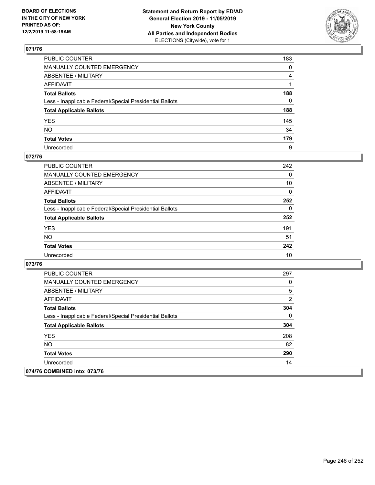

| PUBLIC COUNTER                                           | 183          |
|----------------------------------------------------------|--------------|
| MANUALLY COUNTED EMERGENCY                               | 0            |
| ABSENTEE / MILITARY                                      | 4            |
| AFFIDAVIT                                                |              |
| Total Ballots                                            | 188          |
| Less - Inapplicable Federal/Special Presidential Ballots | $\mathbf{0}$ |
| <b>Total Applicable Ballots</b>                          | 188          |
| YES                                                      | 145          |
| NO.                                                      | 34           |
| <b>Total Votes</b>                                       | 179          |
| Unrecorded                                               | 9            |

### **072/76**

| <b>PUBLIC COUNTER</b>                                    | 242      |
|----------------------------------------------------------|----------|
| <b>MANUALLY COUNTED EMERGENCY</b>                        | $\Omega$ |
| ABSENTEE / MILITARY                                      | 10       |
| AFFIDAVIT                                                | $\Omega$ |
| <b>Total Ballots</b>                                     | 252      |
| Less - Inapplicable Federal/Special Presidential Ballots | $\Omega$ |
| <b>Total Applicable Ballots</b>                          | 252      |
| <b>YES</b>                                               | 191      |
| <b>NO</b>                                                | 51       |
| <b>Total Votes</b>                                       | 242      |
| Unrecorded                                               | 10       |

| <b>PUBLIC COUNTER</b>                                    | 297          |
|----------------------------------------------------------|--------------|
| <b>MANUALLY COUNTED EMERGENCY</b>                        | 0            |
| ABSENTEE / MILITARY                                      | 5            |
| AFFIDAVIT                                                | 2            |
| <b>Total Ballots</b>                                     | 304          |
| Less - Inapplicable Federal/Special Presidential Ballots | $\mathbf{0}$ |
| <b>Total Applicable Ballots</b>                          | 304          |
| <b>YES</b>                                               | 208          |
| NO.                                                      | 82           |
| <b>Total Votes</b>                                       | 290          |
| Unrecorded                                               | 14           |
| 074/76 COMBINED into: 073/76                             |              |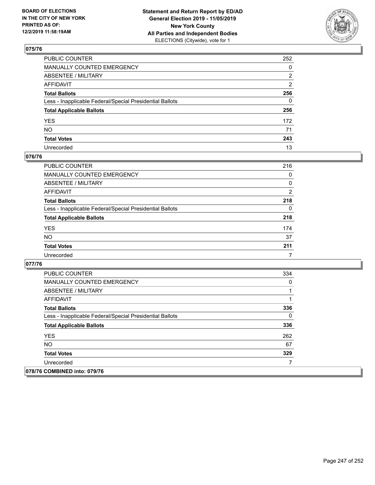

| PUBLIC COUNTER                                           | 252          |
|----------------------------------------------------------|--------------|
| MANUALLY COUNTED EMERGENCY                               | 0            |
| ABSENTEE / MILITARY                                      | 2            |
| AFFIDAVIT                                                | 2            |
| Total Ballots                                            | 256          |
| Less - Inapplicable Federal/Special Presidential Ballots | $\mathbf{0}$ |
| <b>Total Applicable Ballots</b>                          | 256          |
| YES                                                      | 172          |
| NO.                                                      | 71           |
| <b>Total Votes</b>                                       | 243          |
| Unrecorded                                               | 13           |

### **076/76**

| PUBLIC COUNTER                                           | 216      |
|----------------------------------------------------------|----------|
| <b>MANUALLY COUNTED EMERGENCY</b>                        | $\Omega$ |
| ABSENTEE / MILITARY                                      | 0        |
| AFFIDAVIT                                                | 2        |
| <b>Total Ballots</b>                                     | 218      |
| Less - Inapplicable Federal/Special Presidential Ballots | $\Omega$ |
| <b>Total Applicable Ballots</b>                          | 218      |
| <b>YES</b>                                               | 174      |
| <b>NO</b>                                                | 37       |
| <b>Total Votes</b>                                       | 211      |
| Unrecorded                                               |          |

| <b>PUBLIC COUNTER</b>                                    | 334      |
|----------------------------------------------------------|----------|
| <b>MANUALLY COUNTED EMERGENCY</b>                        | 0        |
| ABSENTEE / MILITARY                                      |          |
| AFFIDAVIT                                                |          |
| <b>Total Ballots</b>                                     | 336      |
| Less - Inapplicable Federal/Special Presidential Ballots | $\Omega$ |
| <b>Total Applicable Ballots</b>                          | 336      |
| <b>YES</b>                                               | 262      |
| NO.                                                      | 67       |
| <b>Total Votes</b>                                       | 329      |
| Unrecorded                                               |          |
| 078/76 COMBINED into: 079/76                             |          |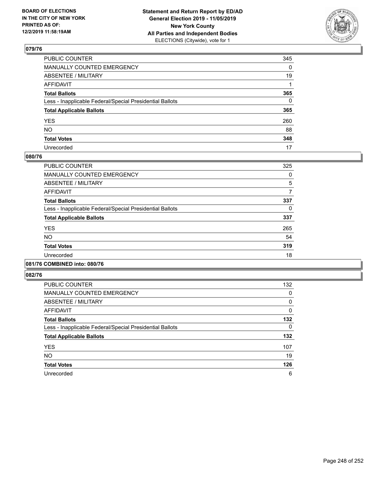

| PUBLIC COUNTER                                           | 345          |
|----------------------------------------------------------|--------------|
| MANUALLY COUNTED EMERGENCY                               | $\mathbf{0}$ |
| ABSENTEE / MILITARY                                      | 19           |
| AFFIDAVIT                                                |              |
| Total Ballots                                            | 365          |
| Less - Inapplicable Federal/Special Presidential Ballots | $\Omega$     |
| <b>Total Applicable Ballots</b>                          | 365          |
| YES                                                      | 260          |
| NO.                                                      | 88           |
| <b>Total Votes</b>                                       | 348          |
| Unrecorded                                               | 17           |

### **080/76**

| <b>PUBLIC COUNTER</b>                                    | 325 |
|----------------------------------------------------------|-----|
| <b>MANUALLY COUNTED EMERGENCY</b>                        | 0   |
| ABSENTEE / MILITARY                                      | 5   |
| <b>AFFIDAVIT</b>                                         | 7   |
| <b>Total Ballots</b>                                     | 337 |
| Less - Inapplicable Federal/Special Presidential Ballots | 0   |
| <b>Total Applicable Ballots</b>                          | 337 |
| <b>YES</b>                                               | 265 |
| <b>NO</b>                                                | 54  |
| <b>Total Votes</b>                                       | 319 |
| Unrecorded                                               | 18  |
|                                                          |     |

#### **081/76 COMBINED into: 080/76**

| <b>PUBLIC COUNTER</b>                                    | 132      |
|----------------------------------------------------------|----------|
| <b>MANUALLY COUNTED EMERGENCY</b>                        | 0        |
| ABSENTEE / MILITARY                                      | 0        |
| AFFIDAVIT                                                | 0        |
| <b>Total Ballots</b>                                     | 132      |
| Less - Inapplicable Federal/Special Presidential Ballots | $\Omega$ |
| <b>Total Applicable Ballots</b>                          | 132      |
| <b>YES</b>                                               | 107      |
| <b>NO</b>                                                | 19       |
| <b>Total Votes</b>                                       | 126      |
| Unrecorded                                               | 6        |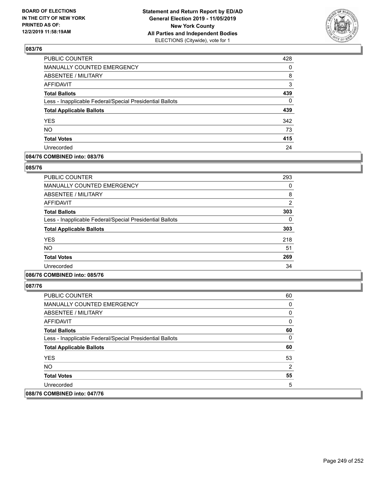

| <b>PUBLIC COUNTER</b>                                    | 428      |
|----------------------------------------------------------|----------|
| MANUALLY COUNTED EMERGENCY                               | 0        |
| <b>ABSENTEE / MILITARY</b>                               | 8        |
| <b>AFFIDAVIT</b>                                         | 3        |
| <b>Total Ballots</b>                                     | 439      |
| Less - Inapplicable Federal/Special Presidential Ballots | $\Omega$ |
| <b>Total Applicable Ballots</b>                          | 439      |
| <b>YES</b>                                               | 342      |
| <b>NO</b>                                                | 73       |
| <b>Total Votes</b>                                       | 415      |
| Unrecorded                                               | 24       |

### **084/76 COMBINED into: 083/76**

### **085/76**

| <b>PUBLIC COUNTER</b>                                    | 293            |
|----------------------------------------------------------|----------------|
| <b>MANUALLY COUNTED EMERGENCY</b>                        | 0              |
| ABSENTEE / MILITARY                                      | 8              |
| AFFIDAVIT                                                | $\overline{2}$ |
| <b>Total Ballots</b>                                     | 303            |
| Less - Inapplicable Federal/Special Presidential Ballots | 0              |
| <b>Total Applicable Ballots</b>                          | 303            |
| <b>YES</b>                                               | 218            |
| <b>NO</b>                                                | 51             |
| <b>Total Votes</b>                                       | 269            |
| Unrecorded                                               | 34             |

## **086/76 COMBINED into: 085/76**

| <b>PUBLIC COUNTER</b>                                    | 60 |
|----------------------------------------------------------|----|
| MANUALLY COUNTED EMERGENCY                               | 0  |
| ABSENTEE / MILITARY                                      | 0  |
| AFFIDAVIT                                                | 0  |
| <b>Total Ballots</b>                                     | 60 |
| Less - Inapplicable Federal/Special Presidential Ballots | 0  |
| <b>Total Applicable Ballots</b>                          | 60 |
| <b>YES</b>                                               | 53 |
| <b>NO</b>                                                | 2  |
| <b>Total Votes</b>                                       | 55 |
| Unrecorded                                               | 5  |
| 088/76 COMBINED into: 047/76                             |    |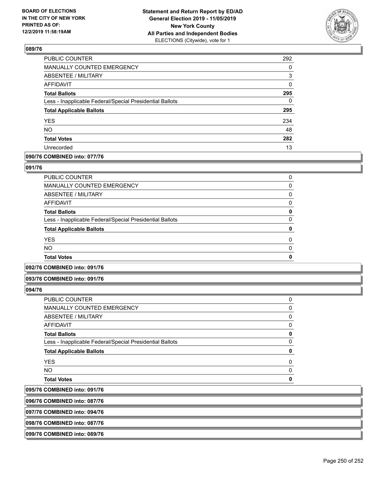

| PUBLIC COUNTER                                           | 292      |
|----------------------------------------------------------|----------|
| MANUALLY COUNTED EMERGENCY                               | $\Omega$ |
| <b>ABSENTEE / MILITARY</b>                               | 3        |
| <b>AFFIDAVIT</b>                                         | 0        |
| <b>Total Ballots</b>                                     | 295      |
| Less - Inapplicable Federal/Special Presidential Ballots | $\Omega$ |
| <b>Total Applicable Ballots</b>                          | 295      |
| <b>YES</b>                                               | 234      |
| <b>NO</b>                                                | 48       |
| <b>Total Votes</b>                                       | 282      |
| Unrecorded                                               | 13       |
|                                                          |          |

### **090/76 COMBINED into: 077/76**

### **091/76**

| <b>Total Votes</b>                                       | 0        |
|----------------------------------------------------------|----------|
| <b>NO</b>                                                | $\Omega$ |
| <b>YES</b>                                               | $\Omega$ |
| <b>Total Applicable Ballots</b>                          | 0        |
| Less - Inapplicable Federal/Special Presidential Ballots | 0        |
| <b>Total Ballots</b>                                     | 0        |
| AFFIDAVIT                                                | 0        |
| <b>ABSENTEE / MILITARY</b>                               | 0        |
| <b>MANUALLY COUNTED EMERGENCY</b>                        | 0        |
| PUBLIC COUNTER                                           | 0        |

## **092/76 COMBINED into: 091/76**

### **093/76 COMBINED into: 091/76**

### **094/76**

095/76 096/76

| PUBLIC COUNTER                                           | 0 |
|----------------------------------------------------------|---|
| <b>MANUALLY COUNTED EMERGENCY</b>                        | 0 |
| <b>ABSENTEE / MILITARY</b>                               | 0 |
| <b>AFFIDAVIT</b>                                         | 0 |
| <b>Total Ballots</b>                                     | 0 |
| Less - Inapplicable Federal/Special Presidential Ballots | 0 |
| <b>Total Applicable Ballots</b>                          | 0 |
| <b>YES</b>                                               | 0 |
| <b>NO</b>                                                | 0 |
| <b>Total Votes</b>                                       | ŋ |
| <b>COMBINED into: 091/76</b>                             |   |
| <b>COMBINED into: 087/76</b>                             |   |
|                                                          |   |

**097/76 COMBINED into: 094/76**

**098/76 COMBINED into: 087/76**

## **099/76 COMBINED into: 089/76**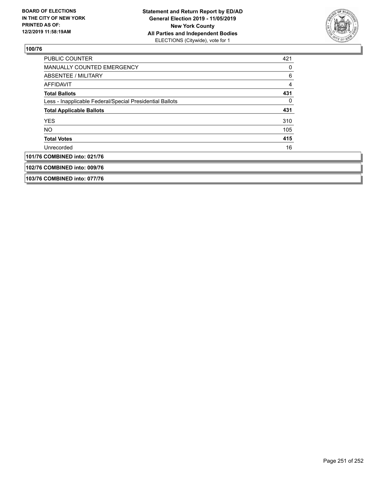

| <b>PUBLIC COUNTER</b>                                    | 421          |
|----------------------------------------------------------|--------------|
| MANUALLY COUNTED EMERGENCY                               | 0            |
| ABSENTEE / MILITARY                                      | 6            |
| AFFIDAVIT                                                | 4            |
| <b>Total Ballots</b>                                     | 431          |
| Less - Inapplicable Federal/Special Presidential Ballots | $\mathbf{0}$ |
| <b>Total Applicable Ballots</b>                          | 431          |
| <b>YES</b>                                               | 310          |
| <b>NO</b>                                                | 105          |
| <b>Total Votes</b>                                       | 415          |
| Unrecorded                                               | 16           |
| 101/76 COMBINED into: 021/76                             |              |
| 102/76 COMBINED into: 009/76                             |              |
| 103/76 COMBINED into: 077/76                             |              |